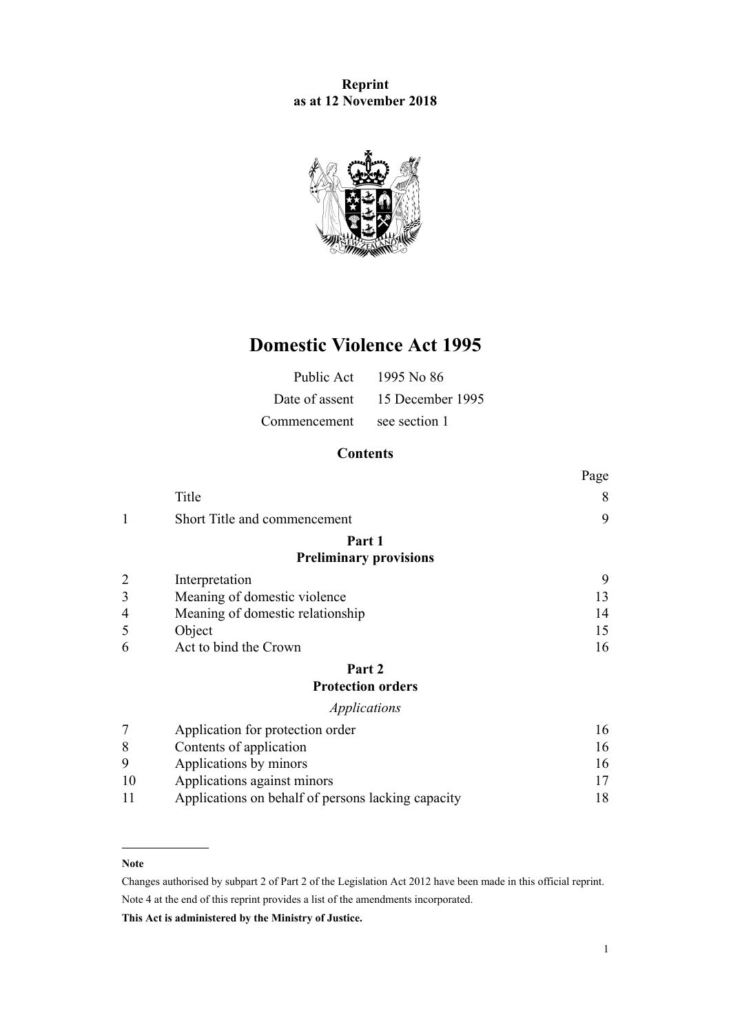# **Reprint as at 12 November 2018**



# **Domestic Violence Act 1995**

| Public Act     | 1995 No 86       |
|----------------|------------------|
| Date of assent | 15 December 1995 |
| Commencement   | see section 1    |

# **Contents**

|    |                                                    | Page |
|----|----------------------------------------------------|------|
|    | Title                                              | 8    |
| 1  | Short Title and commencement                       | 9    |
|    | Part 1                                             |      |
|    | <b>Preliminary provisions</b>                      |      |
|    | Interpretation                                     | 9    |
| 3  | Meaning of domestic violence                       | 13   |
| 4  | Meaning of domestic relationship                   | 14   |
| 5  | Object                                             | 15   |
| 6  | Act to bind the Crown                              | 16   |
|    | Part 2                                             |      |
|    | <b>Protection orders</b>                           |      |
|    | Applications                                       |      |
|    | Application for protection order                   | 16   |
| 8  | Contents of application                            | 16   |
| 9  | Applications by minors                             | 16   |
| 10 | Applications against minors                        | 17   |
| 11 | Applications on behalf of persons lacking capacity | 18   |

## **Note**

Changes authorised by [subpart 2](http://prd-lgnz-nlb.prd.pco.net.nz/pdflink.aspx?id=DLM2998524) of Part 2 of the Legislation Act 2012 have been made in this official reprint. Note 4 at the end of this reprint provides a list of the amendments incorporated.

**This Act is administered by the Ministry of Justice.**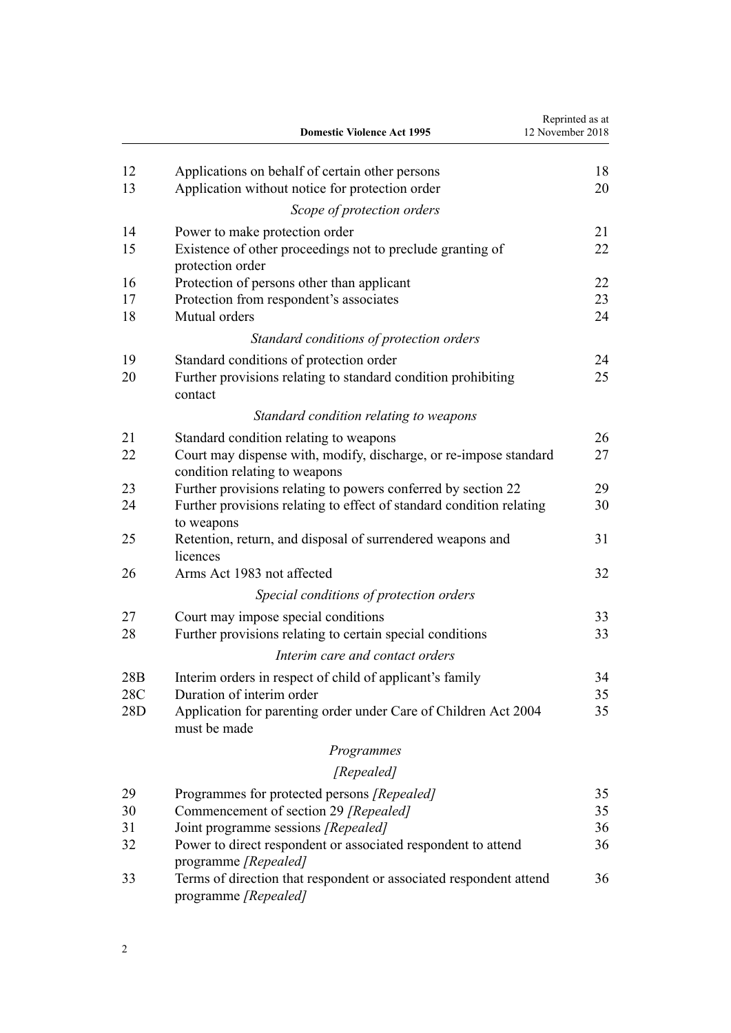|            | <b>Domestic Violence Act 1995</b>                                                                            | Reprinted as at<br>12 November 2018 |
|------------|--------------------------------------------------------------------------------------------------------------|-------------------------------------|
| 12         | Applications on behalf of certain other persons                                                              | 18                                  |
| 13         | Application without notice for protection order                                                              | 20                                  |
|            | Scope of protection orders                                                                                   |                                     |
| 14         | Power to make protection order                                                                               | 21                                  |
| 15         | Existence of other proceedings not to preclude granting of<br>protection order                               | 22                                  |
| 16         | Protection of persons other than applicant                                                                   | 22                                  |
| 17<br>18   | Protection from respondent's associates<br>Mutual orders                                                     | 23<br>24                            |
|            | Standard conditions of protection orders                                                                     |                                     |
| 19         | Standard conditions of protection order                                                                      | 24                                  |
| 20         | Further provisions relating to standard condition prohibiting<br>contact                                     | 25                                  |
|            | Standard condition relating to weapons                                                                       |                                     |
| 21         | Standard condition relating to weapons                                                                       | 26                                  |
| 22         | Court may dispense with, modify, discharge, or re-impose standard<br>condition relating to weapons           | 27                                  |
| 23         | Further provisions relating to powers conferred by section 22                                                | 29                                  |
| 24         | Further provisions relating to effect of standard condition relating<br>to weapons                           | 30                                  |
| 25         | Retention, return, and disposal of surrendered weapons and<br>licences                                       | 31                                  |
| 26         | Arms Act 1983 not affected                                                                                   | 32                                  |
|            | Special conditions of protection orders                                                                      |                                     |
| 27         | Court may impose special conditions                                                                          | 33                                  |
| 28         | Further provisions relating to certain special conditions                                                    | 33                                  |
|            | Interim care and contact orders                                                                              |                                     |
| 28B        | Interim orders in respect of child of applicant's family                                                     | 34                                  |
| 28C<br>28D | Duration of interim order<br>Application for parenting order under Care of Children Act 2004<br>must be made | 35<br>35                            |
|            | Programmes                                                                                                   |                                     |
|            | [Repealed]                                                                                                   |                                     |
| 29         | Programmes for protected persons [Repealed]                                                                  | 35                                  |
| 30         | Commencement of section 29 [Repealed]                                                                        | 35                                  |
| 31         | Joint programme sessions [Repealed]                                                                          | 36                                  |
| 32         | Power to direct respondent or associated respondent to attend<br>programme [Repealed]                        | 36                                  |
| 33         | Terms of direction that respondent or associated respondent attend<br>programme [Repealed]                   | 36                                  |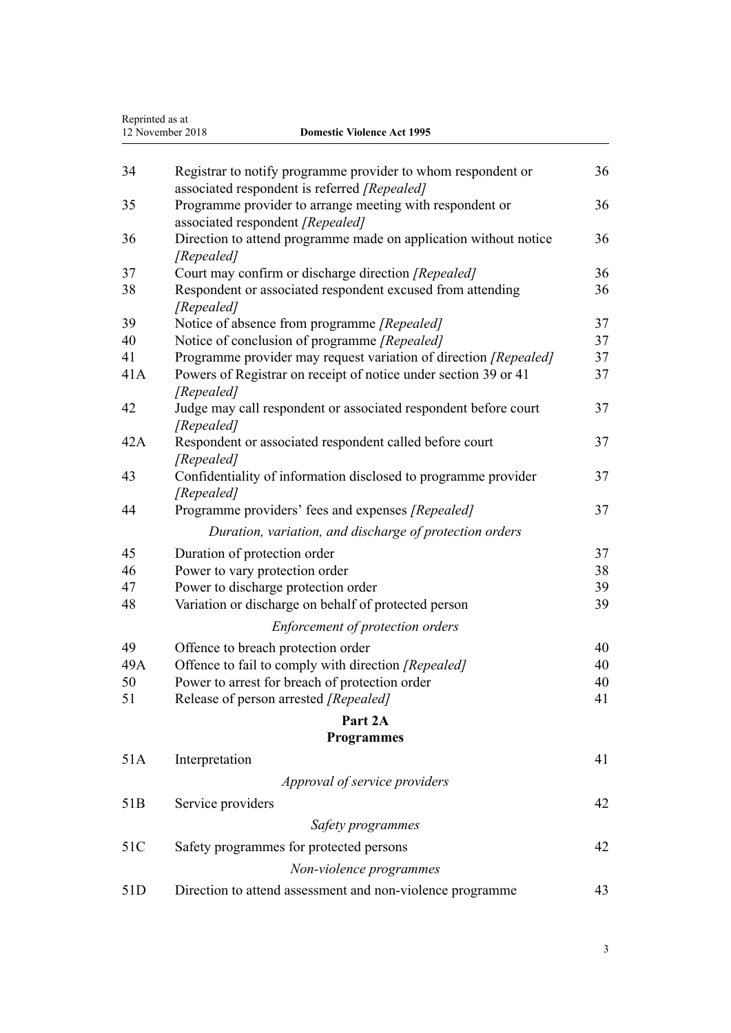| Reprinted as at<br>12 November 2018<br><b>Domestic Violence Act 1995</b> |                                                                                                              |          |
|--------------------------------------------------------------------------|--------------------------------------------------------------------------------------------------------------|----------|
|                                                                          |                                                                                                              |          |
| 34                                                                       | Registrar to notify programme provider to whom respondent or<br>associated respondent is referred [Repealed] | 36       |
| 35                                                                       | Programme provider to arrange meeting with respondent or<br>associated respondent [Repealed]                 | 36       |
| 36                                                                       | Direction to attend programme made on application without notice<br>[Repealed]                               | 36       |
| 37                                                                       | Court may confirm or discharge direction [Repealed]                                                          | 36       |
| 38                                                                       | Respondent or associated respondent excused from attending<br>[Repealed]                                     | 36       |
| 39                                                                       | Notice of absence from programme [Repealed]                                                                  | 37       |
| 40                                                                       | Notice of conclusion of programme [Repealed]                                                                 | 37       |
| 41<br>41A                                                                | Programme provider may request variation of direction [Repealed]                                             | 37<br>37 |
|                                                                          | Powers of Registrar on receipt of notice under section 39 or 41<br>[Repealed]                                |          |
| 42                                                                       | Judge may call respondent or associated respondent before court<br>[Repealed]                                | 37       |
| 42A                                                                      | Respondent or associated respondent called before court<br>[Repealed]                                        | 37       |
| 43                                                                       | Confidentiality of information disclosed to programme provider<br>[Repealed]                                 | 37       |
| 44                                                                       | Programme providers' fees and expenses [Repealed]                                                            | 37       |
|                                                                          | Duration, variation, and discharge of protection orders                                                      |          |
| 45                                                                       | Duration of protection order                                                                                 | 37       |
| 46                                                                       | Power to vary protection order                                                                               | 38       |
| 47                                                                       | Power to discharge protection order                                                                          | 39       |
| 48                                                                       | Variation or discharge on behalf of protected person                                                         | 39       |
|                                                                          | Enforcement of protection orders                                                                             |          |
| 49                                                                       | Offence to breach protection order                                                                           | 40       |
| 49A                                                                      | Offence to fail to comply with direction [Repealed]                                                          | 40       |
| 50                                                                       | Power to arrest for breach of protection order                                                               | 40       |
| 51                                                                       | Release of person arrested [Repealed]                                                                        | 41       |
|                                                                          | Part 2A                                                                                                      |          |
|                                                                          | <b>Programmes</b>                                                                                            |          |
| 51A                                                                      | Interpretation                                                                                               | 41       |
|                                                                          | Approval of service providers                                                                                |          |
| 51 <sub>B</sub>                                                          | Service providers                                                                                            | 42       |
|                                                                          | Safety programmes                                                                                            |          |
| 51C                                                                      | Safety programmes for protected persons                                                                      | 42       |
|                                                                          | Non-violence programmes                                                                                      |          |
| 51D                                                                      | Direction to attend assessment and non-violence programme                                                    | 43       |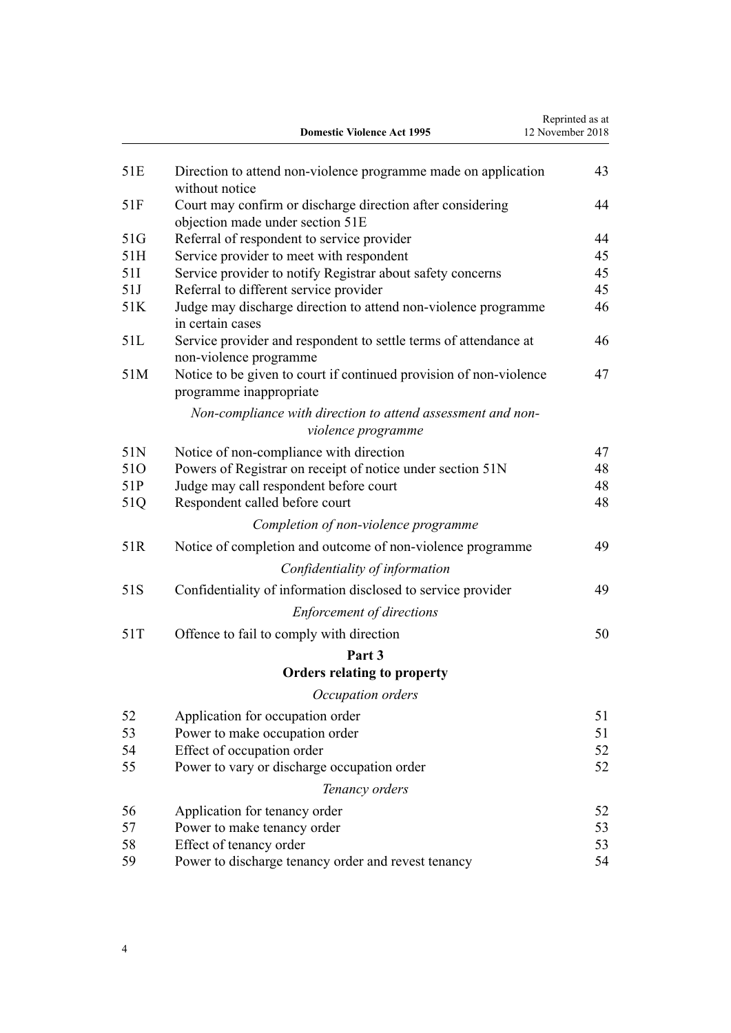|     | <b>Domestic Violence Act 1995</b>                                                              | Reprinted as at<br>12 November 2018 |
|-----|------------------------------------------------------------------------------------------------|-------------------------------------|
| 51E | Direction to attend non-violence programme made on application<br>without notice               | 43                                  |
| 51F | Court may confirm or discharge direction after considering<br>objection made under section 51E | 44                                  |
| 51G | Referral of respondent to service provider                                                     | 44                                  |
| 51H | Service provider to meet with respondent                                                       | 45                                  |
| 51I | Service provider to notify Registrar about safety concerns                                     | 45                                  |
| 51J | Referral to different service provider                                                         | 45                                  |
| 51K | Judge may discharge direction to attend non-violence programme<br>in certain cases             | 46                                  |
| 51L | Service provider and respondent to settle terms of attendance at<br>non-violence programme     | 46                                  |
| 51M | Notice to be given to court if continued provision of non-violence<br>programme inappropriate  | 47                                  |
|     | Non-compliance with direction to attend assessment and non-<br>violence programme              |                                     |
| 51N | Notice of non-compliance with direction                                                        | 47                                  |
| 510 | Powers of Registrar on receipt of notice under section 51N                                     | 48                                  |
| 51P | Judge may call respondent before court                                                         | 48                                  |
| 51Q | Respondent called before court                                                                 | 48                                  |
|     | Completion of non-violence programme                                                           |                                     |
| 51R | Notice of completion and outcome of non-violence programme                                     | 49                                  |
|     | Confidentiality of information                                                                 |                                     |
| 51S | Confidentiality of information disclosed to service provider                                   | 49                                  |
|     | <b>Enforcement of directions</b>                                                               |                                     |
| 51T | Offence to fail to comply with direction                                                       | 50                                  |
|     | Part 3                                                                                         |                                     |
|     | <b>Orders relating to property</b>                                                             |                                     |
|     | Occupation orders                                                                              |                                     |
| 52  | Application for occupation order                                                               | 51                                  |
| 53  | Power to make occupation order                                                                 | 51                                  |
| 54  | Effect of occupation order                                                                     | 52                                  |
| 55  | Power to vary or discharge occupation order                                                    | 52                                  |
|     | Tenancy orders                                                                                 |                                     |
| 56  | Application for tenancy order                                                                  | 52                                  |
| 57  | Power to make tenancy order                                                                    | 53                                  |
| 58  | Effect of tenancy order                                                                        | 53                                  |
| 59  | Power to discharge tenancy order and revest tenancy                                            | 54                                  |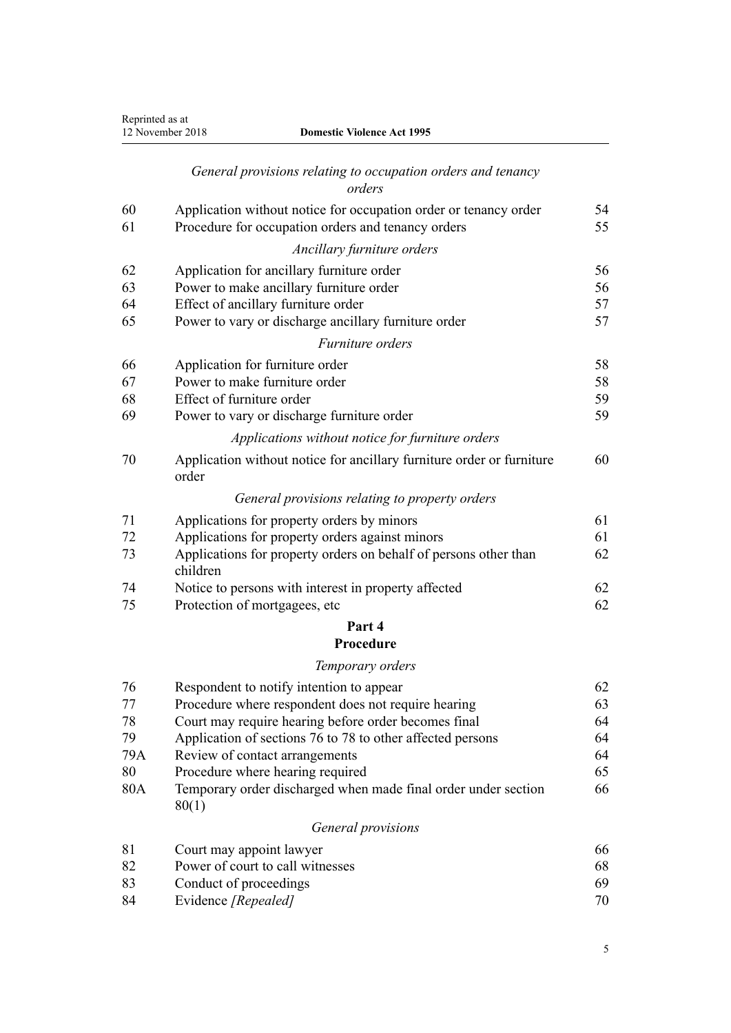| Reprinted as at | 12 November 2018<br><b>Domestic Violence Act 1995</b>                          |    |
|-----------------|--------------------------------------------------------------------------------|----|
|                 | General provisions relating to occupation orders and tenancy<br>orders         |    |
| 60              | Application without notice for occupation order or tenancy order               | 54 |
| 61              | Procedure for occupation orders and tenancy orders                             | 55 |
|                 | Ancillary furniture orders                                                     |    |
| 62              | Application for ancillary furniture order                                      | 56 |
| 63              | Power to make ancillary furniture order                                        | 56 |
| 64              | Effect of ancillary furniture order                                            | 57 |
| 65              | Power to vary or discharge ancillary furniture order                           | 57 |
|                 | Furniture orders                                                               |    |
| 66              | Application for furniture order                                                | 58 |
| 67              | Power to make furniture order                                                  | 58 |
| 68              | Effect of furniture order                                                      | 59 |
| 69              | Power to vary or discharge furniture order                                     | 59 |
|                 | Applications without notice for furniture orders                               |    |
| 70              | Application without notice for ancillary furniture order or furniture<br>order | 60 |
|                 | General provisions relating to property orders                                 |    |
| 71              | Applications for property orders by minors                                     | 61 |
| 72              | Applications for property orders against minors                                | 61 |
| 73              | Applications for property orders on behalf of persons other than<br>children   | 62 |
| 74              | Notice to persons with interest in property affected                           | 62 |
| 75              | Protection of mortgagees, etc                                                  | 62 |
|                 | Part 4                                                                         |    |
|                 | Procedure                                                                      |    |
|                 | Temporary orders                                                               |    |
| 76              | Respondent to notify intention to appear                                       | 62 |
| 77              | Procedure where respondent does not require hearing                            | 63 |
| 78              | Court may require hearing before order becomes final                           | 64 |
| 79              | Application of sections 76 to 78 to other affected persons                     | 64 |
| 79A             | Review of contact arrangements                                                 | 64 |
| 80              | Procedure where hearing required                                               | 65 |
| 80A             | Temporary order discharged when made final order under section<br>80(1)        | 66 |
|                 | General provisions                                                             |    |
| 81              | Court may appoint lawyer                                                       | 66 |
| 82              | Power of court to call witnesses                                               | 68 |
| 83              | Conduct of proceedings                                                         | 69 |
|                 |                                                                                |    |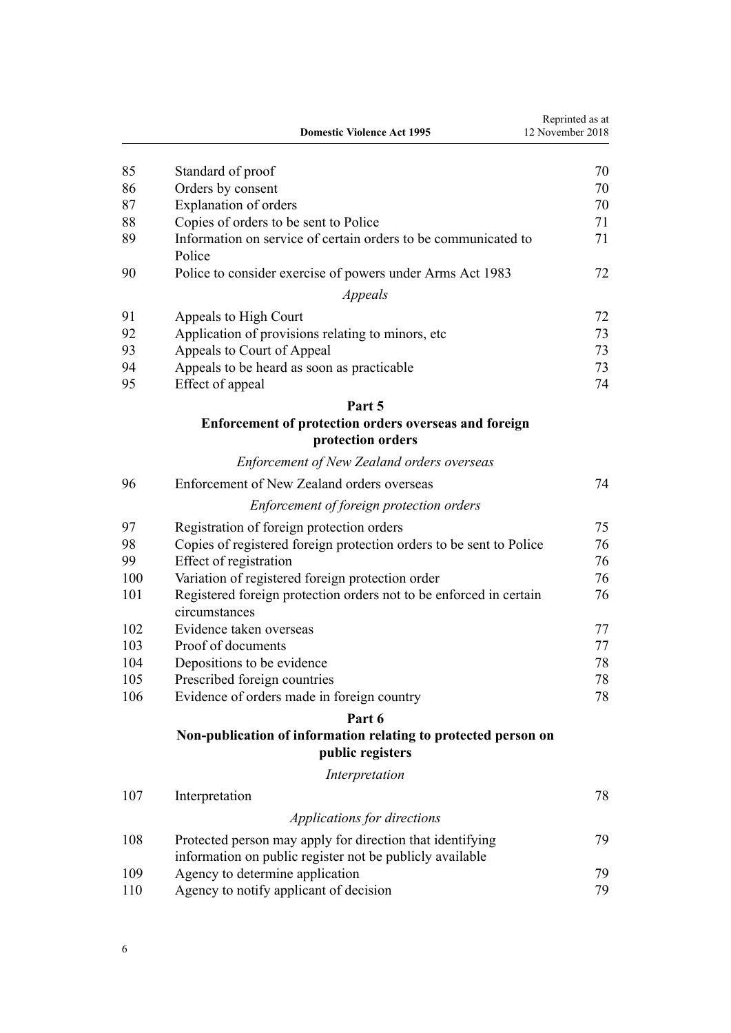|     | <b>Domestic Violence Act 1995</b>                                                   | Reprinted as at<br>12 November 2018 |
|-----|-------------------------------------------------------------------------------------|-------------------------------------|
| 85  | Standard of proof                                                                   | 70                                  |
| 86  | Orders by consent                                                                   | 70                                  |
| 87  | Explanation of orders                                                               | 70                                  |
| 88  | Copies of orders to be sent to Police                                               | 71                                  |
| 89  | Information on service of certain orders to be communicated to<br>Police            | 71                                  |
| 90  | Police to consider exercise of powers under Arms Act 1983                           | 72                                  |
|     | Appeals                                                                             |                                     |
| 91  | Appeals to High Court                                                               | 72                                  |
| 92  | Application of provisions relating to minors, etc.                                  | 73                                  |
| 93  | Appeals to Court of Appeal                                                          | 73                                  |
| 94  | Appeals to be heard as soon as practicable                                          | 73                                  |
| 95  | Effect of appeal                                                                    | 74                                  |
|     | Part 5                                                                              |                                     |
|     | Enforcement of protection orders overseas and foreign<br>protection orders          |                                     |
|     | <b>Enforcement of New Zealand orders overseas</b>                                   |                                     |
| 96  | Enforcement of New Zealand orders overseas                                          | 74                                  |
|     | Enforcement of foreign protection orders                                            |                                     |
| 97  | Registration of foreign protection orders                                           | 75                                  |
| 98  | Copies of registered foreign protection orders to be sent to Police                 | 76                                  |
| 99  | Effect of registration                                                              | 76                                  |
| 100 | Variation of registered foreign protection order                                    | 76                                  |
| 101 | Registered foreign protection orders not to be enforced in certain<br>circumstances | 76                                  |
| 102 | Evidence taken overseas                                                             | 77                                  |
| 103 | Proof of documents                                                                  | 77                                  |
| 104 | Depositions to be evidence                                                          | 78                                  |
| 105 | Prescribed foreign countries                                                        | 78                                  |
| 106 | Evidence of orders made in foreign country                                          | 78                                  |
|     | Part 6                                                                              |                                     |
|     | Non-publication of information relating to protected person on<br>public registers  |                                     |
|     | Interpretation                                                                      |                                     |
| 107 | Interpretation                                                                      | 78                                  |
|     | Applications for directions                                                         |                                     |
| 108 | Protected person may apply for direction that identifying                           | 79                                  |
|     | information on public register not be publicly available                            |                                     |
| 109 | Agency to determine application                                                     | 79                                  |
| 110 | Agency to notify applicant of decision                                              | 79                                  |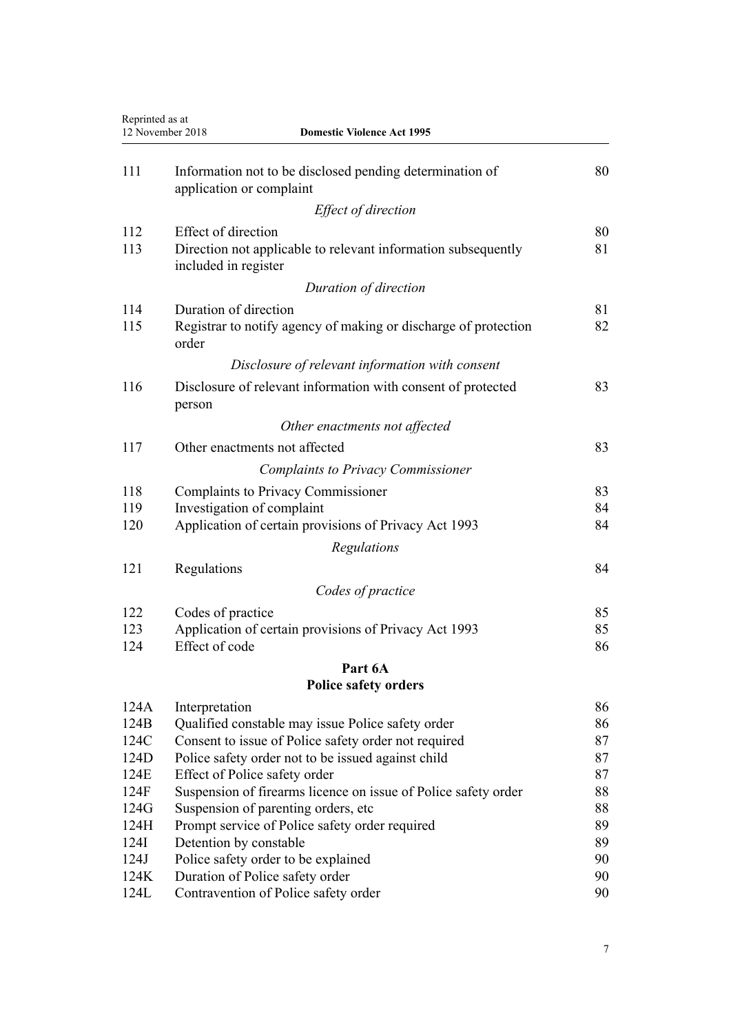| Reprinted as at<br>12 November 2018<br><b>Domestic Violence Act 1995</b> |                                                                                       |          |
|--------------------------------------------------------------------------|---------------------------------------------------------------------------------------|----------|
| 111                                                                      | Information not to be disclosed pending determination of<br>application or complaint  | 80       |
|                                                                          | Effect of direction                                                                   |          |
| 112                                                                      | <b>Effect of direction</b>                                                            | 80       |
| 113                                                                      | Direction not applicable to relevant information subsequently<br>included in register | 81       |
|                                                                          | Duration of direction                                                                 |          |
| 114                                                                      | Duration of direction                                                                 | 81       |
| 115                                                                      | Registrar to notify agency of making or discharge of protection<br>order              | 82       |
|                                                                          | Disclosure of relevant information with consent                                       |          |
| 116                                                                      | Disclosure of relevant information with consent of protected<br>person                | 83       |
|                                                                          | Other enactments not affected                                                         |          |
| 117                                                                      | Other enactments not affected                                                         | 83       |
|                                                                          | <b>Complaints to Privacy Commissioner</b>                                             |          |
| 118                                                                      | <b>Complaints to Privacy Commissioner</b>                                             | 83       |
| 119                                                                      | Investigation of complaint                                                            | 84       |
| 120                                                                      | Application of certain provisions of Privacy Act 1993                                 | 84       |
|                                                                          | Regulations                                                                           |          |
| 121                                                                      | Regulations                                                                           | 84       |
|                                                                          | Codes of practice                                                                     |          |
| 122                                                                      | Codes of practice                                                                     | 85       |
| 123                                                                      | Application of certain provisions of Privacy Act 1993                                 | 85       |
| 124                                                                      | Effect of code                                                                        | 86       |
|                                                                          | Part 6A                                                                               |          |
|                                                                          | <b>Police safety orders</b>                                                           |          |
| 124A                                                                     | Interpretation                                                                        | 86       |
| 124B                                                                     | Qualified constable may issue Police safety order                                     | 86       |
| 124C                                                                     | Consent to issue of Police safety order not required                                  | 87       |
| 124D                                                                     | Police safety order not to be issued against child                                    | 87       |
| 124E                                                                     | Effect of Police safety order                                                         | 87       |
| 124F                                                                     | Suspension of firearms licence on issue of Police safety order                        | 88       |
| 124G                                                                     | Suspension of parenting orders, etc.                                                  | 88       |
| 124H                                                                     | Prompt service of Police safety order required                                        | 89       |
| 124I                                                                     | Detention by constable                                                                | 89       |
| 124J<br>124K                                                             | Police safety order to be explained<br>Duration of Police safety order                | 90<br>90 |
| 124L                                                                     | Contravention of Police safety order                                                  | 90       |
|                                                                          |                                                                                       |          |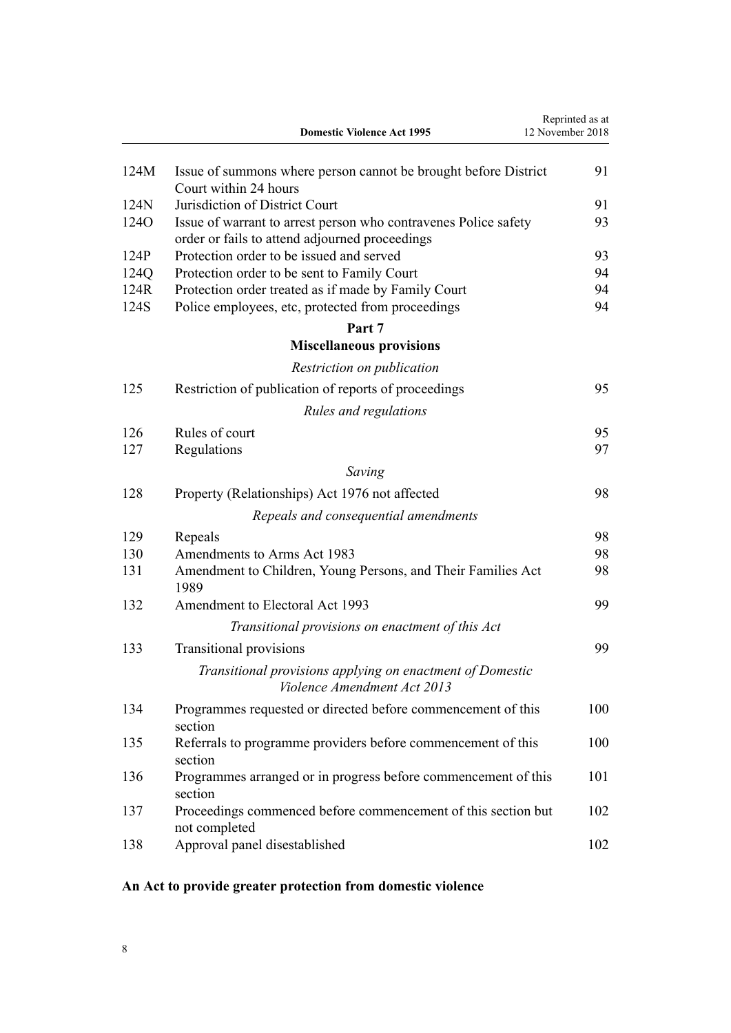<span id="page-7-0"></span>

|                  | <b>Domestic Violence Act 1995</b>                                                        | Reprinted as at<br>12 November 2018 |
|------------------|------------------------------------------------------------------------------------------|-------------------------------------|
| 124M             | Issue of summons where person cannot be brought before District<br>Court within 24 hours | 91                                  |
| 124N             | Jurisdiction of District Court                                                           | 91                                  |
| 124 <sub>O</sub> | Issue of warrant to arrest person who contravenes Police safety                          | 93                                  |
|                  | order or fails to attend adjourned proceedings                                           |                                     |
| 124P             | Protection order to be issued and served                                                 | 93                                  |
| 124Q             | Protection order to be sent to Family Court                                              | 94                                  |
| 124R             | Protection order treated as if made by Family Court                                      | 94                                  |
| 124S             | Police employees, etc, protected from proceedings                                        | 94                                  |
|                  | Part 7                                                                                   |                                     |
|                  | <b>Miscellaneous provisions</b>                                                          |                                     |
|                  | Restriction on publication                                                               |                                     |
| 125              | Restriction of publication of reports of proceedings                                     | 95                                  |
|                  | Rules and regulations                                                                    |                                     |
| 126              | Rules of court                                                                           | 95                                  |
| 127              | Regulations                                                                              | 97                                  |
|                  | Saving                                                                                   |                                     |
| 128              | Property (Relationships) Act 1976 not affected                                           | 98                                  |
|                  | Repeals and consequential amendments                                                     |                                     |
| 129              | Repeals                                                                                  | 98                                  |
| 130              | Amendments to Arms Act 1983                                                              | 98                                  |
| 131              | Amendment to Children, Young Persons, and Their Families Act<br>1989                     | 98                                  |
| 132              | Amendment to Electoral Act 1993                                                          | 99                                  |
|                  | Transitional provisions on enactment of this Act                                         |                                     |
| 133              | <b>Transitional provisions</b>                                                           | 99                                  |
|                  | Transitional provisions applying on enactment of Domestic<br>Violence Amendment Act 2013 |                                     |
| 134              | Programmes requested or directed before commencement of this<br>section                  | 100                                 |
| 135              | Referrals to programme providers before commencement of this<br>section                  | 100                                 |
| 136              | Programmes arranged or in progress before commencement of this<br>section                | 101                                 |
| 137              | Proceedings commenced before commencement of this section but<br>not completed           | 102                                 |
| 138              | Approval panel disestablished                                                            | 102                                 |

# **An Act to provide greater protection from domestic violence**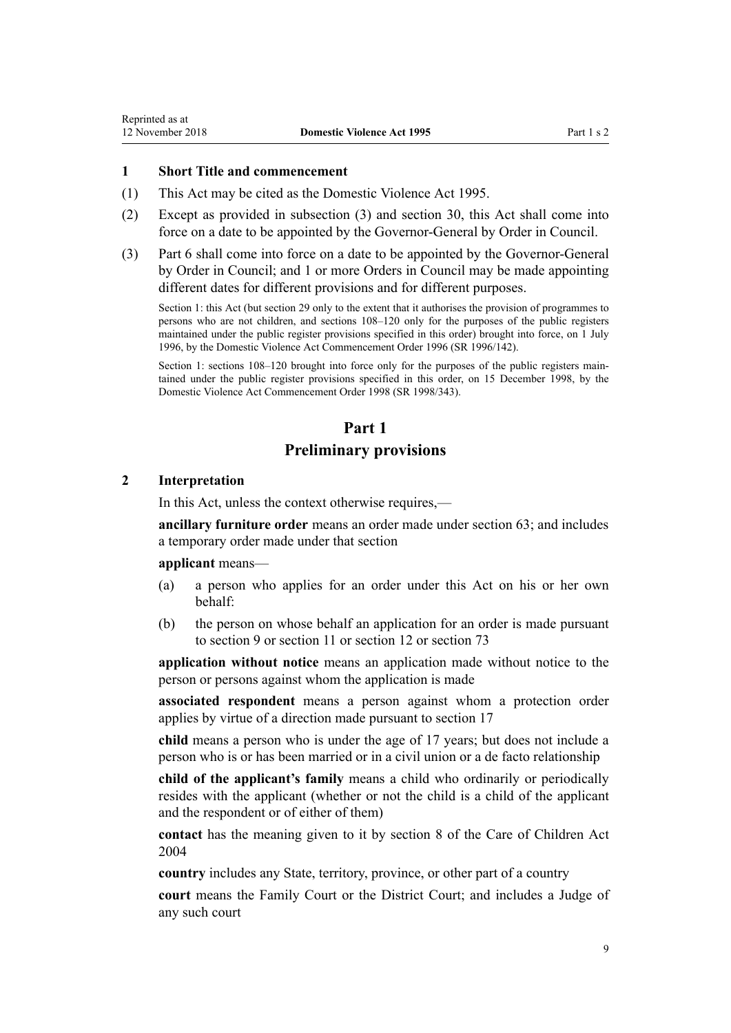## <span id="page-8-0"></span>**1 Short Title and commencement**

- (1) This Act may be cited as the Domestic Violence Act 1995.
- (2) Except as provided in subsection (3) and [section 30](#page-34-0), this Act shall come into force on a date to be appointed by the Governor-General by Order in Council.
- (3) [Part 6](#page-77-0) shall come into force on a date to be appointed by the Governor-General by Order in Council; and 1 or more Orders in Council may be made appointing different dates for different provisions and for different purposes.

Section 1: this Act (but section 29 only to the extent that it authorises the provision of programmes to persons who are not children, and sections 108–120 only for the purposes of the public registers maintained under the public register provisions specified in this order) brought into force, on 1 July 1996, by the [Domestic Violence Act Commencement Order 1996](http://prd-lgnz-nlb.prd.pco.net.nz/pdflink.aspx?id=DLM212125) (SR 1996/142).

Section 1: sections 108–120 brought into force only for the purposes of the public registers maintained under the public register provisions specified in this order, on 15 December 1998, by the [Domestic Violence Act Commencement Order 1998](http://prd-lgnz-nlb.prd.pco.net.nz/pdflink.aspx?id=DLM264465) (SR 1998/343).

# **Part 1**

# **Preliminary provisions**

## **2 Interpretation**

In this Act, unless the context otherwise requires,—

**ancillary furniture order** means an order made under [section 63;](#page-55-0) and includes a temporary order made under that section

## **applicant** means—

- (a) a person who applies for an order under this Act on his or her own behalf:
- (b) the person on whose behalf an application for an order is made pursuant to [section 9](#page-15-0) or [section 11](#page-17-0) or [section 12](#page-17-0) or [section 73](#page-61-0)

**application without notice** means an application made without notice to the person or persons against whom the application is made

**associated respondent** means a person against whom a protection order applies by virtue of a direction made pursuant to [section 17](#page-22-0)

**child** means a person who is under the age of 17 years; but does not include a person who is or has been married or in a civil union or a de facto relationship

**child of the applicant's family** means a child who ordinarily or periodically resides with the applicant (whether or not the child is a child of the applicant and the respondent or of either of them)

**contact** has the meaning given to it by [section 8](http://prd-lgnz-nlb.prd.pco.net.nz/pdflink.aspx?id=DLM317244) of the Care of Children Act 2004

**country** includes any State, territory, province, or other part of a country

**court** means the Family Court or the District Court; and includes a Judge of any such court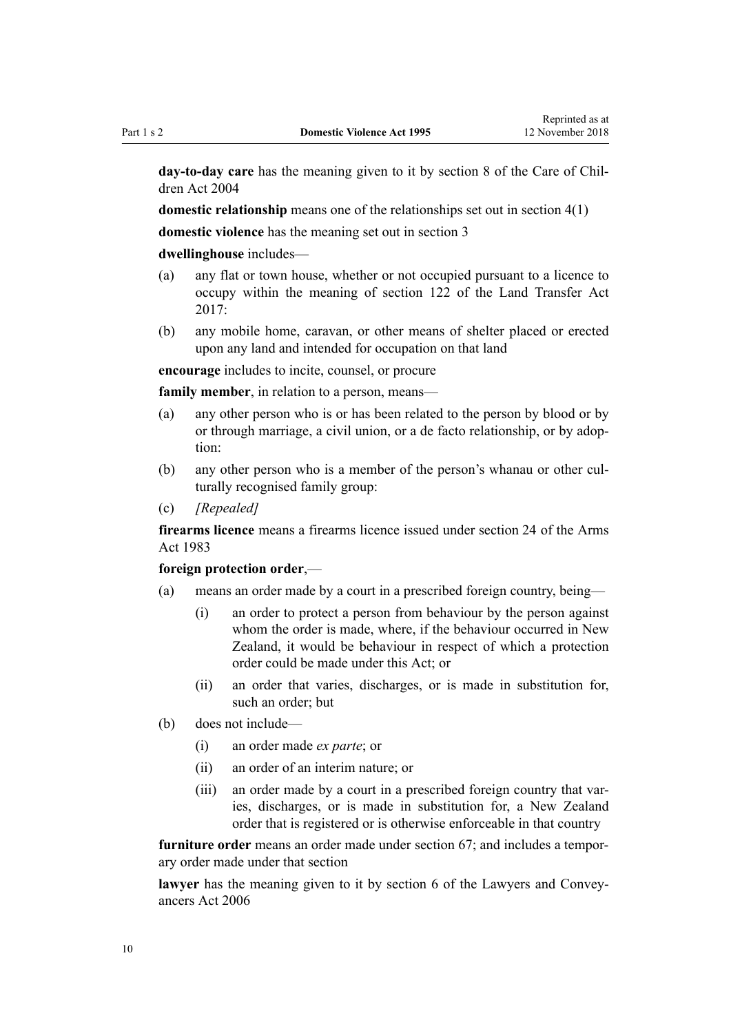**day-to-day care** has the meaning given to it by [section 8](http://prd-lgnz-nlb.prd.pco.net.nz/pdflink.aspx?id=DLM317244) of the Care of Children Act 2004

**domestic relationship** means one of the relationships set out in [section 4\(1\)](#page-13-0)

**domestic violence** has the meaning set out in [section 3](#page-12-0)

## **dwellinghouse** includes—

- (a) any flat or town house, whether or not occupied pursuant to a licence to occupy within the meaning of [section 122](http://prd-lgnz-nlb.prd.pco.net.nz/pdflink.aspx?id=DLM6731275) of the Land Transfer Act  $2017$
- (b) any mobile home, caravan, or other means of shelter placed or erected upon any land and intended for occupation on that land

**encourage** includes to incite, counsel, or procure

**family member**, in relation to a person, means—

- (a) any other person who is or has been related to the person by blood or by or through marriage, a civil union, or a de facto relationship, or by adoption:
- (b) any other person who is a member of the person's whanau or other culturally recognised family group:
- (c) *[Repealed]*

**firearms licence** means a firearms licence issued under [section 24](http://prd-lgnz-nlb.prd.pco.net.nz/pdflink.aspx?id=DLM72923) of the Arms Act 1983

## **foreign protection order**,—

- (a) means an order made by a court in a prescribed foreign country, being—
	- (i) an order to protect a person from behaviour by the person against whom the order is made, where, if the behaviour occurred in New Zealand, it would be behaviour in respect of which a protection order could be made under this Act; or
	- (ii) an order that varies, discharges, or is made in substitution for, such an order; but
- (b) does not include—
	- (i) an order made *ex parte*; or
	- (ii) an order of an interim nature; or
	- (iii) an order made by a court in a prescribed foreign country that varies, discharges, or is made in substitution for, a New Zealand order that is registered or is otherwise enforceable in that country

**furniture order** means an order made under [section 67;](#page-57-0) and includes a temporary order made under that section

**lawyer** has the meaning given to it by [section 6](http://prd-lgnz-nlb.prd.pco.net.nz/pdflink.aspx?id=DLM364948) of the Lawyers and Conveyancers Act 2006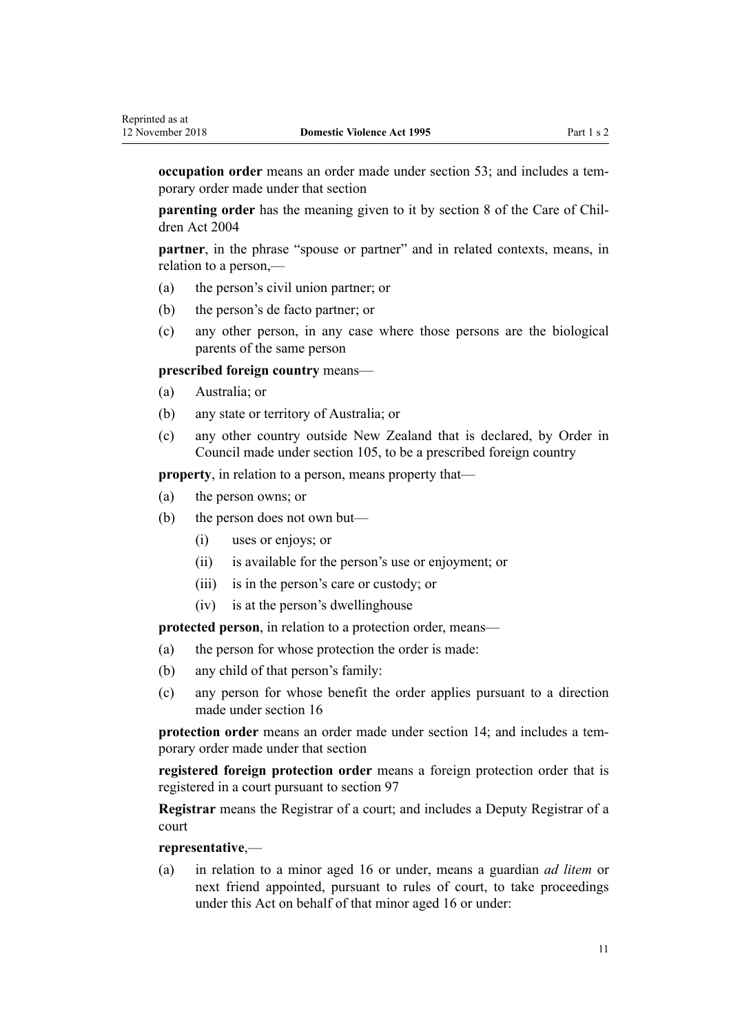**occupation order** means an order made under [section 53;](#page-50-0) and includes a temporary order made under that section

**parenting order** has the meaning given to it by [section 8](http://prd-lgnz-nlb.prd.pco.net.nz/pdflink.aspx?id=DLM317244) of the Care of Children Act 2004

**partner**, in the phrase "spouse or partner" and in related contexts, means, in relation to a person,—

- (a) the person's civil union partner; or
- (b) the person's de facto partner; or
- (c) any other person, in any case where those persons are the biological parents of the same person

**prescribed foreign country** means—

- (a) Australia; or
- (b) any state or territory of Australia; or
- (c) any other country outside New Zealand that is declared, by Order in Council made under [section 105](#page-77-0), to be a prescribed foreign country

**property**, in relation to a person, means property that—

- (a) the person owns; or
- (b) the person does not own but—
	- (i) uses or enjoys; or
	- (ii) is available for the person's use or enjoyment; or
	- (iii) is in the person's care or custody; or
	- (iv) is at the person's dwellinghouse

**protected person**, in relation to a protection order, means—

- (a) the person for whose protection the order is made:
- (b) any child of that person's family:
- (c) any person for whose benefit the order applies pursuant to a direction made under [section 16](#page-21-0)

**protection order** means an order made under [section 14;](#page-20-0) and includes a temporary order made under that section

**registered foreign protection order** means a foreign protection order that is registered in a court pursuant to [section 97](#page-74-0)

**Registrar** means the Registrar of a court; and includes a Deputy Registrar of a court

## **representative**,—

(a) in relation to a minor aged 16 or under, means a guardian *ad litem* or next friend appointed, pursuant to rules of court, to take proceedings under this Act on behalf of that minor aged 16 or under: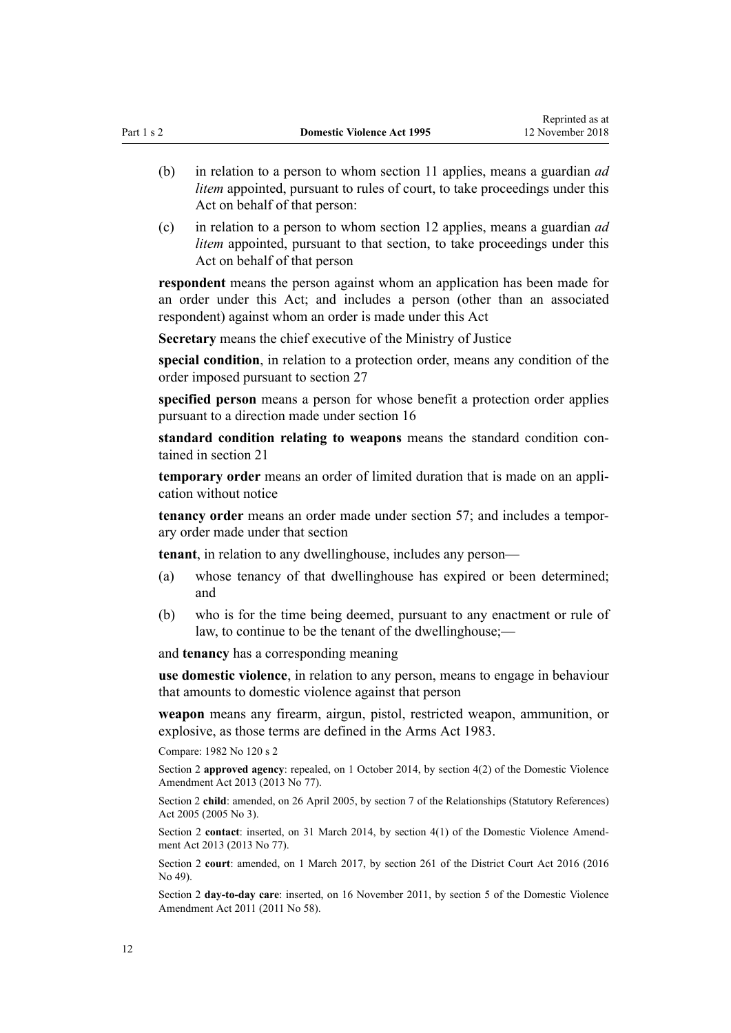- (b) in relation to a person to whom [section 11](#page-17-0) applies, means a guardian *ad litem* appointed, pursuant to rules of court, to take proceedings under this Act on behalf of that person:
- (c) in relation to a person to whom [section 12](#page-17-0) applies, means a guardian *ad litem* appointed, pursuant to that section, to take proceedings under this Act on behalf of that person

**respondent** means the person against whom an application has been made for an order under this Act; and includes a person (other than an associated respondent) against whom an order is made under this Act

**Secretary** means the chief executive of the Ministry of Justice

**special condition**, in relation to a protection order, means any condition of the order imposed pursuant to [section 27](#page-32-0)

**specified person** means a person for whose benefit a protection order applies pursuant to a direction made under [section 16](#page-21-0)

**standard condition relating to weapons** means the standard condition contained in [section 21](#page-25-0)

**temporary order** means an order of limited duration that is made on an application without notice

**tenancy order** means an order made under [section 57;](#page-52-0) and includes a temporary order made under that section

**tenant**, in relation to any dwellinghouse, includes any person—

- (a) whose tenancy of that dwellinghouse has expired or been determined; and
- (b) who is for the time being deemed, pursuant to any enactment or rule of law, to continue to be the tenant of the dwellinghouse;—

and **tenancy** has a corresponding meaning

**use domestic violence**, in relation to any person, means to engage in behaviour that amounts to domestic violence against that person

**weapon** means any firearm, airgun, pistol, restricted weapon, ammunition, or explosive, as those terms are defined in the [Arms Act 1983.](http://prd-lgnz-nlb.prd.pco.net.nz/pdflink.aspx?id=DLM72621)

Compare: 1982 No 120 [s 2](http://prd-lgnz-nlb.prd.pco.net.nz/pdflink.aspx?id=DLM81596)

Section 2 **approved agency**: repealed, on 1 October 2014, by [section 4\(2\)](http://prd-lgnz-nlb.prd.pco.net.nz/pdflink.aspx?id=DLM5615642) of the Domestic Violence Amendment Act 2013 (2013 No 77).

Section 2 **child**: amended, on 26 April 2005, by [section 7](http://prd-lgnz-nlb.prd.pco.net.nz/pdflink.aspx?id=DLM333795) of the Relationships (Statutory References) Act 2005 (2005 No 3).

Section 2 **contact**: inserted, on 31 March 2014, by [section 4\(1\)](http://prd-lgnz-nlb.prd.pco.net.nz/pdflink.aspx?id=DLM5615642) of the Domestic Violence Amendment Act 2013 (2013 No 77).

Section 2 **court**: amended, on 1 March 2017, by [section 261](http://prd-lgnz-nlb.prd.pco.net.nz/pdflink.aspx?id=DLM6942680) of the District Court Act 2016 (2016 No 49).

Section 2 **day-to-day care**: inserted, on 16 November 2011, by [section 5](http://prd-lgnz-nlb.prd.pco.net.nz/pdflink.aspx?id=DLM1955505) of the Domestic Violence Amendment Act 2011 (2011 No 58).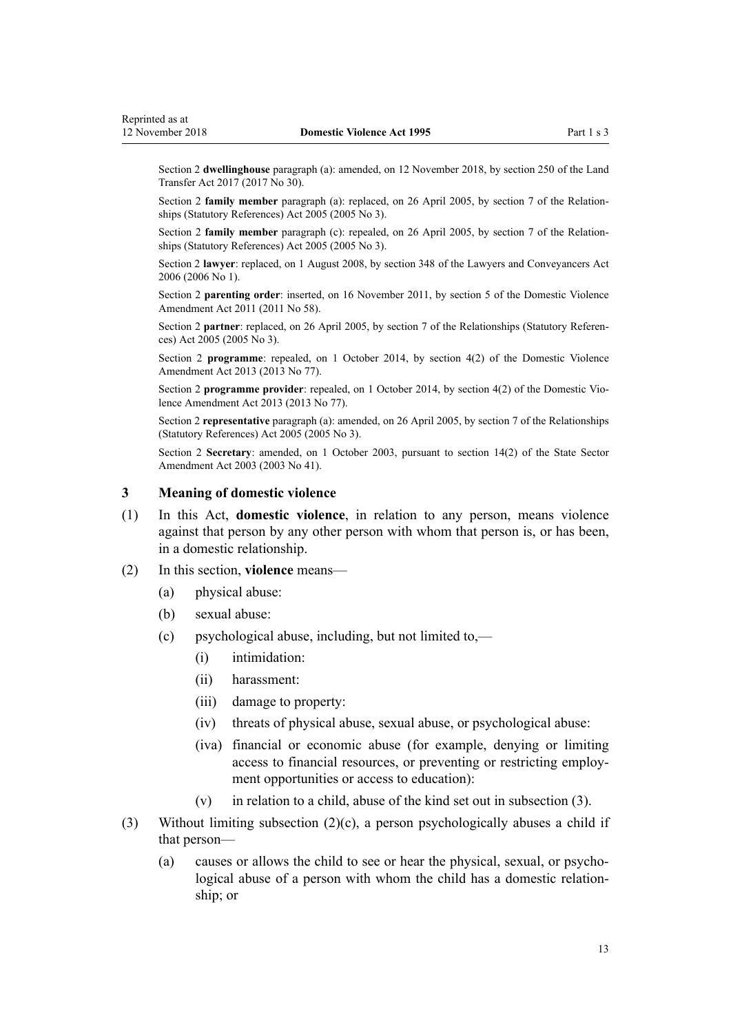<span id="page-12-0"></span>Section 2 **dwellinghouse** paragraph (a): amended, on 12 November 2018, by [section 250](http://prd-lgnz-nlb.prd.pco.net.nz/pdflink.aspx?id=DLM6731493) of the Land Transfer Act 2017 (2017 No 30).

Section 2 **family member** paragraph (a): replaced, on 26 April 2005, by [section 7](http://prd-lgnz-nlb.prd.pco.net.nz/pdflink.aspx?id=DLM333795) of the Relationships (Statutory References) Act 2005 (2005 No 3).

Section 2 **family member** paragraph (c): repealed, on 26 April 2005, by [section 7](http://prd-lgnz-nlb.prd.pco.net.nz/pdflink.aspx?id=DLM333795) of the Relationships (Statutory References) Act 2005 (2005 No 3).

Section 2 **lawyer**: replaced, on 1 August 2008, by [section 348](http://prd-lgnz-nlb.prd.pco.net.nz/pdflink.aspx?id=DLM367849) of the Lawyers and Conveyancers Act 2006 (2006 No 1).

Section 2 **parenting order**: inserted, on 16 November 2011, by [section 5](http://prd-lgnz-nlb.prd.pco.net.nz/pdflink.aspx?id=DLM1955505) of the Domestic Violence Amendment Act 2011 (2011 No 58).

Section 2 **partner**: replaced, on 26 April 2005, by [section 7](http://prd-lgnz-nlb.prd.pco.net.nz/pdflink.aspx?id=DLM333795) of the Relationships (Statutory References) Act 2005 (2005 No 3).

Section 2 **programme**: repealed, on 1 October 2014, by [section 4\(2\)](http://prd-lgnz-nlb.prd.pco.net.nz/pdflink.aspx?id=DLM5615642) of the Domestic Violence Amendment Act 2013 (2013 No 77).

Section 2 **programme provider**: repealed, on 1 October 2014, by [section 4\(2\)](http://prd-lgnz-nlb.prd.pco.net.nz/pdflink.aspx?id=DLM5615642) of the Domestic Violence Amendment Act 2013 (2013 No 77).

Section 2 **representative** paragraph (a): amended, on 26 April 2005, by [section 7](http://prd-lgnz-nlb.prd.pco.net.nz/pdflink.aspx?id=DLM333795) of the Relationships (Statutory References) Act 2005 (2005 No 3).

Section 2 **Secretary**: amended, on 1 October 2003, pursuant to [section 14\(2\)](http://prd-lgnz-nlb.prd.pco.net.nz/pdflink.aspx?id=DLM201378) of the State Sector Amendment Act 2003 (2003 No 41).

## **3 Meaning of domestic violence**

- (1) In this Act, **domestic violence**, in relation to any person, means violence against that person by any other person with whom that person is, or has been, in a domestic relationship.
- (2) In this section, **violence** means—
	- (a) physical abuse:
	- (b) sexual abuse:
	- (c) psychological abuse, including, but not limited to,—
		- (i) intimidation:
		- (ii) harassment:
		- (iii) damage to property:
		- (iv) threats of physical abuse, sexual abuse, or psychological abuse:
		- (iva) financial or economic abuse (for example, denying or limiting access to financial resources, or preventing or restricting employment opportunities or access to education):
		- (v) in relation to a child, abuse of the kind set out in subsection (3).
- (3) Without limiting subsection (2)(c), a person psychologically abuses a child if that person—
	- (a) causes or allows the child to see or hear the physical, sexual, or psychological abuse of a person with whom the child has a domestic relationship; or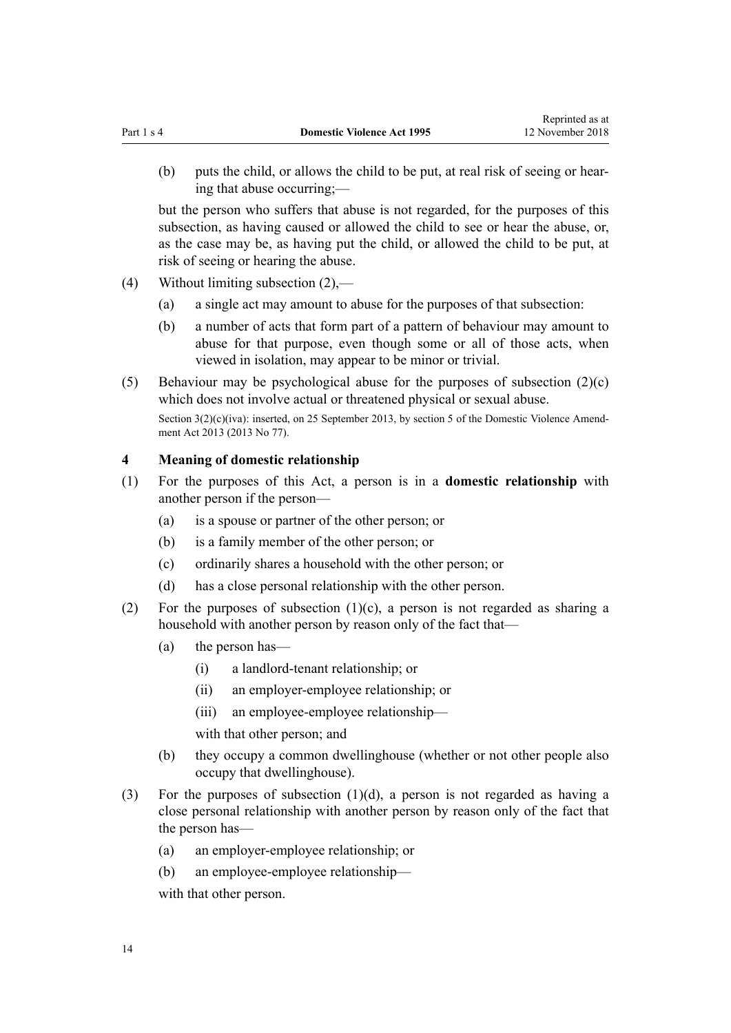<span id="page-13-0"></span>(b) puts the child, or allows the child to be put, at real risk of seeing or hearing that abuse occurring;—

but the person who suffers that abuse is not regarded, for the purposes of this subsection, as having caused or allowed the child to see or hear the abuse, or, as the case may be, as having put the child, or allowed the child to be put, at risk of seeing or hearing the abuse.

- (4) Without limiting subsection (2),—
	- (a) a single act may amount to abuse for the purposes of that subsection:
	- (b) a number of acts that form part of a pattern of behaviour may amount to abuse for that purpose, even though some or all of those acts, when viewed in isolation, may appear to be minor or trivial.
- (5) Behaviour may be psychological abuse for the purposes of subsection (2)(c) which does not involve actual or threatened physical or sexual abuse.

Section 3(2)(c)(iva): inserted, on 25 September 2013, by [section 5](http://prd-lgnz-nlb.prd.pco.net.nz/pdflink.aspx?id=DLM5615651) of the Domestic Violence Amendment Act 2013 (2013 No 77).

## **4 Meaning of domestic relationship**

- (1) For the purposes of this Act, a person is in a **domestic relationship** with another person if the person—
	- (a) is a spouse or partner of the other person; or
	- (b) is a family member of the other person; or
	- (c) ordinarily shares a household with the other person; or
	- (d) has a close personal relationship with the other person.
- (2) For the purposes of subsection  $(1)(c)$ , a person is not regarded as sharing a household with another person by reason only of the fact that—
	- (a) the person has—
		- (i) a landlord-tenant relationship; or
		- (ii) an employer-employee relationship; or
		- (iii) an employee-employee relationship—

with that other person; and

- (b) they occupy a common dwellinghouse (whether or not other people also occupy that dwellinghouse).
- (3) For the purposes of subsection (1)(d), a person is not regarded as having a close personal relationship with another person by reason only of the fact that the person has—
	- (a) an employer-employee relationship; or
	- (b) an employee-employee relationship—

with that other person.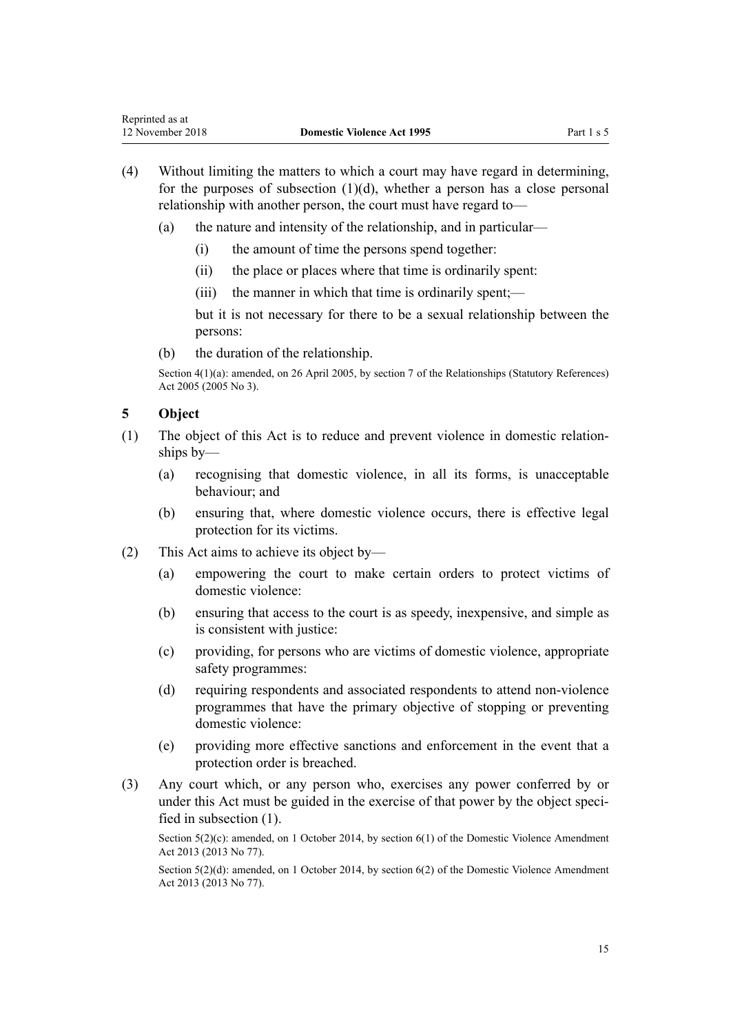- <span id="page-14-0"></span>(4) Without limiting the matters to which a court may have regard in determining, for the purposes of subsection  $(1)(d)$ , whether a person has a close personal relationship with another person, the court must have regard to—
	- (a) the nature and intensity of the relationship, and in particular—
		- (i) the amount of time the persons spend together:
		- (ii) the place or places where that time is ordinarily spent:
		- (iii) the manner in which that time is ordinarily spent;—

but it is not necessary for there to be a sexual relationship between the persons:

(b) the duration of the relationship.

Section 4(1)(a): amended, on 26 April 2005, by [section 7](http://prd-lgnz-nlb.prd.pco.net.nz/pdflink.aspx?id=DLM333795) of the Relationships (Statutory References) Act 2005 (2005 No 3).

# **5 Object**

- (1) The object of this Act is to reduce and prevent violence in domestic relationships by—
	- (a) recognising that domestic violence, in all its forms, is unacceptable behaviour; and
	- (b) ensuring that, where domestic violence occurs, there is effective legal protection for its victims.
- (2) This Act aims to achieve its object by—
	- (a) empowering the court to make certain orders to protect victims of domestic violence:
	- (b) ensuring that access to the court is as speedy, inexpensive, and simple as is consistent with justice:
	- (c) providing, for persons who are victims of domestic violence, appropriate safety programmes:
	- (d) requiring respondents and associated respondents to attend non-violence programmes that have the primary objective of stopping or preventing domestic violence:
	- (e) providing more effective sanctions and enforcement in the event that a protection order is breached.
- (3) Any court which, or any person who, exercises any power conferred by or under this Act must be guided in the exercise of that power by the object specified in subsection (1).

Section 5(2)(c): amended, on 1 October 2014, by [section 6\(1\)](http://prd-lgnz-nlb.prd.pco.net.nz/pdflink.aspx?id=DLM5615652) of the Domestic Violence Amendment Act 2013 (2013 No 77).

Section 5(2)(d): amended, on 1 October 2014, by [section 6\(2\)](http://prd-lgnz-nlb.prd.pco.net.nz/pdflink.aspx?id=DLM5615652) of the Domestic Violence Amendment Act 2013 (2013 No 77).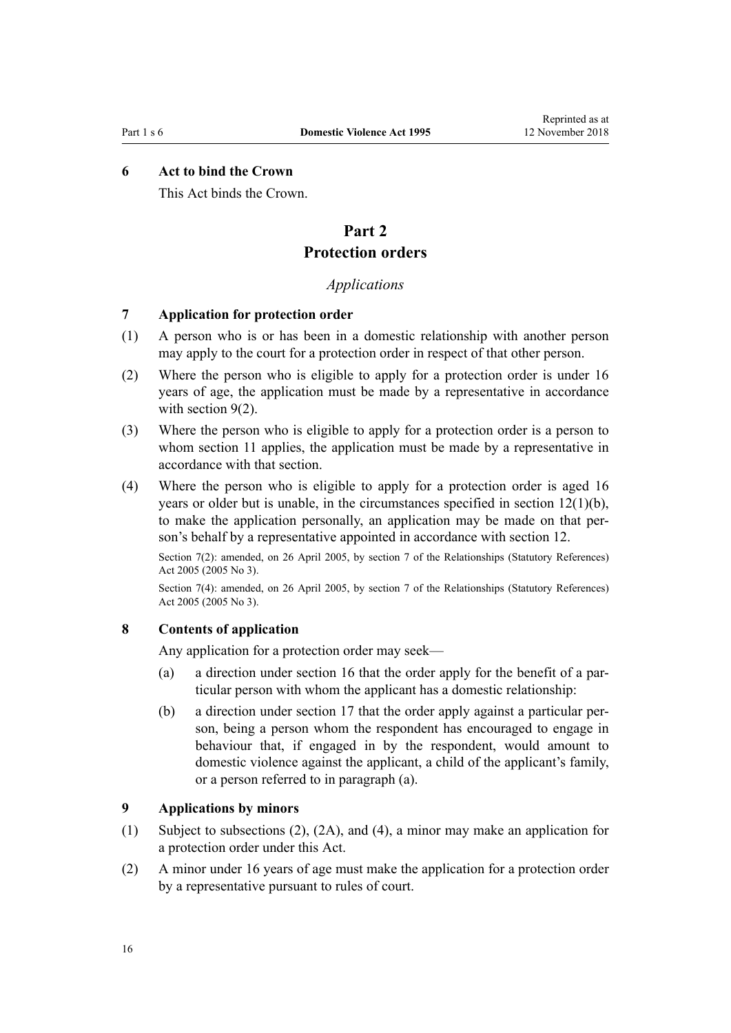# <span id="page-15-0"></span>**6 Act to bind the Crown**

This Act binds the Crown.

# **Part 2 Protection orders**

## *Applications*

## **7 Application for protection order**

- (1) A person who is or has been in a domestic relationship with another person may apply to the court for a protection order in respect of that other person.
- (2) Where the person who is eligible to apply for a protection order is under 16 years of age, the application must be made by a representative in accordance with section 9(2).
- (3) Where the person who is eligible to apply for a protection order is a person to whom [section 11](#page-17-0) applies, the application must be made by a representative in accordance with that section.
- (4) Where the person who is eligible to apply for a protection order is aged 16 years or older but is unable, in the circumstances specified in [section 12\(1\)\(b\)](#page-17-0), to make the application personally, an application may be made on that person's behalf by a representative appointed in accordance with section 12.

Section 7(2): amended, on 26 April 2005, by [section 7](http://prd-lgnz-nlb.prd.pco.net.nz/pdflink.aspx?id=DLM333795) of the Relationships (Statutory References) Act 2005 (2005 No 3).

Section 7(4): amended, on 26 April 2005, by [section 7](http://prd-lgnz-nlb.prd.pco.net.nz/pdflink.aspx?id=DLM333795) of the Relationships (Statutory References) Act 2005 (2005 No 3).

## **8 Contents of application**

Any application for a protection order may seek—

- (a) a direction under [section 16](#page-21-0) that the order apply for the benefit of a particular person with whom the applicant has a domestic relationship:
- (b) a direction under [section 17](#page-22-0) that the order apply against a particular person, being a person whom the respondent has encouraged to engage in behaviour that, if engaged in by the respondent, would amount to domestic violence against the applicant, a child of the applicant's family, or a person referred to in paragraph (a).

## **9 Applications by minors**

- (1) Subject to subsections (2), (2A), and (4), a minor may make an application for a protection order under this Act.
- (2) A minor under 16 years of age must make the application for a protection order by a representative pursuant to rules of court.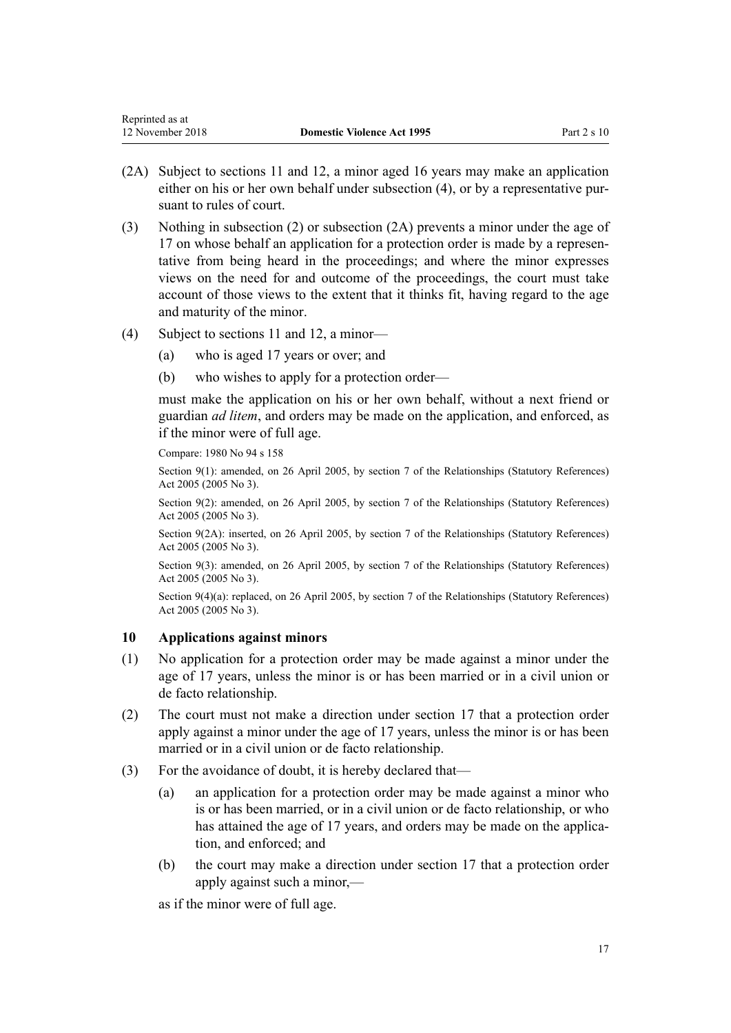- <span id="page-16-0"></span>(2A) Subject to [sections 11](#page-17-0) and [12,](#page-17-0) a minor aged 16 years may make an application
- either on his or her own behalf under subsection (4), or by a representative pursuant to rules of court.
- (3) Nothing in subsection (2) or subsection (2A) prevents a minor under the age of 17 on whose behalf an application for a protection order is made by a representative from being heard in the proceedings; and where the minor expresses views on the need for and outcome of the proceedings, the court must take account of those views to the extent that it thinks fit, having regard to the age and maturity of the minor.
- (4) Subject to [sections 11](#page-17-0) and [12](#page-17-0), a minor—
	- (a) who is aged 17 years or over; and
	- (b) who wishes to apply for a protection order—

must make the application on his or her own behalf, without a next friend or guardian *ad litem*, and orders may be made on the application, and enforced, as if the minor were of full age.

Compare: 1980 No 94 [s 158](http://prd-lgnz-nlb.prd.pco.net.nz/pdflink.aspx?id=DLM41829)

Section 9(1): amended, on 26 April 2005, by [section 7](http://prd-lgnz-nlb.prd.pco.net.nz/pdflink.aspx?id=DLM333795) of the Relationships (Statutory References) Act 2005 (2005 No 3).

Section 9(2): amended, on 26 April 2005, by [section 7](http://prd-lgnz-nlb.prd.pco.net.nz/pdflink.aspx?id=DLM333795) of the Relationships (Statutory References) Act 2005 (2005 No 3).

Section 9(2A): inserted, on 26 April 2005, by [section 7](http://prd-lgnz-nlb.prd.pco.net.nz/pdflink.aspx?id=DLM333795) of the Relationships (Statutory References) Act 2005 (2005 No 3).

Section 9(3): amended, on 26 April 2005, by [section 7](http://prd-lgnz-nlb.prd.pco.net.nz/pdflink.aspx?id=DLM333795) of the Relationships (Statutory References) Act 2005 (2005 No 3).

Section 9(4)(a): replaced, on 26 April 2005, by [section 7](http://prd-lgnz-nlb.prd.pco.net.nz/pdflink.aspx?id=DLM333795) of the Relationships (Statutory References) Act 2005 (2005 No 3).

# **10 Applications against minors**

- (1) No application for a protection order may be made against a minor under the age of 17 years, unless the minor is or has been married or in a civil union or de facto relationship.
- (2) The court must not make a direction under [section 17](#page-22-0) that a protection order apply against a minor under the age of 17 years, unless the minor is or has been married or in a civil union or de facto relationship.
- (3) For the avoidance of doubt, it is hereby declared that—
	- (a) an application for a protection order may be made against a minor who is or has been married, or in a civil union or de facto relationship, or who has attained the age of 17 years, and orders may be made on the application, and enforced; and
	- (b) the court may make a direction under [section 17](#page-22-0) that a protection order apply against such a minor,—

as if the minor were of full age.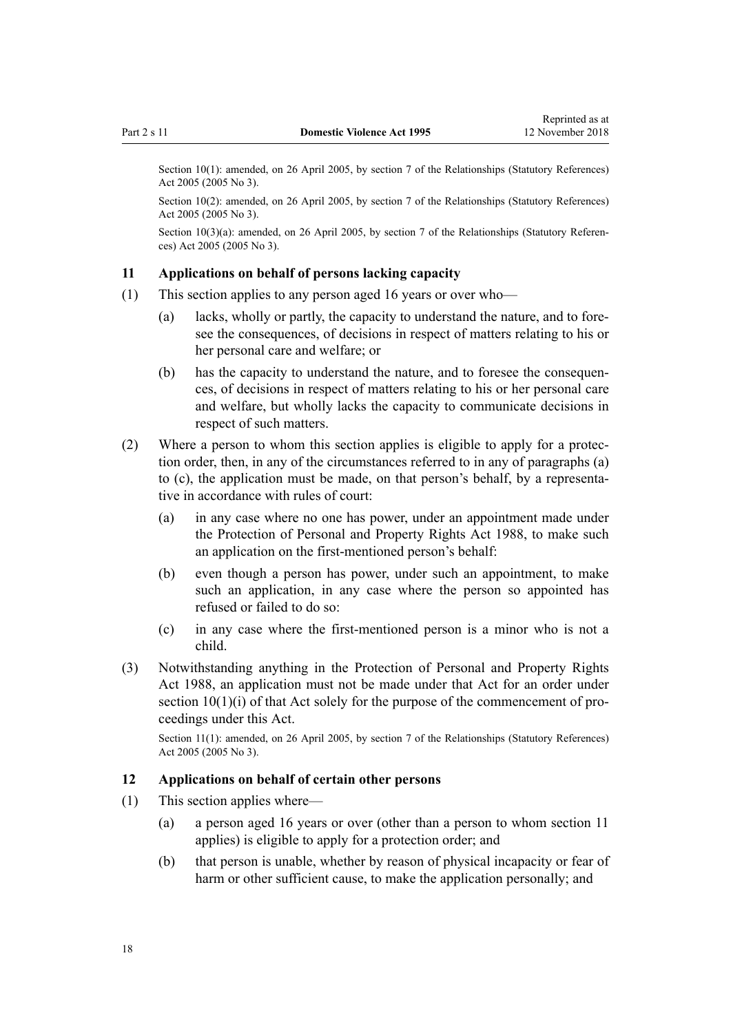<span id="page-17-0"></span>Section 10(1): amended, on 26 April 2005, by [section 7](http://prd-lgnz-nlb.prd.pco.net.nz/pdflink.aspx?id=DLM333795) of the Relationships (Statutory References) Act 2005 (2005 No 3).

Section 10(2): amended, on 26 April 2005, by [section 7](http://prd-lgnz-nlb.prd.pco.net.nz/pdflink.aspx?id=DLM333795) of the Relationships (Statutory References) Act 2005 (2005 No 3).

Section 10(3)(a): amended, on 26 April 2005, by [section 7](http://prd-lgnz-nlb.prd.pco.net.nz/pdflink.aspx?id=DLM333795) of the Relationships (Statutory References) Act 2005 (2005 No 3).

## **11 Applications on behalf of persons lacking capacity**

- (1) This section applies to any person aged 16 years or over who—
	- (a) lacks, wholly or partly, the capacity to understand the nature, and to foresee the consequences, of decisions in respect of matters relating to his or her personal care and welfare; or
	- (b) has the capacity to understand the nature, and to foresee the consequences, of decisions in respect of matters relating to his or her personal care and welfare, but wholly lacks the capacity to communicate decisions in respect of such matters.
- (2) Where a person to whom this section applies is eligible to apply for a protection order, then, in any of the circumstances referred to in any of paragraphs (a) to (c), the application must be made, on that person's behalf, by a representative in accordance with rules of court:
	- (a) in any case where no one has power, under an appointment made under the [Protection of Personal and Property Rights Act 1988,](http://prd-lgnz-nlb.prd.pco.net.nz/pdflink.aspx?id=DLM126527) to make such an application on the first-mentioned person's behalf:
	- (b) even though a person has power, under such an appointment, to make such an application, in any case where the person so appointed has refused or failed to do so:
	- (c) in any case where the first-mentioned person is a minor who is not a child.
- (3) Notwithstanding anything in the [Protection of Personal and Property Rights](http://prd-lgnz-nlb.prd.pco.net.nz/pdflink.aspx?id=DLM126527) [Act 1988,](http://prd-lgnz-nlb.prd.pco.net.nz/pdflink.aspx?id=DLM126527) an application must not be made under that Act for an order under [section 10\(1\)\(i\)](http://prd-lgnz-nlb.prd.pco.net.nz/pdflink.aspx?id=DLM126583) of that Act solely for the purpose of the commencement of proceedings under this Act.

Section 11(1): amended, on 26 April 2005, by [section 7](http://prd-lgnz-nlb.prd.pco.net.nz/pdflink.aspx?id=DLM333795) of the Relationships (Statutory References) Act 2005 (2005 No 3).

# **12 Applications on behalf of certain other persons**

- (1) This section applies where—
	- (a) a person aged 16 years or over (other than a person to whom section 11 applies) is eligible to apply for a protection order; and
	- (b) that person is unable, whether by reason of physical incapacity or fear of harm or other sufficient cause, to make the application personally; and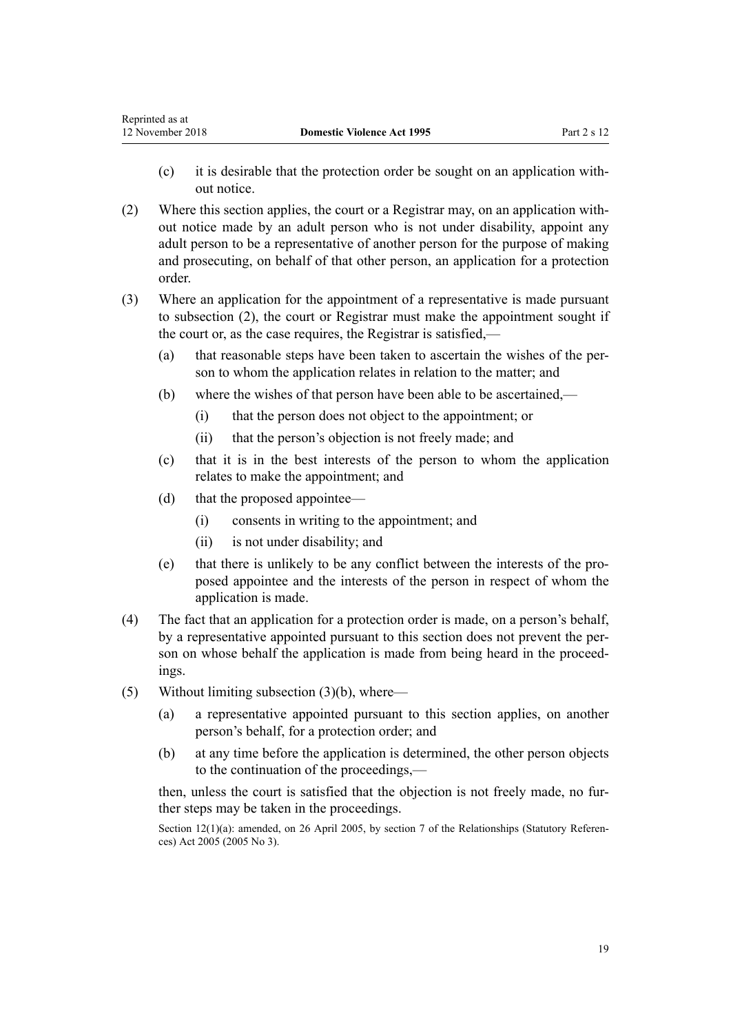- (c) it is desirable that the protection order be sought on an application without notice.
- (2) Where this section applies, the court or a Registrar may, on an application without notice made by an adult person who is not under disability, appoint any adult person to be a representative of another person for the purpose of making and prosecuting, on behalf of that other person, an application for a protection order.
- (3) Where an application for the appointment of a representative is made pursuant to subsection (2), the court or Registrar must make the appointment sought if the court or, as the case requires, the Registrar is satisfied,—
	- (a) that reasonable steps have been taken to ascertain the wishes of the person to whom the application relates in relation to the matter; and
	- (b) where the wishes of that person have been able to be ascertained,—
		- (i) that the person does not object to the appointment; or
		- (ii) that the person's objection is not freely made; and
	- (c) that it is in the best interests of the person to whom the application relates to make the appointment; and
	- (d) that the proposed appointee—
		- (i) consents in writing to the appointment; and
		- (ii) is not under disability; and
	- (e) that there is unlikely to be any conflict between the interests of the proposed appointee and the interests of the person in respect of whom the application is made.
- (4) The fact that an application for a protection order is made, on a person's behalf, by a representative appointed pursuant to this section does not prevent the person on whose behalf the application is made from being heard in the proceedings.
- (5) Without limiting subsection (3)(b), where—
	- (a) a representative appointed pursuant to this section applies, on another person's behalf, for a protection order; and
	- (b) at any time before the application is determined, the other person objects to the continuation of the proceedings,—

then, unless the court is satisfied that the objection is not freely made, no further steps may be taken in the proceedings.

Section 12(1)(a): amended, on 26 April 2005, by [section 7](http://prd-lgnz-nlb.prd.pco.net.nz/pdflink.aspx?id=DLM333795) of the Relationships (Statutory References) Act 2005 (2005 No 3).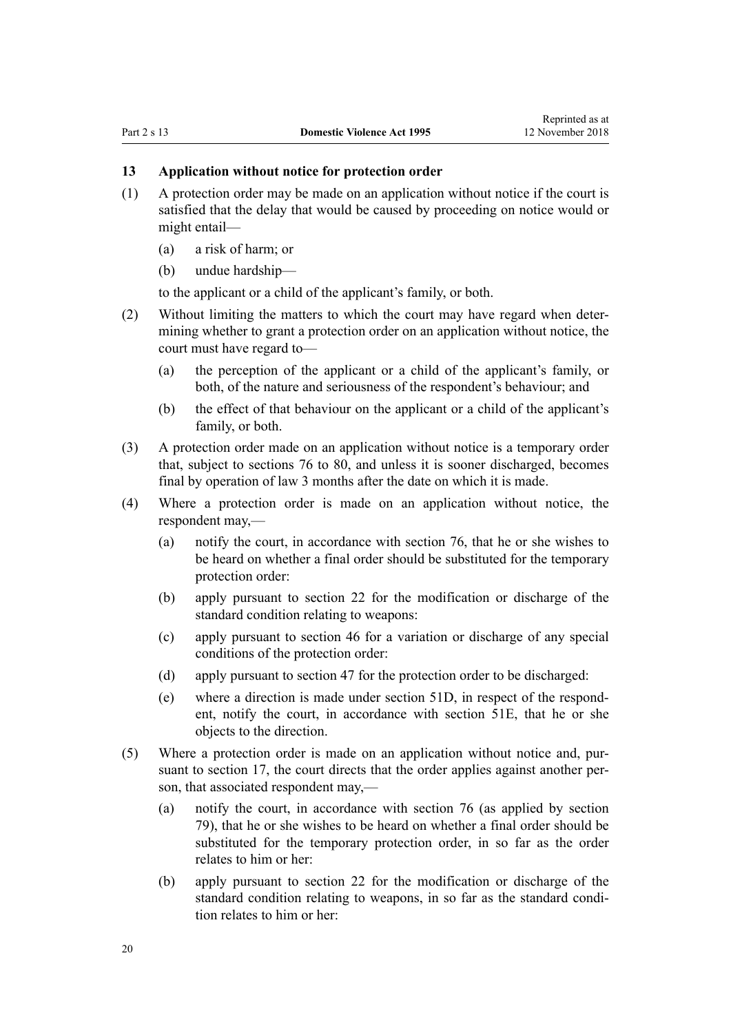## <span id="page-19-0"></span>**13 Application without notice for protection order**

- (1) A protection order may be made on an application without notice if the court is satisfied that the delay that would be caused by proceeding on notice would or might entail—
	- (a) a risk of harm; or
	- (b) undue hardship—

to the applicant or a child of the applicant's family, or both.

- (2) Without limiting the matters to which the court may have regard when determining whether to grant a protection order on an application without notice, the court must have regard to—
	- (a) the perception of the applicant or a child of the applicant's family, or both, of the nature and seriousness of the respondent's behaviour; and
	- (b) the effect of that behaviour on the applicant or a child of the applicant's family, or both.
- (3) A protection order made on an application without notice is a temporary order that, subject to [sections 76 to 80](#page-61-0), and unless it is sooner discharged, becomes final by operation of law 3 months after the date on which it is made.
- (4) Where a protection order is made on an application without notice, the respondent may,—
	- (a) notify the court, in accordance with [section 76](#page-61-0), that he or she wishes to be heard on whether a final order should be substituted for the temporary protection order:
	- (b) apply pursuant to [section 22](#page-26-0) for the modification or discharge of the standard condition relating to weapons:
	- (c) apply pursuant to [section 46](#page-37-0) for a variation or discharge of any special conditions of the protection order:
	- (d) apply pursuant to [section 47](#page-38-0) for the protection order to be discharged:
	- (e) where a direction is made under [section 51D,](#page-42-0) in respect of the respondent, notify the court, in accordance with [section 51E,](#page-42-0) that he or she objects to the direction.
- (5) Where a protection order is made on an application without notice and, pursuant to [section 17,](#page-22-0) the court directs that the order applies against another person, that associated respondent may,—
	- (a) notify the court, in accordance with [section 76](#page-61-0) (as applied by [section](#page-63-0) [79\)](#page-63-0), that he or she wishes to be heard on whether a final order should be substituted for the temporary protection order, in so far as the order relates to him or her:
	- (b) apply pursuant to [section 22](#page-26-0) for the modification or discharge of the standard condition relating to weapons, in so far as the standard condition relates to him or her: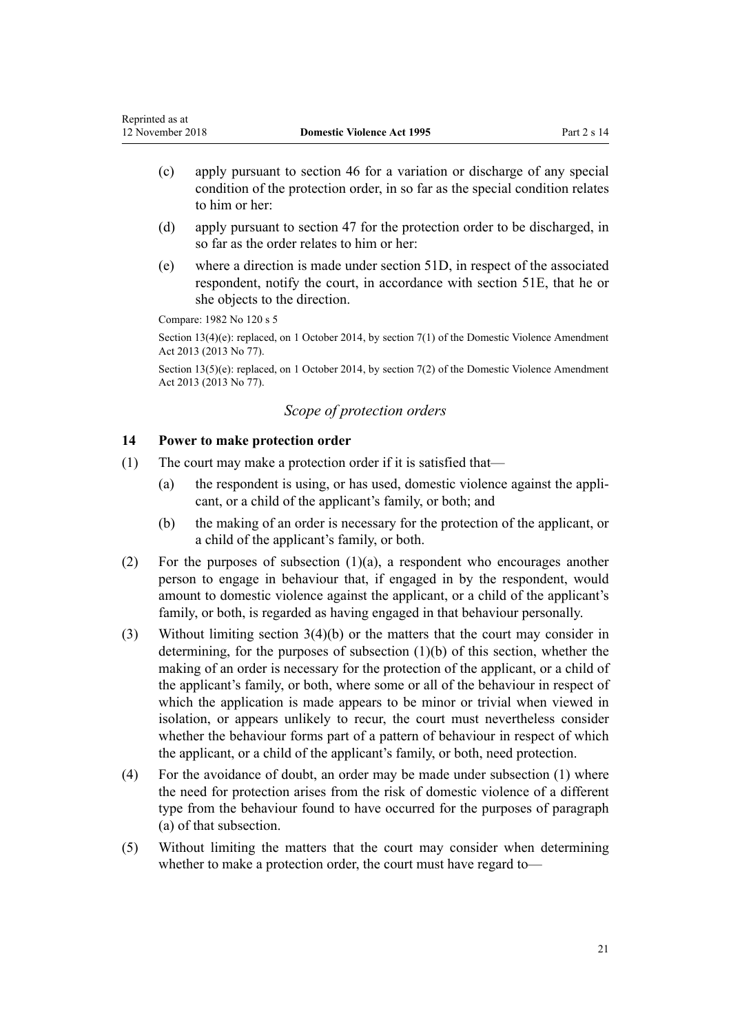- <span id="page-20-0"></span>(c) apply pursuant to [section 46](#page-37-0) for a variation or discharge of any special condition of the protection order, in so far as the special condition relates to him or her:
- (d) apply pursuant to [section 47](#page-38-0) for the protection order to be discharged, in so far as the order relates to him or her:
- (e) where a direction is made under [section 51D,](#page-42-0) in respect of the associated respondent, notify the court, in accordance with [section 51E,](#page-42-0) that he or she objects to the direction.

Compare: 1982 No 120 s 5

Section 13(4)(e): replaced, on 1 October 2014, by [section 7\(1\)](http://prd-lgnz-nlb.prd.pco.net.nz/pdflink.aspx?id=DLM5615653) of the Domestic Violence Amendment Act 2013 (2013 No 77).

Section 13(5)(e): replaced, on 1 October 2014, by [section 7\(2\)](http://prd-lgnz-nlb.prd.pco.net.nz/pdflink.aspx?id=DLM5615653) of the Domestic Violence Amendment Act 2013 (2013 No 77).

# *Scope of protection orders*

## **14 Power to make protection order**

- (1) The court may make a protection order if it is satisfied that—
	- (a) the respondent is using, or has used, domestic violence against the applicant, or a child of the applicant's family, or both; and
	- (b) the making of an order is necessary for the protection of the applicant, or a child of the applicant's family, or both.
- (2) For the purposes of subsection (1)(a), a respondent who encourages another person to engage in behaviour that, if engaged in by the respondent, would amount to domestic violence against the applicant, or a child of the applicant's family, or both, is regarded as having engaged in that behaviour personally.
- (3) Without limiting [section 3\(4\)\(b\)](#page-12-0) or the matters that the court may consider in determining, for the purposes of subsection (1)(b) of this section, whether the making of an order is necessary for the protection of the applicant, or a child of the applicant's family, or both, where some or all of the behaviour in respect of which the application is made appears to be minor or trivial when viewed in isolation, or appears unlikely to recur, the court must nevertheless consider whether the behaviour forms part of a pattern of behaviour in respect of which the applicant, or a child of the applicant's family, or both, need protection.
- (4) For the avoidance of doubt, an order may be made under subsection (1) where the need for protection arises from the risk of domestic violence of a different type from the behaviour found to have occurred for the purposes of paragraph (a) of that subsection.
- (5) Without limiting the matters that the court may consider when determining whether to make a protection order, the court must have regard to—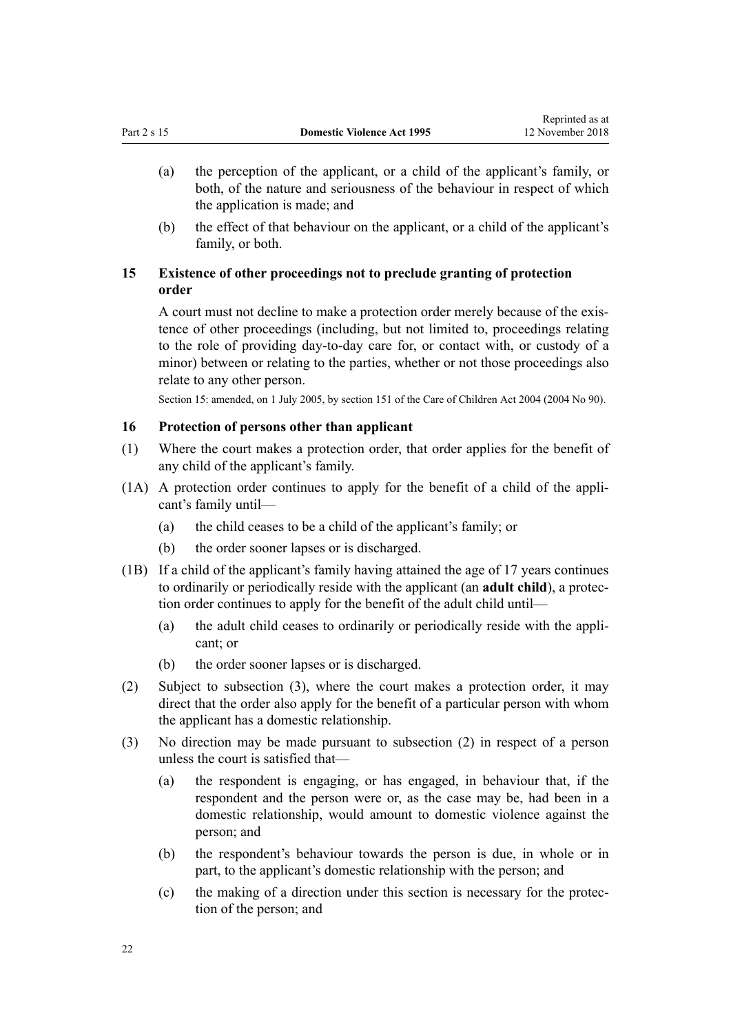- <span id="page-21-0"></span>(a) the perception of the applicant, or a child of the applicant's family, or both, of the nature and seriousness of the behaviour in respect of which the application is made; and
- (b) the effect of that behaviour on the applicant, or a child of the applicant's family, or both.

# **15 Existence of other proceedings not to preclude granting of protection order**

A court must not decline to make a protection order merely because of the existence of other proceedings (including, but not limited to, proceedings relating to the role of providing day-to-day care for, or contact with, or custody of a minor) between or relating to the parties, whether or not those proceedings also relate to any other person.

Section 15: amended, on 1 July 2005, by [section 151](http://prd-lgnz-nlb.prd.pco.net.nz/pdflink.aspx?id=DLM317988) of the Care of Children Act 2004 (2004 No 90).

# **16 Protection of persons other than applicant**

- (1) Where the court makes a protection order, that order applies for the benefit of any child of the applicant's family.
- (1A) A protection order continues to apply for the benefit of a child of the applicant's family until—
	- (a) the child ceases to be a child of the applicant's family; or
	- (b) the order sooner lapses or is discharged.
- (1B) If a child of the applicant's family having attained the age of 17 years continues to ordinarily or periodically reside with the applicant (an **adult child**), a protection order continues to apply for the benefit of the adult child until—
	- (a) the adult child ceases to ordinarily or periodically reside with the applicant; or
	- (b) the order sooner lapses or is discharged.
- (2) Subject to subsection (3), where the court makes a protection order, it may direct that the order also apply for the benefit of a particular person with whom the applicant has a domestic relationship.
- (3) No direction may be made pursuant to subsection (2) in respect of a person unless the court is satisfied that—
	- (a) the respondent is engaging, or has engaged, in behaviour that, if the respondent and the person were or, as the case may be, had been in a domestic relationship, would amount to domestic violence against the person; and
	- (b) the respondent's behaviour towards the person is due, in whole or in part, to the applicant's domestic relationship with the person; and
	- (c) the making of a direction under this section is necessary for the protection of the person; and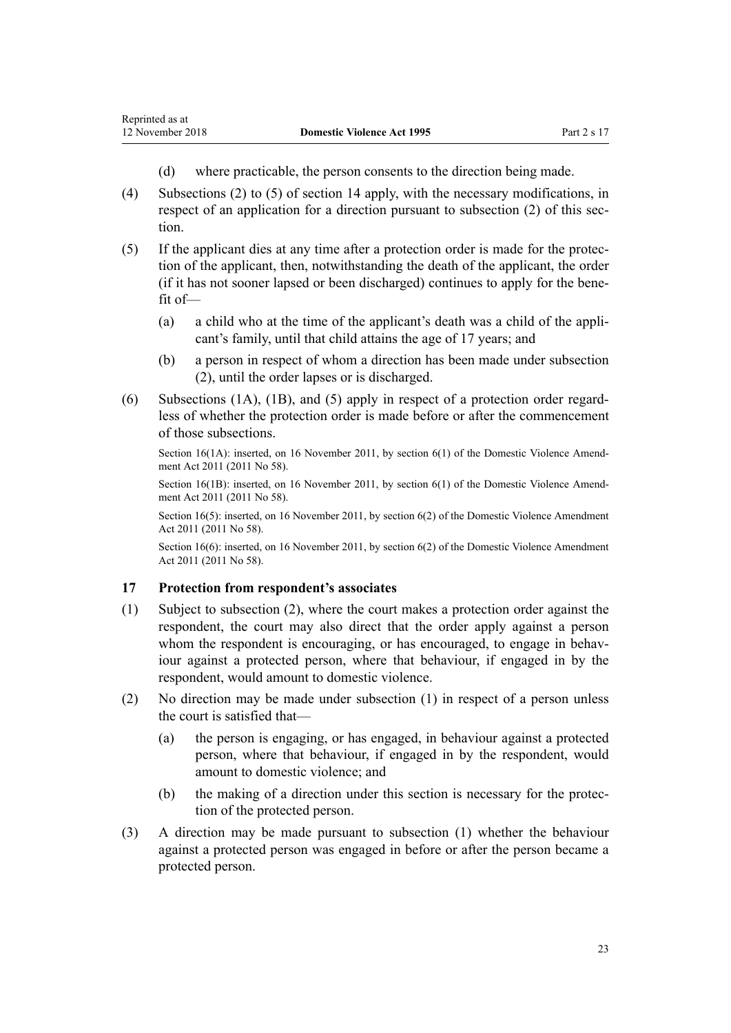- (d) where practicable, the person consents to the direction being made.
- <span id="page-22-0"></span>(4) Subsections (2) to (5) of [section 14](#page-20-0) apply, with the necessary modifications, in respect of an application for a direction pursuant to subsection (2) of this section.
- (5) If the applicant dies at any time after a protection order is made for the protection of the applicant, then, notwithstanding the death of the applicant, the order (if it has not sooner lapsed or been discharged) continues to apply for the benefit of—
	- (a) a child who at the time of the applicant's death was a child of the applicant's family, until that child attains the age of 17 years; and
	- (b) a person in respect of whom a direction has been made under subsection (2), until the order lapses or is discharged.
- (6) Subsections (1A), (1B), and (5) apply in respect of a protection order regardless of whether the protection order is made before or after the commencement of those subsections.

Section 16(1A): inserted, on 16 November 2011, by [section 6\(1\)](http://prd-lgnz-nlb.prd.pco.net.nz/pdflink.aspx?id=DLM1955515) of the Domestic Violence Amendment Act 2011 (2011 No 58).

Section 16(1B): inserted, on 16 November 2011, by [section 6\(1\)](http://prd-lgnz-nlb.prd.pco.net.nz/pdflink.aspx?id=DLM1955515) of the Domestic Violence Amendment Act 2011 (2011 No 58).

Section 16(5): inserted, on 16 November 2011, by [section 6\(2\)](http://prd-lgnz-nlb.prd.pco.net.nz/pdflink.aspx?id=DLM1955515) of the Domestic Violence Amendment Act 2011 (2011 No 58).

Section 16(6): inserted, on 16 November 2011, by [section 6\(2\)](http://prd-lgnz-nlb.prd.pco.net.nz/pdflink.aspx?id=DLM1955515) of the Domestic Violence Amendment Act 2011 (2011 No 58).

## **17 Protection from respondent's associates**

- (1) Subject to subsection (2), where the court makes a protection order against the respondent, the court may also direct that the order apply against a person whom the respondent is encouraging, or has encouraged, to engage in behaviour against a protected person, where that behaviour, if engaged in by the respondent, would amount to domestic violence.
- (2) No direction may be made under subsection (1) in respect of a person unless the court is satisfied that—
	- (a) the person is engaging, or has engaged, in behaviour against a protected person, where that behaviour, if engaged in by the respondent, would amount to domestic violence; and
	- (b) the making of a direction under this section is necessary for the protection of the protected person.
- (3) A direction may be made pursuant to subsection (1) whether the behaviour against a protected person was engaged in before or after the person became a protected person.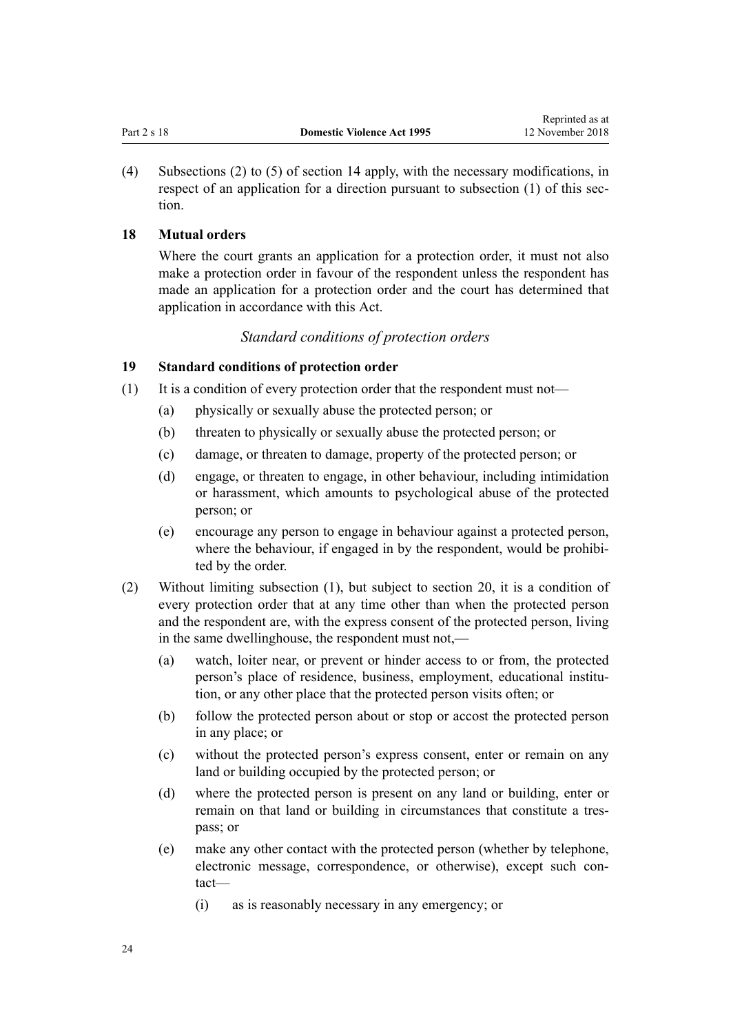<span id="page-23-0"></span>(4) Subsections (2) to (5) of [section 14](#page-20-0) apply, with the necessary modifications, in respect of an application for a direction pursuant to subsection (1) of this section.

# **18 Mutual orders**

Where the court grants an application for a protection order, it must not also make a protection order in favour of the respondent unless the respondent has made an application for a protection order and the court has determined that application in accordance with this Act.

# *Standard conditions of protection orders*

# **19 Standard conditions of protection order**

- (1) It is a condition of every protection order that the respondent must not—
	- (a) physically or sexually abuse the protected person; or
	- (b) threaten to physically or sexually abuse the protected person; or
	- (c) damage, or threaten to damage, property of the protected person; or
	- (d) engage, or threaten to engage, in other behaviour, including intimidation or harassment, which amounts to psychological abuse of the protected person; or
	- (e) encourage any person to engage in behaviour against a protected person, where the behaviour, if engaged in by the respondent, would be prohibited by the order.
- (2) Without limiting subsection (1), but subject to [section 20,](#page-24-0) it is a condition of every protection order that at any time other than when the protected person and the respondent are, with the express consent of the protected person, living in the same dwellinghouse, the respondent must not,—
	- (a) watch, loiter near, or prevent or hinder access to or from, the protected person's place of residence, business, employment, educational institution, or any other place that the protected person visits often; or
	- (b) follow the protected person about or stop or accost the protected person in any place; or
	- (c) without the protected person's express consent, enter or remain on any land or building occupied by the protected person; or
	- (d) where the protected person is present on any land or building, enter or remain on that land or building in circumstances that constitute a trespass; or
	- (e) make any other contact with the protected person (whether by telephone, electronic message, correspondence, or otherwise), except such contact—
		- (i) as is reasonably necessary in any emergency; or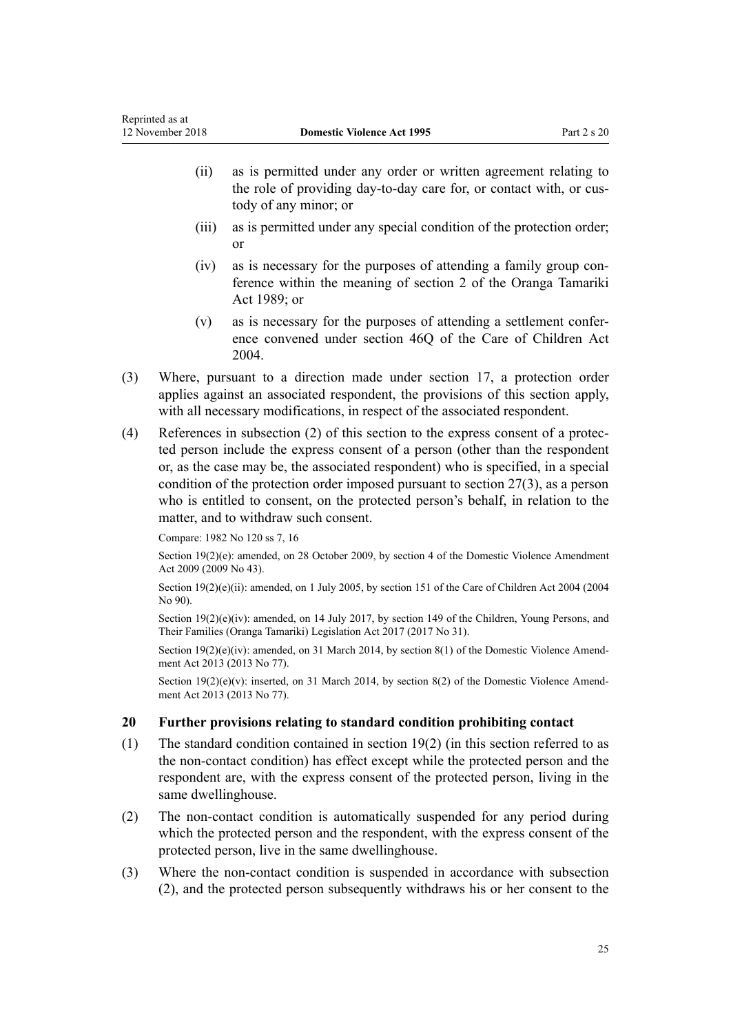- <span id="page-24-0"></span>(ii) as is permitted under any order or written agreement relating to the role of providing day-to-day care for, or contact with, or custody of any minor; or
- (iii) as is permitted under any special condition of the protection order; or
- (iv) as is necessary for the purposes of attending a family group conference within the meaning of [section 2](http://prd-lgnz-nlb.prd.pco.net.nz/pdflink.aspx?id=DLM147094) of the Oranga Tamariki Act 1989; or
- (v) as is necessary for the purposes of attending a settlement conference convened under [section 46Q](http://prd-lgnz-nlb.prd.pco.net.nz/pdflink.aspx?id=DLM6027393) of the Care of Children Act 2004.
- (3) Where, pursuant to a direction made under [section 17,](#page-22-0) a protection order applies against an associated respondent, the provisions of this section apply, with all necessary modifications, in respect of the associated respondent.
- (4) References in subsection (2) of this section to the express consent of a protected person include the express consent of a person (other than the respondent or, as the case may be, the associated respondent) who is specified, in a special condition of the protection order imposed pursuant to [section 27\(3\),](#page-32-0) as a person who is entitled to consent, on the protected person's behalf, in relation to the matter, and to withdraw such consent.

Compare: 1982 No 120 ss 7, 16

Section 19(2)(e): amended, on 28 October 2009, by [section 4](http://prd-lgnz-nlb.prd.pco.net.nz/pdflink.aspx?id=DLM2181002) of the Domestic Violence Amendment Act 2009 (2009 No 43).

Section 19(2)(e)(ii): amended, on 1 July 2005, by [section 151](http://prd-lgnz-nlb.prd.pco.net.nz/pdflink.aspx?id=DLM317988) of the Care of Children Act 2004 (2004) No 90).

Section  $19(2)(e)(iv)$ : amended, on 14 July 2017, by [section 149](http://prd-lgnz-nlb.prd.pco.net.nz/pdflink.aspx?id=DLM7287401) of the Children, Young Persons, and Their Families (Oranga Tamariki) Legislation Act 2017 (2017 No 31).

Section  $19(2)(e)(iv)$ : amended, on 31 March 2014, by [section 8\(1\)](http://prd-lgnz-nlb.prd.pco.net.nz/pdflink.aspx?id=DLM5615654) of the Domestic Violence Amendment Act 2013 (2013 No 77).

Section 19(2)(e)(v): inserted, on 31 March 2014, by [section 8\(2\)](http://prd-lgnz-nlb.prd.pco.net.nz/pdflink.aspx?id=DLM5615654) of the Domestic Violence Amendment Act 2013 (2013 No 77).

## **20 Further provisions relating to standard condition prohibiting contact**

- (1) The standard condition contained in [section 19\(2\)](#page-23-0) (in this section referred to as the non-contact condition) has effect except while the protected person and the respondent are, with the express consent of the protected person, living in the same dwellinghouse.
- (2) The non-contact condition is automatically suspended for any period during which the protected person and the respondent, with the express consent of the protected person, live in the same dwellinghouse.
- (3) Where the non-contact condition is suspended in accordance with subsection (2), and the protected person subsequently withdraws his or her consent to the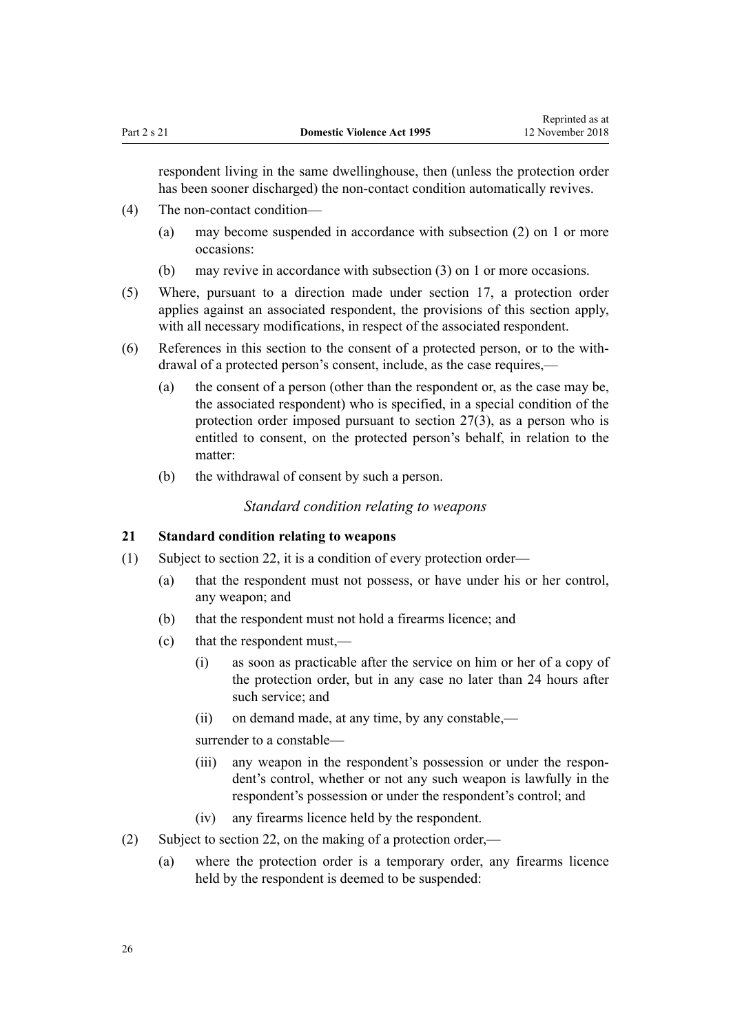<span id="page-25-0"></span>respondent living in the same dwellinghouse, then (unless the protection order has been sooner discharged) the non-contact condition automatically revives.

- (4) The non-contact condition—
	- (a) may become suspended in accordance with subsection (2) on 1 or more occasions:
	- (b) may revive in accordance with subsection (3) on 1 or more occasions.
- (5) Where, pursuant to a direction made under [section 17,](#page-22-0) a protection order applies against an associated respondent, the provisions of this section apply, with all necessary modifications, in respect of the associated respondent.
- (6) References in this section to the consent of a protected person, or to the withdrawal of a protected person's consent, include, as the case requires,—
	- (a) the consent of a person (other than the respondent or, as the case may be, the associated respondent) who is specified, in a special condition of the protection order imposed pursuant to [section 27\(3\),](#page-32-0) as a person who is entitled to consent, on the protected person's behalf, in relation to the matter:
	- (b) the withdrawal of consent by such a person.

## *Standard condition relating to weapons*

# **21 Standard condition relating to weapons**

- (1) Subject to [section 22](#page-26-0), it is a condition of every protection order—
	- (a) that the respondent must not possess, or have under his or her control, any weapon; and
	- (b) that the respondent must not hold a firearms licence; and
	- (c) that the respondent must,—
		- (i) as soon as practicable after the service on him or her of a copy of the protection order, but in any case no later than 24 hours after such service; and
		- (ii) on demand made, at any time, by any constable,—

surrender to a constable—

- (iii) any weapon in the respondent's possession or under the respondent's control, whether or not any such weapon is lawfully in the respondent's possession or under the respondent's control; and
- (iv) any firearms licence held by the respondent.
- (2) Subject to [section 22](#page-26-0), on the making of a protection order,—
	- (a) where the protection order is a temporary order, any firearms licence held by the respondent is deemed to be suspended: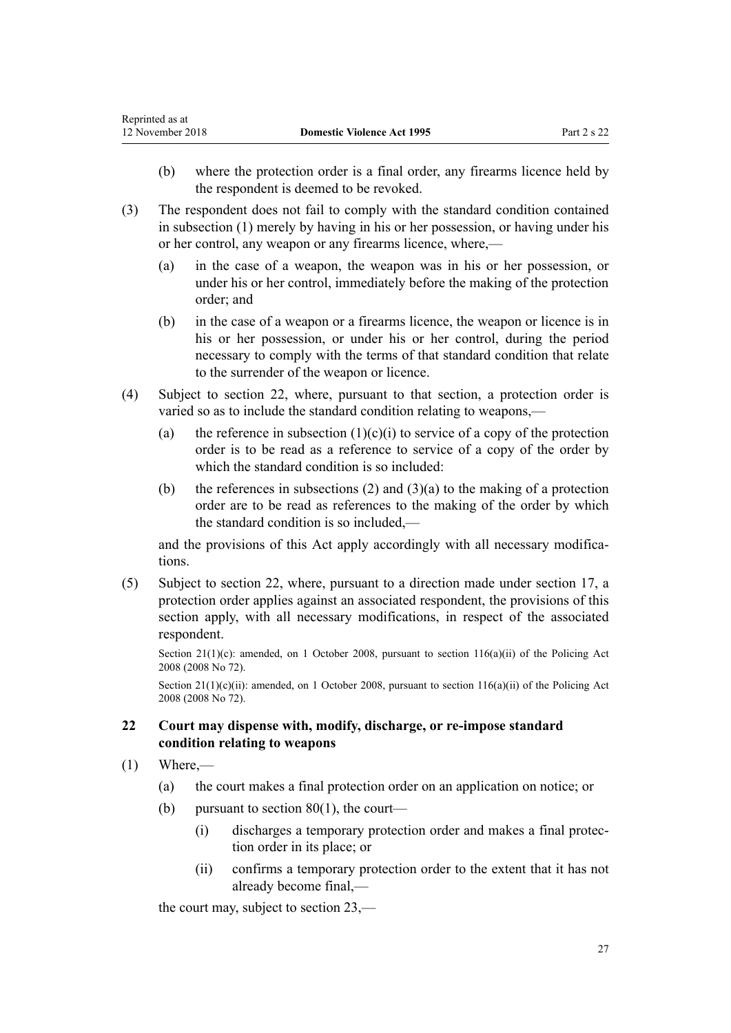- <span id="page-26-0"></span>(b) where the protection order is a final order, any firearms licence held by the respondent is deemed to be revoked.
- (3) The respondent does not fail to comply with the standard condition contained in subsection (1) merely by having in his or her possession, or having under his or her control, any weapon or any firearms licence, where,—
	- (a) in the case of a weapon, the weapon was in his or her possession, or under his or her control, immediately before the making of the protection order; and
	- (b) in the case of a weapon or a firearms licence, the weapon or licence is in his or her possession, or under his or her control, during the period necessary to comply with the terms of that standard condition that relate to the surrender of the weapon or licence.
- (4) Subject to section 22, where, pursuant to that section, a protection order is varied so as to include the standard condition relating to weapons,—
	- (a) the reference in subsection  $(1)(c)(i)$  to service of a copy of the protection order is to be read as a reference to service of a copy of the order by which the standard condition is so included:
	- (b) the references in subsections (2) and (3)(a) to the making of a protection order are to be read as references to the making of the order by which the standard condition is so included,—

and the provisions of this Act apply accordingly with all necessary modifications.

(5) Subject to section 22, where, pursuant to a direction made under [section 17](#page-22-0), a protection order applies against an associated respondent, the provisions of this section apply, with all necessary modifications, in respect of the associated respondent.

Section 21(1)(c): amended, on 1 October 2008, pursuant to [section 116\(a\)\(ii\)](http://prd-lgnz-nlb.prd.pco.net.nz/pdflink.aspx?id=DLM1102349) of the Policing Act 2008 (2008 No 72).

Section  $21(1)(c)(ii)$ : amended, on 1 October 2008, pursuant to section  $116(a)(ii)$  of the Policing Act 2008 (2008 No 72).

# **22 Court may dispense with, modify, discharge, or re-impose standard condition relating to weapons**

- $(1)$  Where,—
	- (a) the court makes a final protection order on an application on notice; or
	- (b) pursuant to section  $80(1)$ , the court—
		- (i) discharges a temporary protection order and makes a final protection order in its place; or
		- (ii) confirms a temporary protection order to the extent that it has not already become final,—

the court may, subject to [section 23,](#page-28-0)—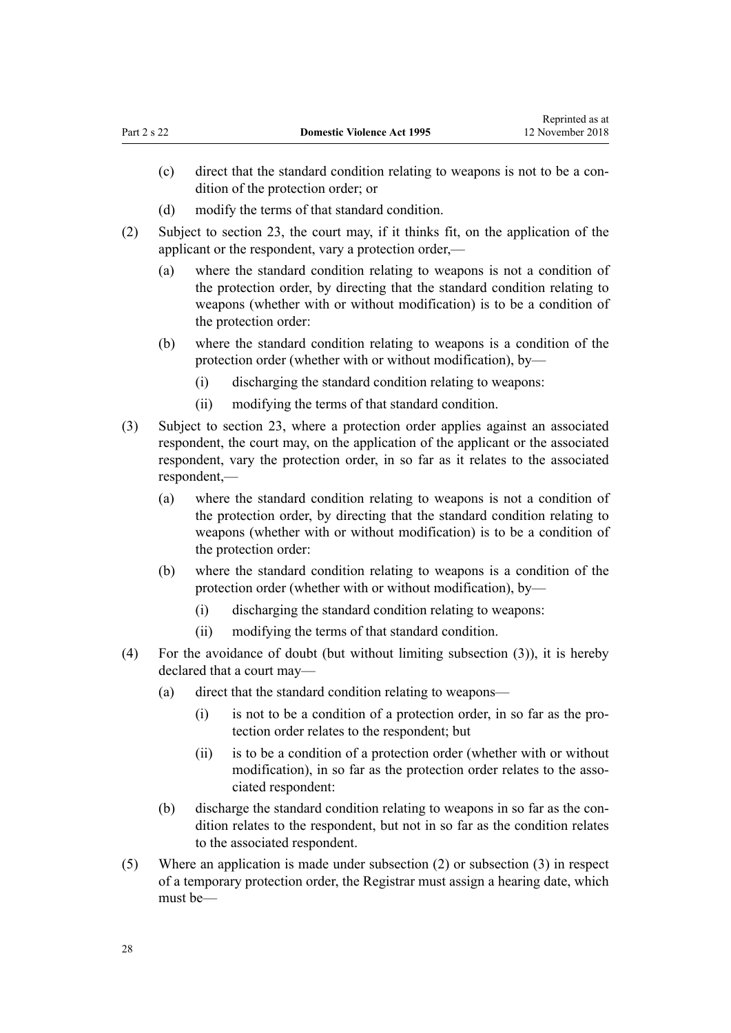- (c) direct that the standard condition relating to weapons is not to be a condition of the protection order; or
- (d) modify the terms of that standard condition.
- (2) Subject to [section 23](#page-28-0), the court may, if it thinks fit, on the application of the applicant or the respondent, vary a protection order,—
	- (a) where the standard condition relating to weapons is not a condition of the protection order, by directing that the standard condition relating to weapons (whether with or without modification) is to be a condition of the protection order:
	- (b) where the standard condition relating to weapons is a condition of the protection order (whether with or without modification), by—
		- (i) discharging the standard condition relating to weapons:
		- (ii) modifying the terms of that standard condition.
- (3) Subject to [section 23](#page-28-0), where a protection order applies against an associated respondent, the court may, on the application of the applicant or the associated respondent, vary the protection order, in so far as it relates to the associated respondent,—
	- (a) where the standard condition relating to weapons is not a condition of the protection order, by directing that the standard condition relating to weapons (whether with or without modification) is to be a condition of the protection order:
	- (b) where the standard condition relating to weapons is a condition of the protection order (whether with or without modification), by—
		- (i) discharging the standard condition relating to weapons:
		- (ii) modifying the terms of that standard condition.
- (4) For the avoidance of doubt (but without limiting subsection (3)), it is hereby declared that a court may—
	- (a) direct that the standard condition relating to weapons—
		- (i) is not to be a condition of a protection order, in so far as the protection order relates to the respondent; but
		- (ii) is to be a condition of a protection order (whether with or without modification), in so far as the protection order relates to the associated respondent:
	- (b) discharge the standard condition relating to weapons in so far as the condition relates to the respondent, but not in so far as the condition relates to the associated respondent.
- (5) Where an application is made under subsection (2) or subsection (3) in respect of a temporary protection order, the Registrar must assign a hearing date, which must be—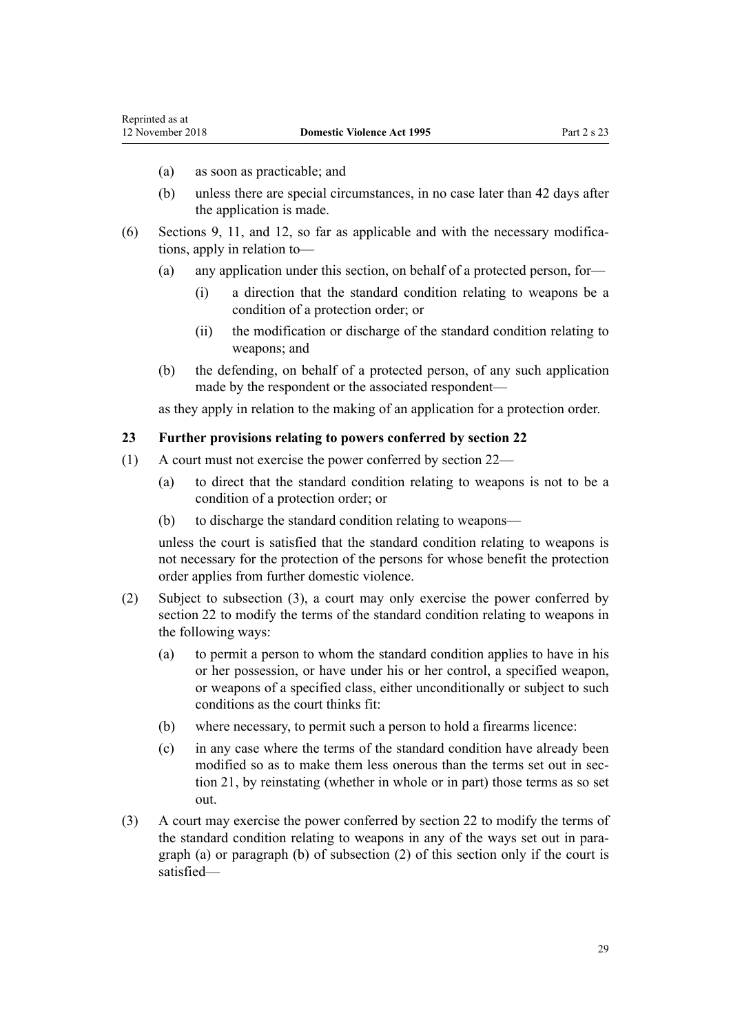- <span id="page-28-0"></span>(a) as soon as practicable; and
- (b) unless there are special circumstances, in no case later than 42 days after the application is made.
- (6) [Sections 9](#page-15-0), [11](#page-17-0), and [12](#page-17-0), so far as applicable and with the necessary modifications, apply in relation to—
	- (a) any application under this section, on behalf of a protected person, for—
		- (i) a direction that the standard condition relating to weapons be a condition of a protection order; or
		- (ii) the modification or discharge of the standard condition relating to weapons; and
	- (b) the defending, on behalf of a protected person, of any such application made by the respondent or the associated respondent—

as they apply in relation to the making of an application for a protection order.

## **23 Further provisions relating to powers conferred by section 22**

- (1) A court must not exercise the power conferred by [section 22](#page-26-0)
	- (a) to direct that the standard condition relating to weapons is not to be a condition of a protection order; or
	- (b) to discharge the standard condition relating to weapons—

unless the court is satisfied that the standard condition relating to weapons is not necessary for the protection of the persons for whose benefit the protection order applies from further domestic violence.

- (2) Subject to subsection (3), a court may only exercise the power conferred by [section 22](#page-26-0) to modify the terms of the standard condition relating to weapons in the following ways:
	- (a) to permit a person to whom the standard condition applies to have in his or her possession, or have under his or her control, a specified weapon, or weapons of a specified class, either unconditionally or subject to such conditions as the court thinks fit:
	- (b) where necessary, to permit such a person to hold a firearms licence:
	- (c) in any case where the terms of the standard condition have already been modified so as to make them less onerous than the terms set out in [sec](#page-25-0)[tion 21,](#page-25-0) by reinstating (whether in whole or in part) those terms as so set out.
- (3) A court may exercise the power conferred by [section 22](#page-26-0) to modify the terms of the standard condition relating to weapons in any of the ways set out in paragraph (a) or paragraph (b) of subsection (2) of this section only if the court is satisfied—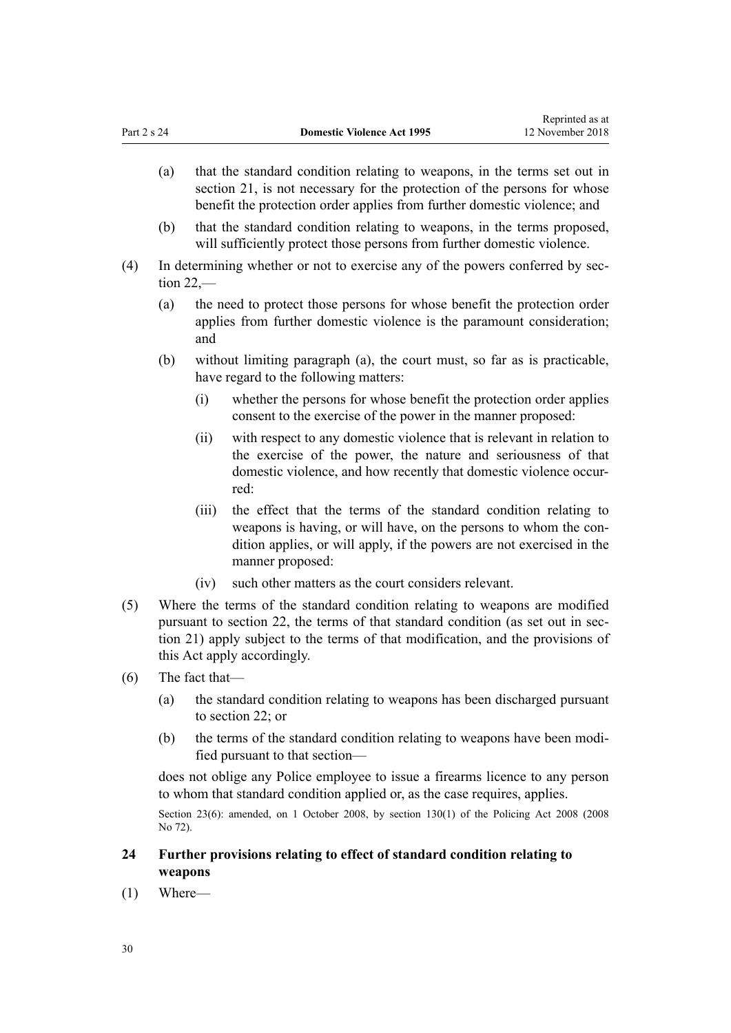- <span id="page-29-0"></span>(a) that the standard condition relating to weapons, in the terms set out in [section 21](#page-25-0), is not necessary for the protection of the persons for whose benefit the protection order applies from further domestic violence; and
- (b) that the standard condition relating to weapons, in the terms proposed, will sufficiently protect those persons from further domestic violence.
- (4) In determining whether or not to exercise any of the powers conferred by [sec](#page-26-0)[tion 22](#page-26-0),—
	- (a) the need to protect those persons for whose benefit the protection order applies from further domestic violence is the paramount consideration; and
	- (b) without limiting paragraph (a), the court must, so far as is practicable, have regard to the following matters:
		- (i) whether the persons for whose benefit the protection order applies consent to the exercise of the power in the manner proposed:
		- (ii) with respect to any domestic violence that is relevant in relation to the exercise of the power, the nature and seriousness of that domestic violence, and how recently that domestic violence occurred:
		- (iii) the effect that the terms of the standard condition relating to weapons is having, or will have, on the persons to whom the condition applies, or will apply, if the powers are not exercised in the manner proposed:
		- (iv) such other matters as the court considers relevant.
- (5) Where the terms of the standard condition relating to weapons are modified pursuant to [section 22](#page-26-0), the terms of that standard condition (as set out in [sec](#page-25-0)[tion 21](#page-25-0)) apply subject to the terms of that modification, and the provisions of this Act apply accordingly.
- (6) The fact that—
	- (a) the standard condition relating to weapons has been discharged pursuant to [section 22;](#page-26-0) or
	- (b) the terms of the standard condition relating to weapons have been modified pursuant to that section—

does not oblige any Police employee to issue a firearms licence to any person to whom that standard condition applied or, as the case requires, applies.

Section 23(6): amended, on 1 October 2008, by [section 130\(1\)](http://prd-lgnz-nlb.prd.pco.net.nz/pdflink.aspx?id=DLM1102383) of the Policing Act 2008 (2008) No 72).

# **24 Further provisions relating to effect of standard condition relating to weapons**

(1) Where—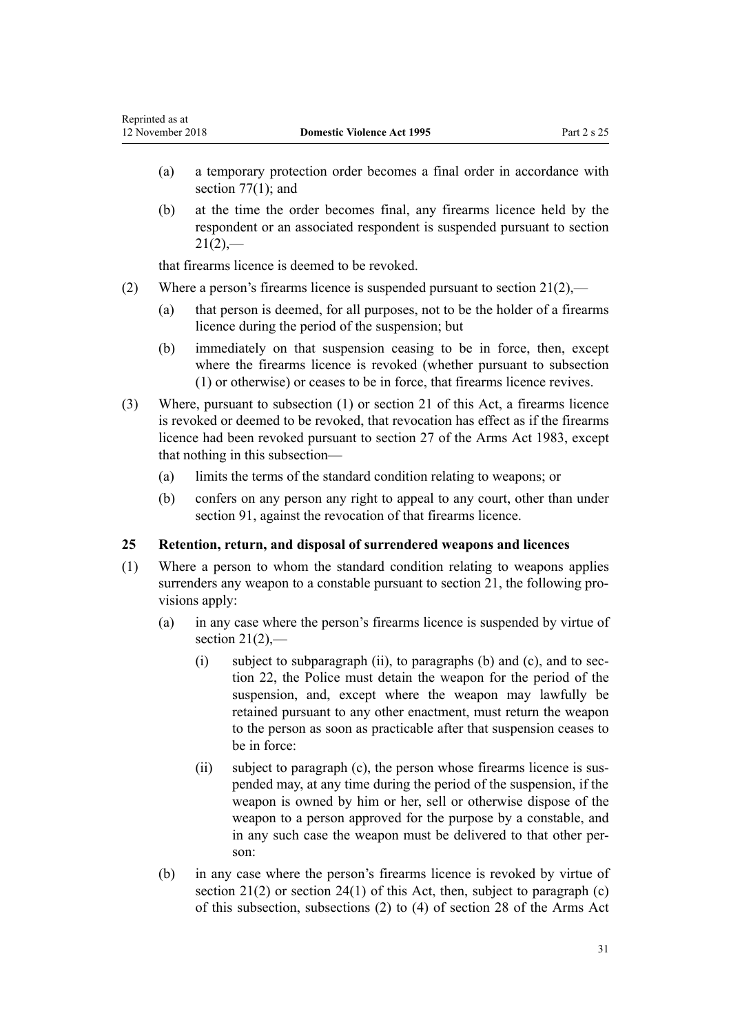- <span id="page-30-0"></span>(a) a temporary protection order becomes a final order in accordance with section  $77(1)$ ; and
- (b) at the time the order becomes final, any firearms licence held by the respondent or an associated respondent is suspended pursuant to [section](#page-25-0)  $21(2)$ ,—

that firearms licence is deemed to be revoked.

- (2) Where a person's firearms licence is suspended pursuant to [section 21\(2\),](#page-25-0)
	- (a) that person is deemed, for all purposes, not to be the holder of a firearms licence during the period of the suspension; but
	- (b) immediately on that suspension ceasing to be in force, then, except where the firearms licence is revoked (whether pursuant to subsection (1) or otherwise) or ceases to be in force, that firearms licence revives.
- (3) Where, pursuant to subsection (1) or [section 21](#page-25-0) of this Act, a firearms licence is revoked or deemed to be revoked, that revocation has effect as if the firearms licence had been revoked pursuant to [section 27](http://prd-lgnz-nlb.prd.pco.net.nz/pdflink.aspx?id=DLM72928) of the Arms Act 1983, except that nothing in this subsection—
	- (a) limits the terms of the standard condition relating to weapons; or
	- (b) confers on any person any right to appeal to any court, other than under [section 91](#page-71-0), against the revocation of that firearms licence.

## **25 Retention, return, and disposal of surrendered weapons and licences**

- (1) Where a person to whom the standard condition relating to weapons applies surrenders any weapon to a constable pursuant to [section 21](#page-25-0), the following provisions apply:
	- (a) in any case where the person's firearms licence is suspended by virtue of section  $21(2)$ ,—
		- $(i)$  subject to subparagraph  $(ii)$ , to paragraphs  $(b)$  and  $(c)$ , and to [sec](#page-26-0)[tion 22,](#page-26-0) the Police must detain the weapon for the period of the suspension, and, except where the weapon may lawfully be retained pursuant to any other enactment, must return the weapon to the person as soon as practicable after that suspension ceases to be in force:
		- (ii) subject to paragraph (c), the person whose firearms licence is suspended may, at any time during the period of the suspension, if the weapon is owned by him or her, sell or otherwise dispose of the weapon to a person approved for the purpose by a constable, and in any such case the weapon must be delivered to that other person:
	- (b) in any case where the person's firearms licence is revoked by virtue of section  $21(2)$  or section  $24(1)$  of this Act, then, subject to paragraph (c) of this subsection, subsections (2) to (4) of [section 28](http://prd-lgnz-nlb.prd.pco.net.nz/pdflink.aspx?id=DLM72932) of the Arms Act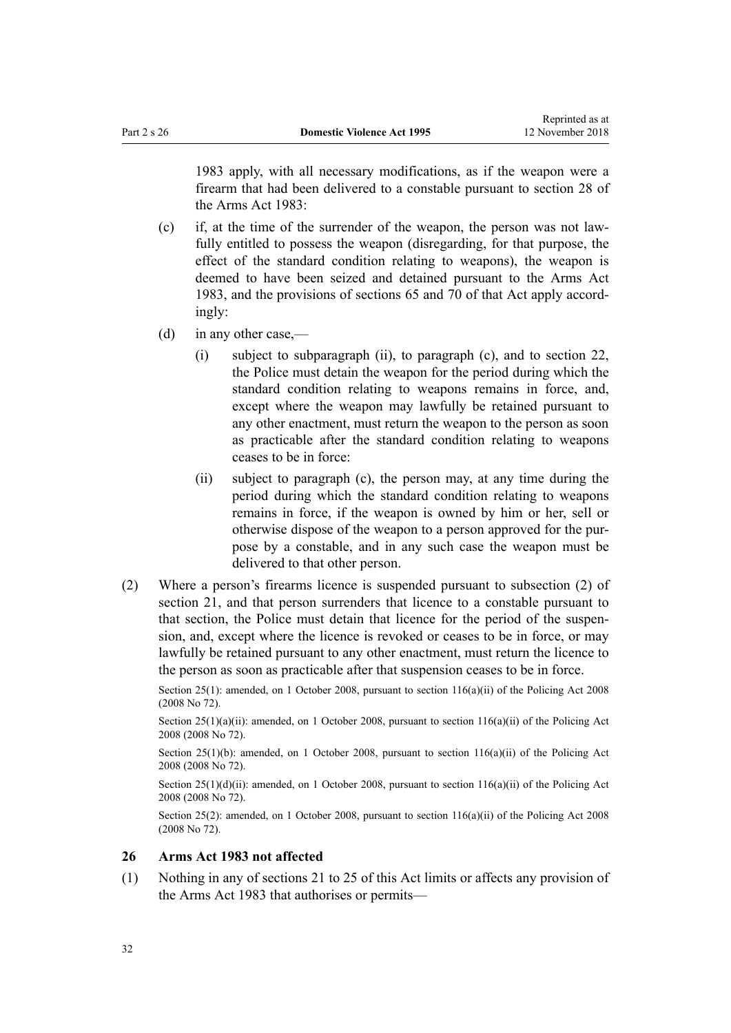<span id="page-31-0"></span>1983 apply, with all necessary modifications, as if the weapon were a firearm that had been delivered to a constable pursuant to section 28 of the Arms Act 1983:

- (c) if, at the time of the surrender of the weapon, the person was not lawfully entitled to possess the weapon (disregarding, for that purpose, the effect of the standard condition relating to weapons), the weapon is deemed to have been seized and detained pursuant to the [Arms Act](http://prd-lgnz-nlb.prd.pco.net.nz/pdflink.aspx?id=DLM72621) [1983](http://prd-lgnz-nlb.prd.pco.net.nz/pdflink.aspx?id=DLM72621), and the provisions of [sections 65](http://prd-lgnz-nlb.prd.pco.net.nz/pdflink.aspx?id=DLM73326) and [70](http://prd-lgnz-nlb.prd.pco.net.nz/pdflink.aspx?id=DLM73358) of that Act apply accordingly:
- (d) in any other case,—
	- (i) subject to subparagraph (ii), to paragraph (c), and to [section 22](#page-26-0), the Police must detain the weapon for the period during which the standard condition relating to weapons remains in force, and, except where the weapon may lawfully be retained pursuant to any other enactment, must return the weapon to the person as soon as practicable after the standard condition relating to weapons ceases to be in force:
	- (ii) subject to paragraph (c), the person may, at any time during the period during which the standard condition relating to weapons remains in force, if the weapon is owned by him or her, sell or otherwise dispose of the weapon to a person approved for the purpose by a constable, and in any such case the weapon must be delivered to that other person.
- (2) Where a person's firearms licence is suspended pursuant to subsection (2) of [section 21,](#page-25-0) and that person surrenders that licence to a constable pursuant to that section, the Police must detain that licence for the period of the suspension, and, except where the licence is revoked or ceases to be in force, or may lawfully be retained pursuant to any other enactment, must return the licence to the person as soon as practicable after that suspension ceases to be in force.

Section 25(1): amended, on 1 October 2008, pursuant to [section 116\(a\)\(ii\)](http://prd-lgnz-nlb.prd.pco.net.nz/pdflink.aspx?id=DLM1102349) of the Policing Act 2008 (2008 No 72).

Section  $25(1)(a)(ii)$ : amended, on 1 October 2008, pursuant to section  $116(a)(ii)$  of the Policing Act 2008 (2008 No 72).

Section 25(1)(b): amended, on 1 October 2008, pursuant to section  $116(a)(ii)$  of the Policing Act 2008 (2008 No 72).

Section 25(1)(d)(ii): amended, on 1 October 2008, pursuant to [section 116\(a\)\(ii\)](http://prd-lgnz-nlb.prd.pco.net.nz/pdflink.aspx?id=DLM1102349) of the Policing Act 2008 (2008 No 72).

Section 25(2): amended, on 1 October 2008, pursuant to [section 116\(a\)\(ii\)](http://prd-lgnz-nlb.prd.pco.net.nz/pdflink.aspx?id=DLM1102349) of the Policing Act 2008 (2008 No 72).

## **26 Arms Act 1983 not affected**

(1) Nothing in any of [sections 21 to 25](#page-25-0) of this Act limits or affects any provision of the [Arms Act 1983](http://prd-lgnz-nlb.prd.pco.net.nz/pdflink.aspx?id=DLM72621) that authorises or permits—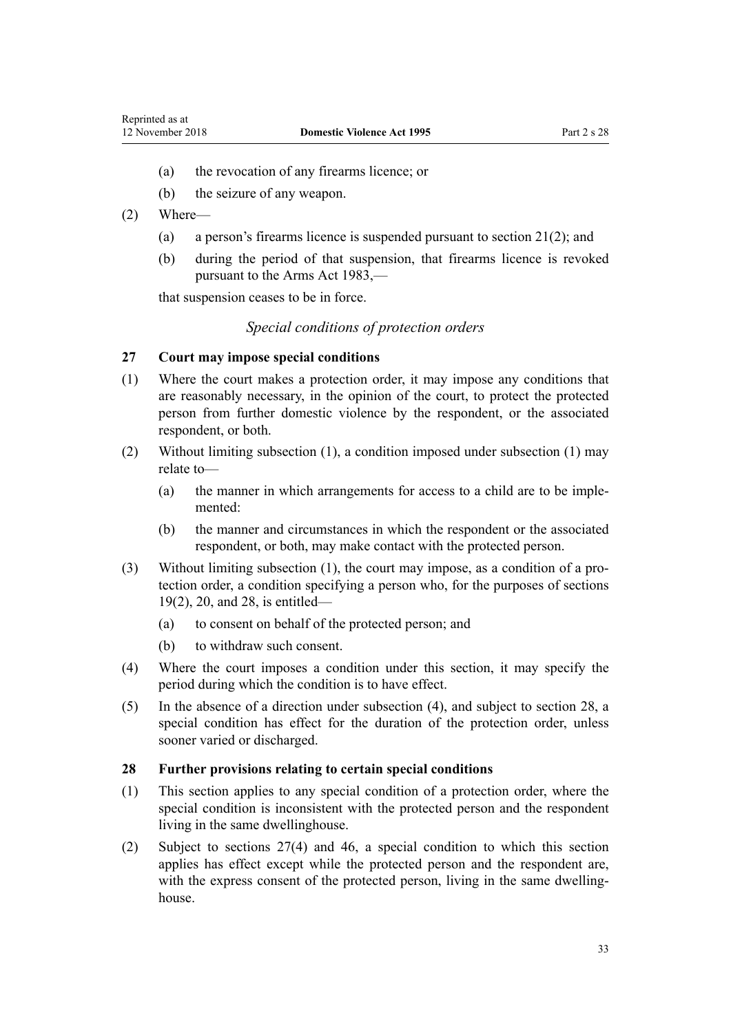- <span id="page-32-0"></span>(a) the revocation of any firearms licence; or
- (b) the seizure of any weapon.
- (2) Where—
	- (a) a person's firearms licence is suspended pursuant to [section 21\(2\)](#page-25-0); and
	- (b) during the period of that suspension, that firearms licence is revoked pursuant to the [Arms Act 1983](http://prd-lgnz-nlb.prd.pco.net.nz/pdflink.aspx?id=DLM72621),—

that suspension ceases to be in force.

# *Special conditions of protection orders*

## **27 Court may impose special conditions**

- (1) Where the court makes a protection order, it may impose any conditions that are reasonably necessary, in the opinion of the court, to protect the protected person from further domestic violence by the respondent, or the associated respondent, or both.
- (2) Without limiting subsection (1), a condition imposed under subsection (1) may relate to—
	- (a) the manner in which arrangements for access to a child are to be implemented:
	- (b) the manner and circumstances in which the respondent or the associated respondent, or both, may make contact with the protected person.
- (3) Without limiting subsection (1), the court may impose, as a condition of a protection order, a condition specifying a person who, for the purposes of [sections](#page-23-0) [19\(2\)](#page-23-0), [20](#page-24-0), and 28, is entitled—
	- (a) to consent on behalf of the protected person; and
	- (b) to withdraw such consent.
- (4) Where the court imposes a condition under this section, it may specify the period during which the condition is to have effect.
- (5) In the absence of a direction under subsection (4), and subject to section 28, a special condition has effect for the duration of the protection order, unless sooner varied or discharged.

## **28 Further provisions relating to certain special conditions**

- (1) This section applies to any special condition of a protection order, where the special condition is inconsistent with the protected person and the respondent living in the same dwellinghouse.
- (2) Subject to sections 27(4) and [46](#page-37-0), a special condition to which this section applies has effect except while the protected person and the respondent are, with the express consent of the protected person, living in the same dwellinghouse.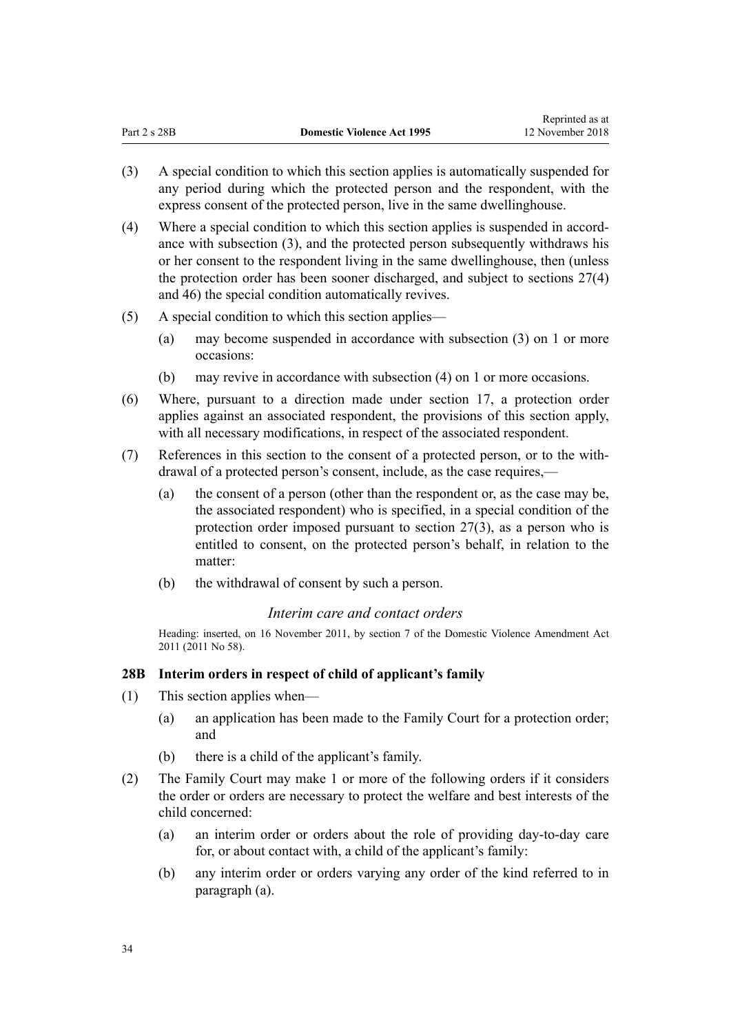- <span id="page-33-0"></span>(3) A special condition to which this section applies is automatically suspended for any period during which the protected person and the respondent, with the express consent of the protected person, live in the same dwellinghouse.
- (4) Where a special condition to which this section applies is suspended in accordance with subsection (3), and the protected person subsequently withdraws his or her consent to the respondent living in the same dwellinghouse, then (unless the protection order has been sooner discharged, and subject to [sections 27\(4\)](#page-32-0) and [46](#page-37-0)) the special condition automatically revives.
- (5) A special condition to which this section applies—
	- (a) may become suspended in accordance with subsection (3) on 1 or more occasions:
	- (b) may revive in accordance with subsection (4) on 1 or more occasions.
- (6) Where, pursuant to a direction made under [section 17,](#page-22-0) a protection order applies against an associated respondent, the provisions of this section apply, with all necessary modifications, in respect of the associated respondent.
- (7) References in this section to the consent of a protected person, or to the withdrawal of a protected person's consent, include, as the case requires,—
	- (a) the consent of a person (other than the respondent or, as the case may be, the associated respondent) who is specified, in a special condition of the protection order imposed pursuant to [section 27\(3\),](#page-32-0) as a person who is entitled to consent, on the protected person's behalf, in relation to the matter:
	- (b) the withdrawal of consent by such a person.

# *Interim care and contact orders*

Heading: inserted, on 16 November 2011, by [section 7](http://prd-lgnz-nlb.prd.pco.net.nz/pdflink.aspx?id=DLM1955516) of the Domestic Violence Amendment Act 2011 (2011 No 58).

# **28B Interim orders in respect of child of applicant's family**

- (1) This section applies when—
	- (a) an application has been made to the Family Court for a protection order; and
	- (b) there is a child of the applicant's family.
- (2) The Family Court may make 1 or more of the following orders if it considers the order or orders are necessary to protect the welfare and best interests of the child concerned:
	- (a) an interim order or orders about the role of providing day-to-day care for, or about contact with, a child of the applicant's family:
	- (b) any interim order or orders varying any order of the kind referred to in paragraph (a).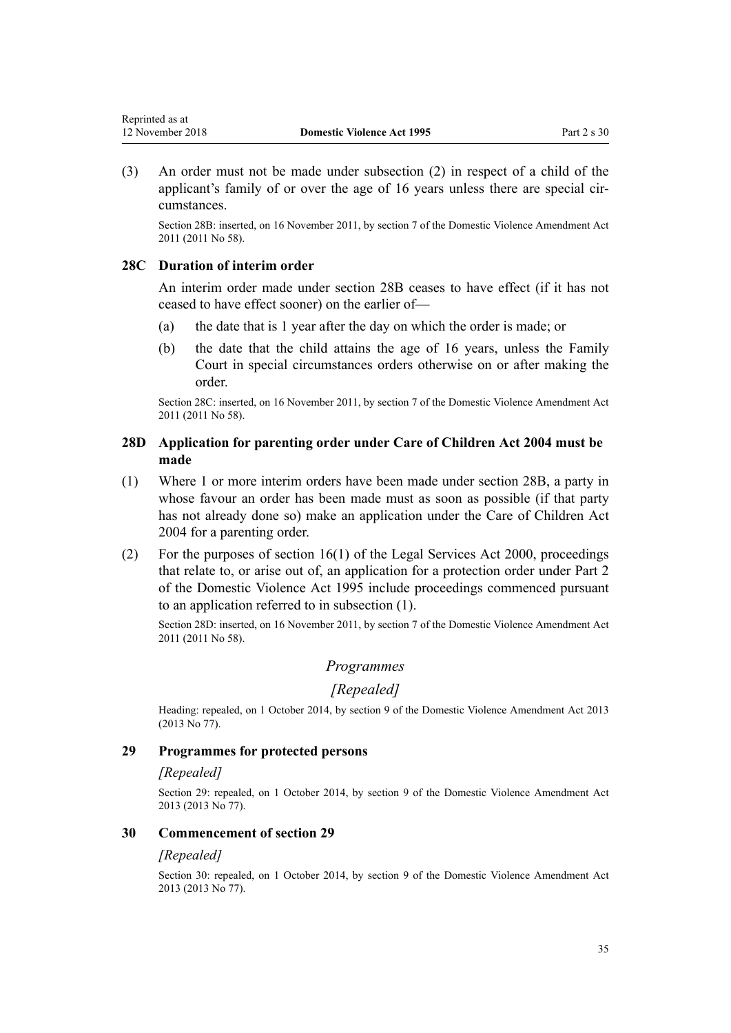<span id="page-34-0"></span>(3) An order must not be made under subsection (2) in respect of a child of the applicant's family of or over the age of 16 years unless there are special circumstances.

Section 28B: inserted, on 16 November 2011, by [section 7](http://prd-lgnz-nlb.prd.pco.net.nz/pdflink.aspx?id=DLM1955516) of the Domestic Violence Amendment Act 2011 (2011 No 58).

## **28C Duration of interim order**

An interim order made under [section 28B](#page-33-0) ceases to have effect (if it has not ceased to have effect sooner) on the earlier of—

- (a) the date that is 1 year after the day on which the order is made; or
- (b) the date that the child attains the age of 16 years, unless the Family Court in special circumstances orders otherwise on or after making the order.

Section 28C: inserted, on 16 November 2011, by [section 7](http://prd-lgnz-nlb.prd.pco.net.nz/pdflink.aspx?id=DLM1955516) of the Domestic Violence Amendment Act 2011 (2011 No 58).

# **28D Application for parenting order under Care of Children Act 2004 must be made**

- (1) Where 1 or more interim orders have been made under [section 28B](#page-33-0), a party in whose favour an order has been made must as soon as possible (if that party has not already done so) make an application under the [Care of Children Act](http://prd-lgnz-nlb.prd.pco.net.nz/pdflink.aspx?id=DLM317232) [2004](http://prd-lgnz-nlb.prd.pco.net.nz/pdflink.aspx?id=DLM317232) for a parenting order.
- (2) For the purposes of section  $16(1)$  of the Legal Services Act 2000, proceedings that relate to, or arise out of, an application for a protection order under [Part 2](#page-15-0) of the Domestic Violence Act 1995 include proceedings commenced pursuant to an application referred to in subsection (1).

Section 28D: inserted, on 16 November 2011, by [section 7](http://prd-lgnz-nlb.prd.pco.net.nz/pdflink.aspx?id=DLM1955516) of the Domestic Violence Amendment Act 2011 (2011 No 58).

# *Programmes*

## *[Repealed]*

Heading: repealed, on 1 October 2014, by [section 9](http://prd-lgnz-nlb.prd.pco.net.nz/pdflink.aspx?id=DLM5615655) of the Domestic Violence Amendment Act 2013 (2013 No 77).

## **29 Programmes for protected persons**

## *[Repealed]*

Section 29: repealed, on 1 October 2014, by [section 9](http://prd-lgnz-nlb.prd.pco.net.nz/pdflink.aspx?id=DLM5615655) of the Domestic Violence Amendment Act 2013 (2013 No 77).

## **30 Commencement of section 29**

## *[Repealed]*

Section 30: repealed, on 1 October 2014, by [section 9](http://prd-lgnz-nlb.prd.pco.net.nz/pdflink.aspx?id=DLM5615655) of the Domestic Violence Amendment Act 2013 (2013 No 77).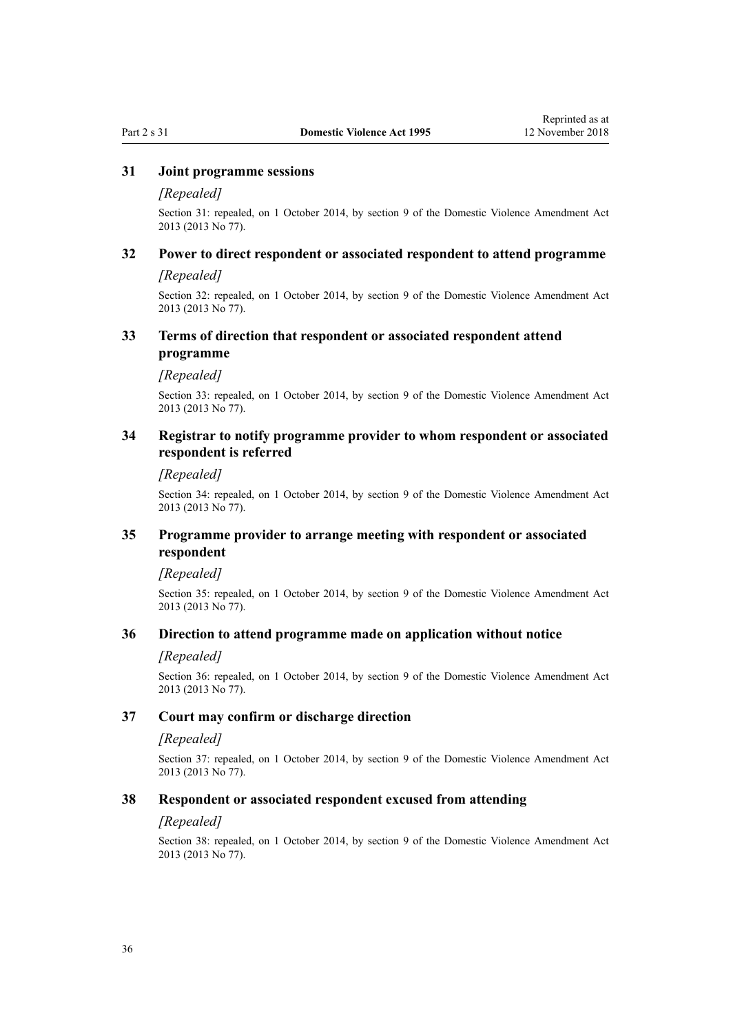## <span id="page-35-0"></span>**31 Joint programme sessions**

## *[Repealed]*

Section 31: repealed, on 1 October 2014, by [section 9](http://prd-lgnz-nlb.prd.pco.net.nz/pdflink.aspx?id=DLM5615655) of the Domestic Violence Amendment Act 2013 (2013 No 77).

# **32 Power to direct respondent or associated respondent to attend programme**

## *[Repealed]*

Section 32: repealed, on 1 October 2014, by [section 9](http://prd-lgnz-nlb.prd.pco.net.nz/pdflink.aspx?id=DLM5615655) of the Domestic Violence Amendment Act 2013 (2013 No 77).

## **33 Terms of direction that respondent or associated respondent attend programme**

#### *[Repealed]*

Section 33: repealed, on 1 October 2014, by [section 9](http://prd-lgnz-nlb.prd.pco.net.nz/pdflink.aspx?id=DLM5615655) of the Domestic Violence Amendment Act 2013 (2013 No 77).

# **34 Registrar to notify programme provider to whom respondent or associated respondent is referred**

## *[Repealed]*

Section 34: repealed, on 1 October 2014, by [section 9](http://prd-lgnz-nlb.prd.pco.net.nz/pdflink.aspx?id=DLM5615655) of the Domestic Violence Amendment Act 2013 (2013 No 77).

## **35 Programme provider to arrange meeting with respondent or associated respondent**

## *[Repealed]*

Section 35: repealed, on 1 October 2014, by [section 9](http://prd-lgnz-nlb.prd.pco.net.nz/pdflink.aspx?id=DLM5615655) of the Domestic Violence Amendment Act 2013 (2013 No 77).

## **36 Direction to attend programme made on application without notice**

## *[Repealed]*

Section 36: repealed, on 1 October 2014, by [section 9](http://prd-lgnz-nlb.prd.pco.net.nz/pdflink.aspx?id=DLM5615655) of the Domestic Violence Amendment Act 2013 (2013 No 77).

## **37 Court may confirm or discharge direction**

#### *[Repealed]*

Section 37: repealed, on 1 October 2014, by [section 9](http://prd-lgnz-nlb.prd.pco.net.nz/pdflink.aspx?id=DLM5615655) of the Domestic Violence Amendment Act 2013 (2013 No 77).

## **38 Respondent or associated respondent excused from attending**

#### *[Repealed]*

Section 38: repealed, on 1 October 2014, by [section 9](http://prd-lgnz-nlb.prd.pco.net.nz/pdflink.aspx?id=DLM5615655) of the Domestic Violence Amendment Act 2013 (2013 No 77).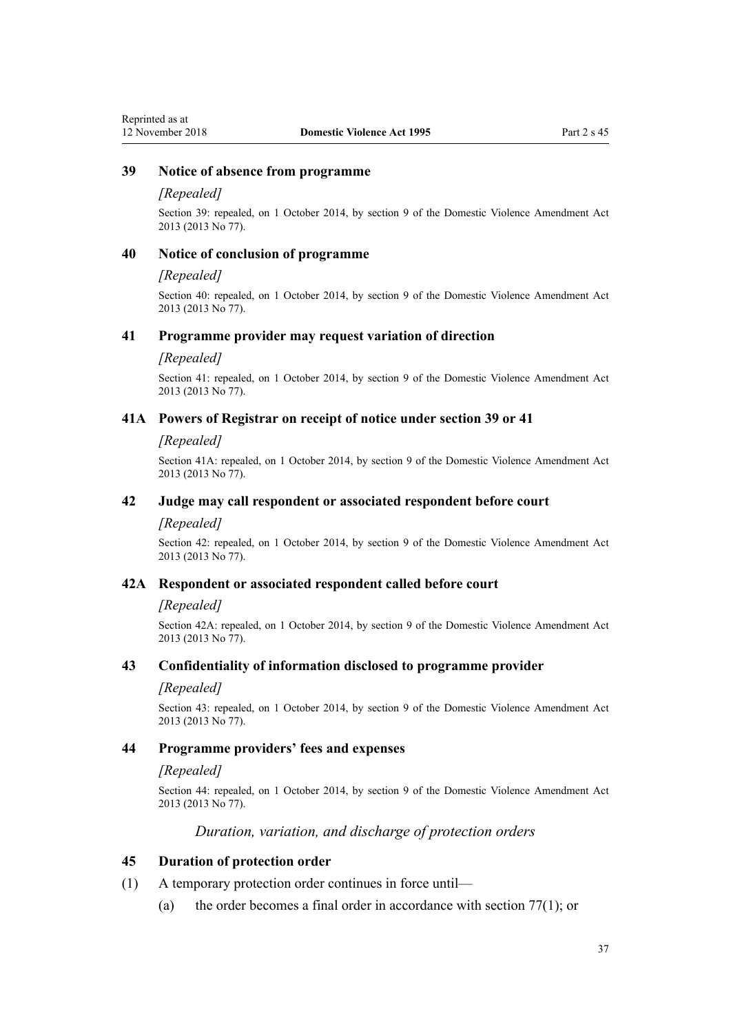# **39 Notice of absence from programme**

#### *[Repealed]*

Section 39: repealed, on 1 October 2014, by [section 9](http://prd-lgnz-nlb.prd.pco.net.nz/pdflink.aspx?id=DLM5615655) of the Domestic Violence Amendment Act 2013 (2013 No 77).

## **40 Notice of conclusion of programme**

#### *[Repealed]*

Section 40: repealed, on 1 October 2014, by [section 9](http://prd-lgnz-nlb.prd.pco.net.nz/pdflink.aspx?id=DLM5615655) of the Domestic Violence Amendment Act 2013 (2013 No 77).

#### **41 Programme provider may request variation of direction**

#### *[Repealed]*

Section 41: repealed, on 1 October 2014, by [section 9](http://prd-lgnz-nlb.prd.pco.net.nz/pdflink.aspx?id=DLM5615655) of the Domestic Violence Amendment Act 2013 (2013 No 77).

#### **41A Powers of Registrar on receipt of notice under section 39 or 41**

#### *[Repealed]*

Section 41A: repealed, on 1 October 2014, by [section 9](http://prd-lgnz-nlb.prd.pco.net.nz/pdflink.aspx?id=DLM5615655) of the Domestic Violence Amendment Act 2013 (2013 No 77).

#### **42 Judge may call respondent or associated respondent before court**

#### *[Repealed]*

Section 42: repealed, on 1 October 2014, by [section 9](http://prd-lgnz-nlb.prd.pco.net.nz/pdflink.aspx?id=DLM5615655) of the Domestic Violence Amendment Act 2013 (2013 No 77).

#### **42A Respondent or associated respondent called before court**

#### *[Repealed]*

Section 42A: repealed, on 1 October 2014, by [section 9](http://prd-lgnz-nlb.prd.pco.net.nz/pdflink.aspx?id=DLM5615655) of the Domestic Violence Amendment Act 2013 (2013 No 77).

#### **43 Confidentiality of information disclosed to programme provider**

#### *[Repealed]*

Section 43: repealed, on 1 October 2014, by [section 9](http://prd-lgnz-nlb.prd.pco.net.nz/pdflink.aspx?id=DLM5615655) of the Domestic Violence Amendment Act 2013 (2013 No 77).

# **44 Programme providers' fees and expenses**

#### *[Repealed]*

Section 44: repealed, on 1 October 2014, by [section 9](http://prd-lgnz-nlb.prd.pco.net.nz/pdflink.aspx?id=DLM5615655) of the Domestic Violence Amendment Act 2013 (2013 No 77).

#### *Duration, variation, and discharge of protection orders*

#### **45 Duration of protection order**

- (1) A temporary protection order continues in force until—
	- (a) the order becomes a final order in accordance with [section 77\(1\);](#page-62-0) or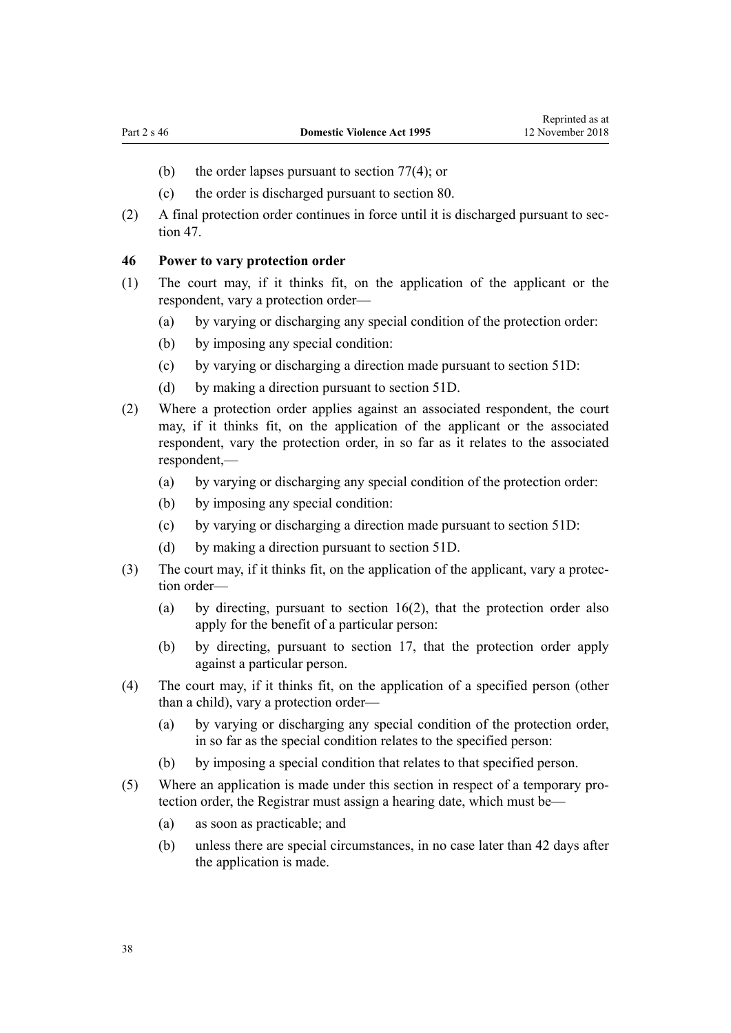- (b) the order lapses pursuant to [section 77\(4\);](#page-62-0) or
- (c) the order is discharged pursuant to [section 80.](#page-64-0)
- (2) A final protection order continues in force until it is discharged pursuant to [sec](#page-38-0)[tion 47](#page-38-0).

# **46 Power to vary protection order**

- (1) The court may, if it thinks fit, on the application of the applicant or the respondent, vary a protection order—
	- (a) by varying or discharging any special condition of the protection order:
	- (b) by imposing any special condition:
	- (c) by varying or discharging a direction made pursuant to [section 51D](#page-42-0):
	- (d) by making a direction pursuant to [section 51D](#page-42-0).
- (2) Where a protection order applies against an associated respondent, the court may, if it thinks fit, on the application of the applicant or the associated respondent, vary the protection order, in so far as it relates to the associated respondent,—
	- (a) by varying or discharging any special condition of the protection order:
	- (b) by imposing any special condition:
	- (c) by varying or discharging a direction made pursuant to [section 51D](#page-42-0):
	- (d) by making a direction pursuant to [section 51D](#page-42-0).
- (3) The court may, if it thinks fit, on the application of the applicant, vary a protection order—
	- (a) by directing, pursuant to [section 16\(2\)](#page-21-0), that the protection order also apply for the benefit of a particular person:
	- (b) by directing, pursuant to [section 17](#page-22-0), that the protection order apply against a particular person.
- (4) The court may, if it thinks fit, on the application of a specified person (other than a child), vary a protection order—
	- (a) by varying or discharging any special condition of the protection order, in so far as the special condition relates to the specified person:
	- (b) by imposing a special condition that relates to that specified person.
- (5) Where an application is made under this section in respect of a temporary protection order, the Registrar must assign a hearing date, which must be—
	- (a) as soon as practicable; and
	- (b) unless there are special circumstances, in no case later than 42 days after the application is made.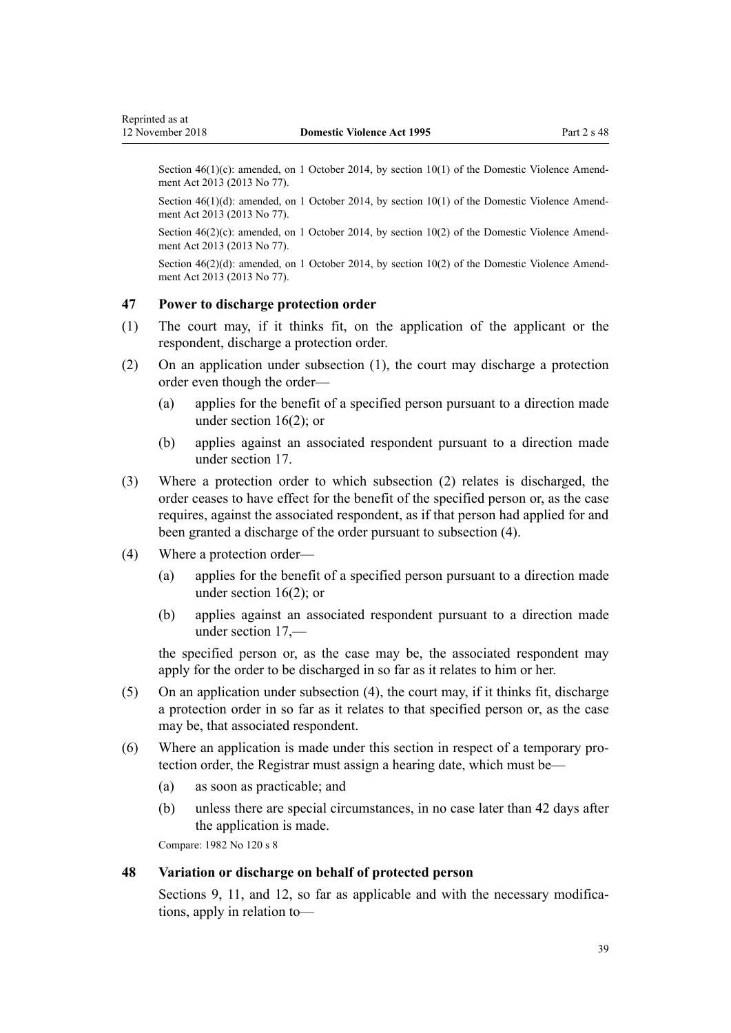<span id="page-38-0"></span>Section  $46(1)(c)$ : amended, on 1 October 2014, by [section 10\(1\)](http://prd-lgnz-nlb.prd.pco.net.nz/pdflink.aspx?id=DLM5615656) of the Domestic Violence Amendment Act 2013 (2013 No 77).

Section 46(1)(d): amended, on 1 October 2014, by [section 10\(1\)](http://prd-lgnz-nlb.prd.pco.net.nz/pdflink.aspx?id=DLM5615656) of the Domestic Violence Amendment Act 2013 (2013 No 77).

Section  $46(2)(c)$ : amended, on 1 October 2014, by [section 10\(2\)](http://prd-lgnz-nlb.prd.pco.net.nz/pdflink.aspx?id=DLM5615656) of the Domestic Violence Amendment Act 2013 (2013 No 77).

Section 46(2)(d): amended, on 1 October 2014, by [section 10\(2\)](http://prd-lgnz-nlb.prd.pco.net.nz/pdflink.aspx?id=DLM5615656) of the Domestic Violence Amendment Act 2013 (2013 No 77).

#### **47 Power to discharge protection order**

- (1) The court may, if it thinks fit, on the application of the applicant or the respondent, discharge a protection order.
- (2) On an application under subsection (1), the court may discharge a protection order even though the order—
	- (a) applies for the benefit of a specified person pursuant to a direction made under [section 16\(2\);](#page-21-0) or
	- (b) applies against an associated respondent pursuant to a direction made under [section 17](#page-22-0).
- (3) Where a protection order to which subsection (2) relates is discharged, the order ceases to have effect for the benefit of the specified person or, as the case requires, against the associated respondent, as if that person had applied for and been granted a discharge of the order pursuant to subsection (4).
- (4) Where a protection order—
	- (a) applies for the benefit of a specified person pursuant to a direction made under [section 16\(2\);](#page-21-0) or
	- (b) applies against an associated respondent pursuant to a direction made under [section 17](#page-22-0),—

the specified person or, as the case may be, the associated respondent may apply for the order to be discharged in so far as it relates to him or her.

- (5) On an application under subsection (4), the court may, if it thinks fit, discharge a protection order in so far as it relates to that specified person or, as the case may be, that associated respondent.
- (6) Where an application is made under this section in respect of a temporary protection order, the Registrar must assign a hearing date, which must be—
	- (a) as soon as practicable; and
	- (b) unless there are special circumstances, in no case later than 42 days after the application is made.

Compare: 1982 No 120 s 8

# **48 Variation or discharge on behalf of protected person**

[Sections 9](#page-15-0), [11](#page-17-0), and [12](#page-17-0), so far as applicable and with the necessary modifications, apply in relation to—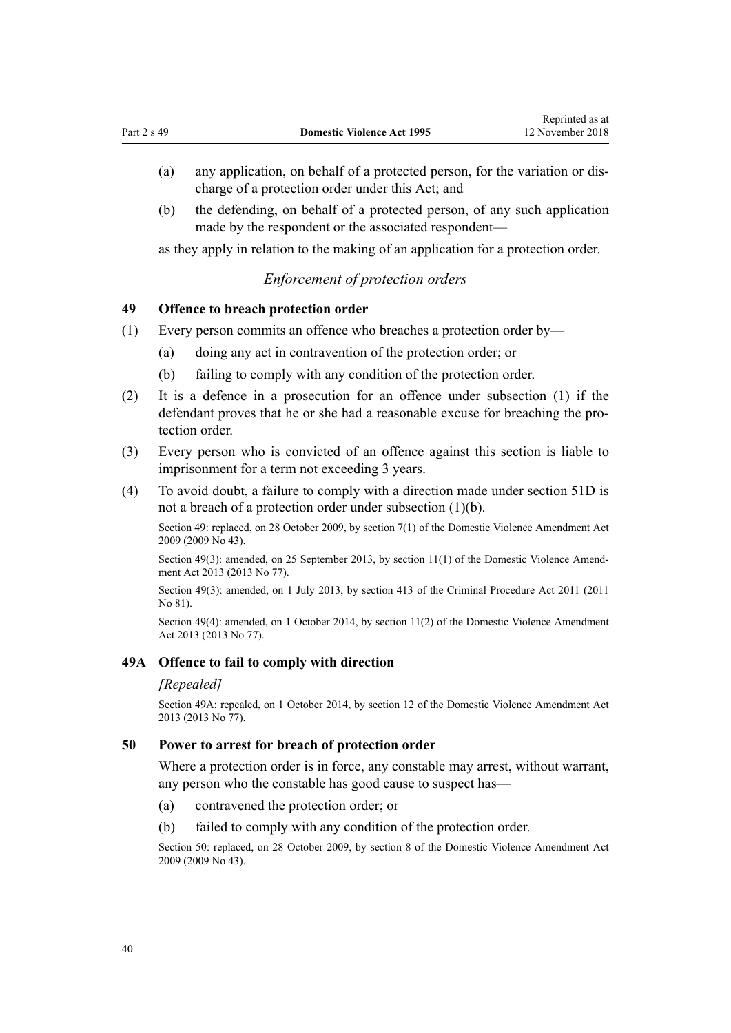- (a) any application, on behalf of a protected person, for the variation or discharge of a protection order under this Act; and
- (b) the defending, on behalf of a protected person, of any such application made by the respondent or the associated respondent—

as they apply in relation to the making of an application for a protection order.

# *Enforcement of protection orders*

# **49 Offence to breach protection order**

- (1) Every person commits an offence who breaches a protection order by—
	- (a) doing any act in contravention of the protection order; or
	- (b) failing to comply with any condition of the protection order.
- (2) It is a defence in a prosecution for an offence under subsection (1) if the defendant proves that he or she had a reasonable excuse for breaching the protection order.
- (3) Every person who is convicted of an offence against this section is liable to imprisonment for a term not exceeding 3 years.
- (4) To avoid doubt, a failure to comply with a direction made under [section 51D](#page-42-0) is not a breach of a protection order under subsection (1)(b).

Section 49: replaced, on 28 October 2009, by [section 7\(1\)](http://prd-lgnz-nlb.prd.pco.net.nz/pdflink.aspx?id=DLM1774213) of the Domestic Violence Amendment Act 2009 (2009 No 43).

Section 49(3): amended, on 25 September 2013, by [section 11\(1\)](http://prd-lgnz-nlb.prd.pco.net.nz/pdflink.aspx?id=DLM5615657) of the Domestic Violence Amendment Act 2013 (2013 No 77).

Section 49(3): amended, on 1 July 2013, by [section 413](http://prd-lgnz-nlb.prd.pco.net.nz/pdflink.aspx?id=DLM3360714) of the Criminal Procedure Act 2011 (2011 No 81).

Section 49(4): amended, on 1 October 2014, by [section 11\(2\)](http://prd-lgnz-nlb.prd.pco.net.nz/pdflink.aspx?id=DLM5615657) of the Domestic Violence Amendment Act 2013 (2013 No 77).

#### **49A Offence to fail to comply with direction**

#### *[Repealed]*

Section 49A: repealed, on 1 October 2014, by [section 12](http://prd-lgnz-nlb.prd.pco.net.nz/pdflink.aspx?id=DLM5615658) of the Domestic Violence Amendment Act 2013 (2013 No 77).

#### **50 Power to arrest for breach of protection order**

Where a protection order is in force, any constable may arrest, without warrant, any person who the constable has good cause to suspect has—

- (a) contravened the protection order; or
- (b) failed to comply with any condition of the protection order.

Section 50: replaced, on 28 October 2009, by [section 8](http://prd-lgnz-nlb.prd.pco.net.nz/pdflink.aspx?id=DLM1774216) of the Domestic Violence Amendment Act 2009 (2009 No 43).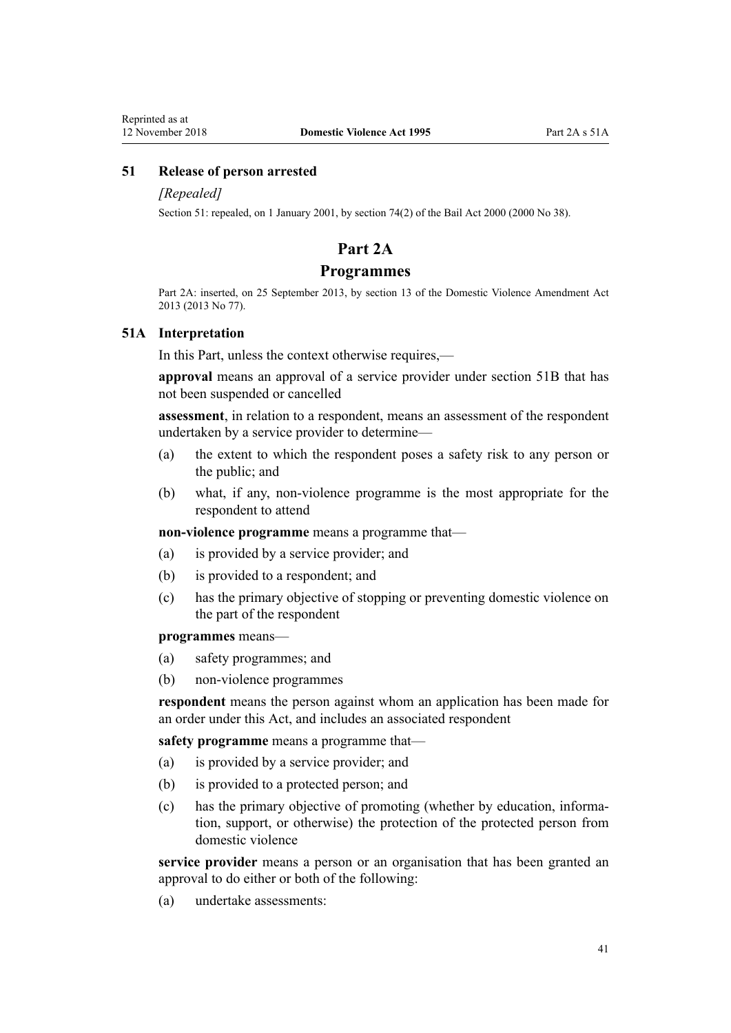# **51 Release of person arrested**

#### *[Repealed]*

Section 51: repealed, on 1 January 2001, by [section 74\(2\)](http://prd-lgnz-nlb.prd.pco.net.nz/pdflink.aspx?id=DLM69643) of the Bail Act 2000 (2000 No 38).

# **Part 2A**

# **Programmes**

Part 2A: inserted, on 25 September 2013, by [section 13](http://prd-lgnz-nlb.prd.pco.net.nz/pdflink.aspx?id=DLM5615659) of the Domestic Violence Amendment Act 2013 (2013 No 77).

#### **51A Interpretation**

In this Part, unless the context otherwise requires,—

**approval** means an approval of a service provider under [section 51B](#page-41-0) that has not been suspended or cancelled

**assessment**, in relation to a respondent, means an assessment of the respondent undertaken by a service provider to determine—

- (a) the extent to which the respondent poses a safety risk to any person or the public; and
- (b) what, if any, non-violence programme is the most appropriate for the respondent to attend

**non-violence programme** means a programme that—

- (a) is provided by a service provider; and
- (b) is provided to a respondent; and
- (c) has the primary objective of stopping or preventing domestic violence on the part of the respondent

#### **programmes** means—

- (a) safety programmes; and
- (b) non-violence programmes

**respondent** means the person against whom an application has been made for an order under this Act, and includes an associated respondent

**safety programme** means a programme that—

- (a) is provided by a service provider; and
- (b) is provided to a protected person; and
- (c) has the primary objective of promoting (whether by education, information, support, or otherwise) the protection of the protected person from domestic violence

**service provider** means a person or an organisation that has been granted an approval to do either or both of the following:

(a) undertake assessments: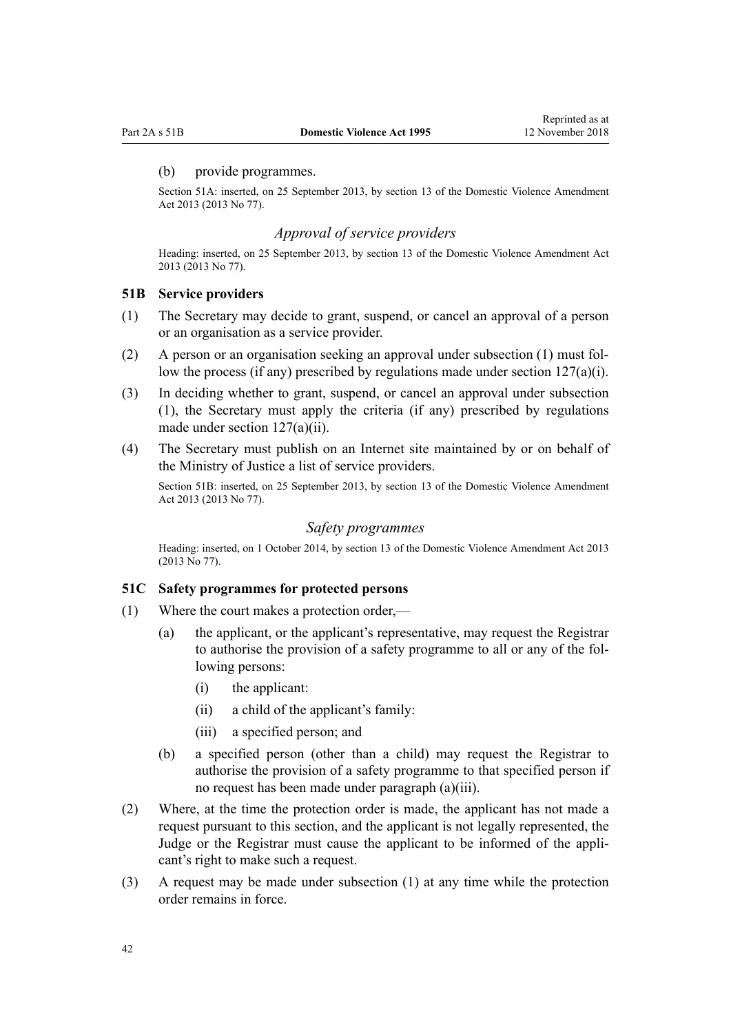#### <span id="page-41-0"></span>(b) provide programmes.

Section 51A: inserted, on 25 September 2013, by [section 13](http://prd-lgnz-nlb.prd.pco.net.nz/pdflink.aspx?id=DLM5615659) of the Domestic Violence Amendment Act 2013 (2013 No 77).

# *Approval of service providers*

Heading: inserted, on 25 September 2013, by [section 13](http://prd-lgnz-nlb.prd.pco.net.nz/pdflink.aspx?id=DLM5615659) of the Domestic Violence Amendment Act 2013 (2013 No 77).

#### **51B Service providers**

- (1) The Secretary may decide to grant, suspend, or cancel an approval of a person or an organisation as a service provider.
- (2) A person or an organisation seeking an approval under subsection (1) must follow the process (if any) prescribed by regulations made under section  $127(a)(i)$ .
- (3) In deciding whether to grant, suspend, or cancel an approval under subsection (1), the Secretary must apply the criteria (if any) prescribed by regulations made under [section 127\(a\)\(ii\).](#page-96-0)
- (4) The Secretary must publish on an Internet site maintained by or on behalf of the Ministry of Justice a list of service providers.

Section 51B: inserted, on 25 September 2013, by [section 13](http://prd-lgnz-nlb.prd.pco.net.nz/pdflink.aspx?id=DLM5615659) of the Domestic Violence Amendment Act 2013 (2013 No 77).

## *Safety programmes*

Heading: inserted, on 1 October 2014, by [section 13](http://prd-lgnz-nlb.prd.pco.net.nz/pdflink.aspx?id=DLM5615659) of the Domestic Violence Amendment Act 2013 (2013 No 77).

#### **51C Safety programmes for protected persons**

- (1) Where the court makes a protection order,—
	- (a) the applicant, or the applicant's representative, may request the Registrar to authorise the provision of a safety programme to all or any of the following persons:
		- (i) the applicant:
		- (ii) a child of the applicant's family:
		- (iii) a specified person; and
	- (b) a specified person (other than a child) may request the Registrar to authorise the provision of a safety programme to that specified person if no request has been made under paragraph (a)(iii).
- (2) Where, at the time the protection order is made, the applicant has not made a request pursuant to this section, and the applicant is not legally represented, the Judge or the Registrar must cause the applicant to be informed of the applicant's right to make such a request.
- (3) A request may be made under subsection (1) at any time while the protection order remains in force.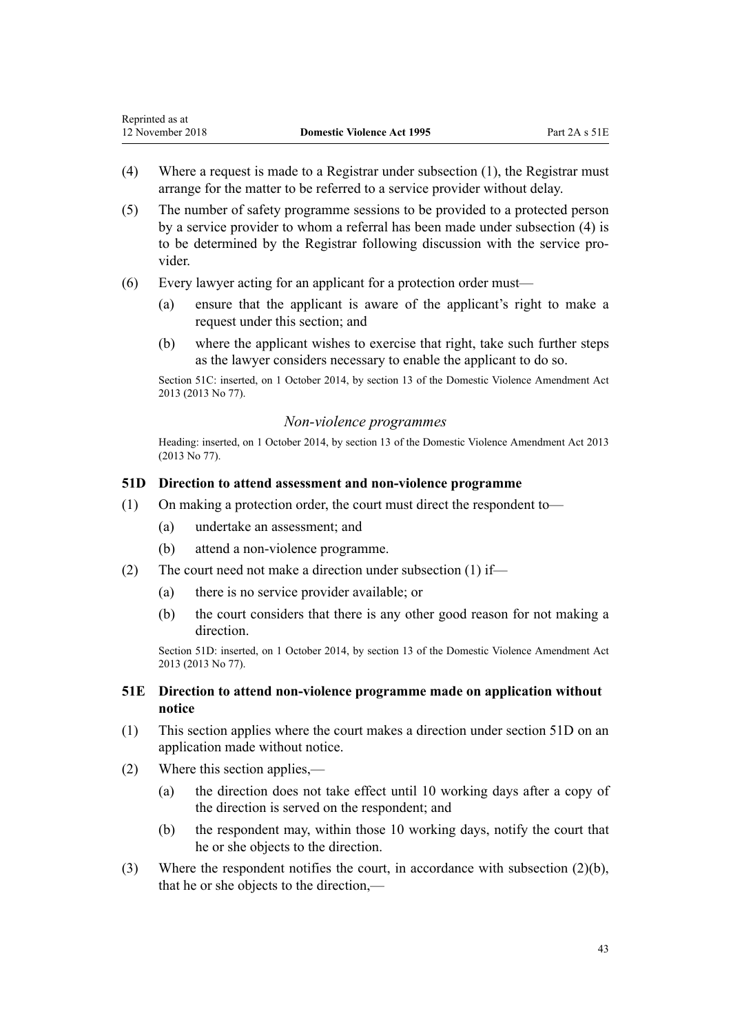- <span id="page-42-0"></span>(4) Where a request is made to a Registrar under subsection (1), the Registrar must arrange for the matter to be referred to a service provider without delay.
- (5) The number of safety programme sessions to be provided to a protected person by a service provider to whom a referral has been made under subsection (4) is to be determined by the Registrar following discussion with the service provider.
- (6) Every lawyer acting for an applicant for a protection order must—
	- (a) ensure that the applicant is aware of the applicant's right to make a request under this section; and
	- (b) where the applicant wishes to exercise that right, take such further steps as the lawyer considers necessary to enable the applicant to do so.

Section 51C: inserted, on 1 October 2014, by [section 13](http://prd-lgnz-nlb.prd.pco.net.nz/pdflink.aspx?id=DLM5615659) of the Domestic Violence Amendment Act 2013 (2013 No 77).

# *Non-violence programmes*

Heading: inserted, on 1 October 2014, by [section 13](http://prd-lgnz-nlb.prd.pco.net.nz/pdflink.aspx?id=DLM5615659) of the Domestic Violence Amendment Act 2013 (2013 No 77).

# **51D Direction to attend assessment and non-violence programme**

- (1) On making a protection order, the court must direct the respondent to—
	- (a) undertake an assessment; and
	- (b) attend a non-violence programme.
- (2) The court need not make a direction under subsection (1) if—
	- (a) there is no service provider available; or
	- (b) the court considers that there is any other good reason for not making a direction.

Section 51D: inserted, on 1 October 2014, by [section 13](http://prd-lgnz-nlb.prd.pco.net.nz/pdflink.aspx?id=DLM5615659) of the Domestic Violence Amendment Act 2013 (2013 No 77).

# **51E Direction to attend non-violence programme made on application without notice**

- (1) This section applies where the court makes a direction under section 51D on an application made without notice.
- (2) Where this section applies,—
	- (a) the direction does not take effect until 10 working days after a copy of the direction is served on the respondent; and
	- (b) the respondent may, within those 10 working days, notify the court that he or she objects to the direction.
- (3) Where the respondent notifies the court, in accordance with subsection (2)(b), that he or she objects to the direction,—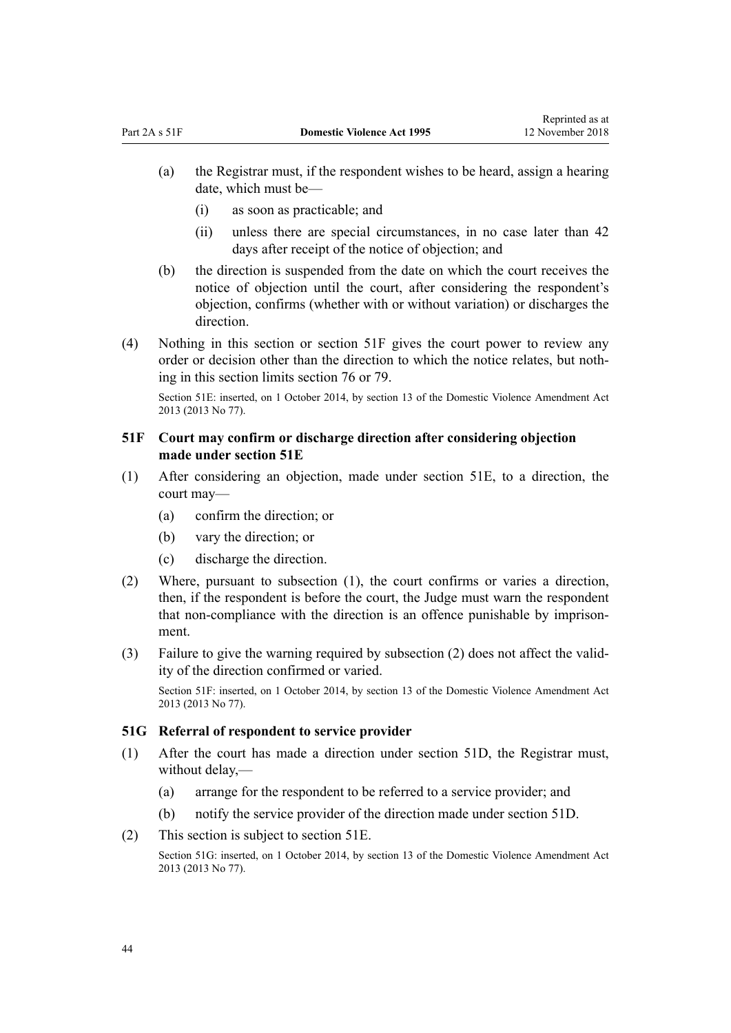- <span id="page-43-0"></span>(a) the Registrar must, if the respondent wishes to be heard, assign a hearing date, which must be—
	- (i) as soon as practicable; and
	- (ii) unless there are special circumstances, in no case later than 42 days after receipt of the notice of objection; and
- (b) the direction is suspended from the date on which the court receives the notice of objection until the court, after considering the respondent's objection, confirms (whether with or without variation) or discharges the direction.
- (4) Nothing in this section or section 51F gives the court power to review any order or decision other than the direction to which the notice relates, but nothing in this section limits [section 76](#page-61-0) or [79](#page-63-0).

Section 51E: inserted, on 1 October 2014, by [section 13](http://prd-lgnz-nlb.prd.pco.net.nz/pdflink.aspx?id=DLM5615659) of the Domestic Violence Amendment Act 2013 (2013 No 77).

# **51F Court may confirm or discharge direction after considering objection made under section 51E**

- (1) After considering an objection, made under [section 51E](#page-42-0), to a direction, the court may—
	- (a) confirm the direction; or
	- (b) vary the direction; or
	- (c) discharge the direction.
- (2) Where, pursuant to subsection (1), the court confirms or varies a direction, then, if the respondent is before the court, the Judge must warn the respondent that non-compliance with the direction is an offence punishable by imprisonment.
- (3) Failure to give the warning required by subsection (2) does not affect the validity of the direction confirmed or varied.

Section 51F: inserted, on 1 October 2014, by [section 13](http://prd-lgnz-nlb.prd.pco.net.nz/pdflink.aspx?id=DLM5615659) of the Domestic Violence Amendment Act 2013 (2013 No 77).

#### **51G Referral of respondent to service provider**

- (1) After the court has made a direction under [section 51D,](#page-42-0) the Registrar must, without delay,—
	- (a) arrange for the respondent to be referred to a service provider; and
	- (b) notify the service provider of the direction made under [section 51D.](#page-42-0)
- (2) This section is subject to [section 51E.](#page-42-0)

Section 51G: inserted, on 1 October 2014, by [section 13](http://prd-lgnz-nlb.prd.pco.net.nz/pdflink.aspx?id=DLM5615659) of the Domestic Violence Amendment Act 2013 (2013 No 77).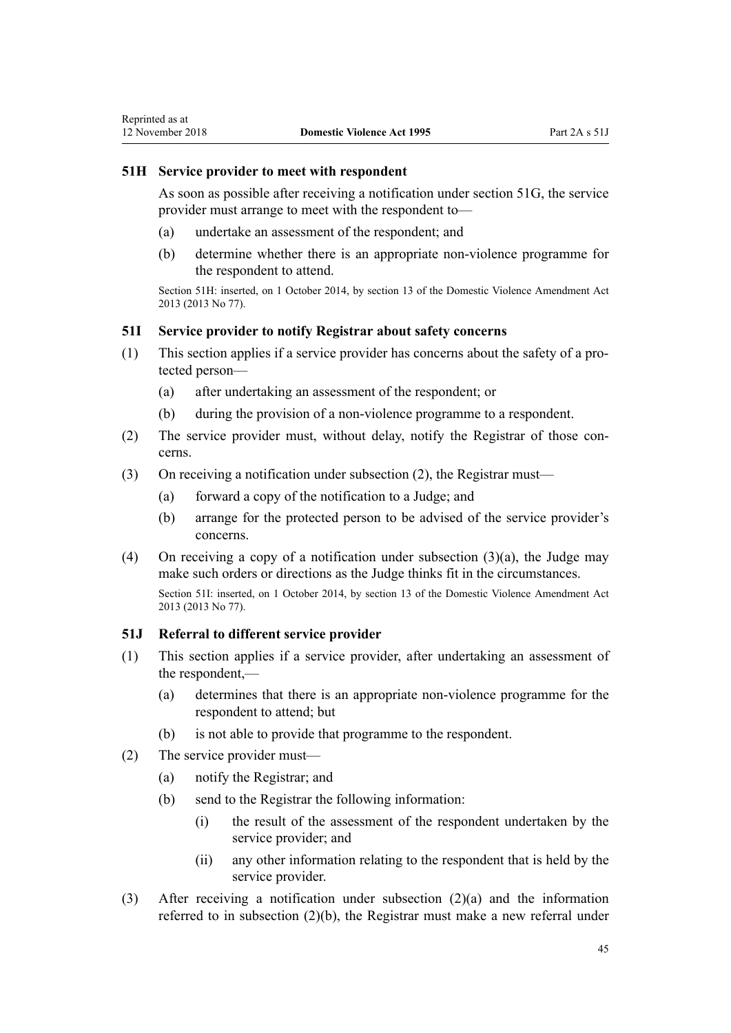# <span id="page-44-0"></span>**51H Service provider to meet with respondent**

As soon as possible after receiving a notification under [section 51G,](#page-43-0) the service provider must arrange to meet with the respondent to—

- (a) undertake an assessment of the respondent; and
- (b) determine whether there is an appropriate non-violence programme for the respondent to attend.

Section 51H: inserted, on 1 October 2014, by [section 13](http://prd-lgnz-nlb.prd.pco.net.nz/pdflink.aspx?id=DLM5615659) of the Domestic Violence Amendment Act 2013 (2013 No 77).

# **51I Service provider to notify Registrar about safety concerns**

- (1) This section applies if a service provider has concerns about the safety of a protected person—
	- (a) after undertaking an assessment of the respondent; or
	- (b) during the provision of a non-violence programme to a respondent.
- (2) The service provider must, without delay, notify the Registrar of those concerns.
- (3) On receiving a notification under subsection (2), the Registrar must—
	- (a) forward a copy of the notification to a Judge; and
	- (b) arrange for the protected person to be advised of the service provider's concerns.
- (4) On receiving a copy of a notification under subsection (3)(a), the Judge may make such orders or directions as the Judge thinks fit in the circumstances. Section 51I: inserted, on 1 October 2014, by [section 13](http://prd-lgnz-nlb.prd.pco.net.nz/pdflink.aspx?id=DLM5615659) of the Domestic Violence Amendment Act 2013 (2013 No 77).

# **51J Referral to different service provider**

- (1) This section applies if a service provider, after undertaking an assessment of the respondent,—
	- (a) determines that there is an appropriate non-violence programme for the respondent to attend; but
	- (b) is not able to provide that programme to the respondent.
- (2) The service provider must—
	- (a) notify the Registrar; and
	- (b) send to the Registrar the following information:
		- (i) the result of the assessment of the respondent undertaken by the service provider; and
		- (ii) any other information relating to the respondent that is held by the service provider.
- (3) After receiving a notification under subsection (2)(a) and the information referred to in subsection (2)(b), the Registrar must make a new referral under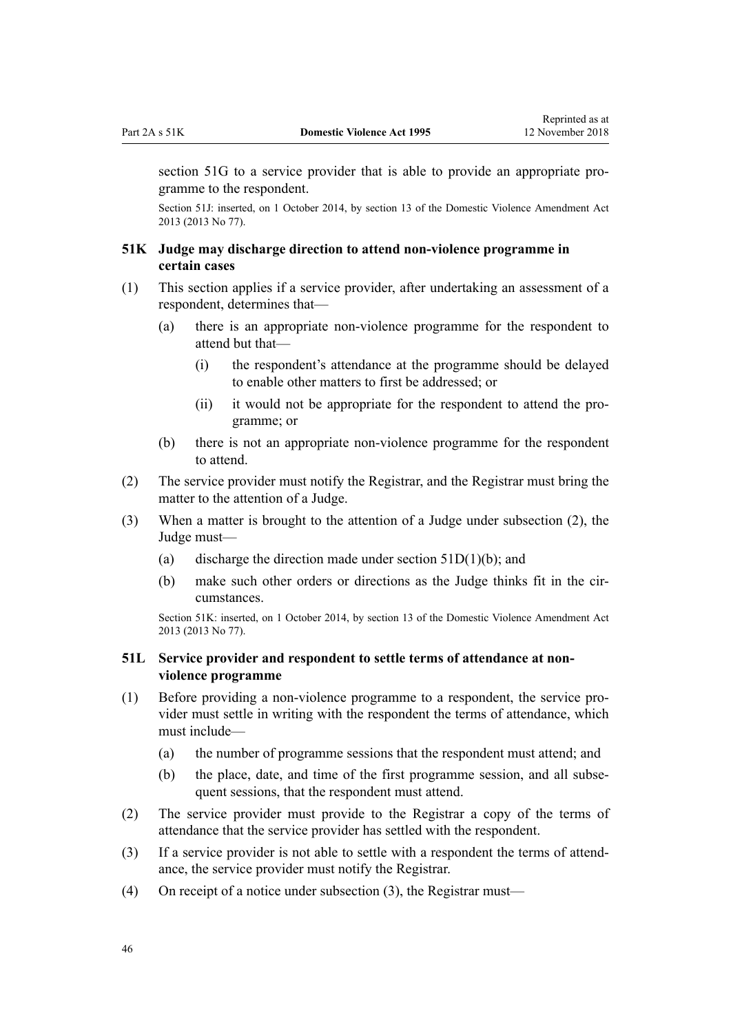<span id="page-45-0"></span>[section 51G](#page-43-0) to a service provider that is able to provide an appropriate programme to the respondent.

Section 51J: inserted, on 1 October 2014, by [section 13](http://prd-lgnz-nlb.prd.pco.net.nz/pdflink.aspx?id=DLM5615659) of the Domestic Violence Amendment Act 2013 (2013 No 77).

# **51K Judge may discharge direction to attend non-violence programme in certain cases**

- (1) This section applies if a service provider, after undertaking an assessment of a respondent, determines that—
	- (a) there is an appropriate non-violence programme for the respondent to attend but that—
		- (i) the respondent's attendance at the programme should be delayed to enable other matters to first be addressed; or
		- (ii) it would not be appropriate for the respondent to attend the programme; or
	- (b) there is not an appropriate non-violence programme for the respondent to attend.
- (2) The service provider must notify the Registrar, and the Registrar must bring the matter to the attention of a Judge.
- (3) When a matter is brought to the attention of a Judge under subsection (2), the Judge must—
	- (a) discharge the direction made under section  $51D(1)(b)$ ; and
	- (b) make such other orders or directions as the Judge thinks fit in the circumstances.

Section 51K: inserted, on 1 October 2014, by [section 13](http://prd-lgnz-nlb.prd.pco.net.nz/pdflink.aspx?id=DLM5615659) of the Domestic Violence Amendment Act 2013 (2013 No 77).

# **51L Service provider and respondent to settle terms of attendance at nonviolence programme**

- (1) Before providing a non-violence programme to a respondent, the service provider must settle in writing with the respondent the terms of attendance, which must include—
	- (a) the number of programme sessions that the respondent must attend; and
	- (b) the place, date, and time of the first programme session, and all subsequent sessions, that the respondent must attend.
- (2) The service provider must provide to the Registrar a copy of the terms of attendance that the service provider has settled with the respondent.
- (3) If a service provider is not able to settle with a respondent the terms of attendance, the service provider must notify the Registrar.
- (4) On receipt of a notice under subsection (3), the Registrar must—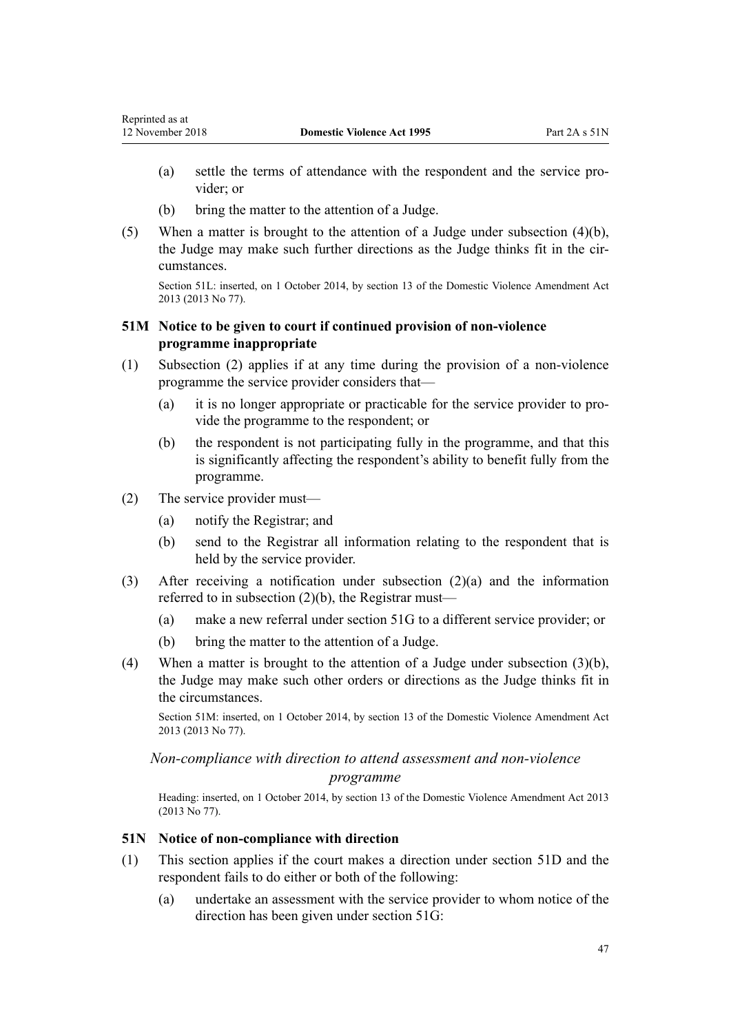- <span id="page-46-0"></span>(a) settle the terms of attendance with the respondent and the service provider; or
- (b) bring the matter to the attention of a Judge.
- (5) When a matter is brought to the attention of a Judge under subsection (4)(b), the Judge may make such further directions as the Judge thinks fit in the circumstances.

Section 51L: inserted, on 1 October 2014, by [section 13](http://prd-lgnz-nlb.prd.pco.net.nz/pdflink.aspx?id=DLM5615659) of the Domestic Violence Amendment Act 2013 (2013 No 77).

# **51M Notice to be given to court if continued provision of non-violence programme inappropriate**

- (1) Subsection (2) applies if at any time during the provision of a non-violence programme the service provider considers that—
	- (a) it is no longer appropriate or practicable for the service provider to provide the programme to the respondent; or
	- (b) the respondent is not participating fully in the programme, and that this is significantly affecting the respondent's ability to benefit fully from the programme.
- (2) The service provider must—
	- (a) notify the Registrar; and
	- (b) send to the Registrar all information relating to the respondent that is held by the service provider.
- (3) After receiving a notification under subsection (2)(a) and the information referred to in subsection (2)(b), the Registrar must—
	- (a) make a new referral under [section 51G](#page-43-0) to a different service provider; or
	- (b) bring the matter to the attention of a Judge.
- (4) When a matter is brought to the attention of a Judge under subsection (3)(b), the Judge may make such other orders or directions as the Judge thinks fit in the circumstances.

Section 51M: inserted, on 1 October 2014, by [section 13](http://prd-lgnz-nlb.prd.pco.net.nz/pdflink.aspx?id=DLM5615659) of the Domestic Violence Amendment Act 2013 (2013 No 77).

# *Non-compliance with direction to attend assessment and non-violence*

#### *programme*

Heading: inserted, on 1 October 2014, by [section 13](http://prd-lgnz-nlb.prd.pco.net.nz/pdflink.aspx?id=DLM5615659) of the Domestic Violence Amendment Act 2013 (2013 No 77).

# **51N Notice of non-compliance with direction**

- (1) This section applies if the court makes a direction under [section 51D](#page-42-0) and the respondent fails to do either or both of the following:
	- (a) undertake an assessment with the service provider to whom notice of the direction has been given under [section 51G](#page-43-0):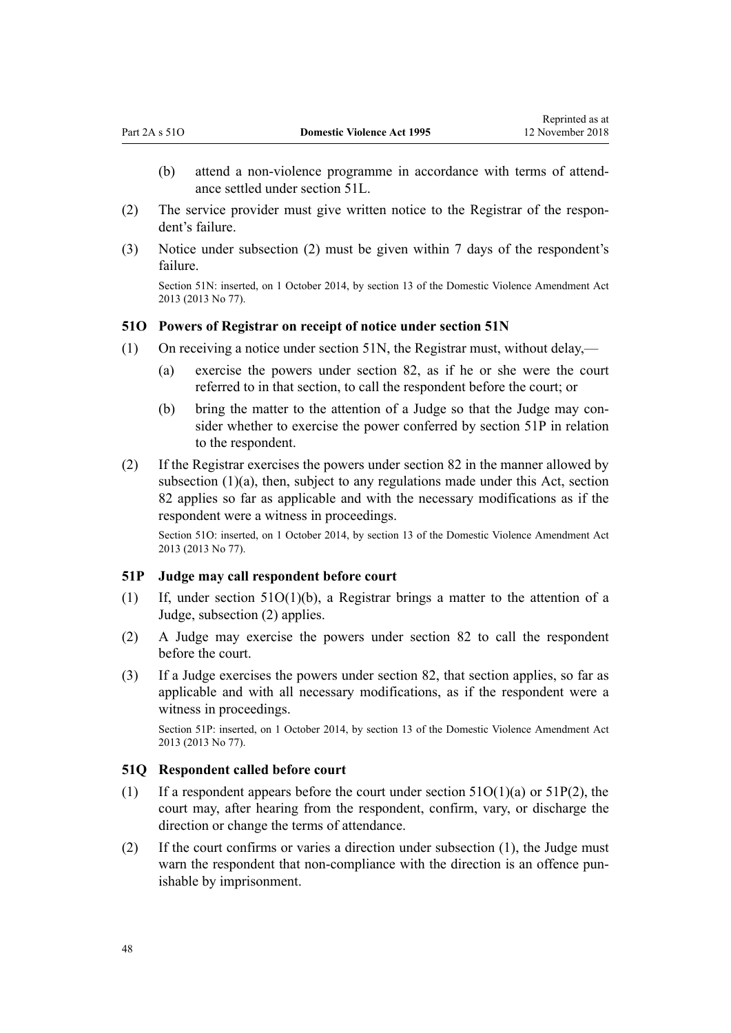- <span id="page-47-0"></span>(b) attend a non-violence programme in accordance with terms of attendance settled under [section 51L](#page-45-0).
- (2) The service provider must give written notice to the Registrar of the respondent's failure.
- (3) Notice under subsection (2) must be given within 7 days of the respondent's failure.

Section 51N: inserted, on 1 October 2014, by [section 13](http://prd-lgnz-nlb.prd.pco.net.nz/pdflink.aspx?id=DLM5615659) of the Domestic Violence Amendment Act 2013 (2013 No 77).

#### **51O Powers of Registrar on receipt of notice under section 51N**

- (1) On receiving a notice under [section 51N](#page-46-0), the Registrar must, without delay,—
	- (a) exercise the powers under [section 82,](#page-67-0) as if he or she were the court referred to in that section, to call the respondent before the court; or
	- (b) bring the matter to the attention of a Judge so that the Judge may consider whether to exercise the power conferred by section 51P in relation to the respondent.
- (2) If the Registrar exercises the powers under [section 82](#page-67-0) in the manner allowed by subsection  $(1)(a)$ , then, subject to any regulations made under this Act, section 82 applies so far as applicable and with the necessary modifications as if the respondent were a witness in proceedings.

Section 51O: inserted, on 1 October 2014, by [section 13](http://prd-lgnz-nlb.prd.pco.net.nz/pdflink.aspx?id=DLM5615659) of the Domestic Violence Amendment Act 2013 (2013 No 77).

# **51P Judge may call respondent before court**

- (1) If, under section 51O(1)(b), a Registrar brings a matter to the attention of a Judge, subsection (2) applies.
- (2) A Judge may exercise the powers under [section 82](#page-67-0) to call the respondent before the court.
- (3) If a Judge exercises the powers under [section 82](#page-67-0), that section applies, so far as applicable and with all necessary modifications, as if the respondent were a witness in proceedings.

Section 51P: inserted, on 1 October 2014, by [section 13](http://prd-lgnz-nlb.prd.pco.net.nz/pdflink.aspx?id=DLM5615659) of the Domestic Violence Amendment Act 2013 (2013 No 77).

#### **51Q Respondent called before court**

- (1) If a respondent appears before the court under section  $51O(1)(a)$  or  $51P(2)$ , the court may, after hearing from the respondent, confirm, vary, or discharge the direction or change the terms of attendance.
- (2) If the court confirms or varies a direction under subsection (1), the Judge must warn the respondent that non-compliance with the direction is an offence punishable by imprisonment.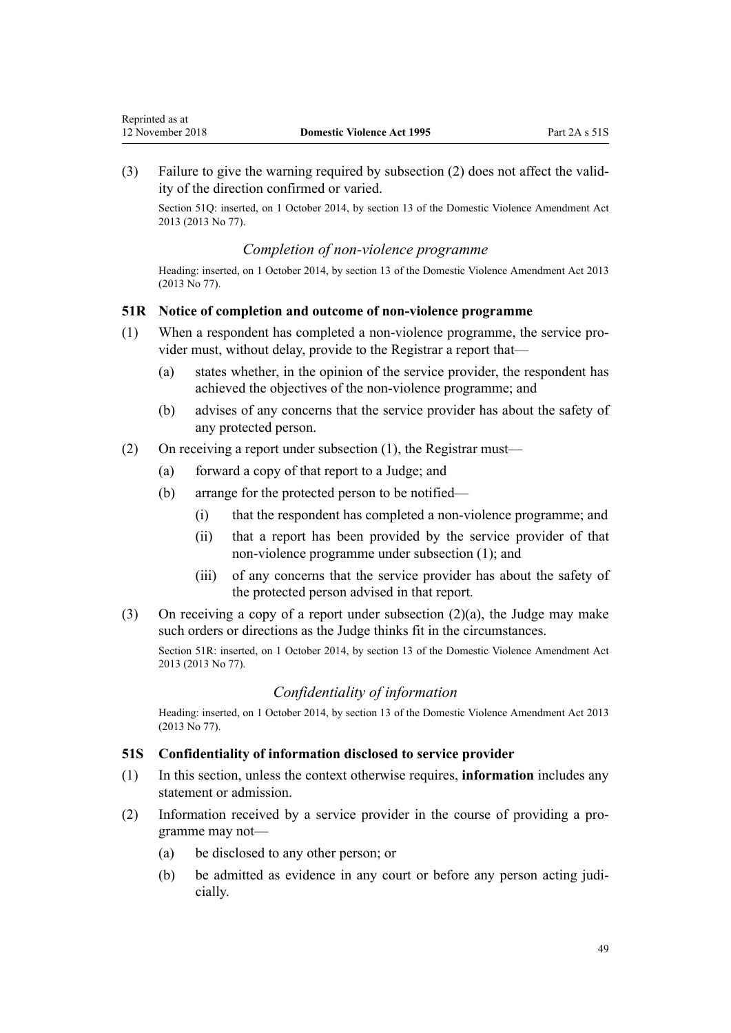Reprinted as at

(3) Failure to give the warning required by subsection (2) does not affect the validity of the direction confirmed or varied.

Section 51Q: inserted, on 1 October 2014, by [section 13](http://prd-lgnz-nlb.prd.pco.net.nz/pdflink.aspx?id=DLM5615659) of the Domestic Violence Amendment Act 2013 (2013 No 77).

#### *Completion of non-violence programme*

Heading: inserted, on 1 October 2014, by [section 13](http://prd-lgnz-nlb.prd.pco.net.nz/pdflink.aspx?id=DLM5615659) of the Domestic Violence Amendment Act 2013 (2013 No 77).

#### **51R Notice of completion and outcome of non-violence programme**

- (1) When a respondent has completed a non-violence programme, the service provider must, without delay, provide to the Registrar a report that—
	- (a) states whether, in the opinion of the service provider, the respondent has achieved the objectives of the non-violence programme; and
	- (b) advises of any concerns that the service provider has about the safety of any protected person.
- (2) On receiving a report under subsection (1), the Registrar must—
	- (a) forward a copy of that report to a Judge; and
	- (b) arrange for the protected person to be notified—
		- (i) that the respondent has completed a non-violence programme; and
		- (ii) that a report has been provided by the service provider of that non-violence programme under subsection (1); and
		- (iii) of any concerns that the service provider has about the safety of the protected person advised in that report.
- (3) On receiving a copy of a report under subsection (2)(a), the Judge may make such orders or directions as the Judge thinks fit in the circumstances.

Section 51R: inserted, on 1 October 2014, by [section 13](http://prd-lgnz-nlb.prd.pco.net.nz/pdflink.aspx?id=DLM5615659) of the Domestic Violence Amendment Act 2013 (2013 No 77).

#### *Confidentiality of information*

Heading: inserted, on 1 October 2014, by [section 13](http://prd-lgnz-nlb.prd.pco.net.nz/pdflink.aspx?id=DLM5615659) of the Domestic Violence Amendment Act 2013 (2013 No 77).

#### **51S Confidentiality of information disclosed to service provider**

- (1) In this section, unless the context otherwise requires, **information** includes any statement or admission.
- (2) Information received by a service provider in the course of providing a programme may not—
	- (a) be disclosed to any other person; or
	- (b) be admitted as evidence in any court or before any person acting judicially.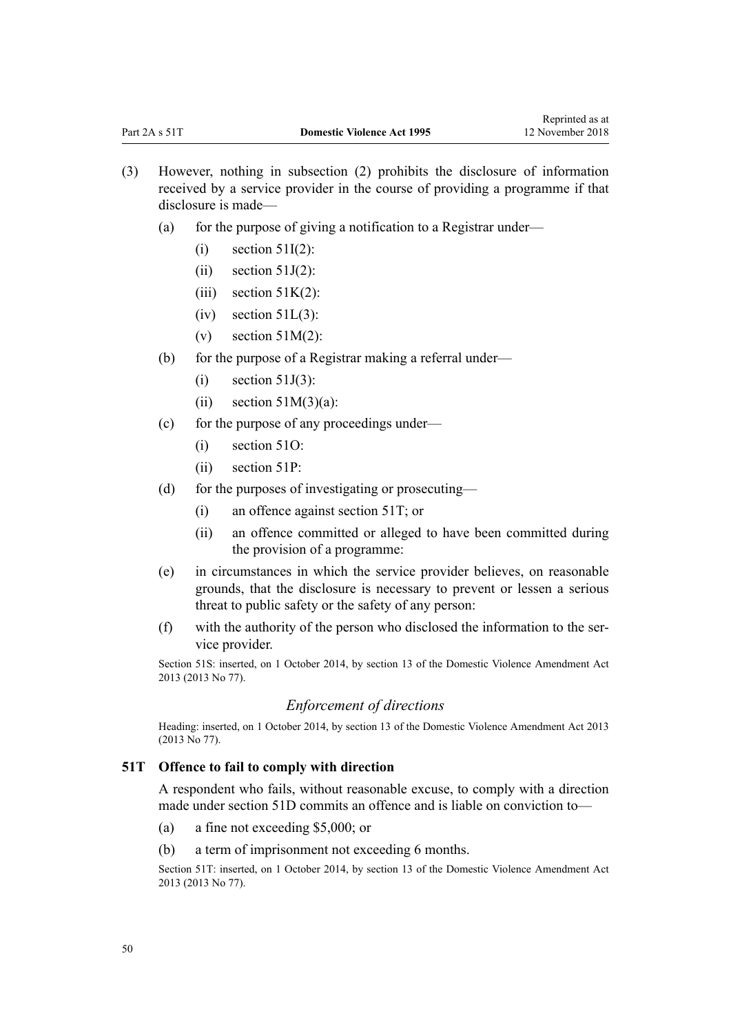- (3) However, nothing in subsection (2) prohibits the disclosure of information received by a service provider in the course of providing a programme if that disclosure is made—
	- (a) for the purpose of giving a notification to a Registrar under—
		- $(i)$  [section 51I\(2\)](#page-44-0):
		- $(ii)$  [section 51J\(2\)](#page-44-0):
		- $(iii)$  section  $51K(2)$ :
		- $(iv)$  section  $51L(3)$ :
		- (v) section  $51M(2)$ :
	- (b) for the purpose of a Registrar making a referral under—
		- $(i)$  [section 51J\(3\)](#page-44-0):
		- (ii) section  $51M(3)(a)$ :
	- (c) for the purpose of any proceedings under—
		- (i) [section 51O](#page-47-0):
		- (ii) [section 51P:](#page-47-0)
	- (d) for the purposes of investigating or prosecuting—
		- (i) an offence against section 51T; or
		- (ii) an offence committed or alleged to have been committed during the provision of a programme:
	- (e) in circumstances in which the service provider believes, on reasonable grounds, that the disclosure is necessary to prevent or lessen a serious threat to public safety or the safety of any person:
	- (f) with the authority of the person who disclosed the information to the service provider.

Section 51S: inserted, on 1 October 2014, by [section 13](http://prd-lgnz-nlb.prd.pco.net.nz/pdflink.aspx?id=DLM5615659) of the Domestic Violence Amendment Act 2013 (2013 No 77).

#### *Enforcement of directions*

Heading: inserted, on 1 October 2014, by [section 13](http://prd-lgnz-nlb.prd.pco.net.nz/pdflink.aspx?id=DLM5615659) of the Domestic Violence Amendment Act 2013 (2013 No 77).

#### **51T Offence to fail to comply with direction**

A respondent who fails, without reasonable excuse, to comply with a direction made under [section 51D](#page-42-0) commits an offence and is liable on conviction to—

- (a) a fine not exceeding \$5,000; or
- (b) a term of imprisonment not exceeding 6 months.

Section 51T: inserted, on 1 October 2014, by [section 13](http://prd-lgnz-nlb.prd.pco.net.nz/pdflink.aspx?id=DLM5615659) of the Domestic Violence Amendment Act 2013 (2013 No 77).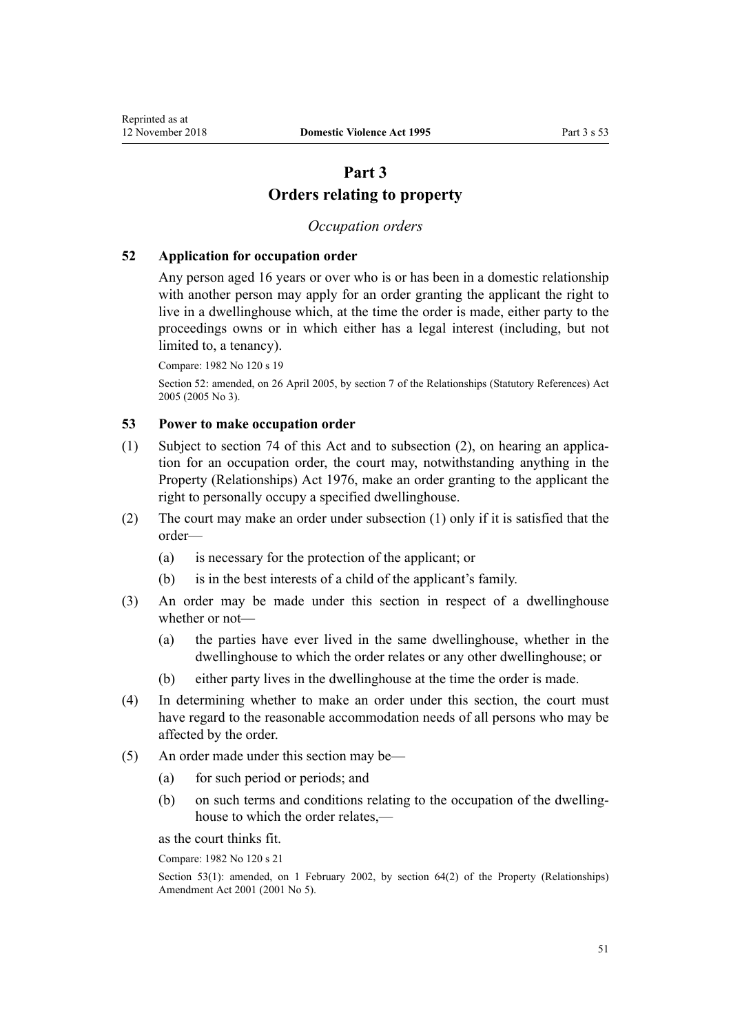# **Part 3 Orders relating to property**

# *Occupation orders*

#### <span id="page-50-0"></span>**52 Application for occupation order**

Any person aged 16 years or over who is or has been in a domestic relationship with another person may apply for an order granting the applicant the right to live in a dwellinghouse which, at the time the order is made, either party to the proceedings owns or in which either has a legal interest (including, but not limited to, a tenancy).

Compare: 1982 No 120 s 19

Section 52: amended, on 26 April 2005, by [section 7](http://prd-lgnz-nlb.prd.pco.net.nz/pdflink.aspx?id=DLM333795) of the Relationships (Statutory References) Act 2005 (2005 No 3).

# **53 Power to make occupation order**

- (1) Subject to [section 74](#page-61-0) of this Act and to subsection (2), on hearing an application for an occupation order, the court may, notwithstanding anything in the [Property \(Relationships\) Act 1976,](http://prd-lgnz-nlb.prd.pco.net.nz/pdflink.aspx?id=DLM440944) make an order granting to the applicant the right to personally occupy a specified dwellinghouse.
- (2) The court may make an order under subsection (1) only if it is satisfied that the order—
	- (a) is necessary for the protection of the applicant; or
	- (b) is in the best interests of a child of the applicant's family.
- (3) An order may be made under this section in respect of a dwellinghouse whether or not—
	- (a) the parties have ever lived in the same dwellinghouse, whether in the dwellinghouse to which the order relates or any other dwellinghouse; or
	- (b) either party lives in the dwellinghouse at the time the order is made.
- (4) In determining whether to make an order under this section, the court must have regard to the reasonable accommodation needs of all persons who may be affected by the order.
- (5) An order made under this section may be—
	- (a) for such period or periods; and
	- (b) on such terms and conditions relating to the occupation of the dwellinghouse to which the order relates,—

as the court thinks fit.

Compare: 1982 No 120 s 21

Section 53(1): amended, on 1 February 2002, by [section 64\(2\)](http://prd-lgnz-nlb.prd.pco.net.nz/pdflink.aspx?id=DLM87570) of the Property (Relationships) Amendment Act 2001 (2001 No 5).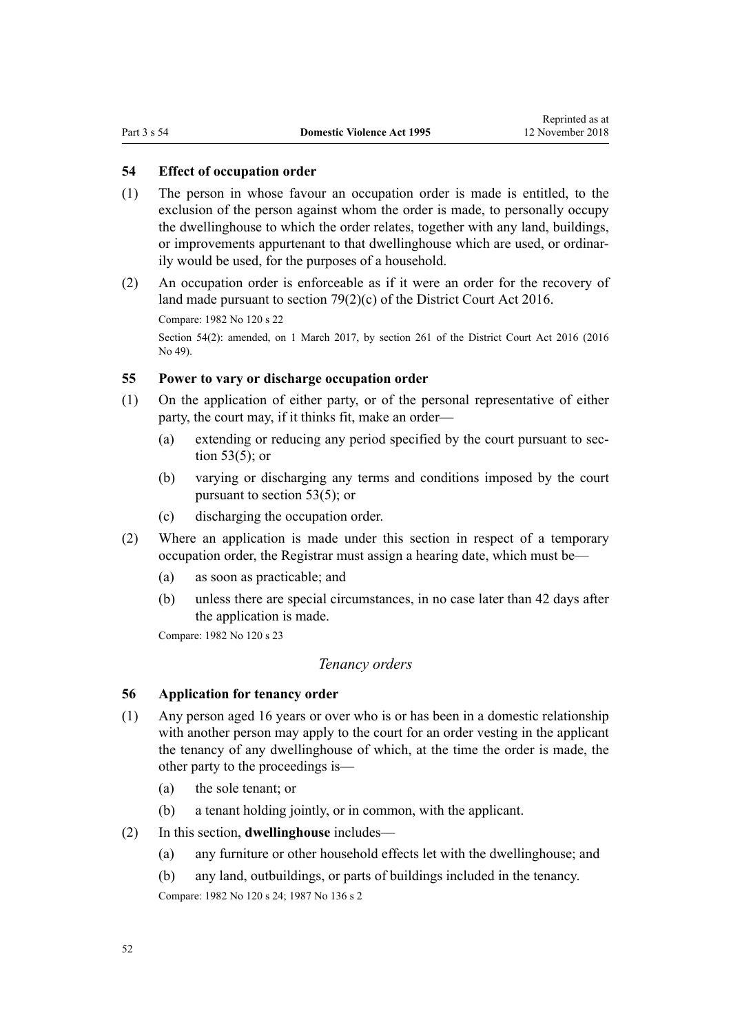# <span id="page-51-0"></span>**54 Effect of occupation order**

- (1) The person in whose favour an occupation order is made is entitled, to the exclusion of the person against whom the order is made, to personally occupy the dwellinghouse to which the order relates, together with any land, buildings, or improvements appurtenant to that dwellinghouse which are used, or ordinarily would be used, for the purposes of a household.
- (2) An occupation order is enforceable as if it were an order for the recovery of land made pursuant to [section 79\(2\)\(c\)](http://prd-lgnz-nlb.prd.pco.net.nz/pdflink.aspx?id=DLM6942376) of the District Court Act 2016.

Compare: 1982 No 120 s 22

Section 54(2): amended, on 1 March 2017, by [section 261](http://prd-lgnz-nlb.prd.pco.net.nz/pdflink.aspx?id=DLM6942680) of the District Court Act 2016 (2016) No 49).

#### **55 Power to vary or discharge occupation order**

- (1) On the application of either party, or of the personal representative of either party, the court may, if it thinks fit, make an order—
	- (a) extending or reducing any period specified by the court pursuant to [sec](#page-50-0)[tion 53\(5\);](#page-50-0) or
	- (b) varying or discharging any terms and conditions imposed by the court pursuant to [section 53\(5\);](#page-50-0) or
	- (c) discharging the occupation order.
- (2) Where an application is made under this section in respect of a temporary occupation order, the Registrar must assign a hearing date, which must be—
	- (a) as soon as practicable; and
	- (b) unless there are special circumstances, in no case later than 42 days after the application is made.

Compare: 1982 No 120 s 23

# *Tenancy orders*

## **56 Application for tenancy order**

- (1) Any person aged 16 years or over who is or has been in a domestic relationship with another person may apply to the court for an order vesting in the applicant the tenancy of any dwellinghouse of which, at the time the order is made, the other party to the proceedings is—
	- (a) the sole tenant; or
	- (b) a tenant holding jointly, or in common, with the applicant.
- (2) In this section, **dwellinghouse** includes—
	- (a) any furniture or other household effects let with the dwellinghouse; and
	- (b) any land, outbuildings, or parts of buildings included in the tenancy.

Compare: 1982 No 120 s 24; 1987 No 136 s 2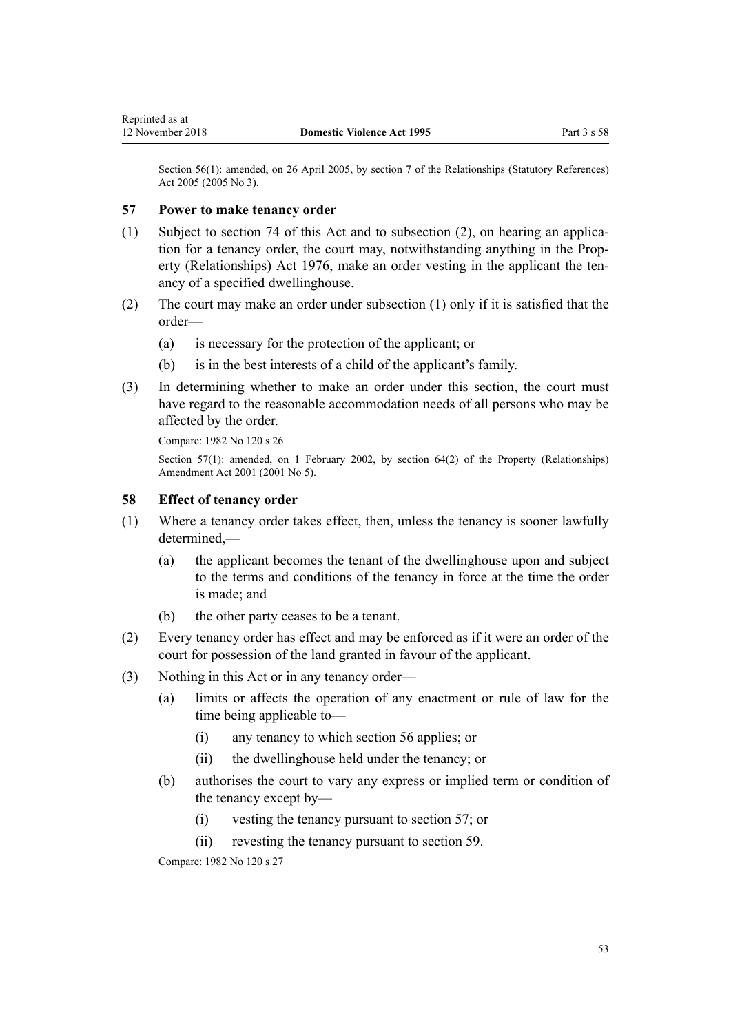Section 56(1): amended, on 26 April 2005, by [section 7](http://prd-lgnz-nlb.prd.pco.net.nz/pdflink.aspx?id=DLM333795) of the Relationships (Statutory References) Act 2005 (2005 No 3).

## **57 Power to make tenancy order**

- (1) Subject to [section 74](#page-61-0) of this Act and to subsection (2), on hearing an application for a tenancy order, the court may, notwithstanding anything in the [Prop](http://prd-lgnz-nlb.prd.pco.net.nz/pdflink.aspx?id=DLM440944)[erty \(Relationships\) Act 1976](http://prd-lgnz-nlb.prd.pco.net.nz/pdflink.aspx?id=DLM440944), make an order vesting in the applicant the tenancy of a specified dwellinghouse.
- (2) The court may make an order under subsection (1) only if it is satisfied that the order—
	- (a) is necessary for the protection of the applicant; or
	- (b) is in the best interests of a child of the applicant's family.
- (3) In determining whether to make an order under this section, the court must have regard to the reasonable accommodation needs of all persons who may be affected by the order.

Compare: 1982 No 120 s 26

Section 57(1): amended, on 1 February 2002, by [section 64\(2\)](http://prd-lgnz-nlb.prd.pco.net.nz/pdflink.aspx?id=DLM87570) of the Property (Relationships) Amendment Act 2001 (2001 No 5).

#### **58 Effect of tenancy order**

- (1) Where a tenancy order takes effect, then, unless the tenancy is sooner lawfully  $d$ etermined $-$ 
	- (a) the applicant becomes the tenant of the dwellinghouse upon and subject to the terms and conditions of the tenancy in force at the time the order is made; and
	- (b) the other party ceases to be a tenant.
- (2) Every tenancy order has effect and may be enforced as if it were an order of the court for possession of the land granted in favour of the applicant.
- (3) Nothing in this Act or in any tenancy order—
	- (a) limits or affects the operation of any enactment or rule of law for the time being applicable to—
		- (i) any tenancy to which [section 56](#page-51-0) applies; or
		- (ii) the dwellinghouse held under the tenancy; or
	- (b) authorises the court to vary any express or implied term or condition of the tenancy except by—
		- (i) vesting the tenancy pursuant to section 57; or
		- (ii) revesting the tenancy pursuant to [section 59](#page-53-0).

Compare: 1982 No 120 s 27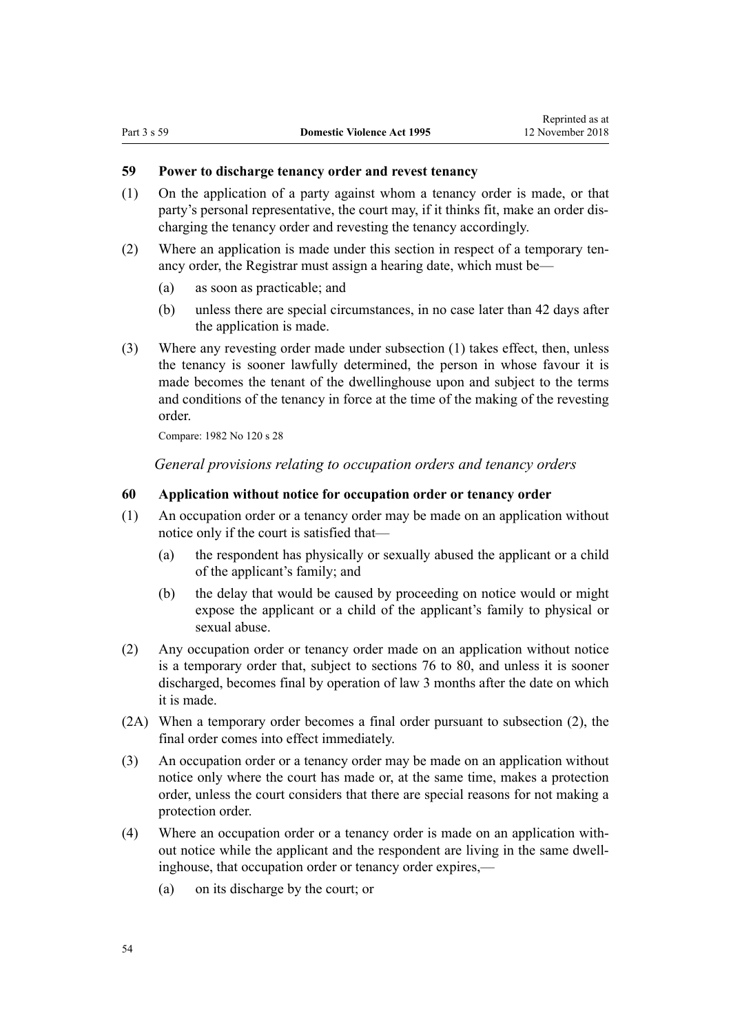# <span id="page-53-0"></span>**59 Power to discharge tenancy order and revest tenancy**

- (1) On the application of a party against whom a tenancy order is made, or that party's personal representative, the court may, if it thinks fit, make an order discharging the tenancy order and revesting the tenancy accordingly.
- (2) Where an application is made under this section in respect of a temporary tenancy order, the Registrar must assign a hearing date, which must be—
	- (a) as soon as practicable; and
	- (b) unless there are special circumstances, in no case later than 42 days after the application is made.
- (3) Where any revesting order made under subsection (1) takes effect, then, unless the tenancy is sooner lawfully determined, the person in whose favour it is made becomes the tenant of the dwellinghouse upon and subject to the terms and conditions of the tenancy in force at the time of the making of the revesting order.

Compare: 1982 No 120 s 28

*General provisions relating to occupation orders and tenancy orders*

#### **60 Application without notice for occupation order or tenancy order**

- (1) An occupation order or a tenancy order may be made on an application without notice only if the court is satisfied that—
	- (a) the respondent has physically or sexually abused the applicant or a child of the applicant's family; and
	- (b) the delay that would be caused by proceeding on notice would or might expose the applicant or a child of the applicant's family to physical or sexual abuse.
- (2) Any occupation order or tenancy order made on an application without notice is a temporary order that, subject to [sections 76 to 80](#page-61-0), and unless it is sooner discharged, becomes final by operation of law 3 months after the date on which it is made.
- (2A) When a temporary order becomes a final order pursuant to subsection (2), the final order comes into effect immediately.
- (3) An occupation order or a tenancy order may be made on an application without notice only where the court has made or, at the same time, makes a protection order, unless the court considers that there are special reasons for not making a protection order.
- (4) Where an occupation order or a tenancy order is made on an application without notice while the applicant and the respondent are living in the same dwellinghouse, that occupation order or tenancy order expires,—
	- (a) on its discharge by the court; or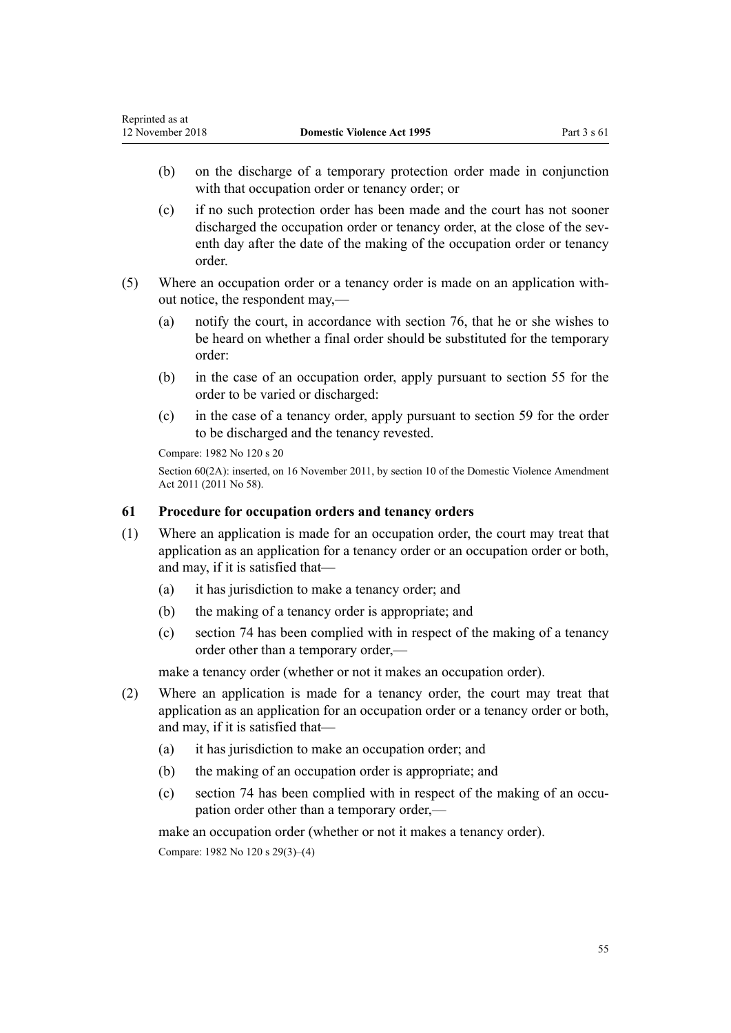- (b) on the discharge of a temporary protection order made in conjunction with that occupation order or tenancy order; or
- (c) if no such protection order has been made and the court has not sooner discharged the occupation order or tenancy order, at the close of the seventh day after the date of the making of the occupation order or tenancy order.
- (5) Where an occupation order or a tenancy order is made on an application without notice, the respondent may,—
	- (a) notify the court, in accordance with [section 76](#page-61-0), that he or she wishes to be heard on whether a final order should be substituted for the temporary order:
	- (b) in the case of an occupation order, apply pursuant to [section 55](#page-51-0) for the order to be varied or discharged:
	- (c) in the case of a tenancy order, apply pursuant to [section 59](#page-53-0) for the order to be discharged and the tenancy revested.

Compare: 1982 No 120 s 20

Section 60(2A): inserted, on 16 November 2011, by [section 10](http://prd-lgnz-nlb.prd.pco.net.nz/pdflink.aspx?id=DLM1955523) of the Domestic Violence Amendment Act 2011 (2011 No 58).

# **61 Procedure for occupation orders and tenancy orders**

- (1) Where an application is made for an occupation order, the court may treat that application as an application for a tenancy order or an occupation order or both, and may, if it is satisfied that—
	- (a) it has jurisdiction to make a tenancy order; and
	- (b) the making of a tenancy order is appropriate; and
	- (c) [section 74](#page-61-0) has been complied with in respect of the making of a tenancy order other than a temporary order,—

make a tenancy order (whether or not it makes an occupation order).

- (2) Where an application is made for a tenancy order, the court may treat that application as an application for an occupation order or a tenancy order or both, and may, if it is satisfied that—
	- (a) it has jurisdiction to make an occupation order; and
	- (b) the making of an occupation order is appropriate; and
	- (c) [section 74](#page-61-0) has been complied with in respect of the making of an occupation order other than a temporary order,—

make an occupation order (whether or not it makes a tenancy order).

Compare: 1982 No 120 s 29(3)–(4)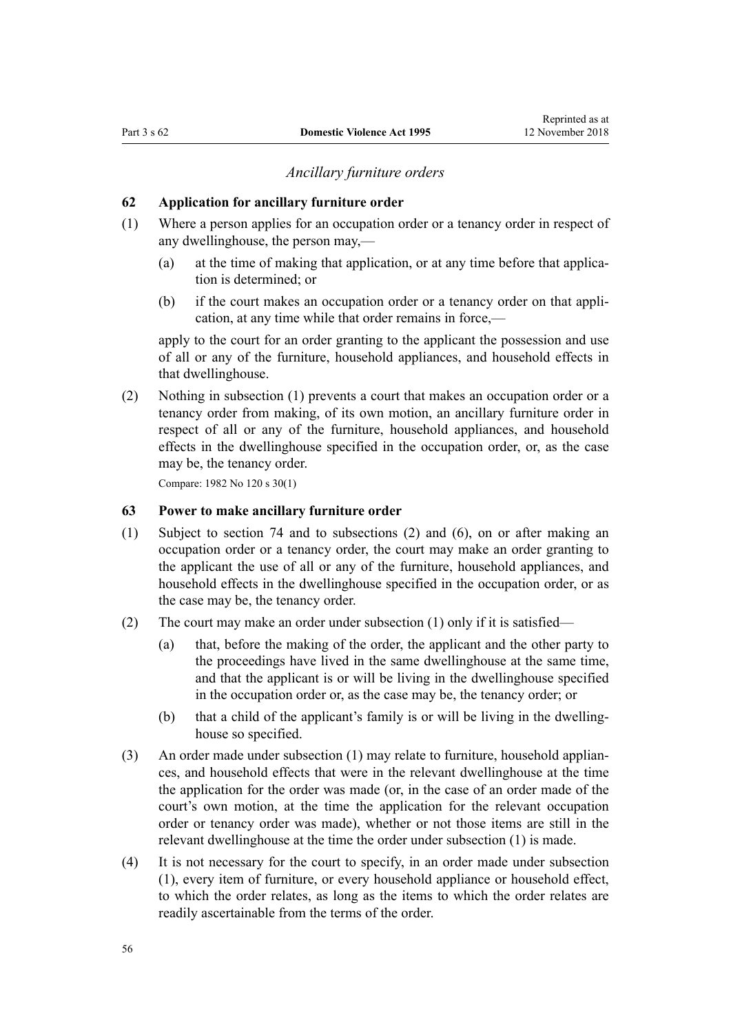#### *Ancillary furniture orders*

#### <span id="page-55-0"></span>**62 Application for ancillary furniture order**

- (1) Where a person applies for an occupation order or a tenancy order in respect of any dwellinghouse, the person may,—
	- (a) at the time of making that application, or at any time before that application is determined; or
	- (b) if the court makes an occupation order or a tenancy order on that application, at any time while that order remains in force,—

apply to the court for an order granting to the applicant the possession and use of all or any of the furniture, household appliances, and household effects in that dwellinghouse.

(2) Nothing in subsection (1) prevents a court that makes an occupation order or a tenancy order from making, of its own motion, an ancillary furniture order in respect of all or any of the furniture, household appliances, and household effects in the dwellinghouse specified in the occupation order, or, as the case may be, the tenancy order.

Compare: 1982 No 120 s 30(1)

#### **63 Power to make ancillary furniture order**

- (1) Subject to [section 74](#page-61-0) and to subsections (2) and (6), on or after making an occupation order or a tenancy order, the court may make an order granting to the applicant the use of all or any of the furniture, household appliances, and household effects in the dwellinghouse specified in the occupation order, or as the case may be, the tenancy order.
- (2) The court may make an order under subsection (1) only if it is satisfied—
	- (a) that, before the making of the order, the applicant and the other party to the proceedings have lived in the same dwellinghouse at the same time, and that the applicant is or will be living in the dwellinghouse specified in the occupation order or, as the case may be, the tenancy order; or
	- (b) that a child of the applicant's family is or will be living in the dwellinghouse so specified.
- (3) An order made under subsection (1) may relate to furniture, household appliances, and household effects that were in the relevant dwellinghouse at the time the application for the order was made (or, in the case of an order made of the court's own motion, at the time the application for the relevant occupation order or tenancy order was made), whether or not those items are still in the relevant dwellinghouse at the time the order under subsection (1) is made.
- (4) It is not necessary for the court to specify, in an order made under subsection (1), every item of furniture, or every household appliance or household effect, to which the order relates, as long as the items to which the order relates are readily ascertainable from the terms of the order.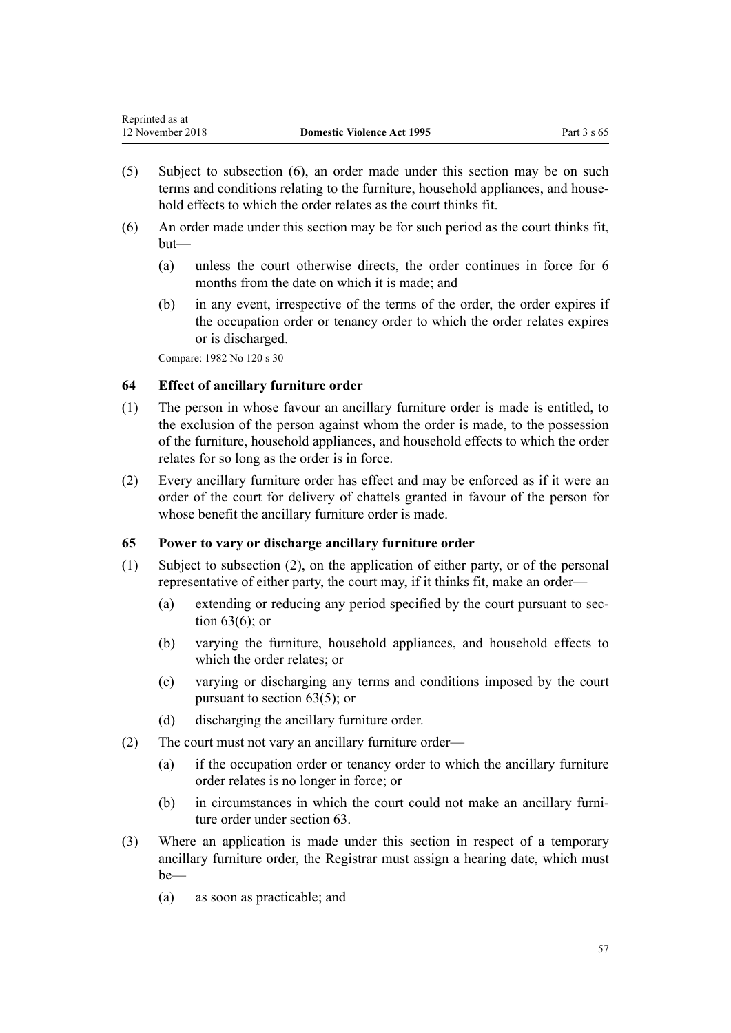- <span id="page-56-0"></span>(5) Subject to subsection (6), an order made under this section may be on such terms and conditions relating to the furniture, household appliances, and household effects to which the order relates as the court thinks fit.
- (6) An order made under this section may be for such period as the court thinks fit, but—
	- (a) unless the court otherwise directs, the order continues in force for 6 months from the date on which it is made; and
	- (b) in any event, irrespective of the terms of the order, the order expires if the occupation order or tenancy order to which the order relates expires or is discharged.

Compare: 1982 No 120 s 30

# **64 Effect of ancillary furniture order**

- (1) The person in whose favour an ancillary furniture order is made is entitled, to the exclusion of the person against whom the order is made, to the possession of the furniture, household appliances, and household effects to which the order relates for so long as the order is in force.
- (2) Every ancillary furniture order has effect and may be enforced as if it were an order of the court for delivery of chattels granted in favour of the person for whose benefit the ancillary furniture order is made.

# **65 Power to vary or discharge ancillary furniture order**

- (1) Subject to subsection (2), on the application of either party, or of the personal representative of either party, the court may, if it thinks fit, make an order—
	- (a) extending or reducing any period specified by the court pursuant to [sec](#page-55-0)[tion 63\(6\);](#page-55-0) or
	- (b) varying the furniture, household appliances, and household effects to which the order relates; or
	- (c) varying or discharging any terms and conditions imposed by the court pursuant to [section 63\(5\);](#page-55-0) or
	- (d) discharging the ancillary furniture order.
- (2) The court must not vary an ancillary furniture order—
	- (a) if the occupation order or tenancy order to which the ancillary furniture order relates is no longer in force; or
	- (b) in circumstances in which the court could not make an ancillary furniture order under [section 63](#page-55-0).
- (3) Where an application is made under this section in respect of a temporary ancillary furniture order, the Registrar must assign a hearing date, which must be—
	- (a) as soon as practicable; and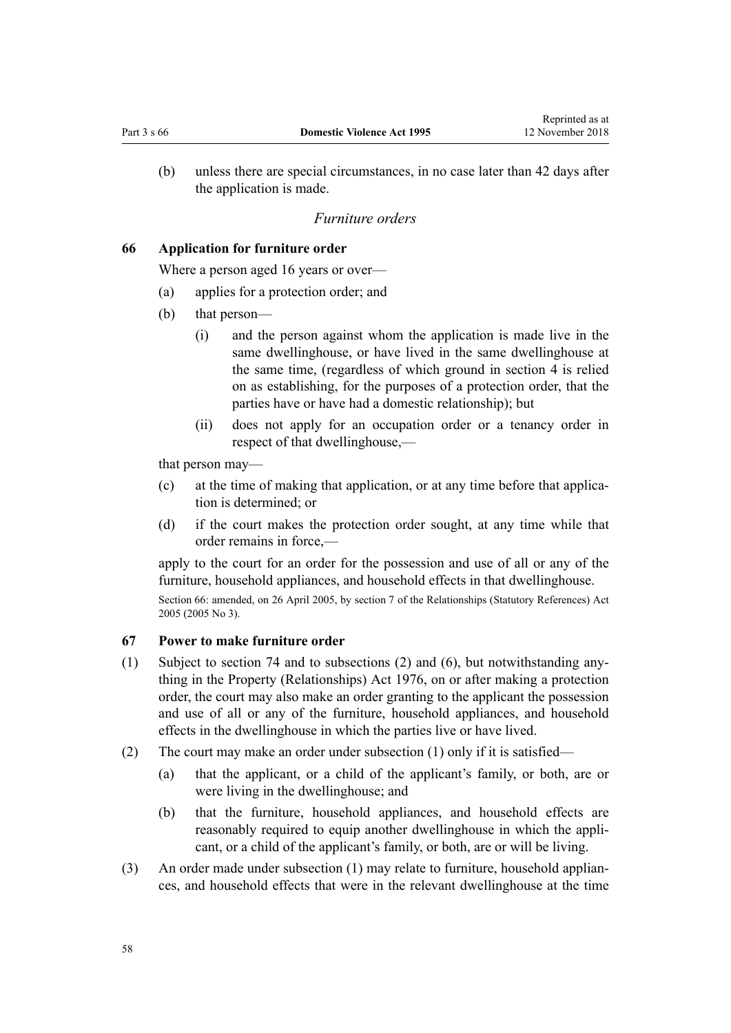<span id="page-57-0"></span>(b) unless there are special circumstances, in no case later than 42 days after the application is made.

#### *Furniture orders*

# **66 Application for furniture order**

Where a person aged 16 years or over—

- (a) applies for a protection order; and
- (b) that person—
	- (i) and the person against whom the application is made live in the same dwellinghouse, or have lived in the same dwellinghouse at the same time, (regardless of which ground in [section 4](#page-13-0) is relied on as establishing, for the purposes of a protection order, that the parties have or have had a domestic relationship); but
	- (ii) does not apply for an occupation order or a tenancy order in respect of that dwellinghouse,—

that person may—

- (c) at the time of making that application, or at any time before that application is determined; or
- (d) if the court makes the protection order sought, at any time while that order remains in force,—

apply to the court for an order for the possession and use of all or any of the furniture, household appliances, and household effects in that dwellinghouse.

Section 66: amended, on 26 April 2005, by [section 7](http://prd-lgnz-nlb.prd.pco.net.nz/pdflink.aspx?id=DLM333795) of the Relationships (Statutory References) Act 2005 (2005 No 3).

#### **67 Power to make furniture order**

- (1) Subject to [section 74](#page-61-0) and to subsections (2) and (6), but notwithstanding anything in the [Property \(Relationships\) Act 1976](http://prd-lgnz-nlb.prd.pco.net.nz/pdflink.aspx?id=DLM440944), on or after making a protection order, the court may also make an order granting to the applicant the possession and use of all or any of the furniture, household appliances, and household effects in the dwellinghouse in which the parties live or have lived.
- (2) The court may make an order under subsection (1) only if it is satisfied—
	- (a) that the applicant, or a child of the applicant's family, or both, are or were living in the dwellinghouse; and
	- (b) that the furniture, household appliances, and household effects are reasonably required to equip another dwellinghouse in which the applicant, or a child of the applicant's family, or both, are or will be living.
- (3) An order made under subsection (1) may relate to furniture, household appliances, and household effects that were in the relevant dwellinghouse at the time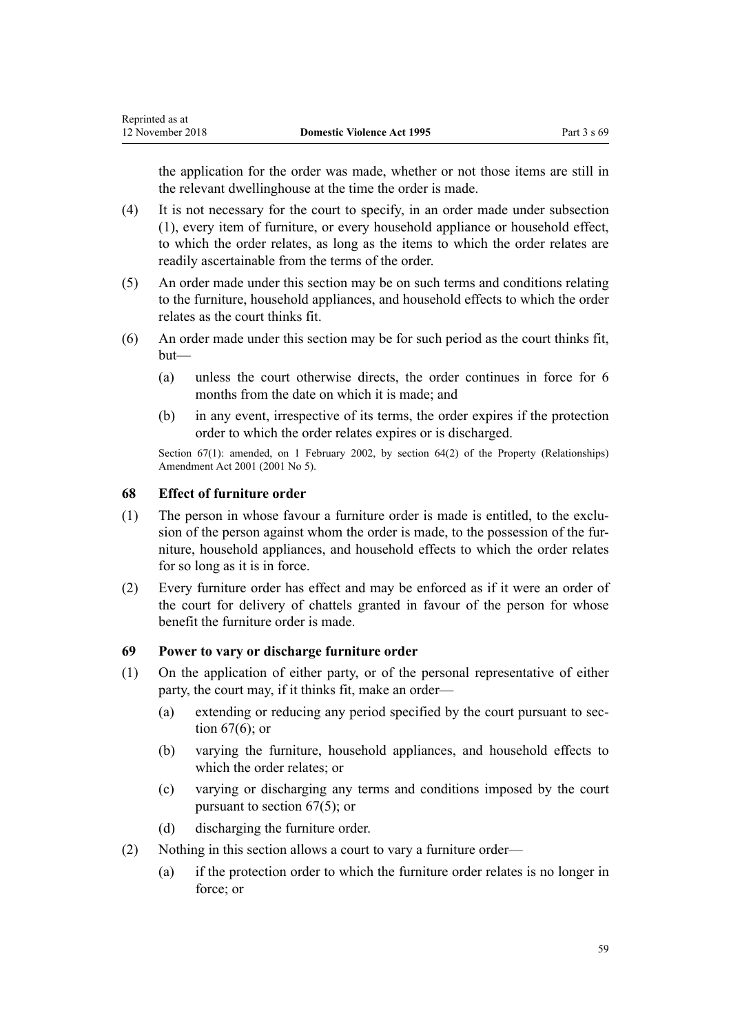<span id="page-58-0"></span>the application for the order was made, whether or not those items are still in the relevant dwellinghouse at the time the order is made.

- (4) It is not necessary for the court to specify, in an order made under subsection (1), every item of furniture, or every household appliance or household effect, to which the order relates, as long as the items to which the order relates are readily ascertainable from the terms of the order.
- (5) An order made under this section may be on such terms and conditions relating to the furniture, household appliances, and household effects to which the order relates as the court thinks fit.
- (6) An order made under this section may be for such period as the court thinks fit, but—
	- (a) unless the court otherwise directs, the order continues in force for 6 months from the date on which it is made; and
	- (b) in any event, irrespective of its terms, the order expires if the protection order to which the order relates expires or is discharged.

Section 67(1): amended, on 1 February 2002, by [section 64\(2\)](http://prd-lgnz-nlb.prd.pco.net.nz/pdflink.aspx?id=DLM87570) of the Property (Relationships) Amendment Act 2001 (2001 No 5).

# **68 Effect of furniture order**

- (1) The person in whose favour a furniture order is made is entitled, to the exclusion of the person against whom the order is made, to the possession of the furniture, household appliances, and household effects to which the order relates for so long as it is in force.
- (2) Every furniture order has effect and may be enforced as if it were an order of the court for delivery of chattels granted in favour of the person for whose benefit the furniture order is made.

# **69 Power to vary or discharge furniture order**

- (1) On the application of either party, or of the personal representative of either party, the court may, if it thinks fit, make an order—
	- (a) extending or reducing any period specified by the court pursuant to [sec](#page-57-0)[tion 67\(6\);](#page-57-0) or
	- (b) varying the furniture, household appliances, and household effects to which the order relates; or
	- (c) varying or discharging any terms and conditions imposed by the court pursuant to [section 67\(5\);](#page-57-0) or
	- (d) discharging the furniture order.
- (2) Nothing in this section allows a court to vary a furniture order—
	- (a) if the protection order to which the furniture order relates is no longer in force; or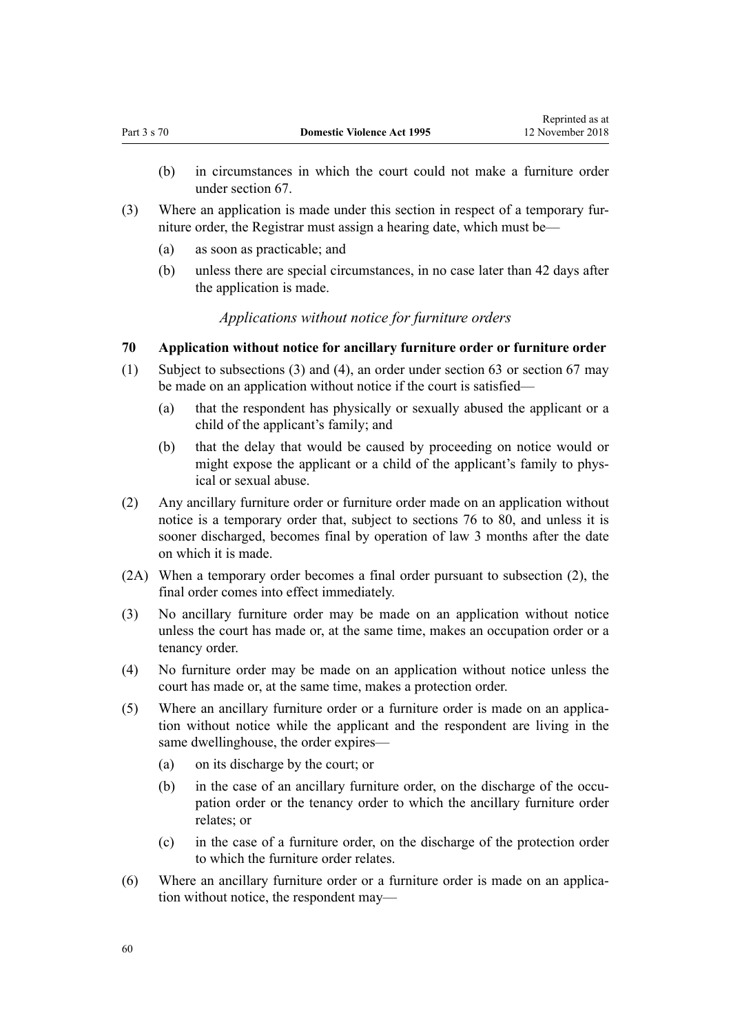- (b) in circumstances in which the court could not make a furniture order under [section 67](#page-57-0).
- (3) Where an application is made under this section in respect of a temporary furniture order, the Registrar must assign a hearing date, which must be—
	- (a) as soon as practicable; and
	- (b) unless there are special circumstances, in no case later than 42 days after the application is made.

# *Applications without notice for furniture orders*

#### **70 Application without notice for ancillary furniture order or furniture order**

- (1) Subject to subsections (3) and (4), an order under [section 63](#page-55-0) or [section 67](#page-57-0) may be made on an application without notice if the court is satisfied—
	- (a) that the respondent has physically or sexually abused the applicant or a child of the applicant's family; and
	- (b) that the delay that would be caused by proceeding on notice would or might expose the applicant or a child of the applicant's family to physical or sexual abuse.
- (2) Any ancillary furniture order or furniture order made on an application without notice is a temporary order that, subject to [sections 76 to 80](#page-61-0), and unless it is sooner discharged, becomes final by operation of law 3 months after the date on which it is made.
- (2A) When a temporary order becomes a final order pursuant to subsection (2), the final order comes into effect immediately.
- (3) No ancillary furniture order may be made on an application without notice unless the court has made or, at the same time, makes an occupation order or a tenancy order.
- (4) No furniture order may be made on an application without notice unless the court has made or, at the same time, makes a protection order.
- (5) Where an ancillary furniture order or a furniture order is made on an application without notice while the applicant and the respondent are living in the same dwellinghouse, the order expires—
	- (a) on its discharge by the court; or
	- (b) in the case of an ancillary furniture order, on the discharge of the occupation order or the tenancy order to which the ancillary furniture order relates; or
	- (c) in the case of a furniture order, on the discharge of the protection order to which the furniture order relates.
- (6) Where an ancillary furniture order or a furniture order is made on an application without notice, the respondent may—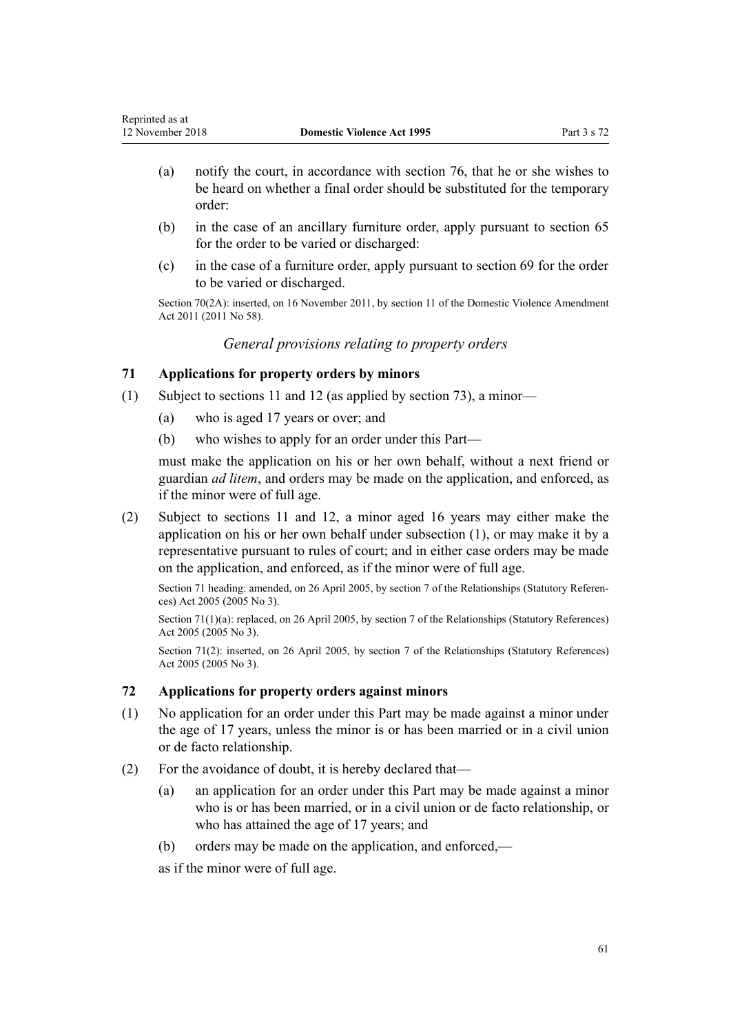- (a) notify the court, in accordance with [section 76](#page-61-0), that he or she wishes to be heard on whether a final order should be substituted for the temporary order:
- (b) in the case of an ancillary furniture order, apply pursuant to [section 65](#page-56-0) for the order to be varied or discharged:
- (c) in the case of a furniture order, apply pursuant to [section 69](#page-58-0) for the order to be varied or discharged.

Section 70(2A): inserted, on 16 November 2011, by [section 11](http://prd-lgnz-nlb.prd.pco.net.nz/pdflink.aspx?id=DLM1955524) of the Domestic Violence Amendment Act 2011 (2011 No 58).

*General provisions relating to property orders*

# **71 Applications for property orders by minors**

- (1) Subject to [sections 11](#page-17-0) and [12](#page-17-0) (as applied by [section 73](#page-61-0)), a minor—
	- (a) who is aged 17 years or over; and
	- (b) who wishes to apply for an order under this Part—

must make the application on his or her own behalf, without a next friend or guardian *ad litem*, and orders may be made on the application, and enforced, as if the minor were of full age.

(2) Subject to [sections 11](#page-17-0) and [12,](#page-17-0) a minor aged 16 years may either make the application on his or her own behalf under subsection (1), or may make it by a representative pursuant to rules of court; and in either case orders may be made on the application, and enforced, as if the minor were of full age.

Section 71 heading: amended, on 26 April 2005, by [section 7](http://prd-lgnz-nlb.prd.pco.net.nz/pdflink.aspx?id=DLM333795) of the Relationships (Statutory References) Act 2005 (2005 No 3).

Section 71(1)(a): replaced, on 26 April 2005, by [section 7](http://prd-lgnz-nlb.prd.pco.net.nz/pdflink.aspx?id=DLM333795) of the Relationships (Statutory References) Act 2005 (2005 No 3).

Section 71(2): inserted, on 26 April 2005, by [section 7](http://prd-lgnz-nlb.prd.pco.net.nz/pdflink.aspx?id=DLM333795) of the Relationships (Statutory References) Act 2005 (2005 No 3).

# **72 Applications for property orders against minors**

- (1) No application for an order under this Part may be made against a minor under the age of 17 years, unless the minor is or has been married or in a civil union or de facto relationship.
- (2) For the avoidance of doubt, it is hereby declared that—
	- (a) an application for an order under this Part may be made against a minor who is or has been married, or in a civil union or de facto relationship, or who has attained the age of 17 years; and
	- (b) orders may be made on the application, and enforced,—

as if the minor were of full age.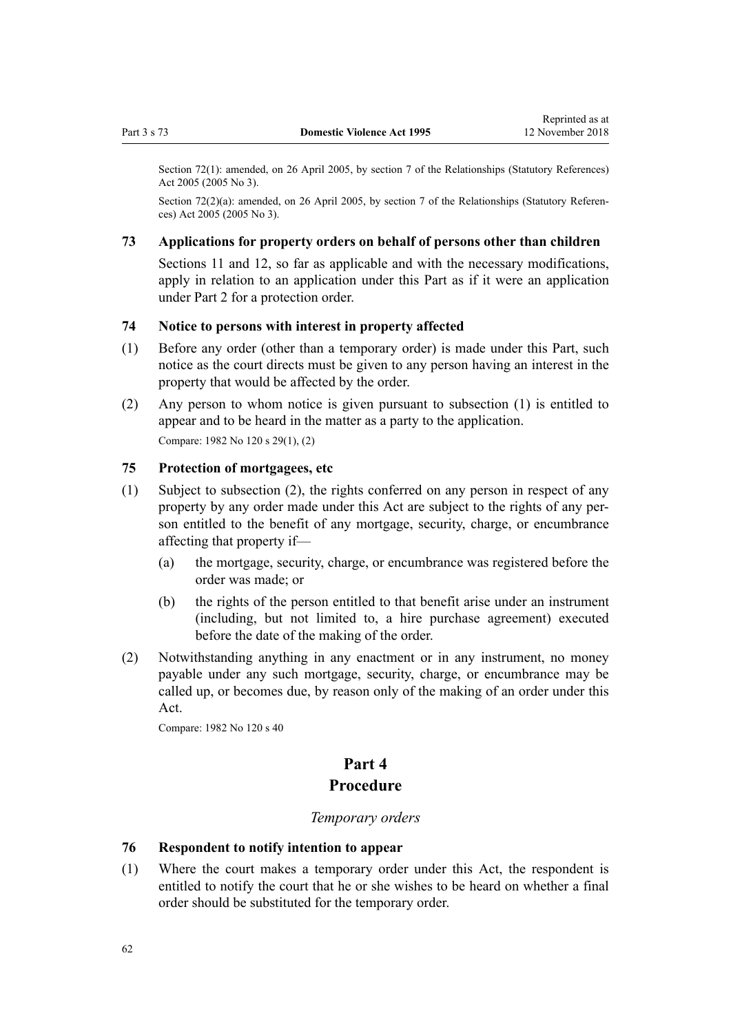<span id="page-61-0"></span>Section 72(1): amended, on 26 April 2005, by [section 7](http://prd-lgnz-nlb.prd.pco.net.nz/pdflink.aspx?id=DLM333795) of the Relationships (Statutory References) Act 2005 (2005 No 3).

Section 72(2)(a): amended, on 26 April 2005, by [section 7](http://prd-lgnz-nlb.prd.pco.net.nz/pdflink.aspx?id=DLM333795) of the Relationships (Statutory References) Act 2005 (2005 No 3).

## **73 Applications for property orders on behalf of persons other than children**

[Sections 11](#page-17-0) and [12](#page-17-0), so far as applicable and with the necessary modifications, apply in relation to an application under this Part as if it were an application under [Part 2](#page-15-0) for a protection order.

#### **74 Notice to persons with interest in property affected**

- (1) Before any order (other than a temporary order) is made under this Part, such notice as the court directs must be given to any person having an interest in the property that would be affected by the order.
- (2) Any person to whom notice is given pursuant to subsection (1) is entitled to appear and to be heard in the matter as a party to the application. Compare: 1982 No 120 s 29(1), (2)

# **75 Protection of mortgagees, etc**

- (1) Subject to subsection (2), the rights conferred on any person in respect of any property by any order made under this Act are subject to the rights of any person entitled to the benefit of any mortgage, security, charge, or encumbrance affecting that property if—
	- (a) the mortgage, security, charge, or encumbrance was registered before the order was made; or
	- (b) the rights of the person entitled to that benefit arise under an instrument (including, but not limited to, a hire purchase agreement) executed before the date of the making of the order.
- (2) Notwithstanding anything in any enactment or in any instrument, no money payable under any such mortgage, security, charge, or encumbrance may be called up, or becomes due, by reason only of the making of an order under this Act.

Compare: 1982 No 120 s 40

# **Part 4 Procedure**

#### *Temporary orders*

#### **76 Respondent to notify intention to appear**

(1) Where the court makes a temporary order under this Act, the respondent is entitled to notify the court that he or she wishes to be heard on whether a final order should be substituted for the temporary order.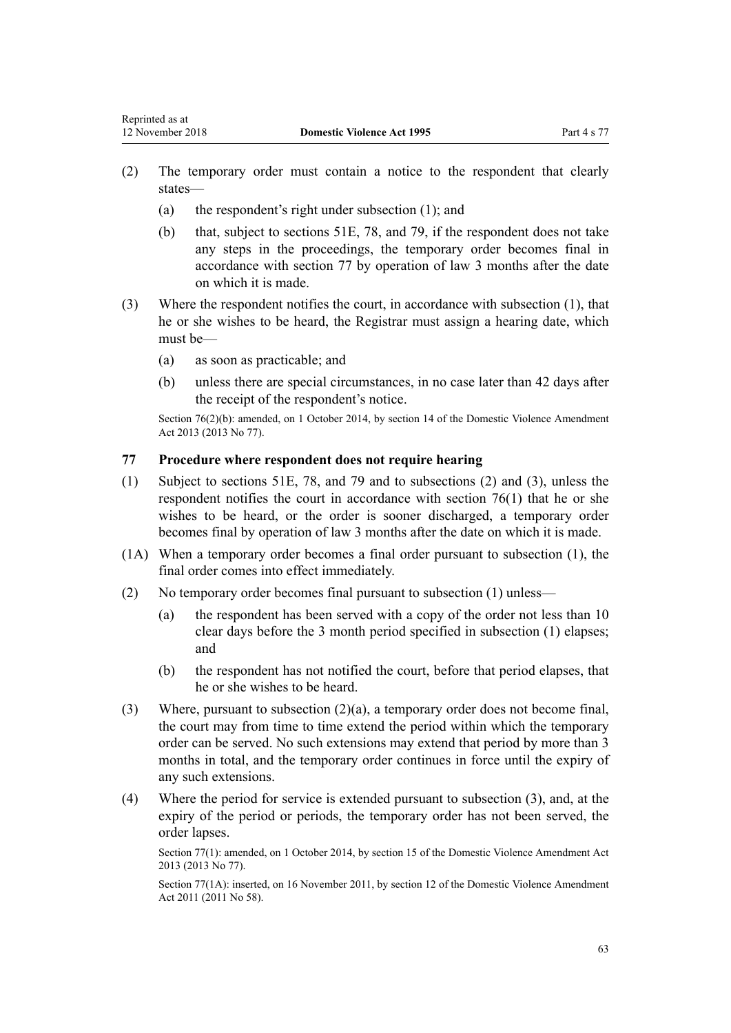- <span id="page-62-0"></span>(2) The temporary order must contain a notice to the respondent that clearly states—
	- (a) the respondent's right under subsection (1); and
	- (b) that, subject to [sections 51E](#page-42-0), [78](#page-63-0), and [79,](#page-63-0) if the respondent does not take any steps in the proceedings, the temporary order becomes final in accordance with section 77 by operation of law 3 months after the date on which it is made.
- (3) Where the respondent notifies the court, in accordance with subsection (1), that he or she wishes to be heard, the Registrar must assign a hearing date, which must be—
	- (a) as soon as practicable; and
	- (b) unless there are special circumstances, in no case later than 42 days after the receipt of the respondent's notice.

Section 76(2)(b): amended, on 1 October 2014, by [section 14](http://prd-lgnz-nlb.prd.pco.net.nz/pdflink.aspx?id=DLM5616703) of the Domestic Violence Amendment Act 2013 (2013 No 77).

# **77 Procedure where respondent does not require hearing**

- (1) Subject to [sections 51E,](#page-42-0) [78](#page-63-0), and [79](#page-63-0) and to subsections (2) and (3), unless the respondent notifies the court in accordance with [section 76\(1\)](#page-61-0) that he or she wishes to be heard, or the order is sooner discharged, a temporary order becomes final by operation of law 3 months after the date on which it is made.
- (1A) When a temporary order becomes a final order pursuant to subsection (1), the final order comes into effect immediately.
- (2) No temporary order becomes final pursuant to subsection (1) unless—
	- (a) the respondent has been served with a copy of the order not less than 10 clear days before the 3 month period specified in subsection (1) elapses; and
	- (b) the respondent has not notified the court, before that period elapses, that he or she wishes to be heard.
- (3) Where, pursuant to subsection (2)(a), a temporary order does not become final, the court may from time to time extend the period within which the temporary order can be served. No such extensions may extend that period by more than 3 months in total, and the temporary order continues in force until the expiry of any such extensions.
- (4) Where the period for service is extended pursuant to subsection (3), and, at the expiry of the period or periods, the temporary order has not been served, the order lapses.

Section 77(1): amended, on 1 October 2014, by [section 15](http://prd-lgnz-nlb.prd.pco.net.nz/pdflink.aspx?id=DLM5616704) of the Domestic Violence Amendment Act 2013 (2013 No 77).

Section 77(1A): inserted, on 16 November 2011, by [section 12](http://prd-lgnz-nlb.prd.pco.net.nz/pdflink.aspx?id=DLM1955525) of the Domestic Violence Amendment Act 2011 (2011 No 58).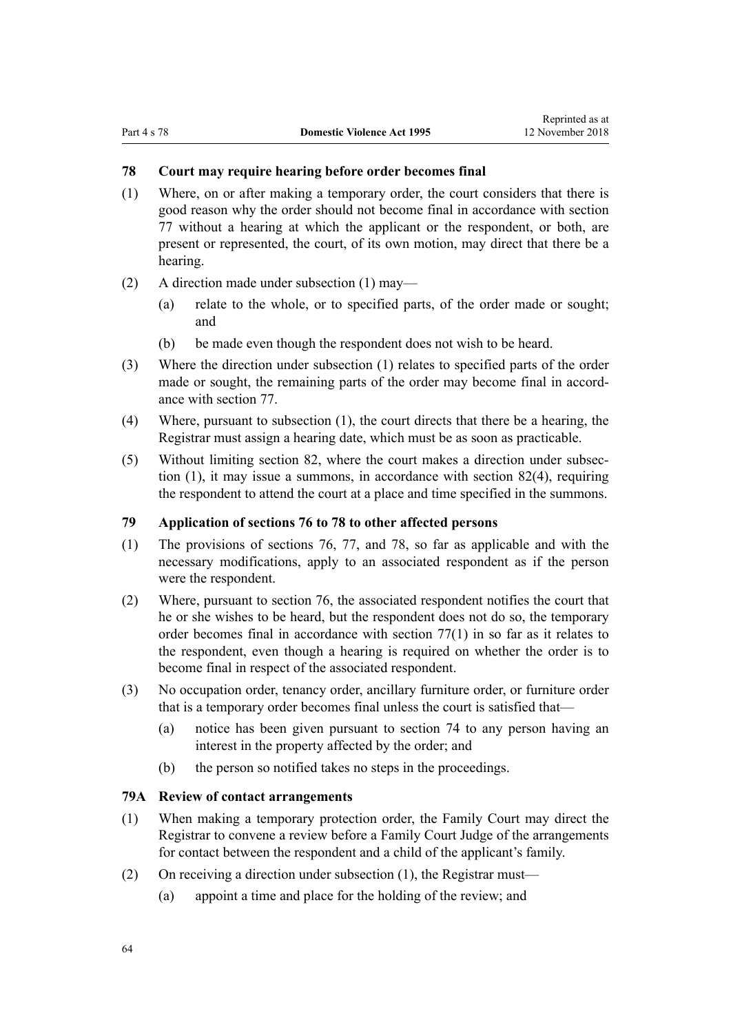#### <span id="page-63-0"></span>**78 Court may require hearing before order becomes final**

- (1) Where, on or after making a temporary order, the court considers that there is good reason why the order should not become final in accordance with [section](#page-62-0) [77](#page-62-0) without a hearing at which the applicant or the respondent, or both, are present or represented, the court, of its own motion, may direct that there be a hearing.
- (2) A direction made under subsection (1) may—
	- (a) relate to the whole, or to specified parts, of the order made or sought; and
	- (b) be made even though the respondent does not wish to be heard.
- (3) Where the direction under subsection (1) relates to specified parts of the order made or sought, the remaining parts of the order may become final in accordance with [section 77](#page-62-0).
- (4) Where, pursuant to subsection (1), the court directs that there be a hearing, the Registrar must assign a hearing date, which must be as soon as practicable.
- (5) Without limiting [section 82](#page-67-0), where the court makes a direction under subsection (1), it may issue a summons, in accordance with [section 82\(4\),](#page-67-0) requiring the respondent to attend the court at a place and time specified in the summons.

# **79 Application of sections 76 to 78 to other affected persons**

- (1) The provisions of [sections 76](#page-61-0), [77](#page-62-0), and 78, so far as applicable and with the necessary modifications, apply to an associated respondent as if the person were the respondent.
- (2) Where, pursuant to [section 76,](#page-61-0) the associated respondent notifies the court that he or she wishes to be heard, but the respondent does not do so, the temporary order becomes final in accordance with [section 77\(1\)](#page-62-0) in so far as it relates to the respondent, even though a hearing is required on whether the order is to become final in respect of the associated respondent.
- (3) No occupation order, tenancy order, ancillary furniture order, or furniture order that is a temporary order becomes final unless the court is satisfied that—
	- (a) notice has been given pursuant to [section 74](#page-61-0) to any person having an interest in the property affected by the order; and
	- (b) the person so notified takes no steps in the proceedings.

#### **79A Review of contact arrangements**

- (1) When making a temporary protection order, the Family Court may direct the Registrar to convene a review before a Family Court Judge of the arrangements for contact between the respondent and a child of the applicant's family.
- (2) On receiving a direction under subsection (1), the Registrar must—
	- (a) appoint a time and place for the holding of the review; and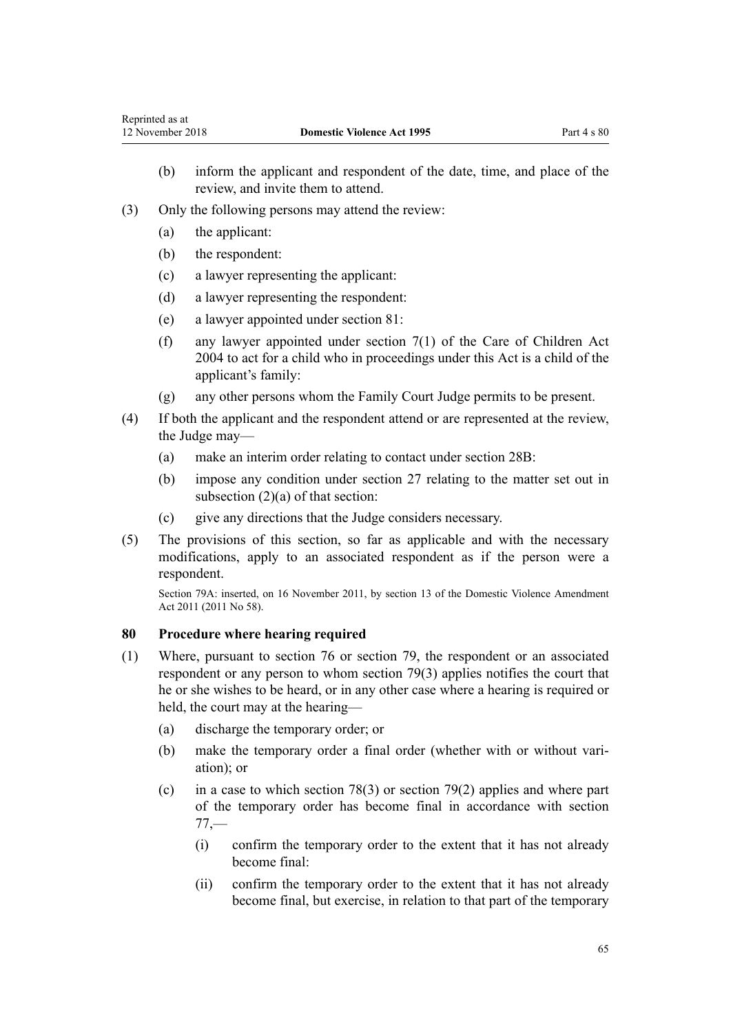- <span id="page-64-0"></span>(b) inform the applicant and respondent of the date, time, and place of the review, and invite them to attend.
- (3) Only the following persons may attend the review:
	- (a) the applicant:
	- (b) the respondent:
	- (c) a lawyer representing the applicant:
	- (d) a lawyer representing the respondent:
	- (e) a lawyer appointed under [section 81:](#page-65-0)
	- (f) any lawyer appointed under [section 7\(1\)](http://prd-lgnz-nlb.prd.pco.net.nz/pdflink.aspx?id=DLM317243) of the Care of Children Act 2004 to act for a child who in proceedings under this Act is a child of the applicant's family:
	- (g) any other persons whom the Family Court Judge permits to be present.
- (4) If both the applicant and the respondent attend or are represented at the review, the Judge may—
	- (a) make an interim order relating to contact under [section 28B:](#page-33-0)
	- (b) impose any condition under [section 27](#page-32-0) relating to the matter set out in subsection (2)(a) of that section:
	- (c) give any directions that the Judge considers necessary.
- (5) The provisions of this section, so far as applicable and with the necessary modifications, apply to an associated respondent as if the person were a respondent.

Section 79A: inserted, on 16 November 2011, by [section 13](http://prd-lgnz-nlb.prd.pco.net.nz/pdflink.aspx?id=DLM1955526) of the Domestic Violence Amendment Act 2011 (2011 No 58).

# **80 Procedure where hearing required**

- (1) Where, pursuant to [section 76](#page-61-0) or section [79](#page-63-0), the respondent or an associated respondent or any person to whom section 79(3) applies notifies the court that he or she wishes to be heard, or in any other case where a hearing is required or held, the court may at the hearing—
	- (a) discharge the temporary order; or
	- (b) make the temporary order a final order (whether with or without variation); or
	- (c) in a case to which [section 78\(3\)](#page-63-0) or [section 79\(2\)](#page-63-0) applies and where part of the temporary order has become final in accordance with [section](#page-62-0)  $77 -$ 
		- (i) confirm the temporary order to the extent that it has not already become final:
		- (ii) confirm the temporary order to the extent that it has not already become final, but exercise, in relation to that part of the temporary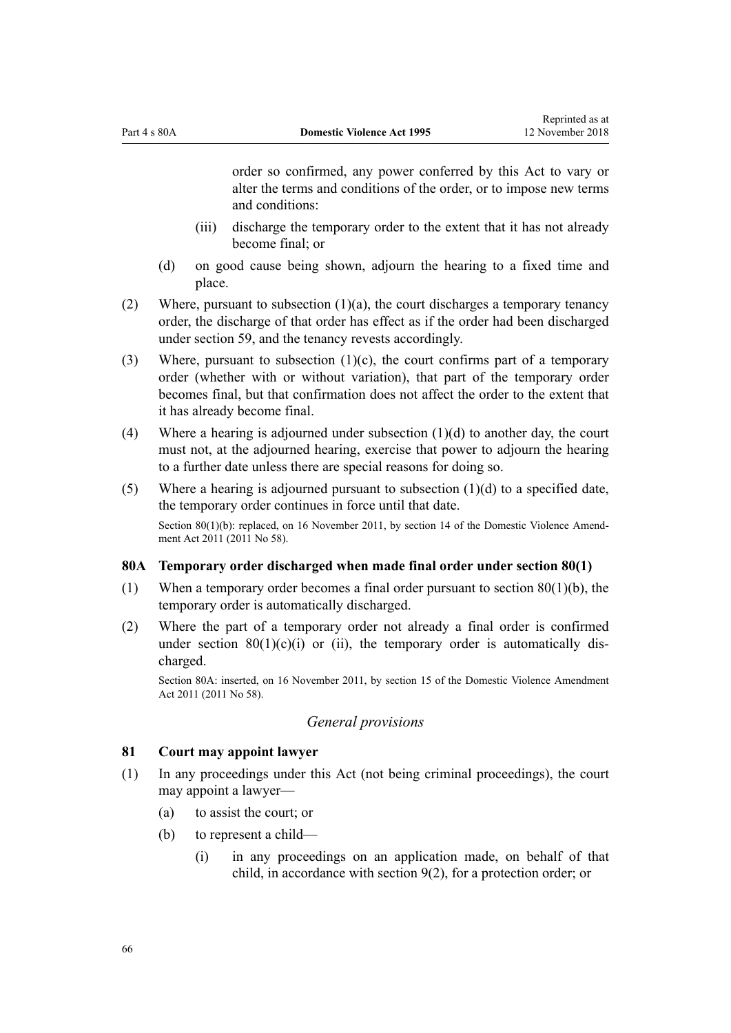<span id="page-65-0"></span>order so confirmed, any power conferred by this Act to vary or alter the terms and conditions of the order, or to impose new terms and conditions:

- (iii) discharge the temporary order to the extent that it has not already become final; or
- (d) on good cause being shown, adjourn the hearing to a fixed time and place.
- (2) Where, pursuant to subsection  $(1)(a)$ , the court discharges a temporary tenancy order, the discharge of that order has effect as if the order had been discharged under [section 59](#page-53-0), and the tenancy revests accordingly.
- (3) Where, pursuant to subsection  $(1)(c)$ , the court confirms part of a temporary order (whether with or without variation), that part of the temporary order becomes final, but that confirmation does not affect the order to the extent that it has already become final.
- (4) Where a hearing is adjourned under subsection (1)(d) to another day, the court must not, at the adjourned hearing, exercise that power to adjourn the hearing to a further date unless there are special reasons for doing so.
- (5) Where a hearing is adjourned pursuant to subsection (1)(d) to a specified date, the temporary order continues in force until that date. Section 80(1)(b): replaced, on 16 November 2011, by [section 14](http://prd-lgnz-nlb.prd.pco.net.nz/pdflink.aspx?id=DLM1955528) of the Domestic Violence Amendment Act 2011 (2011 No 58).

#### **80A Temporary order discharged when made final order under section 80(1)**

- (1) When a temporary order becomes a final order pursuant to [section 80\(1\)\(b\)](#page-64-0), the temporary order is automatically discharged.
- (2) Where the part of a temporary order not already a final order is confirmed under section  $80(1)(c)(i)$  or (ii), the temporary order is automatically discharged.

Section 80A: inserted, on 16 November 2011, by [section 15](http://prd-lgnz-nlb.prd.pco.net.nz/pdflink.aspx?id=DLM1955529) of the Domestic Violence Amendment Act 2011 (2011 No 58).

# *General provisions*

# **81 Court may appoint lawyer**

- (1) In any proceedings under this Act (not being criminal proceedings), the court may appoint a lawyer—
	- (a) to assist the court; or
	- (b) to represent a child—
		- (i) in any proceedings on an application made, on behalf of that child, in accordance with [section 9\(2\)](#page-15-0), for a protection order; or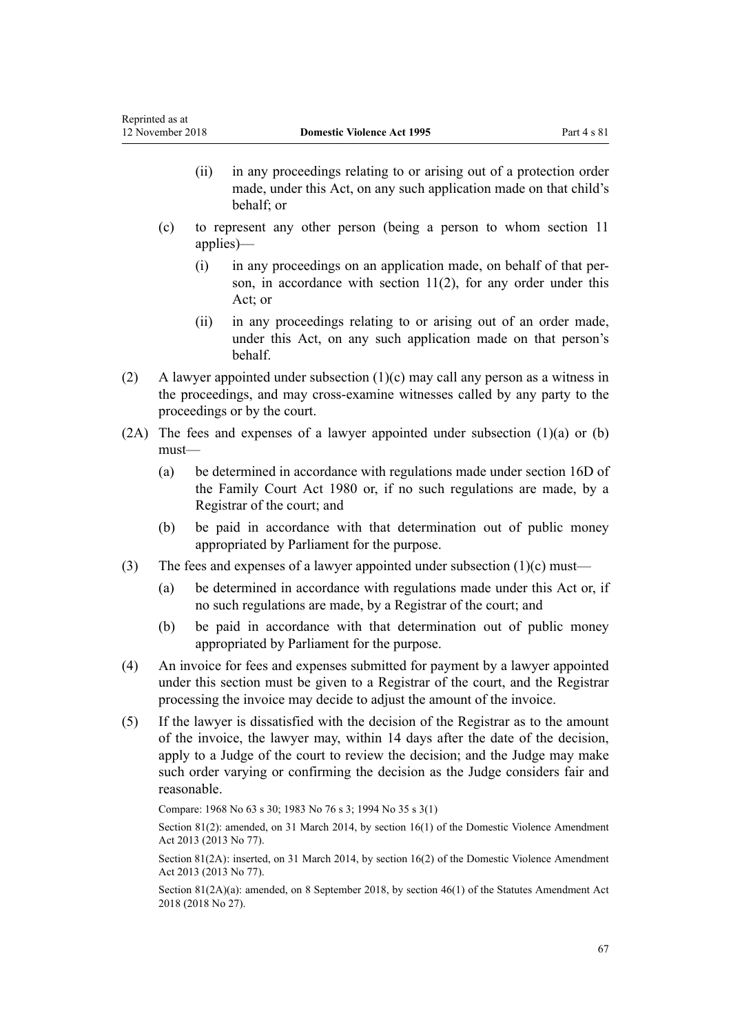- (ii) in any proceedings relating to or arising out of a protection order made, under this Act, on any such application made on that child's behalf; or
- (c) to represent any other person (being a person to whom [section 11](#page-17-0) applies)—
	- (i) in any proceedings on an application made, on behalf of that person, in accordance with section  $11(2)$ , for any order under this Act; or
	- (ii) in any proceedings relating to or arising out of an order made, under this Act, on any such application made on that person's behalf.
- (2) A lawyer appointed under subsection (1)(c) may call any person as a witness in the proceedings, and may cross-examine witnesses called by any party to the proceedings or by the court.
- $(2A)$  The fees and expenses of a lawyer appointed under subsection  $(1)(a)$  or  $(b)$ must—
	- (a) be determined in accordance with regulations made under [section 16D](http://prd-lgnz-nlb.prd.pco.net.nz/pdflink.aspx?id=DLM6025512) of the Family Court Act 1980 or, if no such regulations are made, by a Registrar of the court; and
	- (b) be paid in accordance with that determination out of public money appropriated by Parliament for the purpose.
- (3) The fees and expenses of a lawyer appointed under subsection  $(1)(c)$  must—
	- (a) be determined in accordance with regulations made under this Act or, if no such regulations are made, by a Registrar of the court; and
	- (b) be paid in accordance with that determination out of public money appropriated by Parliament for the purpose.
- (4) An invoice for fees and expenses submitted for payment by a lawyer appointed under this section must be given to a Registrar of the court, and the Registrar processing the invoice may decide to adjust the amount of the invoice.
- (5) If the lawyer is dissatisfied with the decision of the Registrar as to the amount of the invoice, the lawyer may, within 14 days after the date of the decision, apply to a Judge of the court to review the decision; and the Judge may make such order varying or confirming the decision as the Judge considers fair and reasonable.

Compare: 1968 No 63 s 30; 1983 No 76 s 3; 1994 No 35 [s 3\(1\)](http://prd-lgnz-nlb.prd.pco.net.nz/pdflink.aspx?id=DLM185488)

Section 81(2): amended, on 31 March 2014, by [section 16\(1\)](http://prd-lgnz-nlb.prd.pco.net.nz/pdflink.aspx?id=DLM5616705) of the Domestic Violence Amendment Act 2013 (2013 No 77).

Section 81(2A): inserted, on 31 March 2014, by [section 16\(2\)](http://prd-lgnz-nlb.prd.pco.net.nz/pdflink.aspx?id=DLM5616705) of the Domestic Violence Amendment Act 2013 (2013 No 77).

Section 81(2A)(a): amended, on 8 September 2018, by [section 46\(1\)](http://prd-lgnz-nlb.prd.pco.net.nz/pdflink.aspx?id=DLM7227112) of the Statutes Amendment Act 2018 (2018 No 27).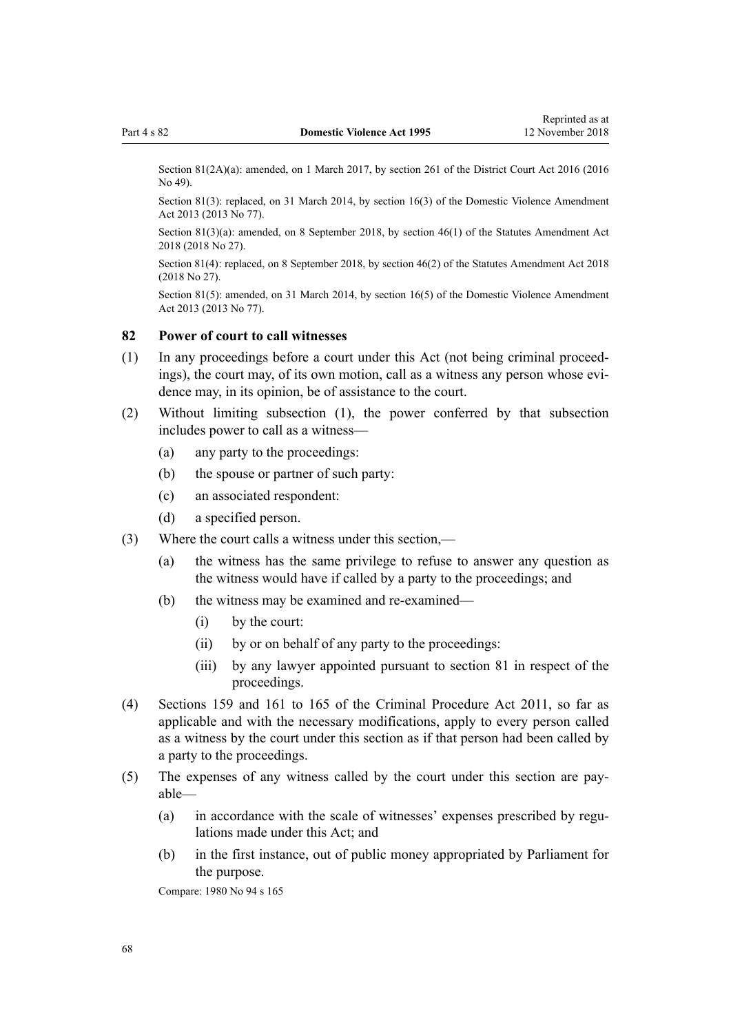<span id="page-67-0"></span>Section 81(2A)(a): amended, on 1 March 2017, by [section 261](http://prd-lgnz-nlb.prd.pco.net.nz/pdflink.aspx?id=DLM6942680) of the District Court Act 2016 (2016) No 49).

Section 81(3): replaced, on 31 March 2014, by [section 16\(3\)](http://prd-lgnz-nlb.prd.pco.net.nz/pdflink.aspx?id=DLM5616705) of the Domestic Violence Amendment Act 2013 (2013 No 77).

Section 81(3)(a): amended, on 8 September 2018, by [section 46\(1\)](http://prd-lgnz-nlb.prd.pco.net.nz/pdflink.aspx?id=DLM7227112) of the Statutes Amendment Act 2018 (2018 No 27).

Section 81(4): replaced, on 8 September 2018, by [section 46\(2\)](http://prd-lgnz-nlb.prd.pco.net.nz/pdflink.aspx?id=DLM7227112) of the Statutes Amendment Act 2018 (2018 No 27).

Section 81(5): amended, on 31 March 2014, by [section 16\(5\)](http://prd-lgnz-nlb.prd.pco.net.nz/pdflink.aspx?id=DLM5616705) of the Domestic Violence Amendment Act 2013 (2013 No 77).

# **82 Power of court to call witnesses**

- (1) In any proceedings before a court under this Act (not being criminal proceedings), the court may, of its own motion, call as a witness any person whose evidence may, in its opinion, be of assistance to the court.
- (2) Without limiting subsection (1), the power conferred by that subsection includes power to call as a witness—
	- (a) any party to the proceedings:
	- (b) the spouse or partner of such party:
	- (c) an associated respondent:
	- (d) a specified person.
- (3) Where the court calls a witness under this section,—
	- (a) the witness has the same privilege to refuse to answer any question as the witness would have if called by a party to the proceedings; and
	- (b) the witness may be examined and re-examined—
		- (i) by the court:
		- (ii) by or on behalf of any party to the proceedings:
		- (iii) by any lawyer appointed pursuant to [section 81](#page-65-0) in respect of the proceedings.
- (4) [Sections 159](http://prd-lgnz-nlb.prd.pco.net.nz/pdflink.aspx?id=DLM3360276) and [161 to 165](http://prd-lgnz-nlb.prd.pco.net.nz/pdflink.aspx?id=DLM3360278) of the Criminal Procedure Act 2011, so far as applicable and with the necessary modifications, apply to every person called as a witness by the court under this section as if that person had been called by a party to the proceedings.
- (5) The expenses of any witness called by the court under this section are payable—
	- (a) in accordance with the scale of witnesses' expenses prescribed by regulations made under this Act; and
	- (b) in the first instance, out of public money appropriated by Parliament for the purpose.

Compare: 1980 No 94 [s 165](http://prd-lgnz-nlb.prd.pco.net.nz/pdflink.aspx?id=DLM41848)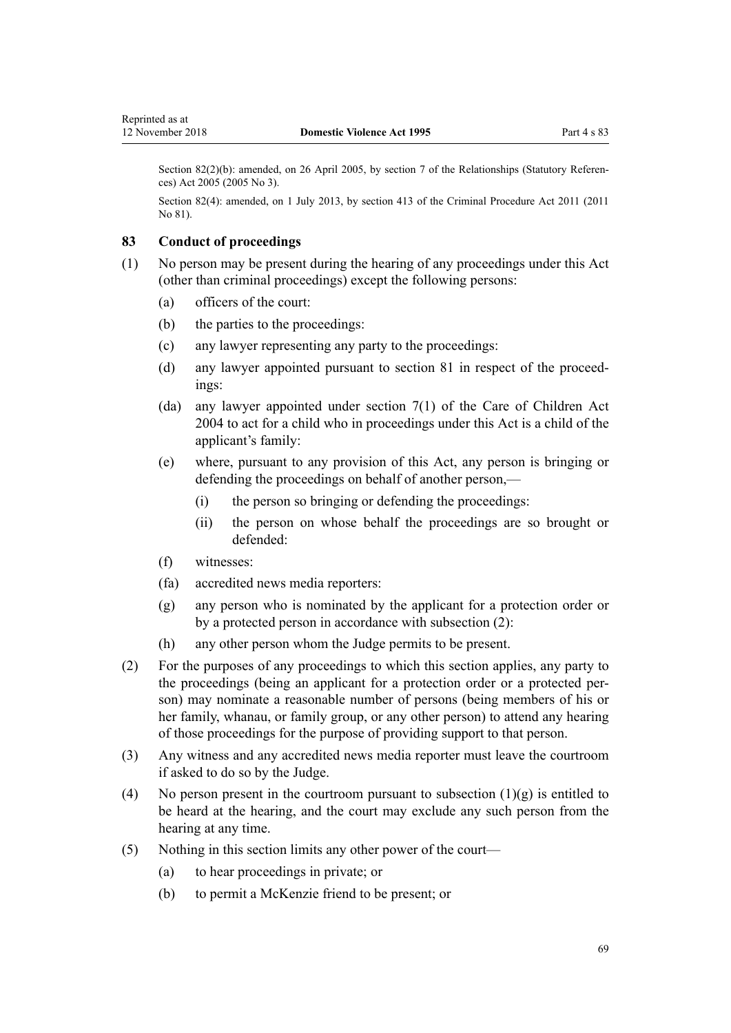Section 82(2)(b): amended, on 26 April 2005, by [section 7](http://prd-lgnz-nlb.prd.pco.net.nz/pdflink.aspx?id=DLM333795) of the Relationships (Statutory References) Act 2005 (2005 No 3).

Section 82(4): amended, on 1 July 2013, by [section 413](http://prd-lgnz-nlb.prd.pco.net.nz/pdflink.aspx?id=DLM3360714) of the Criminal Procedure Act 2011 (2011 No 81).

# **83 Conduct of proceedings**

- (1) No person may be present during the hearing of any proceedings under this Act (other than criminal proceedings) except the following persons:
	- (a) officers of the court:
	- (b) the parties to the proceedings:
	- (c) any lawyer representing any party to the proceedings:
	- (d) any lawyer appointed pursuant to [section 81](#page-65-0) in respect of the proceedings:
	- (da) any lawyer appointed under [section 7\(1\)](http://prd-lgnz-nlb.prd.pco.net.nz/pdflink.aspx?id=DLM317243) of the Care of Children Act 2004 to act for a child who in proceedings under this Act is a child of the applicant's family:
	- (e) where, pursuant to any provision of this Act, any person is bringing or defending the proceedings on behalf of another person,—
		- (i) the person so bringing or defending the proceedings:
		- (ii) the person on whose behalf the proceedings are so brought or defended:
	- (f) witnesses:
	- (fa) accredited news media reporters:
	- (g) any person who is nominated by the applicant for a protection order or by a protected person in accordance with subsection (2):
	- (h) any other person whom the Judge permits to be present.
- (2) For the purposes of any proceedings to which this section applies, any party to the proceedings (being an applicant for a protection order or a protected person) may nominate a reasonable number of persons (being members of his or her family, whanau, or family group, or any other person) to attend any hearing of those proceedings for the purpose of providing support to that person.
- (3) Any witness and any accredited news media reporter must leave the courtroom if asked to do so by the Judge.
- (4) No person present in the courtroom pursuant to subsection  $(1)(g)$  is entitled to be heard at the hearing, and the court may exclude any such person from the hearing at any time.
- (5) Nothing in this section limits any other power of the court—
	- (a) to hear proceedings in private; or
	- (b) to permit a McKenzie friend to be present; or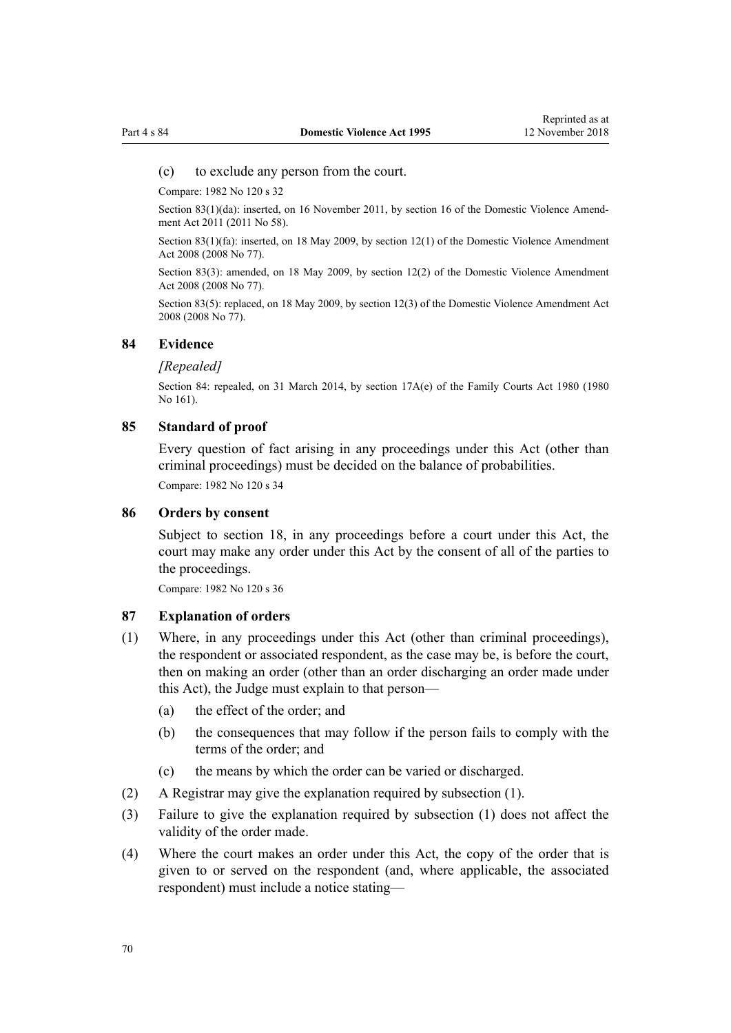#### (c) to exclude any person from the court.

Compare: 1982 No 120 s 32

Section 83(1)(da): inserted, on 16 November 2011, by [section 16](http://prd-lgnz-nlb.prd.pco.net.nz/pdflink.aspx?id=DLM1955531) of the Domestic Violence Amendment Act 2011 (2011 No 58).

Section 83(1)(fa): inserted, on 18 May 2009, by [section 12\(1\)](http://prd-lgnz-nlb.prd.pco.net.nz/pdflink.aspx?id=DLM1302124) of the Domestic Violence Amendment Act 2008 (2008 No 77).

Section 83(3): amended, on 18 May 2009, by [section 12\(2\)](http://prd-lgnz-nlb.prd.pco.net.nz/pdflink.aspx?id=DLM1302124) of the Domestic Violence Amendment Act 2008 (2008 No 77).

Section 83(5): replaced, on 18 May 2009, by [section 12\(3\)](http://prd-lgnz-nlb.prd.pco.net.nz/pdflink.aspx?id=DLM1302124) of the Domestic Violence Amendment Act 2008 (2008 No 77).

#### **84 Evidence**

#### *[Repealed]*

Section 84: repealed, on 31 March 2014, by [section 17A\(e\)](http://prd-lgnz-nlb.prd.pco.net.nz/pdflink.aspx?id=DLM6025517) of the Family Courts Act 1980 (1980) No 161).

#### **85 Standard of proof**

Every question of fact arising in any proceedings under this Act (other than criminal proceedings) must be decided on the balance of probabilities. Compare: 1982 No 120 s 34

# **86 Orders by consent**

Subject to [section 18,](#page-23-0) in any proceedings before a court under this Act, the court may make any order under this Act by the consent of all of the parties to the proceedings.

Compare: 1982 No 120 s 36

#### **87 Explanation of orders**

- (1) Where, in any proceedings under this Act (other than criminal proceedings), the respondent or associated respondent, as the case may be, is before the court, then on making an order (other than an order discharging an order made under this Act), the Judge must explain to that person—
	- (a) the effect of the order; and
	- (b) the consequences that may follow if the person fails to comply with the terms of the order; and
	- (c) the means by which the order can be varied or discharged.
- (2) A Registrar may give the explanation required by subsection (1).
- (3) Failure to give the explanation required by subsection (1) does not affect the validity of the order made.
- (4) Where the court makes an order under this Act, the copy of the order that is given to or served on the respondent (and, where applicable, the associated respondent) must include a notice stating—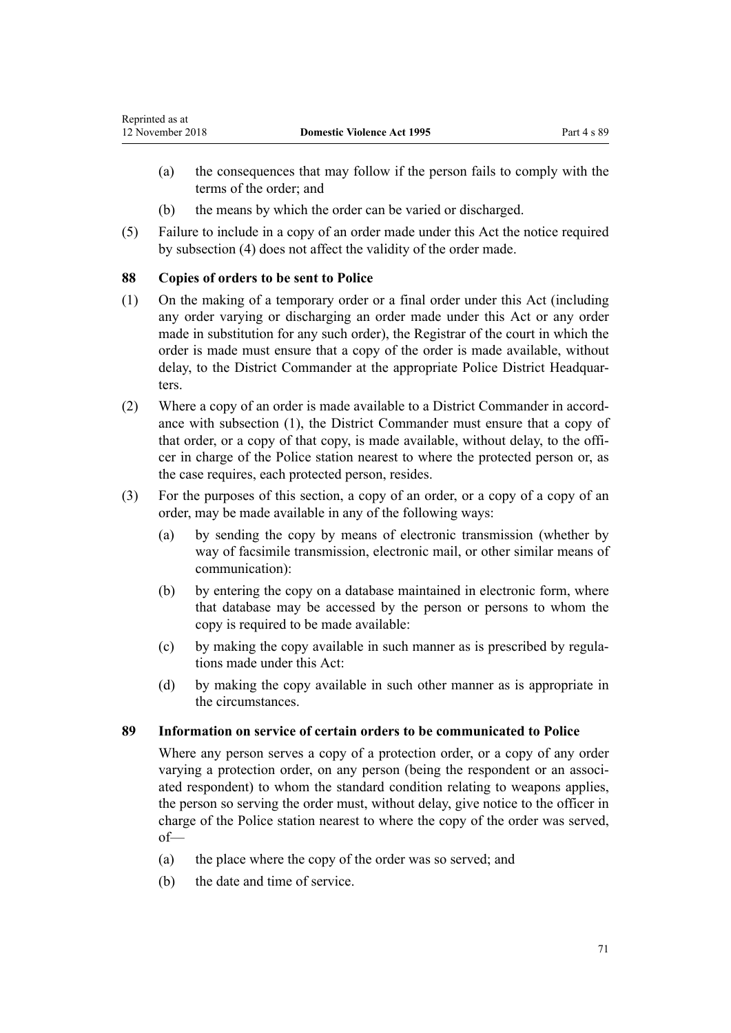- <span id="page-70-0"></span>(a) the consequences that may follow if the person fails to comply with the terms of the order; and
- (b) the means by which the order can be varied or discharged.
- (5) Failure to include in a copy of an order made under this Act the notice required by subsection (4) does not affect the validity of the order made.

# **88 Copies of orders to be sent to Police**

- (1) On the making of a temporary order or a final order under this Act (including any order varying or discharging an order made under this Act or any order made in substitution for any such order), the Registrar of the court in which the order is made must ensure that a copy of the order is made available, without delay, to the District Commander at the appropriate Police District Headquarters.
- (2) Where a copy of an order is made available to a District Commander in accordance with subsection (1), the District Commander must ensure that a copy of that order, or a copy of that copy, is made available, without delay, to the officer in charge of the Police station nearest to where the protected person or, as the case requires, each protected person, resides.
- (3) For the purposes of this section, a copy of an order, or a copy of a copy of an order, may be made available in any of the following ways:
	- (a) by sending the copy by means of electronic transmission (whether by way of facsimile transmission, electronic mail, or other similar means of communication):
	- (b) by entering the copy on a database maintained in electronic form, where that database may be accessed by the person or persons to whom the copy is required to be made available:
	- (c) by making the copy available in such manner as is prescribed by regulations made under this Act:
	- (d) by making the copy available in such other manner as is appropriate in the circumstances.

# **89 Information on service of certain orders to be communicated to Police**

Where any person serves a copy of a protection order, or a copy of any order varying a protection order, on any person (being the respondent or an associated respondent) to whom the standard condition relating to weapons applies, the person so serving the order must, without delay, give notice to the officer in charge of the Police station nearest to where the copy of the order was served, of—

- (a) the place where the copy of the order was so served; and
- (b) the date and time of service.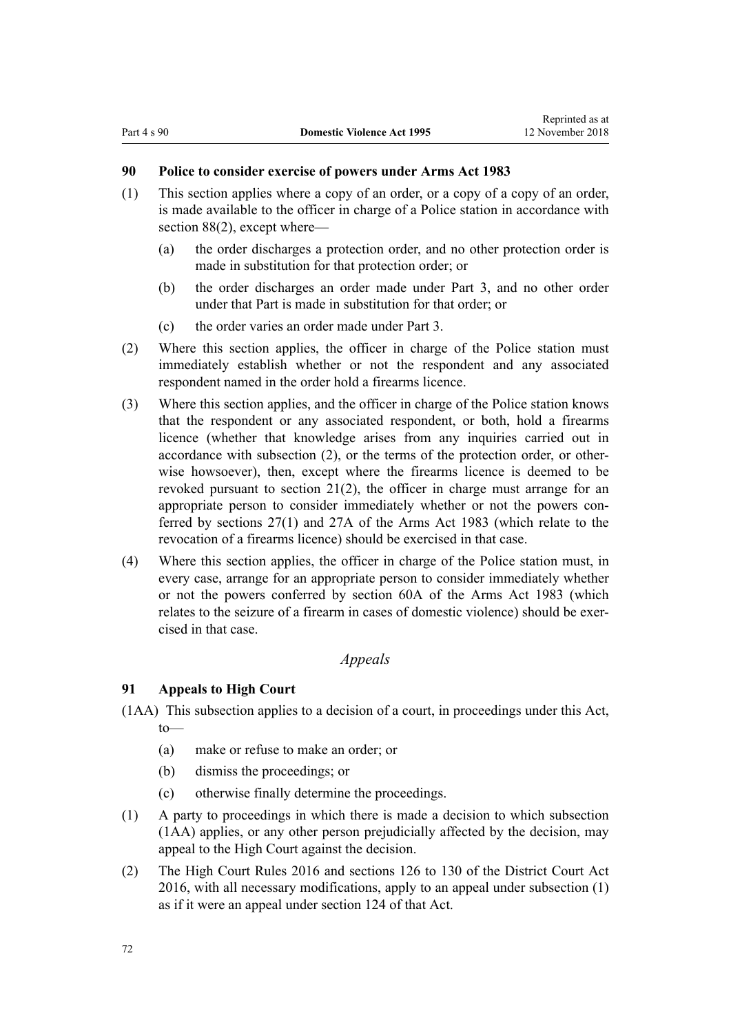# **90 Police to consider exercise of powers under Arms Act 1983**

- (1) This section applies where a copy of an order, or a copy of a copy of an order, is made available to the officer in charge of a Police station in accordance with [section 88\(2\),](#page-70-0) except where—
	- (a) the order discharges a protection order, and no other protection order is made in substitution for that protection order; or
	- (b) the order discharges an order made under [Part 3,](#page-50-0) and no other order under that Part is made in substitution for that order; or
	- (c) the order varies an order made under [Part 3](#page-50-0).
- (2) Where this section applies, the officer in charge of the Police station must immediately establish whether or not the respondent and any associated respondent named in the order hold a firearms licence.
- (3) Where this section applies, and the officer in charge of the Police station knows that the respondent or any associated respondent, or both, hold a firearms licence (whether that knowledge arises from any inquiries carried out in accordance with subsection (2), or the terms of the protection order, or otherwise howsoever), then, except where the firearms licence is deemed to be revoked pursuant to [section 21\(2\),](#page-25-0) the officer in charge must arrange for an appropriate person to consider immediately whether or not the powers conferred by [sections 27\(1\)](http://prd-lgnz-nlb.prd.pco.net.nz/pdflink.aspx?id=DLM72928) and [27A](http://prd-lgnz-nlb.prd.pco.net.nz/pdflink.aspx?id=DLM72929) of the Arms Act 1983 (which relate to the revocation of a firearms licence) should be exercised in that case.
- (4) Where this section applies, the officer in charge of the Police station must, in every case, arrange for an appropriate person to consider immediately whether or not the powers conferred by [section 60A](http://prd-lgnz-nlb.prd.pco.net.nz/pdflink.aspx?id=DLM73314) of the Arms Act 1983 (which relates to the seizure of a firearm in cases of domestic violence) should be exercised in that case.

# *Appeals*

# **91 Appeals to High Court**

- (1AA) This subsection applies to a decision of a court, in proceedings under this Act, to—
	- (a) make or refuse to make an order; or
	- (b) dismiss the proceedings; or
	- (c) otherwise finally determine the proceedings.
- (1) A party to proceedings in which there is made a decision to which subsection (1AA) applies, or any other person prejudicially affected by the decision, may appeal to the High Court against the decision.
- (2) The [High Court Rules 2016](http://prd-lgnz-nlb.prd.pco.net.nz/pdflink.aspx?id=DLM6959800) and [sections 126 to 130](http://prd-lgnz-nlb.prd.pco.net.nz/pdflink.aspx?id=DLM6942449) of the District Court Act 2016, with all necessary modifications, apply to an appeal under subsection (1) as if it were an appeal under [section 124](http://prd-lgnz-nlb.prd.pco.net.nz/pdflink.aspx?id=DLM6942447) of that Act.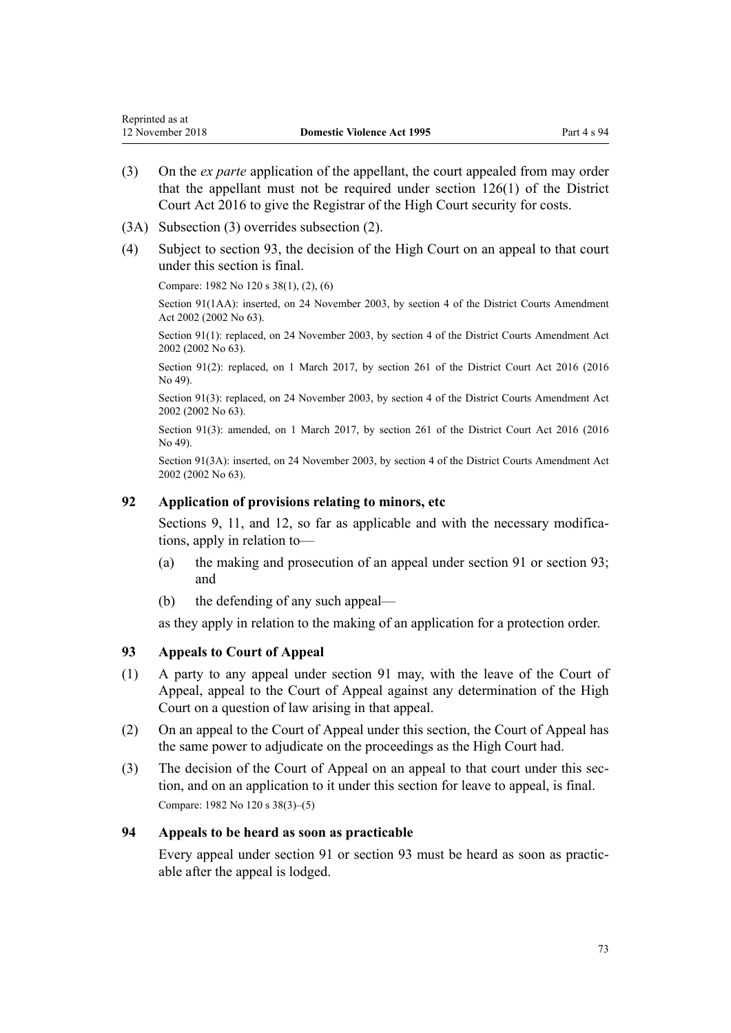- <span id="page-72-0"></span>(3) On the *ex parte* application of the appellant, the court appealed from may order that the appellant must not be required under [section 126\(1\)](http://prd-lgnz-nlb.prd.pco.net.nz/pdflink.aspx?id=DLM6942449) of the District Court Act 2016 to give the Registrar of the High Court security for costs.
- (3A) Subsection (3) overrides subsection (2).
- (4) Subject to section 93, the decision of the High Court on an appeal to that court under this section is final.

Compare: 1982 No 120 s 38(1), (2), (6)

Section 91(1AA): inserted, on 24 November 2003, by [section 4](http://prd-lgnz-nlb.prd.pco.net.nz/pdflink.aspx?id=DLM168713) of the District Courts Amendment Act 2002 (2002 No 63).

Section 91(1): replaced, on 24 November 2003, by [section 4](http://prd-lgnz-nlb.prd.pco.net.nz/pdflink.aspx?id=DLM168713) of the District Courts Amendment Act 2002 (2002 No 63).

Section 91(2): replaced, on 1 March 2017, by [section 261](http://prd-lgnz-nlb.prd.pco.net.nz/pdflink.aspx?id=DLM6942680) of the District Court Act 2016 (2016) No 49).

Section 91(3): replaced, on 24 November 2003, by [section 4](http://prd-lgnz-nlb.prd.pco.net.nz/pdflink.aspx?id=DLM168713) of the District Courts Amendment Act 2002 (2002 No 63).

Section 91(3): amended, on 1 March 2017, by [section 261](http://prd-lgnz-nlb.prd.pco.net.nz/pdflink.aspx?id=DLM6942680) of the District Court Act 2016 (2016) No 49).

Section 91(3A): inserted, on 24 November 2003, by [section 4](http://prd-lgnz-nlb.prd.pco.net.nz/pdflink.aspx?id=DLM168713) of the District Courts Amendment Act 2002 (2002 No 63).

## **92 Application of provisions relating to minors, etc**

[Sections 9](#page-15-0), [11](#page-17-0), and [12](#page-17-0), so far as applicable and with the necessary modifications, apply in relation to—

- (a) the making and prosecution of an appeal under [section 91](#page-71-0) or section 93; and
- (b) the defending of any such appeal—

as they apply in relation to the making of an application for a protection order.

## **93 Appeals to Court of Appeal**

- (1) A party to any appeal under [section 91](#page-71-0) may, with the leave of the Court of Appeal, appeal to the Court of Appeal against any determination of the High Court on a question of law arising in that appeal.
- (2) On an appeal to the Court of Appeal under this section, the Court of Appeal has the same power to adjudicate on the proceedings as the High Court had.
- (3) The decision of the Court of Appeal on an appeal to that court under this section, and on an application to it under this section for leave to appeal, is final. Compare: 1982 No 120 s 38(3)–(5)

## **94 Appeals to be heard as soon as practicable**

Every appeal under [section 91](#page-71-0) or section 93 must be heard as soon as practicable after the appeal is lodged.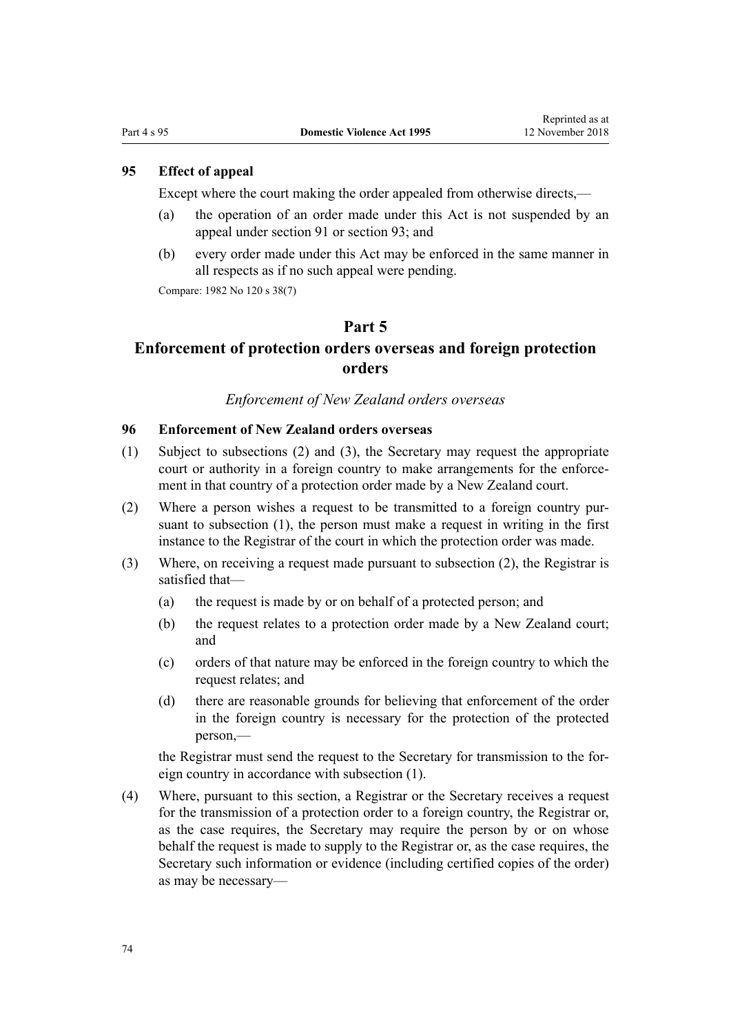# <span id="page-73-0"></span>**95 Effect of appeal**

Except where the court making the order appealed from otherwise directs,—

- (a) the operation of an order made under this Act is not suspended by an appeal under [section 91](#page-71-0) or [section 93](#page-72-0); and
- (b) every order made under this Act may be enforced in the same manner in all respects as if no such appeal were pending.

Compare: 1982 No 120 s 38(7)

#### **Part 5**

# **Enforcement of protection orders overseas and foreign protection orders**

# *Enforcement of New Zealand orders overseas*

# **96 Enforcement of New Zealand orders overseas**

- (1) Subject to subsections (2) and (3), the Secretary may request the appropriate court or authority in a foreign country to make arrangements for the enforcement in that country of a protection order made by a New Zealand court.
- (2) Where a person wishes a request to be transmitted to a foreign country pursuant to subsection (1), the person must make a request in writing in the first instance to the Registrar of the court in which the protection order was made.
- (3) Where, on receiving a request made pursuant to subsection (2), the Registrar is satisfied that—
	- (a) the request is made by or on behalf of a protected person; and
	- (b) the request relates to a protection order made by a New Zealand court; and
	- (c) orders of that nature may be enforced in the foreign country to which the request relates; and
	- (d) there are reasonable grounds for believing that enforcement of the order in the foreign country is necessary for the protection of the protected person,—

the Registrar must send the request to the Secretary for transmission to the foreign country in accordance with subsection (1).

(4) Where, pursuant to this section, a Registrar or the Secretary receives a request for the transmission of a protection order to a foreign country, the Registrar or, as the case requires, the Secretary may require the person by or on whose behalf the request is made to supply to the Registrar or, as the case requires, the Secretary such information or evidence (including certified copies of the order) as may be necessary—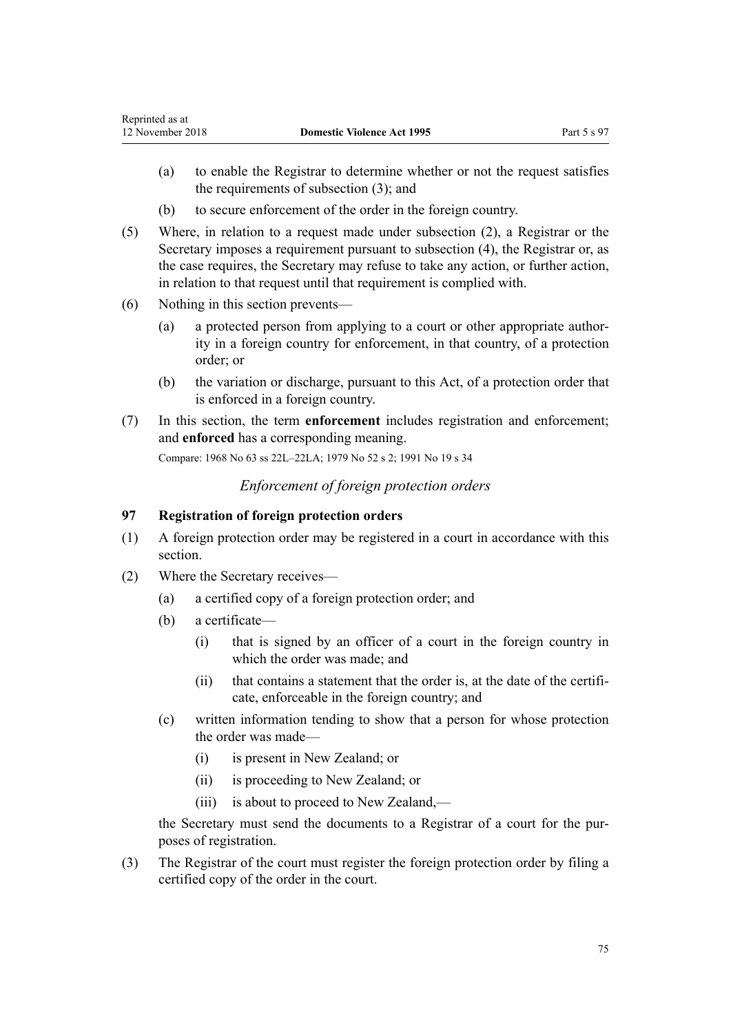- <span id="page-74-0"></span>(a) to enable the Registrar to determine whether or not the request satisfies the requirements of subsection (3); and
- (b) to secure enforcement of the order in the foreign country.
- (5) Where, in relation to a request made under subsection (2), a Registrar or the Secretary imposes a requirement pursuant to subsection (4), the Registrar or, as the case requires, the Secretary may refuse to take any action, or further action, in relation to that request until that requirement is complied with.
- (6) Nothing in this section prevents—
	- (a) a protected person from applying to a court or other appropriate authority in a foreign country for enforcement, in that country, of a protection order; or
	- (b) the variation or discharge, pursuant to this Act, of a protection order that is enforced in a foreign country.
- (7) In this section, the term **enforcement** includes registration and enforcement; and **enforced** has a corresponding meaning.

Compare: 1968 No 63 ss 22L–22LA; 1979 No 52 s 2; 1991 No 19 s 34

*Enforcement of foreign protection orders*

# **97 Registration of foreign protection orders**

- (1) A foreign protection order may be registered in a court in accordance with this section.
- (2) Where the Secretary receives—
	- (a) a certified copy of a foreign protection order; and
	- (b) a certificate—
		- (i) that is signed by an officer of a court in the foreign country in which the order was made; and
		- (ii) that contains a statement that the order is, at the date of the certificate, enforceable in the foreign country; and
	- (c) written information tending to show that a person for whose protection the order was made—
		- (i) is present in New Zealand; or
		- (ii) is proceeding to New Zealand; or
		- (iii) is about to proceed to New Zealand,—

the Secretary must send the documents to a Registrar of a court for the purposes of registration.

(3) The Registrar of the court must register the foreign protection order by filing a certified copy of the order in the court.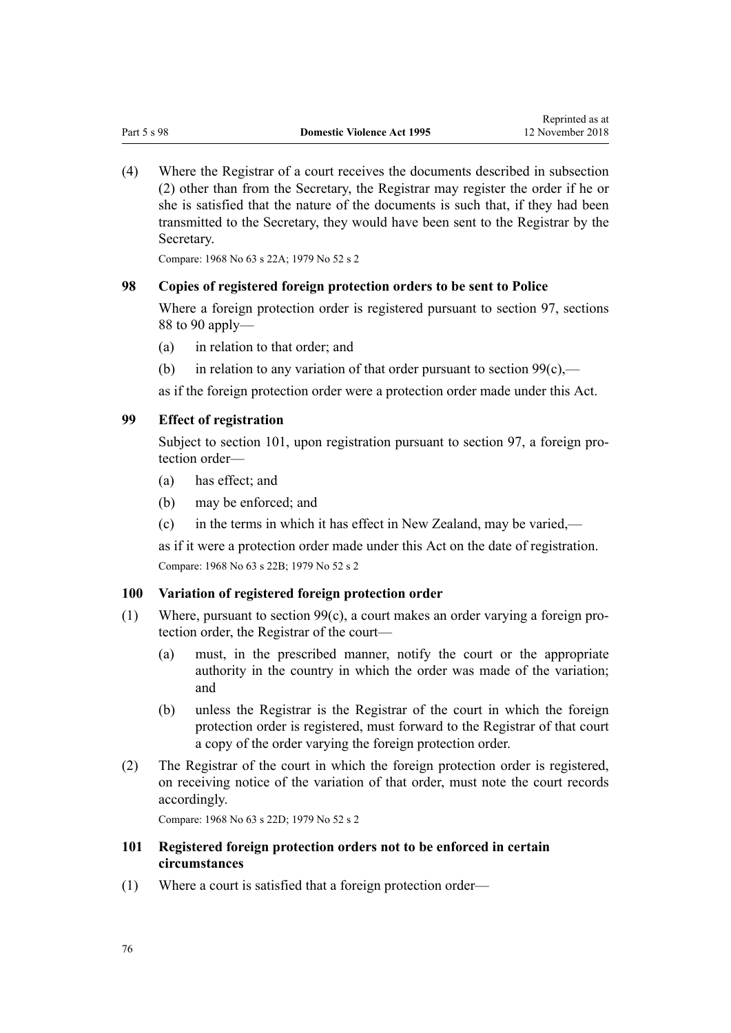<span id="page-75-0"></span>(4) Where the Registrar of a court receives the documents described in subsection (2) other than from the Secretary, the Registrar may register the order if he or she is satisfied that the nature of the documents is such that, if they had been transmitted to the Secretary, they would have been sent to the Registrar by the Secretary.

Compare: 1968 No 63 s 22A; 1979 No 52 s 2

## **98 Copies of registered foreign protection orders to be sent to Police**

Where a foreign protection order is registered pursuant to [section 97](#page-74-0), [sections](#page-70-0) [88 to 90](#page-70-0) apply—

- (a) in relation to that order; and
- (b) in relation to any variation of that order pursuant to section  $99(c)$ ,—

as if the foreign protection order were a protection order made under this Act.

### **99 Effect of registration**

Subject to section 101, upon registration pursuant to [section 97](#page-74-0), a foreign protection order—

- (a) has effect; and
- (b) may be enforced; and
- (c) in the terms in which it has effect in New Zealand, may be varied,—

as if it were a protection order made under this Act on the date of registration. Compare: 1968 No 63 s 22B; 1979 No 52 s 2

#### **100 Variation of registered foreign protection order**

- (1) Where, pursuant to section 99(c), a court makes an order varying a foreign protection order, the Registrar of the court—
	- (a) must, in the prescribed manner, notify the court or the appropriate authority in the country in which the order was made of the variation; and
	- (b) unless the Registrar is the Registrar of the court in which the foreign protection order is registered, must forward to the Registrar of that court a copy of the order varying the foreign protection order.
- (2) The Registrar of the court in which the foreign protection order is registered, on receiving notice of the variation of that order, must note the court records accordingly.

Compare: 1968 No 63 s 22D; 1979 No 52 s 2

# **101 Registered foreign protection orders not to be enforced in certain circumstances**

(1) Where a court is satisfied that a foreign protection order—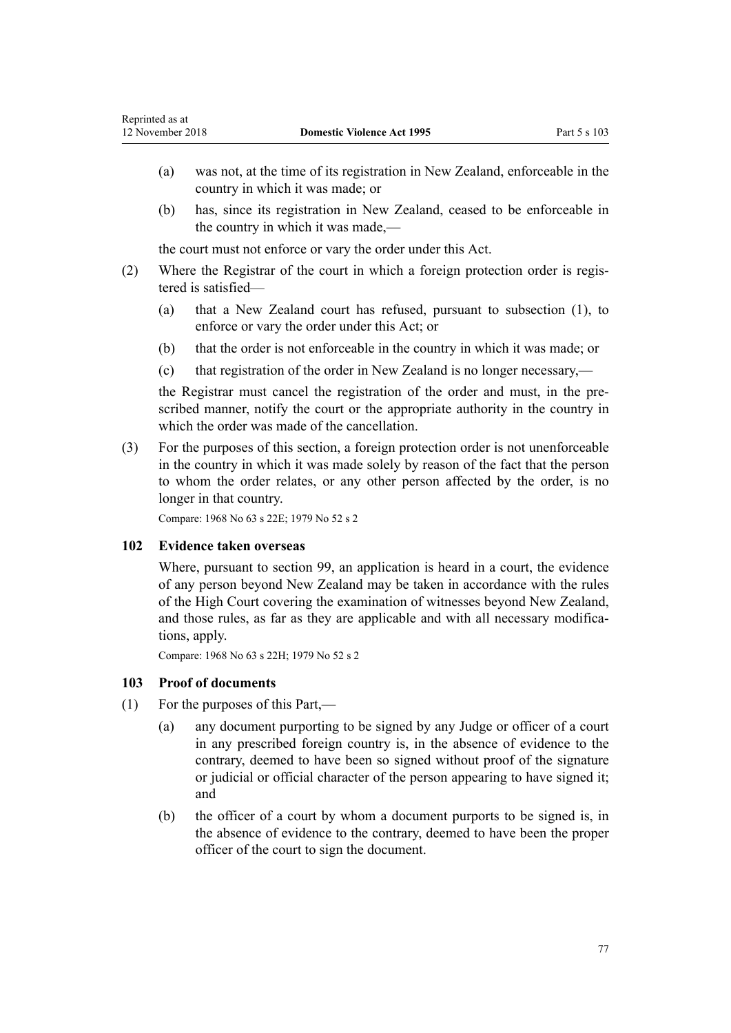- (a) was not, at the time of its registration in New Zealand, enforceable in the country in which it was made; or
- (b) has, since its registration in New Zealand, ceased to be enforceable in the country in which it was made,—

the court must not enforce or vary the order under this Act.

- (2) Where the Registrar of the court in which a foreign protection order is registered is satisfied—
	- (a) that a New Zealand court has refused, pursuant to subsection (1), to enforce or vary the order under this Act; or
	- (b) that the order is not enforceable in the country in which it was made; or
	- (c) that registration of the order in New Zealand is no longer necessary,—

the Registrar must cancel the registration of the order and must, in the prescribed manner, notify the court or the appropriate authority in the country in which the order was made of the cancellation.

(3) For the purposes of this section, a foreign protection order is not unenforceable in the country in which it was made solely by reason of the fact that the person to whom the order relates, or any other person affected by the order, is no longer in that country.

Compare: 1968 No 63 s 22E; 1979 No 52 s 2

## **102 Evidence taken overseas**

Where, pursuant to [section 99,](#page-75-0) an application is heard in a court, the evidence of any person beyond New Zealand may be taken in accordance with the rules of the High Court covering the examination of witnesses beyond New Zealand, and those rules, as far as they are applicable and with all necessary modifications, apply.

Compare: 1968 No 63 s 22H; 1979 No 52 s 2

## **103 Proof of documents**

- (1) For the purposes of this Part,—
	- (a) any document purporting to be signed by any Judge or officer of a court in any prescribed foreign country is, in the absence of evidence to the contrary, deemed to have been so signed without proof of the signature or judicial or official character of the person appearing to have signed it; and
	- (b) the officer of a court by whom a document purports to be signed is, in the absence of evidence to the contrary, deemed to have been the proper officer of the court to sign the document.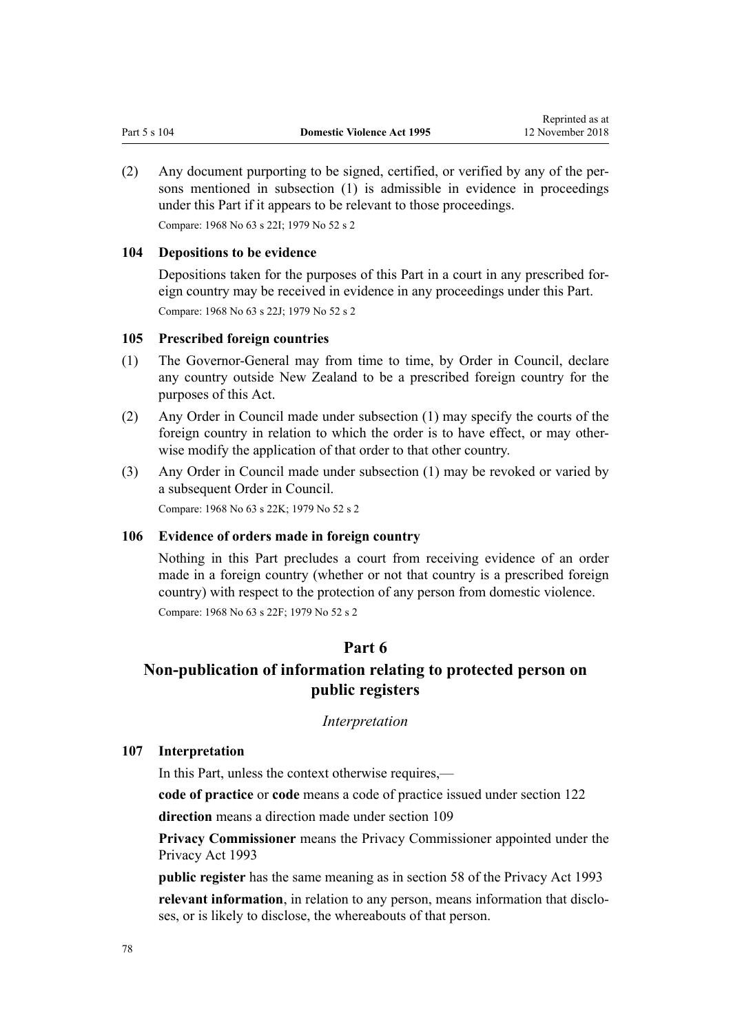(2) Any document purporting to be signed, certified, or verified by any of the persons mentioned in subsection (1) is admissible in evidence in proceedings under this Part if it appears to be relevant to those proceedings. Compare: 1968 No 63 s 22I; 1979 No 52 s 2

#### **104 Depositions to be evidence**

Depositions taken for the purposes of this Part in a court in any prescribed foreign country may be received in evidence in any proceedings under this Part. Compare: 1968 No 63 s 22J; 1979 No 52 s 2

#### **105 Prescribed foreign countries**

- (1) The Governor-General may from time to time, by Order in Council, declare any country outside New Zealand to be a prescribed foreign country for the purposes of this Act.
- (2) Any Order in Council made under subsection (1) may specify the courts of the foreign country in relation to which the order is to have effect, or may otherwise modify the application of that order to that other country.
- (3) Any Order in Council made under subsection (1) may be revoked or varied by a subsequent Order in Council.

Compare: 1968 No 63 s 22K; 1979 No 52 s 2

#### **106 Evidence of orders made in foreign country**

Nothing in this Part precludes a court from receiving evidence of an order made in a foreign country (whether or not that country is a prescribed foreign country) with respect to the protection of any person from domestic violence. Compare: 1968 No 63 s 22F; 1979 No 52 s 2

# **Part 6**

# **Non-publication of information relating to protected person on public registers**

#### *Interpretation*

### **107 Interpretation**

In this Part, unless the context otherwise requires,—

**code of practice** or **code** means a code of practice issued under [section 122](#page-84-0)

**direction** means a direction made under [section 109](#page-78-0)

**Privacy Commissioner** means the Privacy Commissioner appointed under the [Privacy Act 1993](http://prd-lgnz-nlb.prd.pco.net.nz/pdflink.aspx?id=DLM296638)

**public register** has the same meaning as in [section 58](http://prd-lgnz-nlb.prd.pco.net.nz/pdflink.aspx?id=DLM297424) of the Privacy Act 1993 **relevant information**, in relation to any person, means information that discloses, or is likely to disclose, the whereabouts of that person.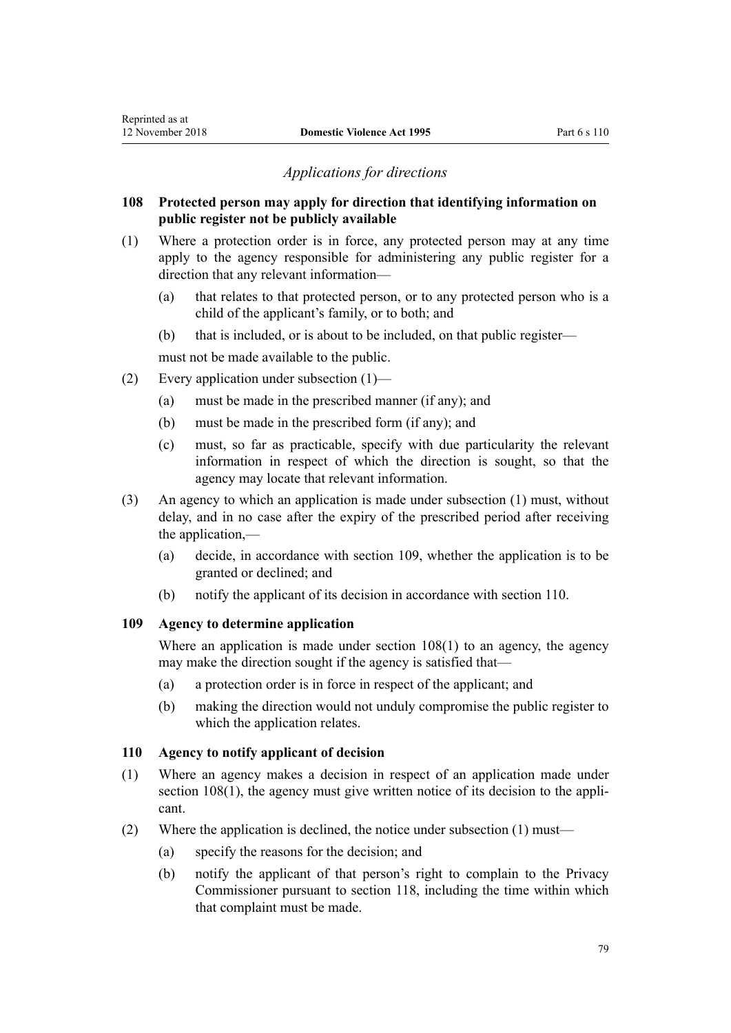# *Applications for directions*

## <span id="page-78-0"></span>**108 Protected person may apply for direction that identifying information on public register not be publicly available**

- (1) Where a protection order is in force, any protected person may at any time apply to the agency responsible for administering any public register for a direction that any relevant information—
	- (a) that relates to that protected person, or to any protected person who is a child of the applicant's family, or to both; and
	- (b) that is included, or is about to be included, on that public register—

must not be made available to the public.

- (2) Every application under subsection (1)—
	- (a) must be made in the prescribed manner (if any); and
	- (b) must be made in the prescribed form (if any); and
	- (c) must, so far as practicable, specify with due particularity the relevant information in respect of which the direction is sought, so that the agency may locate that relevant information.
- (3) An agency to which an application is made under subsection (1) must, without delay, and in no case after the expiry of the prescribed period after receiving the application,—
	- (a) decide, in accordance with section 109, whether the application is to be granted or declined; and
	- (b) notify the applicant of its decision in accordance with section 110.

## **109 Agency to determine application**

Where an application is made under section 108(1) to an agency, the agency may make the direction sought if the agency is satisfied that—

- (a) a protection order is in force in respect of the applicant; and
- (b) making the direction would not unduly compromise the public register to which the application relates.

# **110 Agency to notify applicant of decision**

- (1) Where an agency makes a decision in respect of an application made under section 108(1), the agency must give written notice of its decision to the applicant.
- (2) Where the application is declined, the notice under subsection (1) must—
	- (a) specify the reasons for the decision; and
	- (b) notify the applicant of that person's right to complain to the Privacy Commissioner pursuant to [section 118](#page-82-0), including the time within which that complaint must be made.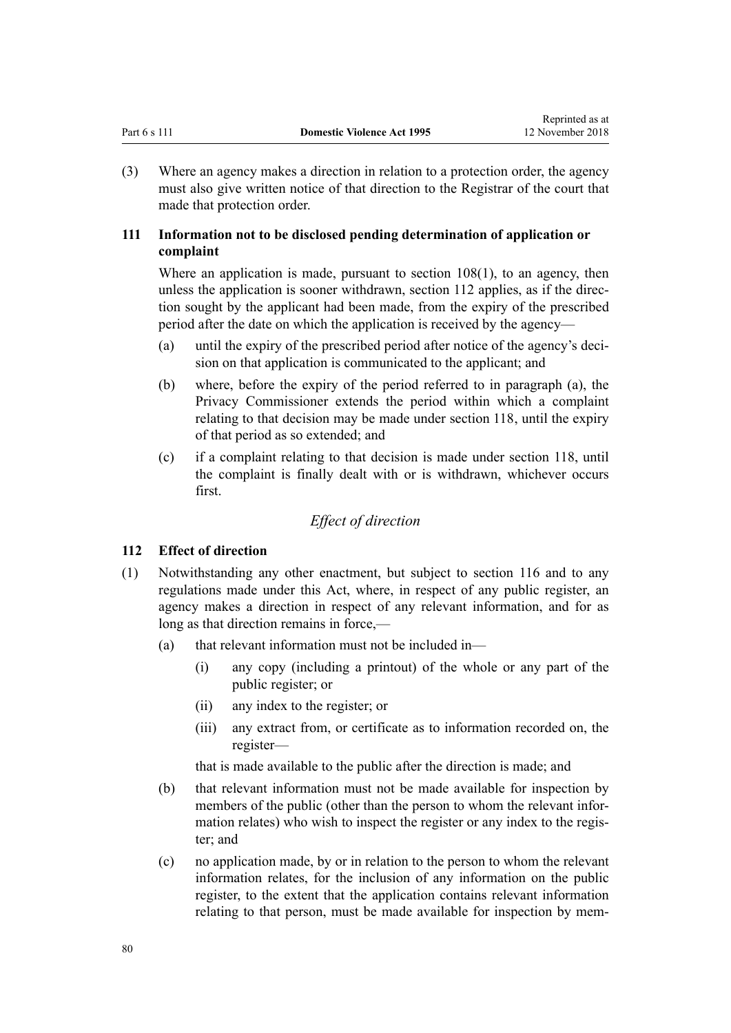<span id="page-79-0"></span>(3) Where an agency makes a direction in relation to a protection order, the agency must also give written notice of that direction to the Registrar of the court that made that protection order.

# **111 Information not to be disclosed pending determination of application or complaint**

Where an application is made, pursuant to [section 108\(1\)](#page-78-0), to an agency, then unless the application is sooner withdrawn, section 112 applies, as if the direction sought by the applicant had been made, from the expiry of the prescribed period after the date on which the application is received by the agency—

- (a) until the expiry of the prescribed period after notice of the agency's decision on that application is communicated to the applicant; and
- (b) where, before the expiry of the period referred to in paragraph (a), the Privacy Commissioner extends the period within which a complaint relating to that decision may be made under [section 118](#page-82-0), until the expiry of that period as so extended; and
- (c) if a complaint relating to that decision is made under [section 118](#page-82-0), until the complaint is finally dealt with or is withdrawn, whichever occurs first.

# *Effect of direction*

# **112 Effect of direction**

- (1) Notwithstanding any other enactment, but subject to [section 116](#page-82-0) and to any regulations made under this Act, where, in respect of any public register, an agency makes a direction in respect of any relevant information, and for as long as that direction remains in force,—
	- (a) that relevant information must not be included in—
		- (i) any copy (including a printout) of the whole or any part of the public register; or
		- (ii) any index to the register; or
		- (iii) any extract from, or certificate as to information recorded on, the register—

that is made available to the public after the direction is made; and

- (b) that relevant information must not be made available for inspection by members of the public (other than the person to whom the relevant information relates) who wish to inspect the register or any index to the register; and
- (c) no application made, by or in relation to the person to whom the relevant information relates, for the inclusion of any information on the public register, to the extent that the application contains relevant information relating to that person, must be made available for inspection by mem-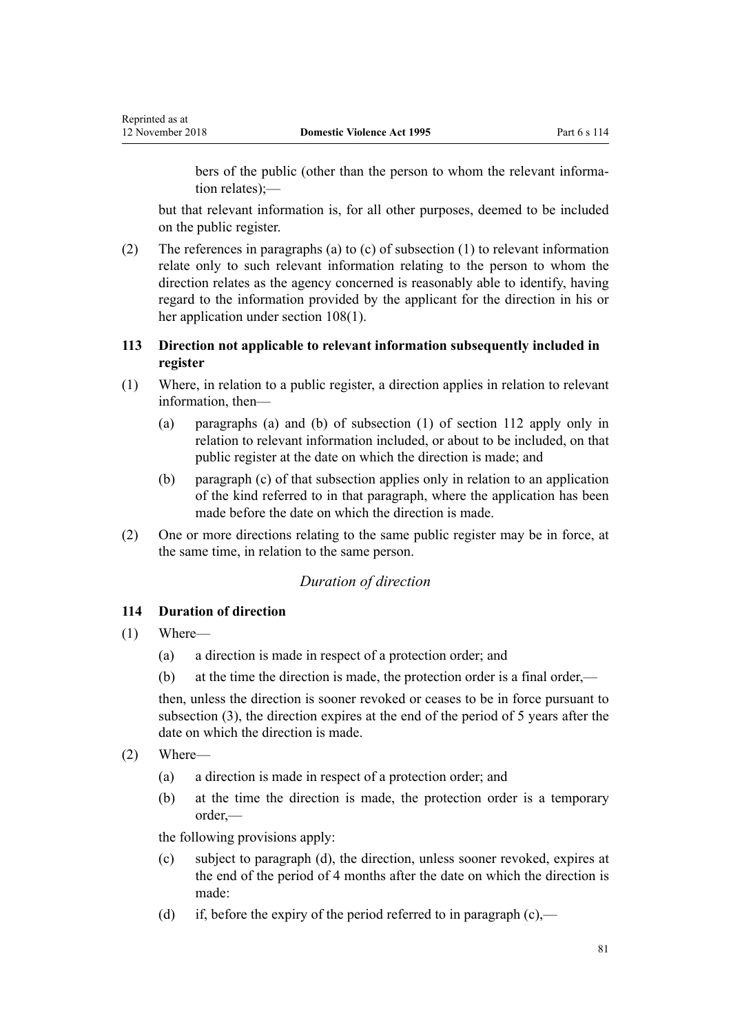<span id="page-80-0"></span>bers of the public (other than the person to whom the relevant information relates);—

but that relevant information is, for all other purposes, deemed to be included on the public register.

(2) The references in paragraphs (a) to (c) of subsection (1) to relevant information relate only to such relevant information relating to the person to whom the direction relates as the agency concerned is reasonably able to identify, having regard to the information provided by the applicant for the direction in his or her application under [section 108\(1\).](#page-78-0)

# **113 Direction not applicable to relevant information subsequently included in register**

- (1) Where, in relation to a public register, a direction applies in relation to relevant information, then—
	- (a) paragraphs (a) and (b) of subsection (1) of [section 112](#page-79-0) apply only in relation to relevant information included, or about to be included, on that public register at the date on which the direction is made; and
	- (b) paragraph (c) of that subsection applies only in relation to an application of the kind referred to in that paragraph, where the application has been made before the date on which the direction is made.
- (2) One or more directions relating to the same public register may be in force, at the same time, in relation to the same person.

# *Duration of direction*

# **114 Duration of direction**

- (1) Where—
	- (a) a direction is made in respect of a protection order; and
	- (b) at the time the direction is made, the protection order is a final order,—

then, unless the direction is sooner revoked or ceases to be in force pursuant to subsection (3), the direction expires at the end of the period of 5 years after the date on which the direction is made.

- (2) Where—
	- (a) a direction is made in respect of a protection order; and
	- (b) at the time the direction is made, the protection order is a temporary order,—

the following provisions apply:

- (c) subject to paragraph (d), the direction, unless sooner revoked, expires at the end of the period of 4 months after the date on which the direction is made:
- (d) if, before the expiry of the period referred to in paragraph  $(c)$ ,—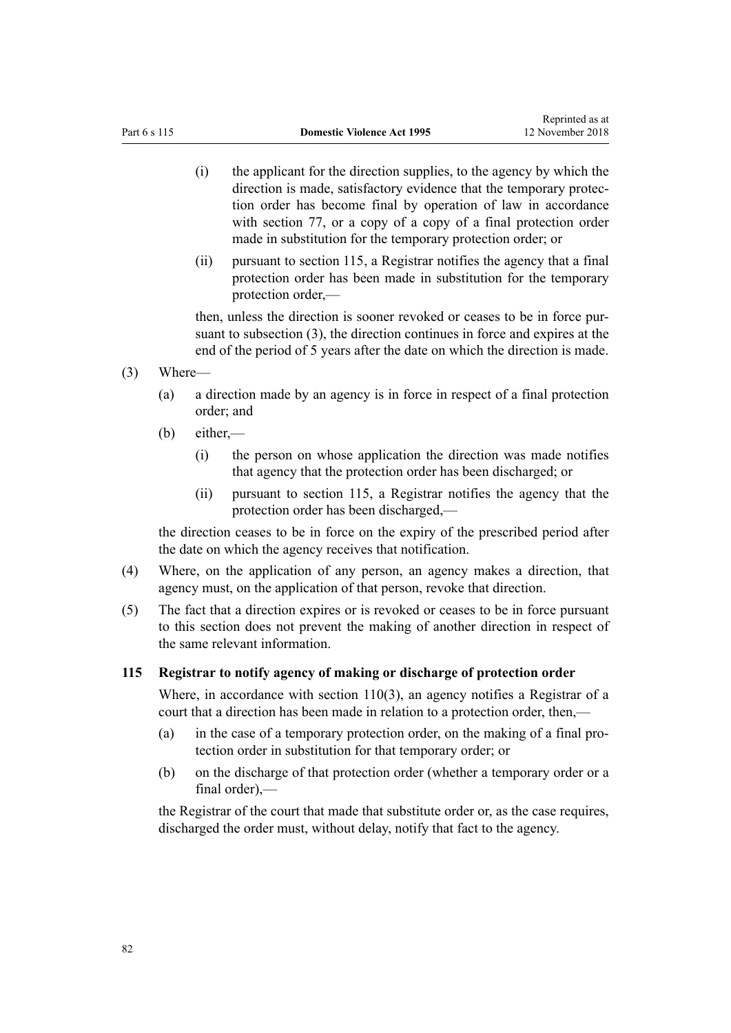- (i) the applicant for the direction supplies, to the agency by which the direction is made, satisfactory evidence that the temporary protection order has become final by operation of law in accordance with [section 77,](#page-62-0) or a copy of a copy of a final protection order made in substitution for the temporary protection order; or
- (ii) pursuant to section 115, a Registrar notifies the agency that a final protection order has been made in substitution for the temporary protection order,—

then, unless the direction is sooner revoked or ceases to be in force pursuant to subsection (3), the direction continues in force and expires at the end of the period of 5 years after the date on which the direction is made.

- (3) Where—
	- (a) a direction made by an agency is in force in respect of a final protection order; and
	- (b) either,—
		- (i) the person on whose application the direction was made notifies that agency that the protection order has been discharged; or
		- (ii) pursuant to section 115, a Registrar notifies the agency that the protection order has been discharged,—

the direction ceases to be in force on the expiry of the prescribed period after the date on which the agency receives that notification.

- (4) Where, on the application of any person, an agency makes a direction, that agency must, on the application of that person, revoke that direction.
- (5) The fact that a direction expires or is revoked or ceases to be in force pursuant to this section does not prevent the making of another direction in respect of the same relevant information.

### **115 Registrar to notify agency of making or discharge of protection order**

Where, in accordance with [section 110\(3\)](#page-78-0), an agency notifies a Registrar of a court that a direction has been made in relation to a protection order, then,—

- (a) in the case of a temporary protection order, on the making of a final protection order in substitution for that temporary order; or
- (b) on the discharge of that protection order (whether a temporary order or a  $final order)$  —

the Registrar of the court that made that substitute order or, as the case requires, discharged the order must, without delay, notify that fact to the agency.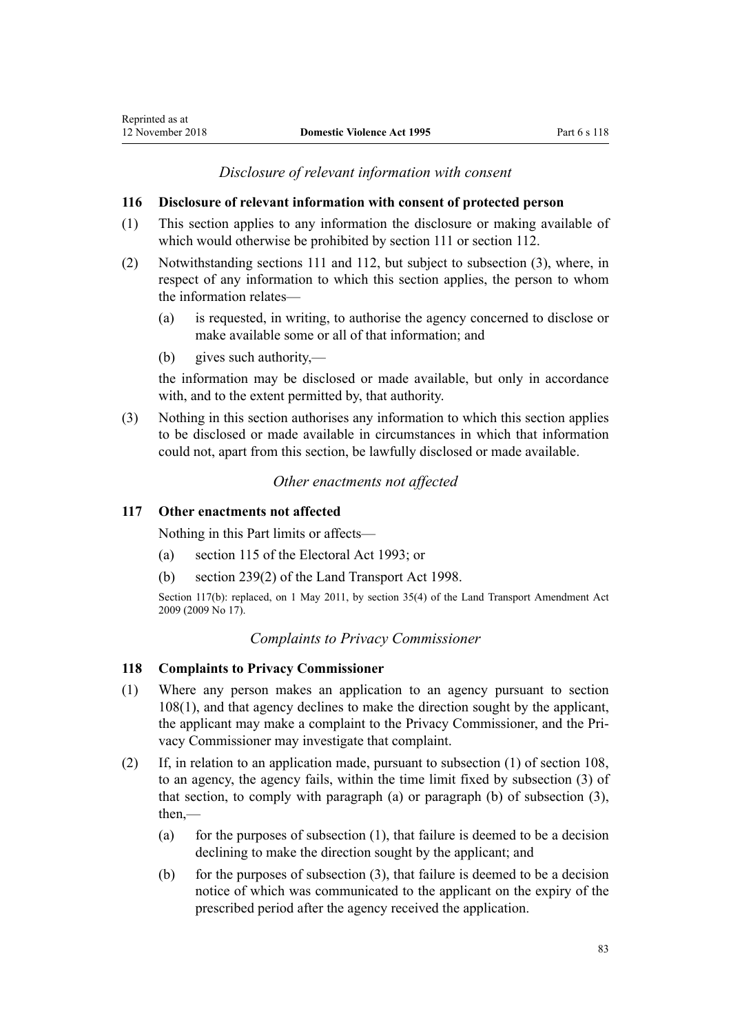# *Disclosure of relevant information with consent*

## <span id="page-82-0"></span>**116 Disclosure of relevant information with consent of protected person**

- (1) This section applies to any information the disclosure or making available of which would otherwise be prohibited by [section 111](#page-79-0) or [section 112](#page-79-0).
- (2) Notwithstanding [sections 111](#page-79-0) and [112](#page-79-0), but subject to subsection (3), where, in respect of any information to which this section applies, the person to whom the information relates—
	- (a) is requested, in writing, to authorise the agency concerned to disclose or make available some or all of that information; and
	- (b) gives such authority,—

the information may be disclosed or made available, but only in accordance with, and to the extent permitted by, that authority.

(3) Nothing in this section authorises any information to which this section applies to be disclosed or made available in circumstances in which that information could not, apart from this section, be lawfully disclosed or made available.

# *Other enactments not affected*

## **117 Other enactments not affected**

Nothing in this Part limits or affects—

- (a) [section 115](http://prd-lgnz-nlb.prd.pco.net.nz/pdflink.aspx?id=DLM309404) of the Electoral Act 1993; or
- (b) [section 239\(2\)](http://prd-lgnz-nlb.prd.pco.net.nz/pdflink.aspx?id=DLM3701415) of the Land Transport Act 1998.

Section 117(b): replaced, on 1 May 2011, by [section 35\(4\)](http://prd-lgnz-nlb.prd.pco.net.nz/pdflink.aspx?id=DLM2015063) of the Land Transport Amendment Act 2009 (2009 No 17).

# *Complaints to Privacy Commissioner*

### **118 Complaints to Privacy Commissioner**

- (1) Where any person makes an application to an agency pursuant to [section](#page-78-0) [108\(1\),](#page-78-0) and that agency declines to make the direction sought by the applicant, the applicant may make a complaint to the Privacy Commissioner, and the Privacy Commissioner may investigate that complaint.
- (2) If, in relation to an application made, pursuant to subsection (1) of [section 108](#page-78-0), to an agency, the agency fails, within the time limit fixed by subsection (3) of that section, to comply with paragraph (a) or paragraph (b) of subsection (3), then $-$ 
	- (a) for the purposes of subsection  $(1)$ , that failure is deemed to be a decision declining to make the direction sought by the applicant; and
	- (b) for the purposes of subsection  $(3)$ , that failure is deemed to be a decision notice of which was communicated to the applicant on the expiry of the prescribed period after the agency received the application.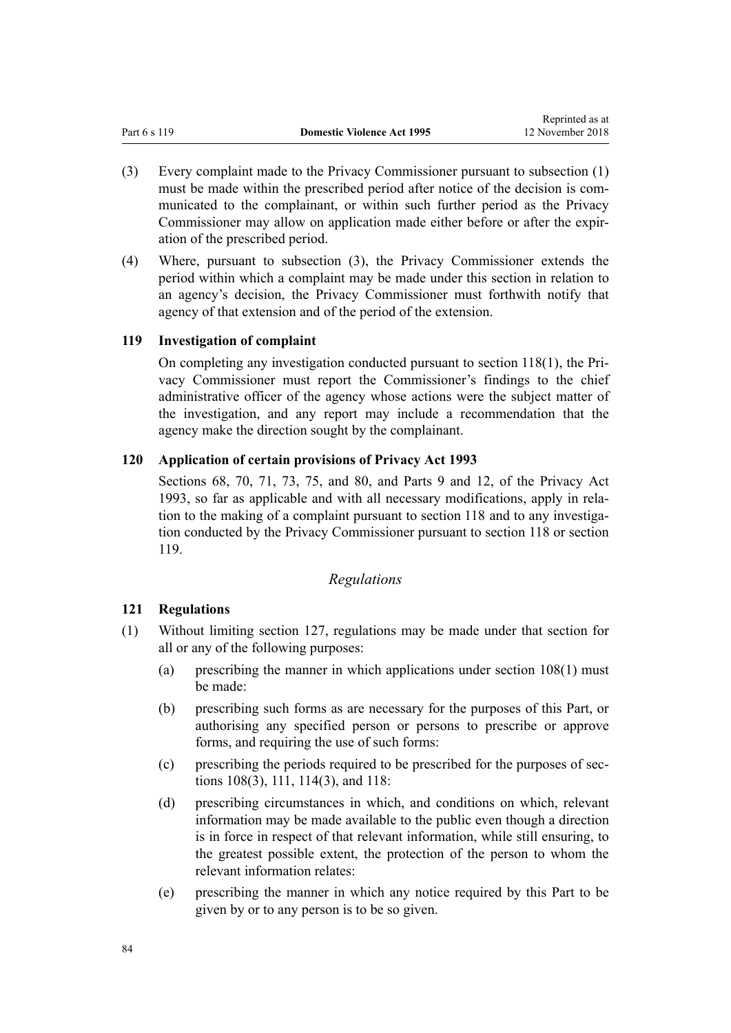- <span id="page-83-0"></span>(3) Every complaint made to the Privacy Commissioner pursuant to subsection (1) must be made within the prescribed period after notice of the decision is communicated to the complainant, or within such further period as the Privacy Commissioner may allow on application made either before or after the expiration of the prescribed period.
- (4) Where, pursuant to subsection (3), the Privacy Commissioner extends the period within which a complaint may be made under this section in relation to an agency's decision, the Privacy Commissioner must forthwith notify that agency of that extension and of the period of the extension.

# **119 Investigation of complaint**

On completing any investigation conducted pursuant to [section 118\(1\)](#page-82-0), the Privacy Commissioner must report the Commissioner's findings to the chief administrative officer of the agency whose actions were the subject matter of the investigation, and any report may include a recommendation that the agency make the direction sought by the complainant.

# **120 Application of certain provisions of Privacy Act 1993**

[Sections 68](http://prd-lgnz-nlb.prd.pco.net.nz/pdflink.aspx?id=DLM297444), [70](http://prd-lgnz-nlb.prd.pco.net.nz/pdflink.aspx?id=DLM297447), [71](http://prd-lgnz-nlb.prd.pco.net.nz/pdflink.aspx?id=DLM297448), [73](http://prd-lgnz-nlb.prd.pco.net.nz/pdflink.aspx?id=DLM297455), [75](http://prd-lgnz-nlb.prd.pco.net.nz/pdflink.aspx?id=DLM297457), and [80](http://prd-lgnz-nlb.prd.pco.net.nz/pdflink.aspx?id=DLM297463), and [Parts 9](http://prd-lgnz-nlb.prd.pco.net.nz/pdflink.aspx?id=DLM297902) and [12](http://prd-lgnz-nlb.prd.pco.net.nz/pdflink.aspx?id=DLM298408), of the Privacy Act 1993, so far as applicable and with all necessary modifications, apply in relation to the making of a complaint pursuant to [section 118](#page-82-0) and to any investigation conducted by the Privacy Commissioner pursuant to section 118 or section 119.

# *Regulations*

# **121 Regulations**

- (1) Without limiting [section 127,](#page-96-0) regulations may be made under that section for all or any of the following purposes:
	- (a) prescribing the manner in which applications under [section 108\(1\)](#page-78-0) must be made:
	- (b) prescribing such forms as are necessary for the purposes of this Part, or authorising any specified person or persons to prescribe or approve forms, and requiring the use of such forms:
	- (c) prescribing the periods required to be prescribed for the purposes of [sec](#page-78-0)[tions 108\(3\)](#page-78-0), [111](#page-79-0), [114\(3\)](#page-80-0), and [118](#page-82-0):
	- (d) prescribing circumstances in which, and conditions on which, relevant information may be made available to the public even though a direction is in force in respect of that relevant information, while still ensuring, to the greatest possible extent, the protection of the person to whom the relevant information relates:
	- (e) prescribing the manner in which any notice required by this Part to be given by or to any person is to be so given.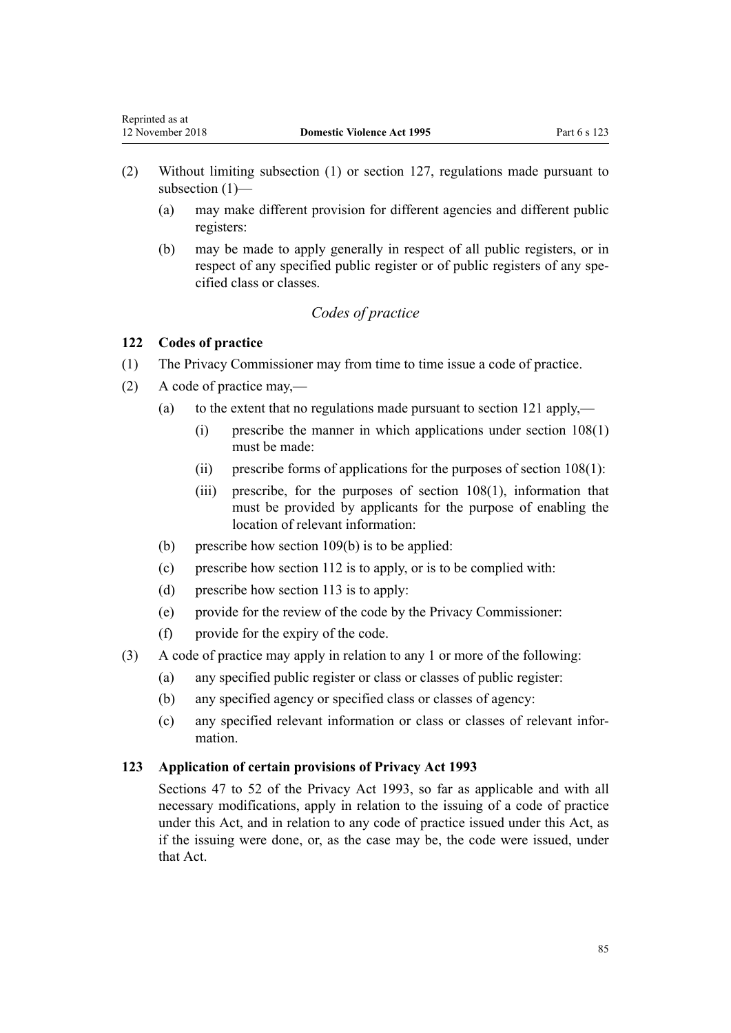- (2) Without limiting subsection (1) or [section 127,](#page-96-0) regulations made pursuant to subsection (1)—
	- (a) may make different provision for different agencies and different public registers:
	- (b) may be made to apply generally in respect of all public registers, or in respect of any specified public register or of public registers of any specified class or classes.

# *Codes of practice*

# **122 Codes of practice**

<span id="page-84-0"></span>Reprinted as at

- (1) The Privacy Commissioner may from time to time issue a code of practice.
- (2) A code of practice may,—
	- (a) to the extent that no regulations made pursuant to [section 121](#page-83-0) apply,—
		- (i) prescribe the manner in which applications under [section 108\(1\)](#page-78-0) must be made:
		- (ii) prescribe forms of applications for the purposes of [section 108\(1\)](#page-78-0):
		- (iii) prescribe, for the purposes of [section 108\(1\)](#page-78-0), information that must be provided by applicants for the purpose of enabling the location of relevant information:
	- (b) prescribe how [section 109\(b\)](#page-78-0) is to be applied:
	- (c) prescribe how [section 112](#page-79-0) is to apply, or is to be complied with:
	- (d) prescribe how [section 113](#page-80-0) is to apply:
	- (e) provide for the review of the code by the Privacy Commissioner:
	- (f) provide for the expiry of the code.
- (3) A code of practice may apply in relation to any 1 or more of the following:
	- (a) any specified public register or class or classes of public register:
	- (b) any specified agency or specified class or classes of agency:
	- (c) any specified relevant information or class or classes of relevant information.

#### **123 Application of certain provisions of Privacy Act 1993**

[Sections 47 to 52](http://prd-lgnz-nlb.prd.pco.net.nz/pdflink.aspx?id=DLM297411) of the Privacy Act 1993, so far as applicable and with all necessary modifications, apply in relation to the issuing of a code of practice under this Act, and in relation to any code of practice issued under this Act, as if the issuing were done, or, as the case may be, the code were issued, under that Act.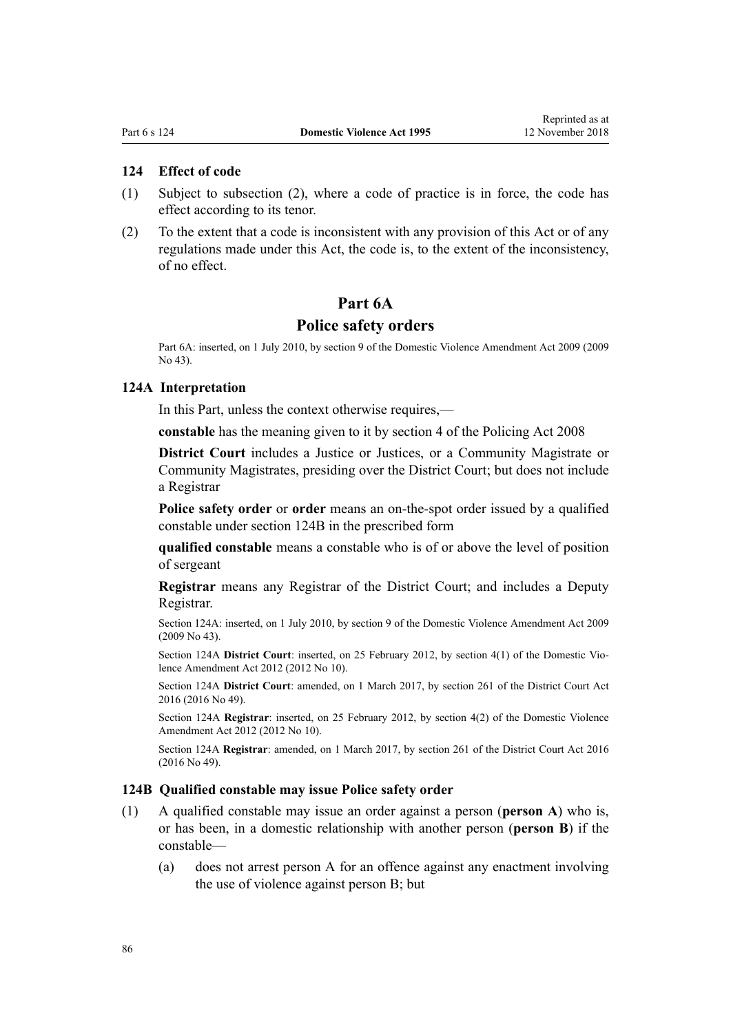## <span id="page-85-0"></span>**124 Effect of code**

- (1) Subject to subsection (2), where a code of practice is in force, the code has effect according to its tenor.
- (2) To the extent that a code is inconsistent with any provision of this Act or of any regulations made under this Act, the code is, to the extent of the inconsistency, of no effect.

# **Part 6A**

#### **Police safety orders**

Part 6A: inserted, on 1 July 2010, by [section 9](http://prd-lgnz-nlb.prd.pco.net.nz/pdflink.aspx?id=DLM1774218) of the Domestic Violence Amendment Act 2009 (2009 No 43).

#### **124A Interpretation**

In this Part, unless the context otherwise requires,—

**constable** has the meaning given to it by [section 4](http://prd-lgnz-nlb.prd.pco.net.nz/pdflink.aspx?id=DLM1102132) of the Policing Act 2008

**District Court** includes a Justice or Justices, or a Community Magistrate or Community Magistrates, presiding over the District Court; but does not include a Registrar

**Police safety order** or **order** means an on-the-spot order issued by a qualified constable under section 124B in the prescribed form

**qualified constable** means a constable who is of or above the level of position of sergeant

**Registrar** means any Registrar of the District Court; and includes a Deputy Registrar.

Section 124A: inserted, on 1 July 2010, by [section 9](http://prd-lgnz-nlb.prd.pco.net.nz/pdflink.aspx?id=DLM1774218) of the Domestic Violence Amendment Act 2009 (2009 No 43).

Section 124A **District Court**: inserted, on 25 February 2012, by [section 4\(1\)](http://prd-lgnz-nlb.prd.pco.net.nz/pdflink.aspx?id=DLM4014207) of the Domestic Violence Amendment Act 2012 (2012 No 10).

Section 124A **District Court**: amended, on 1 March 2017, by [section 261](http://prd-lgnz-nlb.prd.pco.net.nz/pdflink.aspx?id=DLM6942680) of the District Court Act 2016 (2016 No 49).

Section 124A **Registrar**: inserted, on 25 February 2012, by [section 4\(2\)](http://prd-lgnz-nlb.prd.pco.net.nz/pdflink.aspx?id=DLM4014207) of the Domestic Violence Amendment Act 2012 (2012 No 10).

Section 124A **Registrar**: amended, on 1 March 2017, by [section 261](http://prd-lgnz-nlb.prd.pco.net.nz/pdflink.aspx?id=DLM6942680) of the District Court Act 2016 (2016 No 49).

#### **124B Qualified constable may issue Police safety order**

- (1) A qualified constable may issue an order against a person (**person A**) who is, or has been, in a domestic relationship with another person (**person B**) if the constable—
	- (a) does not arrest person A for an offence against any enactment involving the use of violence against person B; but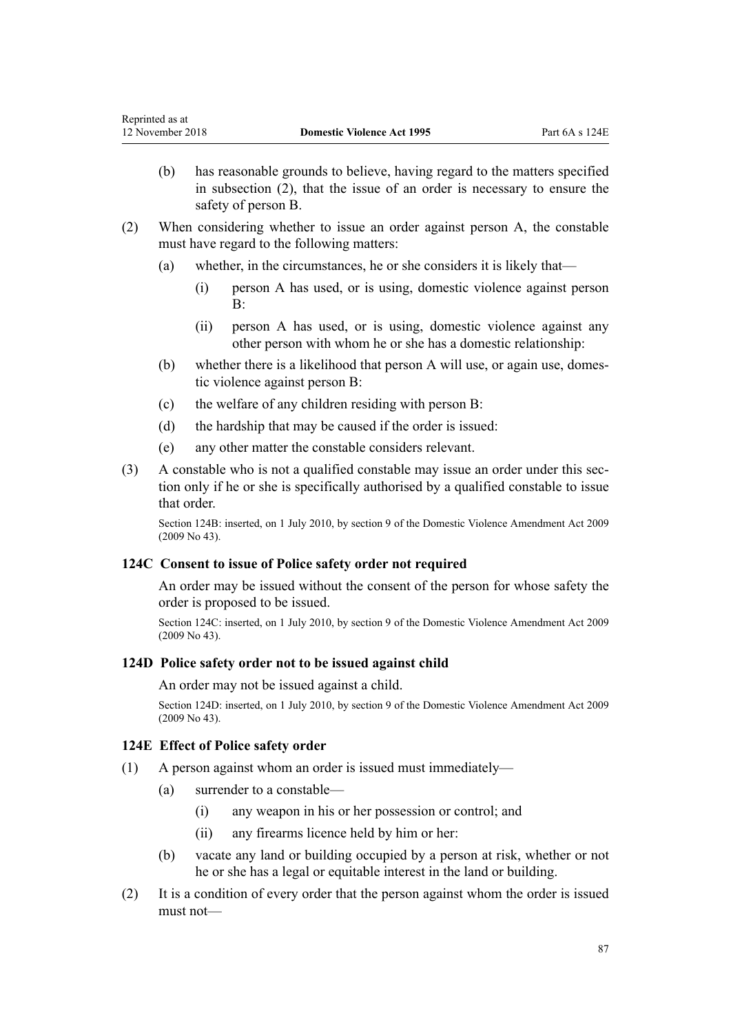- (b) has reasonable grounds to believe, having regard to the matters specified in subsection (2), that the issue of an order is necessary to ensure the safety of person B.
- (2) When considering whether to issue an order against person A, the constable must have regard to the following matters:
	- (a) whether, in the circumstances, he or she considers it is likely that—
		- (i) person A has used, or is using, domestic violence against person  $B^{\cdot}$
		- (ii) person A has used, or is using, domestic violence against any other person with whom he or she has a domestic relationship:
	- (b) whether there is a likelihood that person A will use, or again use, domestic violence against person B:
	- (c) the welfare of any children residing with person B:
	- (d) the hardship that may be caused if the order is issued:
	- (e) any other matter the constable considers relevant.
- (3) A constable who is not a qualified constable may issue an order under this section only if he or she is specifically authorised by a qualified constable to issue that order.

Section 124B: inserted, on 1 July 2010, by [section 9](http://prd-lgnz-nlb.prd.pco.net.nz/pdflink.aspx?id=DLM1774218) of the Domestic Violence Amendment Act 2009 (2009 No 43).

### **124C Consent to issue of Police safety order not required**

An order may be issued without the consent of the person for whose safety the order is proposed to be issued.

Section 124C: inserted, on 1 July 2010, by [section 9](http://prd-lgnz-nlb.prd.pco.net.nz/pdflink.aspx?id=DLM1774218) of the Domestic Violence Amendment Act 2009 (2009 No 43).

## **124D Police safety order not to be issued against child**

#### An order may not be issued against a child.

Section 124D: inserted, on 1 July 2010, by [section 9](http://prd-lgnz-nlb.prd.pco.net.nz/pdflink.aspx?id=DLM1774218) of the Domestic Violence Amendment Act 2009 (2009 No 43).

### **124E Effect of Police safety order**

- (1) A person against whom an order is issued must immediately—
	- (a) surrender to a constable—
		- (i) any weapon in his or her possession or control; and
		- (ii) any firearms licence held by him or her:
	- (b) vacate any land or building occupied by a person at risk, whether or not he or she has a legal or equitable interest in the land or building.
- (2) It is a condition of every order that the person against whom the order is issued must not—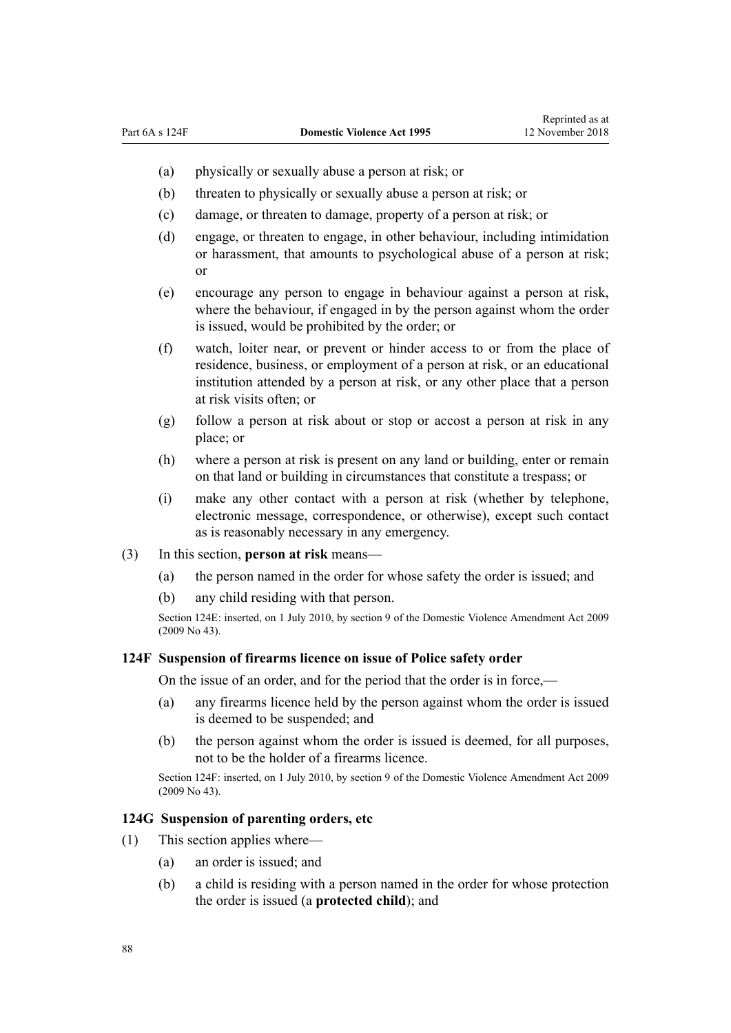- (a) physically or sexually abuse a person at risk; or
- (b) threaten to physically or sexually abuse a person at risk; or
- (c) damage, or threaten to damage, property of a person at risk; or
- (d) engage, or threaten to engage, in other behaviour, including intimidation or harassment, that amounts to psychological abuse of a person at risk; or
- (e) encourage any person to engage in behaviour against a person at risk, where the behaviour, if engaged in by the person against whom the order is issued, would be prohibited by the order; or
- (f) watch, loiter near, or prevent or hinder access to or from the place of residence, business, or employment of a person at risk, or an educational institution attended by a person at risk, or any other place that a person at risk visits often; or
- (g) follow a person at risk about or stop or accost a person at risk in any place; or
- (h) where a person at risk is present on any land or building, enter or remain on that land or building in circumstances that constitute a trespass; or
- (i) make any other contact with a person at risk (whether by telephone, electronic message, correspondence, or otherwise), except such contact as is reasonably necessary in any emergency.
- (3) In this section, **person at risk** means—
	- (a) the person named in the order for whose safety the order is issued; and
	- (b) any child residing with that person.

Section 124E: inserted, on 1 July 2010, by [section 9](http://prd-lgnz-nlb.prd.pco.net.nz/pdflink.aspx?id=DLM1774218) of the Domestic Violence Amendment Act 2009 (2009 No 43).

#### **124F Suspension of firearms licence on issue of Police safety order**

On the issue of an order, and for the period that the order is in force,—

- (a) any firearms licence held by the person against whom the order is issued is deemed to be suspended; and
- (b) the person against whom the order is issued is deemed, for all purposes, not to be the holder of a firearms licence.

Section 124F: inserted, on 1 July 2010, by [section 9](http://prd-lgnz-nlb.prd.pco.net.nz/pdflink.aspx?id=DLM1774218) of the Domestic Violence Amendment Act 2009 (2009 No 43).

#### **124G Suspension of parenting orders, etc**

- (1) This section applies where—
	- (a) an order is issued; and
	- (b) a child is residing with a person named in the order for whose protection the order is issued (a **protected child**); and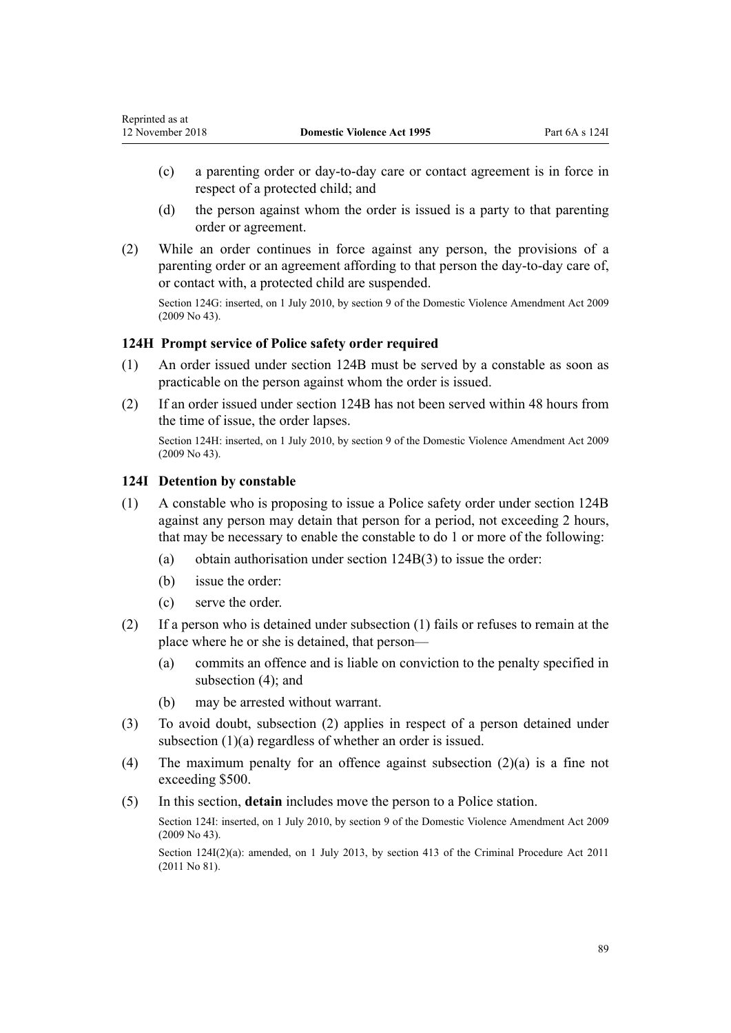- (c) a parenting order or day-to-day care or contact agreement is in force in respect of a protected child; and
- (d) the person against whom the order is issued is a party to that parenting order or agreement.
- (2) While an order continues in force against any person, the provisions of a parenting order or an agreement affording to that person the day-to-day care of, or contact with, a protected child are suspended.

Section 124G: inserted, on 1 July 2010, by [section 9](http://prd-lgnz-nlb.prd.pco.net.nz/pdflink.aspx?id=DLM1774218) of the Domestic Violence Amendment Act 2009 (2009 No 43).

# **124H Prompt service of Police safety order required**

- (1) An order issued under [section 124B](#page-85-0) must be served by a constable as soon as practicable on the person against whom the order is issued.
- (2) If an order issued under [section 124B](#page-85-0) has not been served within 48 hours from the time of issue, the order lapses.

Section 124H: inserted, on 1 July 2010, by [section 9](http://prd-lgnz-nlb.prd.pco.net.nz/pdflink.aspx?id=DLM1774218) of the Domestic Violence Amendment Act 2009 (2009 No 43).

# **124I Detention by constable**

- (1) A constable who is proposing to issue a Police safety order under [section 124B](#page-85-0) against any person may detain that person for a period, not exceeding 2 hours, that may be necessary to enable the constable to do 1 or more of the following:
	- (a) obtain authorisation under [section 124B\(3\)](#page-85-0) to issue the order:
	- (b) issue the order:
	- (c) serve the order.
- (2) If a person who is detained under subsection (1) fails or refuses to remain at the place where he or she is detained, that person—
	- (a) commits an offence and is liable on conviction to the penalty specified in subsection  $(4)$ ; and
	- (b) may be arrested without warrant.
- (3) To avoid doubt, subsection (2) applies in respect of a person detained under subsection (1)(a) regardless of whether an order is issued.
- (4) The maximum penalty for an offence against subsection (2)(a) is a fine not exceeding \$500.
- (5) In this section, **detain** includes move the person to a Police station.

Section 124I: inserted, on 1 July 2010, by [section 9](http://prd-lgnz-nlb.prd.pco.net.nz/pdflink.aspx?id=DLM1774218) of the Domestic Violence Amendment Act 2009 (2009 No 43).

Section 124I(2)(a): amended, on 1 July 2013, by [section 413](http://prd-lgnz-nlb.prd.pco.net.nz/pdflink.aspx?id=DLM3360714) of the Criminal Procedure Act 2011 (2011 No 81).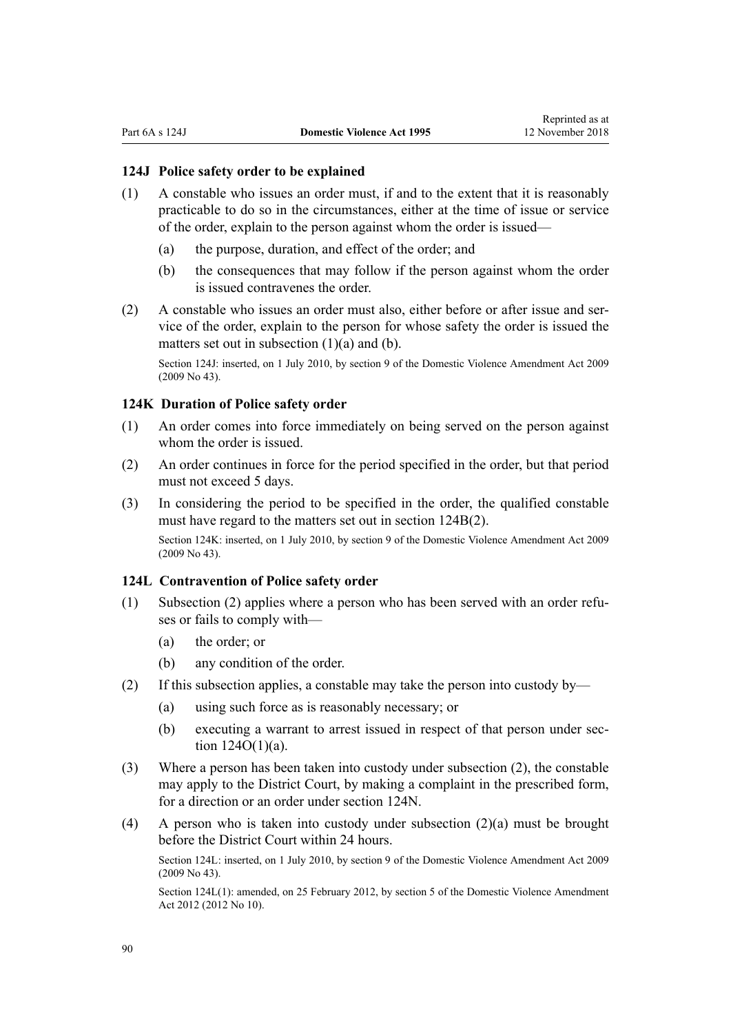#### <span id="page-89-0"></span>**124J Police safety order to be explained**

- (1) A constable who issues an order must, if and to the extent that it is reasonably practicable to do so in the circumstances, either at the time of issue or service of the order, explain to the person against whom the order is issued—
	- (a) the purpose, duration, and effect of the order; and
	- (b) the consequences that may follow if the person against whom the order is issued contravenes the order.
- (2) A constable who issues an order must also, either before or after issue and service of the order, explain to the person for whose safety the order is issued the matters set out in subsection (1)(a) and (b).

Section 124J: inserted, on 1 July 2010, by [section 9](http://prd-lgnz-nlb.prd.pco.net.nz/pdflink.aspx?id=DLM1774218) of the Domestic Violence Amendment Act 2009 (2009 No 43).

# **124K Duration of Police safety order**

- (1) An order comes into force immediately on being served on the person against whom the order is issued.
- (2) An order continues in force for the period specified in the order, but that period must not exceed 5 days.
- (3) In considering the period to be specified in the order, the qualified constable must have regard to the matters set out in [section 124B\(2\).](#page-85-0) Section 124K: inserted, on 1 July 2010, by [section 9](http://prd-lgnz-nlb.prd.pco.net.nz/pdflink.aspx?id=DLM1774218) of the Domestic Violence Amendment Act 2009 (2009 No 43).

#### **124L Contravention of Police safety order**

- (1) Subsection (2) applies where a person who has been served with an order refuses or fails to comply with—
	- (a) the order; or
	- (b) any condition of the order.
- (2) If this subsection applies, a constable may take the person into custody by—
	- (a) using such force as is reasonably necessary; or
	- (b) executing a warrant to arrest issued in respect of that person under [sec](#page-92-0)[tion 124O\(1\)\(a\).](#page-92-0)
- (3) Where a person has been taken into custody under subsection (2), the constable may apply to the District Court, by making a complaint in the prescribed form, for a direction or an order under [section 124N.](#page-90-0)
- (4) A person who is taken into custody under subsection (2)(a) must be brought before the District Court within 24 hours.

Section 124L: inserted, on 1 July 2010, by [section 9](http://prd-lgnz-nlb.prd.pco.net.nz/pdflink.aspx?id=DLM1774218) of the Domestic Violence Amendment Act 2009 (2009 No 43).

Section 124L(1): amended, on 25 February 2012, by [section 5](http://prd-lgnz-nlb.prd.pco.net.nz/pdflink.aspx?id=DLM4014212) of the Domestic Violence Amendment Act 2012 (2012 No 10).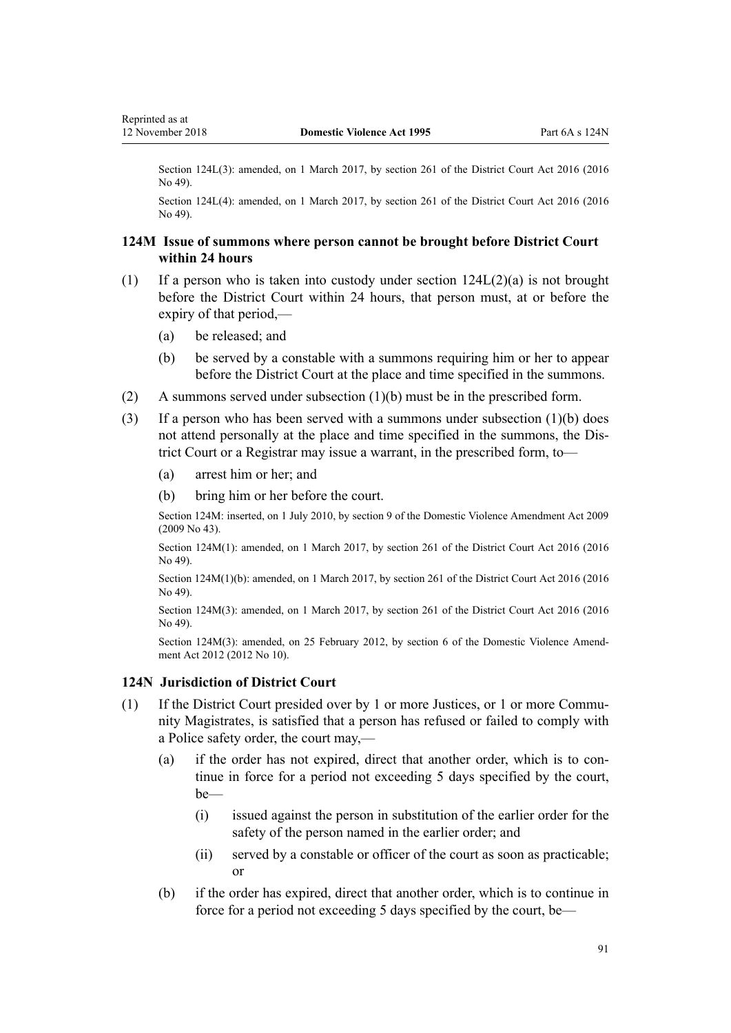<span id="page-90-0"></span>Section 124L(3): amended, on 1 March 2017, by [section 261](http://prd-lgnz-nlb.prd.pco.net.nz/pdflink.aspx?id=DLM6942680) of the District Court Act 2016 (2016) No 49).

Section 124L(4): amended, on 1 March 2017, by [section 261](http://prd-lgnz-nlb.prd.pco.net.nz/pdflink.aspx?id=DLM6942680) of the District Court Act 2016 (2016) No 49).

## **124M Issue of summons where person cannot be brought before District Court within 24 hours**

- (1) If a person who is taken into custody under [section 124L\(2\)\(a\)](#page-89-0) is not brought before the District Court within 24 hours, that person must, at or before the expiry of that period,—
	- (a) be released; and
	- (b) be served by a constable with a summons requiring him or her to appear before the District Court at the place and time specified in the summons.
- (2) A summons served under subsection (1)(b) must be in the prescribed form.
- (3) If a person who has been served with a summons under subsection (1)(b) does not attend personally at the place and time specified in the summons, the District Court or a Registrar may issue a warrant, in the prescribed form, to—
	- (a) arrest him or her; and
	- (b) bring him or her before the court.

Section 124M: inserted, on 1 July 2010, by [section 9](http://prd-lgnz-nlb.prd.pco.net.nz/pdflink.aspx?id=DLM1774218) of the Domestic Violence Amendment Act 2009 (2009 No 43).

Section 124M(1): amended, on 1 March 2017, by [section 261](http://prd-lgnz-nlb.prd.pco.net.nz/pdflink.aspx?id=DLM6942680) of the District Court Act 2016 (2016 No 49).

Section 124M(1)(b): amended, on 1 March 2017, by [section 261](http://prd-lgnz-nlb.prd.pco.net.nz/pdflink.aspx?id=DLM6942680) of the District Court Act 2016 (2016 No 49).

Section 124M(3): amended, on 1 March 2017, by [section 261](http://prd-lgnz-nlb.prd.pco.net.nz/pdflink.aspx?id=DLM6942680) of the District Court Act 2016 (2016) No 49).

Section 124M(3): amended, on 25 February 2012, by [section 6](http://prd-lgnz-nlb.prd.pco.net.nz/pdflink.aspx?id=DLM4014213) of the Domestic Violence Amendment Act 2012 (2012 No 10).

#### **124N Jurisdiction of District Court**

- (1) If the District Court presided over by 1 or more Justices, or 1 or more Community Magistrates, is satisfied that a person has refused or failed to comply with a Police safety order, the court may,—
	- (a) if the order has not expired, direct that another order, which is to continue in force for a period not exceeding 5 days specified by the court, be—
		- (i) issued against the person in substitution of the earlier order for the safety of the person named in the earlier order; and
		- (ii) served by a constable or officer of the court as soon as practicable; or
	- (b) if the order has expired, direct that another order, which is to continue in force for a period not exceeding 5 days specified by the court, be—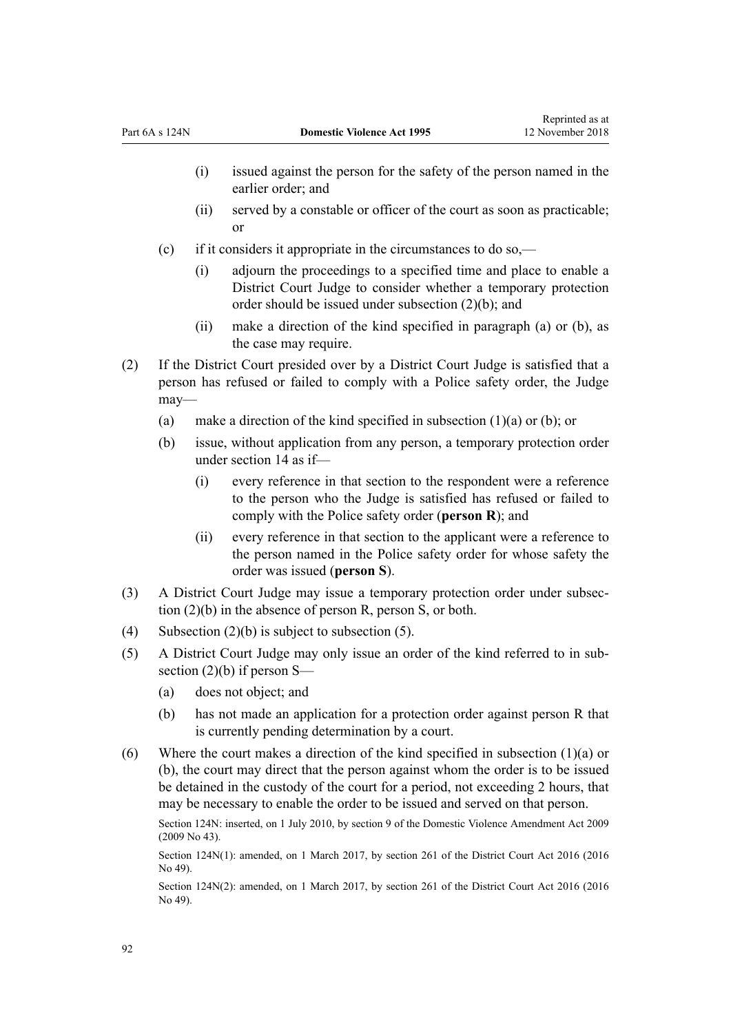- (i) issued against the person for the safety of the person named in the earlier order; and
- (ii) served by a constable or officer of the court as soon as practicable; or
- (c) if it considers it appropriate in the circumstances to do so,—
	- (i) adjourn the proceedings to a specified time and place to enable a District Court Judge to consider whether a temporary protection order should be issued under subsection (2)(b); and
	- (ii) make a direction of the kind specified in paragraph (a) or (b), as the case may require.
- (2) If the District Court presided over by a District Court Judge is satisfied that a person has refused or failed to comply with a Police safety order, the Judge may—
	- (a) make a direction of the kind specified in subsection  $(1)(a)$  or  $(b)$ ; or
	- (b) issue, without application from any person, a temporary protection order under [section 14](#page-20-0) as if—
		- (i) every reference in that section to the respondent were a reference to the person who the Judge is satisfied has refused or failed to comply with the Police safety order (**person R**); and
		- (ii) every reference in that section to the applicant were a reference to the person named in the Police safety order for whose safety the order was issued (**person S**).
- (3) A District Court Judge may issue a temporary protection order under subsection (2)(b) in the absence of person R, person S, or both.
- (4) Subsection  $(2)(b)$  is subject to subsection (5).
- (5) A District Court Judge may only issue an order of the kind referred to in subsection (2)(b) if person S—
	- (a) does not object; and
	- (b) has not made an application for a protection order against person R that is currently pending determination by a court.
- (6) Where the court makes a direction of the kind specified in subsection (1)(a) or (b), the court may direct that the person against whom the order is to be issued be detained in the custody of the court for a period, not exceeding 2 hours, that may be necessary to enable the order to be issued and served on that person.

Section 124N: inserted, on 1 July 2010, by [section 9](http://prd-lgnz-nlb.prd.pco.net.nz/pdflink.aspx?id=DLM1774218) of the Domestic Violence Amendment Act 2009 (2009 No 43).

Section 124N(1): amended, on 1 March 2017, by [section 261](http://prd-lgnz-nlb.prd.pco.net.nz/pdflink.aspx?id=DLM6942680) of the District Court Act 2016 (2016 No 49).

Section 124N(2): amended, on 1 March 2017, by [section 261](http://prd-lgnz-nlb.prd.pco.net.nz/pdflink.aspx?id=DLM6942680) of the District Court Act 2016 (2016 No 49).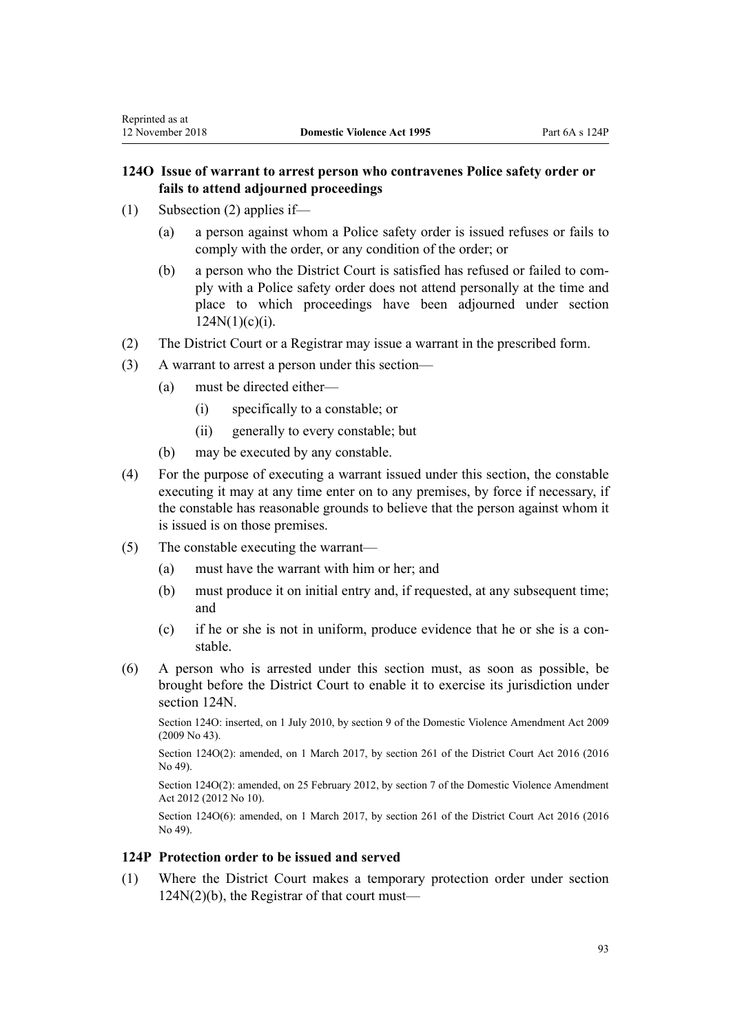(1) Subsection (2) applies if—

<span id="page-92-0"></span>Reprinted as at

- (a) a person against whom a Police safety order is issued refuses or fails to comply with the order, or any condition of the order; or
- (b) a person who the District Court is satisfied has refused or failed to comply with a Police safety order does not attend personally at the time and place to which proceedings have been adjourned under [section](#page-90-0)  $124N(1)(c)(i)$ .
- (2) The District Court or a Registrar may issue a warrant in the prescribed form.
- (3) A warrant to arrest a person under this section—
	- (a) must be directed either—
		- (i) specifically to a constable; or
		- (ii) generally to every constable; but
	- (b) may be executed by any constable.
- (4) For the purpose of executing a warrant issued under this section, the constable executing it may at any time enter on to any premises, by force if necessary, if the constable has reasonable grounds to believe that the person against whom it is issued is on those premises.
- (5) The constable executing the warrant—
	- (a) must have the warrant with him or her; and
	- (b) must produce it on initial entry and, if requested, at any subsequent time; and
	- (c) if he or she is not in uniform, produce evidence that he or she is a constable.
- (6) A person who is arrested under this section must, as soon as possible, be brought before the District Court to enable it to exercise its jurisdiction under [section 124N](#page-90-0).

Section 124O: inserted, on 1 July 2010, by [section 9](http://prd-lgnz-nlb.prd.pco.net.nz/pdflink.aspx?id=DLM1774218) of the Domestic Violence Amendment Act 2009 (2009 No 43).

Section 124O(2): amended, on 1 March 2017, by [section 261](http://prd-lgnz-nlb.prd.pco.net.nz/pdflink.aspx?id=DLM6942680) of the District Court Act 2016 (2016) No 49).

Section 124O(2): amended, on 25 February 2012, by [section 7](http://prd-lgnz-nlb.prd.pco.net.nz/pdflink.aspx?id=DLM4014214) of the Domestic Violence Amendment Act 2012 (2012 No 10).

Section 124O(6): amended, on 1 March 2017, by [section 261](http://prd-lgnz-nlb.prd.pco.net.nz/pdflink.aspx?id=DLM6942680) of the District Court Act 2016 (2016 No 49).

# **124P Protection order to be issued and served**

(1) Where the District Court makes a temporary protection order under [section](#page-90-0) [124N\(2\)\(b\),](#page-90-0) the Registrar of that court must—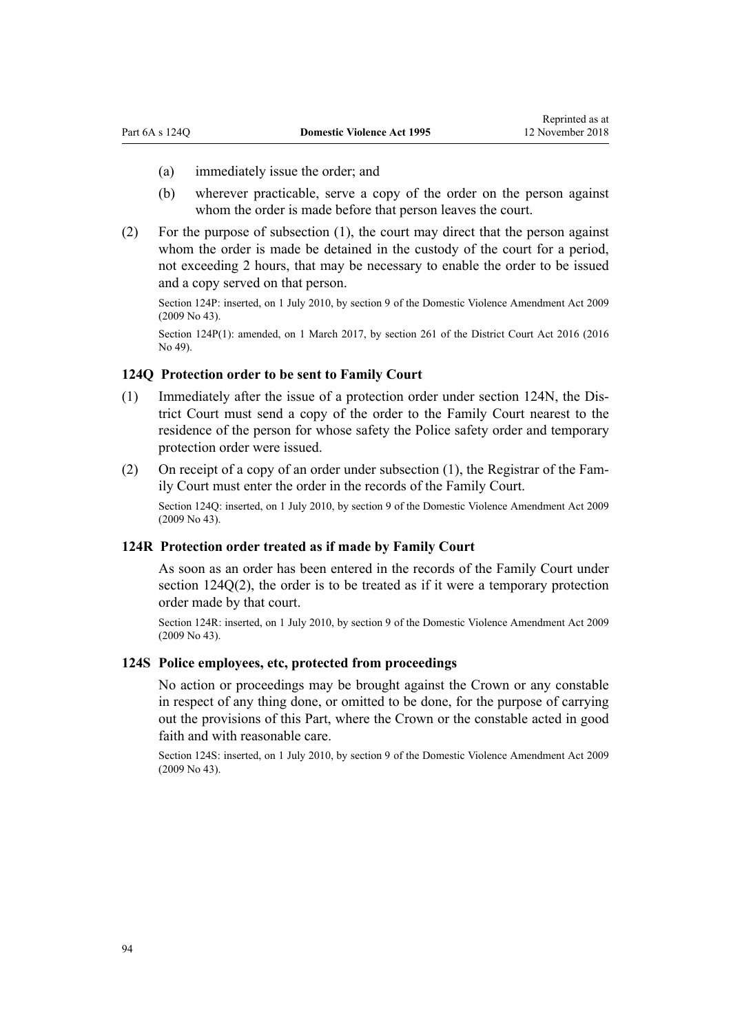- (a) immediately issue the order; and
- (b) wherever practicable, serve a copy of the order on the person against whom the order is made before that person leaves the court.
- (2) For the purpose of subsection (1), the court may direct that the person against whom the order is made be detained in the custody of the court for a period, not exceeding 2 hours, that may be necessary to enable the order to be issued and a copy served on that person.

Section 124P: inserted, on 1 July 2010, by [section 9](http://prd-lgnz-nlb.prd.pco.net.nz/pdflink.aspx?id=DLM1774218) of the Domestic Violence Amendment Act 2009 (2009 No 43).

Section 124P(1): amended, on 1 March 2017, by [section 261](http://prd-lgnz-nlb.prd.pco.net.nz/pdflink.aspx?id=DLM6942680) of the District Court Act 2016 (2016) No 49).

# **124Q Protection order to be sent to Family Court**

- (1) Immediately after the issue of a protection order under [section 124N](#page-90-0), the District Court must send a copy of the order to the Family Court nearest to the residence of the person for whose safety the Police safety order and temporary protection order were issued.
- (2) On receipt of a copy of an order under subsection (1), the Registrar of the Family Court must enter the order in the records of the Family Court.

Section 124Q: inserted, on 1 July 2010, by [section 9](http://prd-lgnz-nlb.prd.pco.net.nz/pdflink.aspx?id=DLM1774218) of the Domestic Violence Amendment Act 2009 (2009 No 43).

#### **124R Protection order treated as if made by Family Court**

As soon as an order has been entered in the records of the Family Court under section 124Q(2), the order is to be treated as if it were a temporary protection order made by that court.

Section 124R: inserted, on 1 July 2010, by [section 9](http://prd-lgnz-nlb.prd.pco.net.nz/pdflink.aspx?id=DLM1774218) of the Domestic Violence Amendment Act 2009 (2009 No 43).

### **124S Police employees, etc, protected from proceedings**

No action or proceedings may be brought against the Crown or any constable in respect of any thing done, or omitted to be done, for the purpose of carrying out the provisions of this Part, where the Crown or the constable acted in good faith and with reasonable care.

Section 124S: inserted, on 1 July 2010, by [section 9](http://prd-lgnz-nlb.prd.pco.net.nz/pdflink.aspx?id=DLM1774218) of the Domestic Violence Amendment Act 2009 (2009 No 43).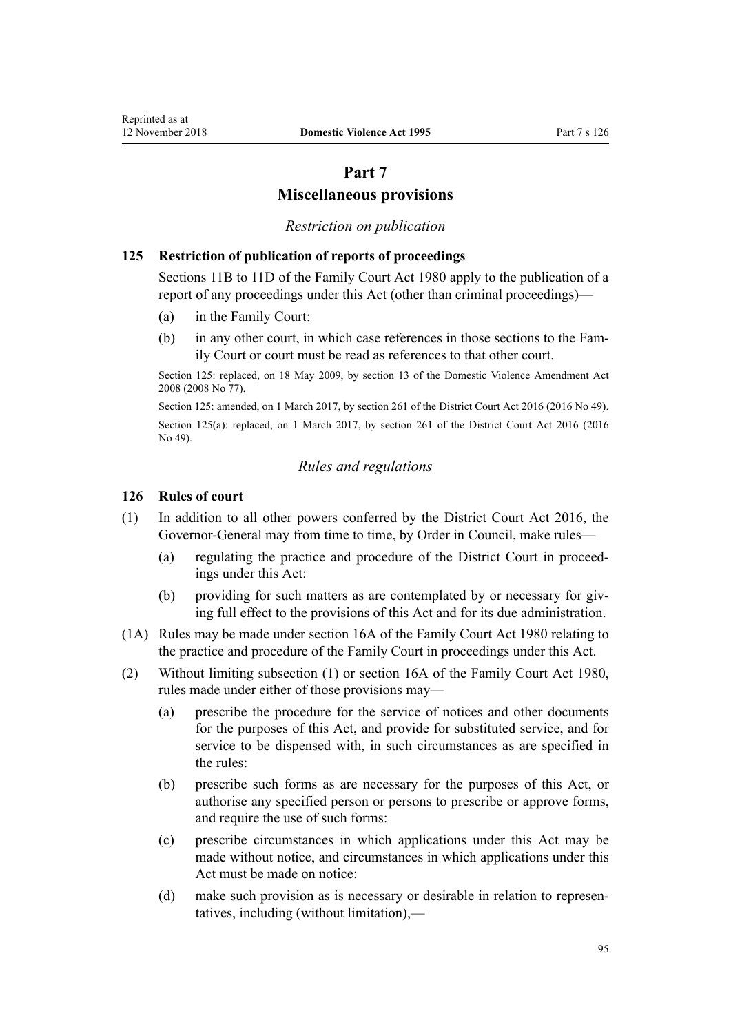# **Part 7**

# **Miscellaneous provisions**

#### *Restriction on publication*

## **125 Restriction of publication of reports of proceedings**

[Sections 11B to 11D](http://prd-lgnz-nlb.prd.pco.net.nz/pdflink.aspx?id=DLM2061203) of the Family Court Act 1980 apply to the publication of a report of any proceedings under this Act (other than criminal proceedings)—

- (a) in the Family Court:
- (b) in any other court, in which case references in those sections to the Family Court or court must be read as references to that other court.

Section 125: replaced, on 18 May 2009, by [section 13](http://prd-lgnz-nlb.prd.pco.net.nz/pdflink.aspx?id=DLM1302125) of the Domestic Violence Amendment Act 2008 (2008 No 77).

Section 125: amended, on 1 March 2017, by [section 261](http://prd-lgnz-nlb.prd.pco.net.nz/pdflink.aspx?id=DLM6942680) of the District Court Act 2016 (2016 No 49). Section 125(a): replaced, on 1 March 2017, by [section 261](http://prd-lgnz-nlb.prd.pco.net.nz/pdflink.aspx?id=DLM6942680) of the District Court Act 2016 (2016) No 49).

#### *Rules and regulations*

#### **126 Rules of court**

- (1) In addition to all other powers conferred by the [District Court Act 2016,](http://prd-lgnz-nlb.prd.pco.net.nz/pdflink.aspx?id=DLM6942200) the Governor-General may from time to time, by Order in Council, make rules—
	- (a) regulating the practice and procedure of the District Court in proceedings under this Act:
	- (b) providing for such matters as are contemplated by or necessary for giving full effect to the provisions of this Act and for its due administration.
- (1A) Rules may be made under [section 16A](http://prd-lgnz-nlb.prd.pco.net.nz/pdflink.aspx?id=DLM42296) of the Family Court Act 1980 relating to the practice and procedure of the Family Court in proceedings under this Act.
- (2) Without limiting subsection (1) or [section 16A](http://prd-lgnz-nlb.prd.pco.net.nz/pdflink.aspx?id=DLM42296) of the Family Court Act 1980, rules made under either of those provisions may—
	- (a) prescribe the procedure for the service of notices and other documents for the purposes of this Act, and provide for substituted service, and for service to be dispensed with, in such circumstances as are specified in the rules:
	- (b) prescribe such forms as are necessary for the purposes of this Act, or authorise any specified person or persons to prescribe or approve forms, and require the use of such forms:
	- (c) prescribe circumstances in which applications under this Act may be made without notice, and circumstances in which applications under this Act must be made on notice:
	- (d) make such provision as is necessary or desirable in relation to representatives, including (without limitation),—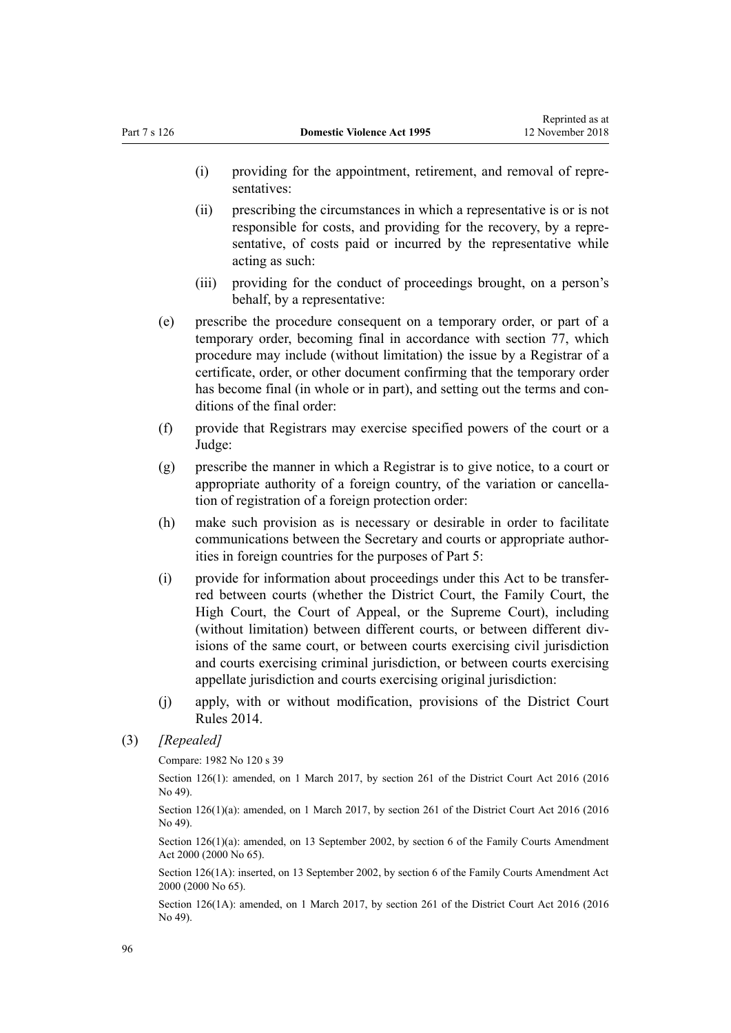- (i) providing for the appointment, retirement, and removal of representatives:
- (ii) prescribing the circumstances in which a representative is or is not responsible for costs, and providing for the recovery, by a representative, of costs paid or incurred by the representative while acting as such:
- (iii) providing for the conduct of proceedings brought, on a person's behalf, by a representative:
- (e) prescribe the procedure consequent on a temporary order, or part of a temporary order, becoming final in accordance with [section 77,](#page-62-0) which procedure may include (without limitation) the issue by a Registrar of a certificate, order, or other document confirming that the temporary order has become final (in whole or in part), and setting out the terms and conditions of the final order:
- (f) provide that Registrars may exercise specified powers of the court or a Judge:
- (g) prescribe the manner in which a Registrar is to give notice, to a court or appropriate authority of a foreign country, of the variation or cancellation of registration of a foreign protection order:
- (h) make such provision as is necessary or desirable in order to facilitate communications between the Secretary and courts or appropriate authorities in foreign countries for the purposes of [Part 5:](#page-73-0)
- (i) provide for information about proceedings under this Act to be transferred between courts (whether the District Court, the Family Court, the High Court, the Court of Appeal, or the Supreme Court), including (without limitation) between different courts, or between different divisions of the same court, or between courts exercising civil jurisdiction and courts exercising criminal jurisdiction, or between courts exercising appellate jurisdiction and courts exercising original jurisdiction:
- (j) apply, with or without modification, provisions of the [District Court](http://prd-lgnz-nlb.prd.pco.net.nz/pdflink.aspx?id=DLM6129566) [Rules 2014](http://prd-lgnz-nlb.prd.pco.net.nz/pdflink.aspx?id=DLM6129566).

Compare: 1982 No 120 s 39

Section 126(1): amended, on 1 March 2017, by [section 261](http://prd-lgnz-nlb.prd.pco.net.nz/pdflink.aspx?id=DLM6942680) of the District Court Act 2016 (2016) No 49).

Section 126(1)(a): amended, on 1 March 2017, by [section 261](http://prd-lgnz-nlb.prd.pco.net.nz/pdflink.aspx?id=DLM6942680) of the District Court Act 2016 (2016 No 49).

Section 126(1)(a): amended, on 13 September 2002, by [section 6](http://prd-lgnz-nlb.prd.pco.net.nz/pdflink.aspx?id=DLM76831) of the Family Courts Amendment Act 2000 (2000 No 65).

Section 126(1A): inserted, on 13 September 2002, by [section 6](http://prd-lgnz-nlb.prd.pco.net.nz/pdflink.aspx?id=DLM76831) of the Family Courts Amendment Act 2000 (2000 No 65).

Section 126(1A): amended, on 1 March 2017, by [section 261](http://prd-lgnz-nlb.prd.pco.net.nz/pdflink.aspx?id=DLM6942680) of the District Court Act 2016 (2016 No 49).

<sup>(3)</sup> *[Repealed]*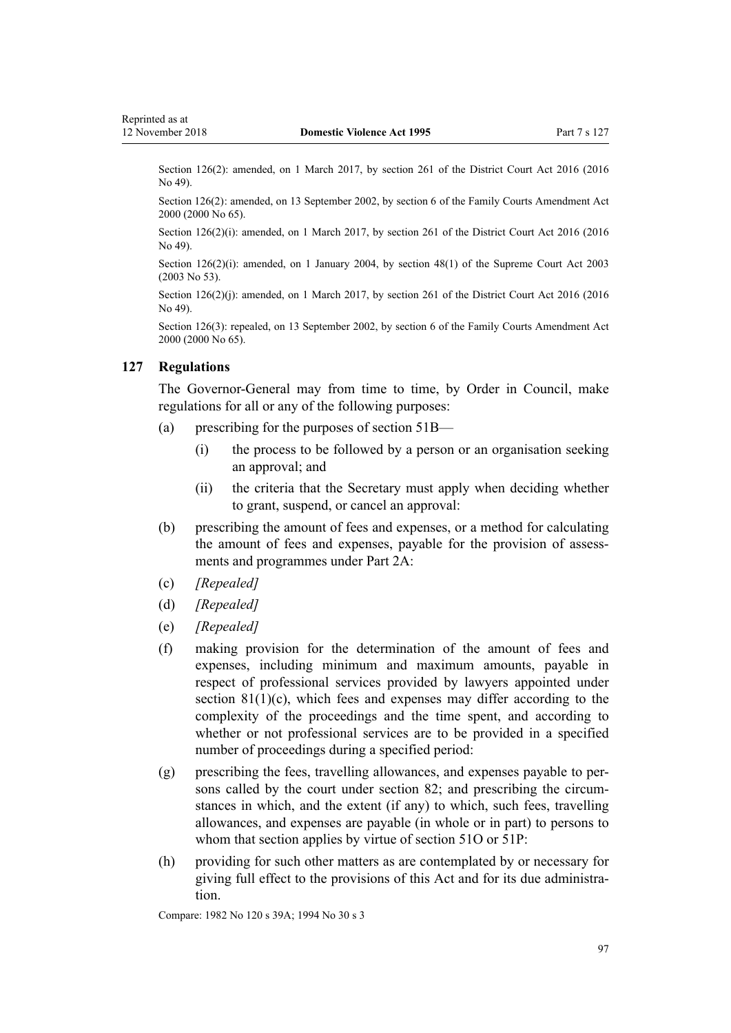<span id="page-96-0"></span>Section 126(2): amended, on 1 March 2017, by [section 261](http://prd-lgnz-nlb.prd.pco.net.nz/pdflink.aspx?id=DLM6942680) of the District Court Act 2016 (2016) No 49).

Section 126(2): amended, on 13 September 2002, by [section 6](http://prd-lgnz-nlb.prd.pco.net.nz/pdflink.aspx?id=DLM76831) of the Family Courts Amendment Act 2000 (2000 No 65).

Section 126(2)(i): amended, on 1 March 2017, by [section 261](http://prd-lgnz-nlb.prd.pco.net.nz/pdflink.aspx?id=DLM6942680) of the District Court Act 2016 (2016 No 49).

Section 126(2)(i): amended, on 1 January 2004, by [section 48\(1\)](http://prd-lgnz-nlb.prd.pco.net.nz/pdflink.aspx?id=DLM214522) of the Supreme Court Act 2003 (2003 No 53).

Section 126(2)(j): amended, on 1 March 2017, by [section 261](http://prd-lgnz-nlb.prd.pco.net.nz/pdflink.aspx?id=DLM6942680) of the District Court Act 2016 (2016) No 49).

Section 126(3): repealed, on 13 September 2002, by [section 6](http://prd-lgnz-nlb.prd.pco.net.nz/pdflink.aspx?id=DLM76831) of the Family Courts Amendment Act 2000 (2000 No 65).

#### **127 Regulations**

The Governor-General may from time to time, by Order in Council, make regulations for all or any of the following purposes:

- (a) prescribing for the purposes of [section 51B—](#page-41-0)
	- (i) the process to be followed by a person or an organisation seeking an approval; and
	- (ii) the criteria that the Secretary must apply when deciding whether to grant, suspend, or cancel an approval:
- (b) prescribing the amount of fees and expenses, or a method for calculating the amount of fees and expenses, payable for the provision of assessments and programmes under [Part 2A:](#page-40-0)
- (c) *[Repealed]*
- (d) *[Repealed]*
- (e) *[Repealed]*
- (f) making provision for the determination of the amount of fees and expenses, including minimum and maximum amounts, payable in respect of professional services provided by lawyers appointed under section  $81(1)(c)$ , which fees and expenses may differ according to the complexity of the proceedings and the time spent, and according to whether or not professional services are to be provided in a specified number of proceedings during a specified period:
- (g) prescribing the fees, travelling allowances, and expenses payable to persons called by the court under [section 82](#page-67-0); and prescribing the circumstances in which, and the extent (if any) to which, such fees, travelling allowances, and expenses are payable (in whole or in part) to persons to whom that section applies by virtue of [section 51O](#page-47-0) or [51P:](#page-47-0)
- (h) providing for such other matters as are contemplated by or necessary for giving full effect to the provisions of this Act and for its due administration.

Compare: 1982 No 120 s 39A; 1994 No 30 s 3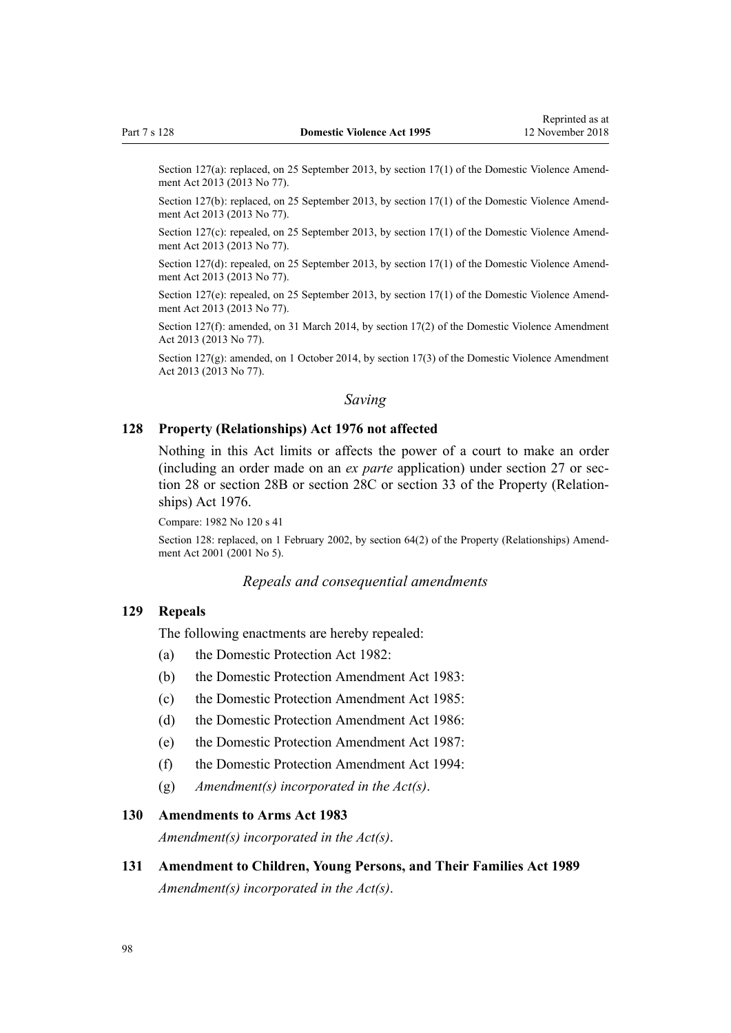Section 127(a): replaced, on 25 September 2013, by [section 17\(1\)](http://prd-lgnz-nlb.prd.pco.net.nz/pdflink.aspx?id=DLM5616706) of the Domestic Violence Amendment Act 2013 (2013 No 77).

Section 127(b): replaced, on 25 September 2013, by [section 17\(1\)](http://prd-lgnz-nlb.prd.pco.net.nz/pdflink.aspx?id=DLM5616706) of the Domestic Violence Amendment Act 2013 (2013 No 77).

Section 127(c): repealed, on 25 September 2013, by [section 17\(1\)](http://prd-lgnz-nlb.prd.pco.net.nz/pdflink.aspx?id=DLM5616706) of the Domestic Violence Amendment Act 2013 (2013 No 77).

Section 127(d): repealed, on 25 September 2013, by [section 17\(1\)](http://prd-lgnz-nlb.prd.pco.net.nz/pdflink.aspx?id=DLM5616706) of the Domestic Violence Amendment Act 2013 (2013 No 77).

Section 127(e): repealed, on 25 September 2013, by [section 17\(1\)](http://prd-lgnz-nlb.prd.pco.net.nz/pdflink.aspx?id=DLM5616706) of the Domestic Violence Amendment Act 2013 (2013 No 77).

Section 127(f): amended, on 31 March 2014, by [section 17\(2\)](http://prd-lgnz-nlb.prd.pco.net.nz/pdflink.aspx?id=DLM5616706) of the Domestic Violence Amendment Act 2013 (2013 No 77).

Section 127(g): amended, on 1 October 2014, by [section 17\(3\)](http://prd-lgnz-nlb.prd.pco.net.nz/pdflink.aspx?id=DLM5616706) of the Domestic Violence Amendment Act 2013 (2013 No 77).

# *Saving*

#### **128 Property (Relationships) Act 1976 not affected**

Nothing in this Act limits or affects the power of a court to make an order (including an order made on an *ex parte* application) under [section 27](http://prd-lgnz-nlb.prd.pco.net.nz/pdflink.aspx?id=DLM441483) or [sec](http://prd-lgnz-nlb.prd.pco.net.nz/pdflink.aspx?id=DLM441495)[tion 28](http://prd-lgnz-nlb.prd.pco.net.nz/pdflink.aspx?id=DLM441495) or [section 28B](http://prd-lgnz-nlb.prd.pco.net.nz/pdflink.aspx?id=DLM441616) or [section 28C](http://prd-lgnz-nlb.prd.pco.net.nz/pdflink.aspx?id=DLM441619) or [section 33](http://prd-lgnz-nlb.prd.pco.net.nz/pdflink.aspx?id=DLM441660) of the Property (Relationships) Act 1976.

Compare: 1982 No 120 s 41

Section 128: replaced, on 1 February 2002, by [section 64\(2\)](http://prd-lgnz-nlb.prd.pco.net.nz/pdflink.aspx?id=DLM87570) of the Property (Relationships) Amendment Act 2001 (2001 No 5).

#### *Repeals and consequential amendments*

## **129 Repeals**

The following enactments are hereby repealed:

- (a) the Domestic Protection Act 1982:
- (b) the Domestic Protection Amendment Act 1983:
- (c) the Domestic Protection Amendment Act 1985:
- (d) the Domestic Protection Amendment Act 1986:
- (e) the Domestic Protection Amendment Act 1987:
- (f) the Domestic Protection Amendment Act 1994:
- (g) *Amendment(s) incorporated in the [Act\(s\)](http://prd-lgnz-nlb.prd.pco.net.nz/pdflink.aspx?id=DLM367240)*.

#### **130 Amendments to Arms Act 1983**

*Amendment(s) incorporated in the [Act\(s\)](http://prd-lgnz-nlb.prd.pco.net.nz/pdflink.aspx?id=DLM72929)*.

**131 Amendment to Children, Young Persons, and Their Families Act 1989** *Amendment(s) incorporated in the [Act\(s\)](http://prd-lgnz-nlb.prd.pco.net.nz/pdflink.aspx?id=DLM151079)*.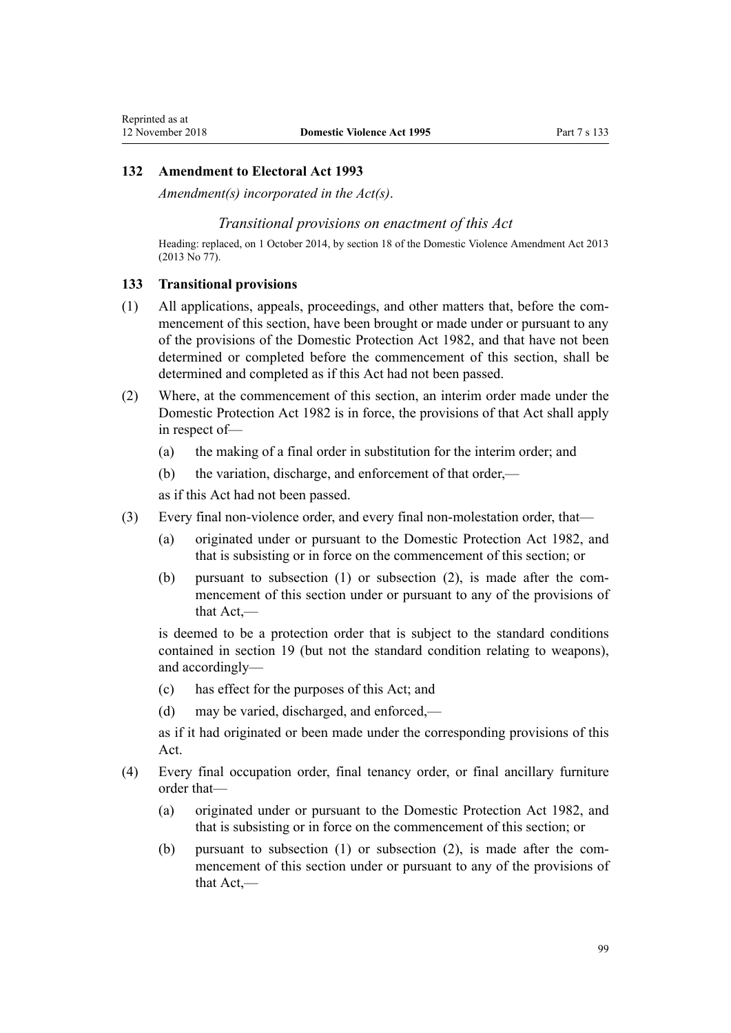### **132 Amendment to Electoral Act 1993**

*Amendment(s) incorporated in the [Act\(s\)](http://prd-lgnz-nlb.prd.pco.net.nz/pdflink.aspx?id=DLM309404)*.

#### *Transitional provisions on enactment of this Act*

Heading: replaced, on 1 October 2014, by [section 18](http://prd-lgnz-nlb.prd.pco.net.nz/pdflink.aspx?id=DLM5616707) of the Domestic Violence Amendment Act 2013 (2013 No 77).

#### **133 Transitional provisions**

- (1) All applications, appeals, proceedings, and other matters that, before the commencement of this section, have been brought or made under or pursuant to any of the provisions of the Domestic Protection Act 1982, and that have not been determined or completed before the commencement of this section, shall be determined and completed as if this Act had not been passed.
- (2) Where, at the commencement of this section, an interim order made under the Domestic Protection Act 1982 is in force, the provisions of that Act shall apply in respect of—
	- (a) the making of a final order in substitution for the interim order; and
	- (b) the variation, discharge, and enforcement of that order,—

as if this Act had not been passed.

- (3) Every final non-violence order, and every final non-molestation order, that—
	- (a) originated under or pursuant to the Domestic Protection Act 1982, and that is subsisting or in force on the commencement of this section; or
	- (b) pursuant to subsection (1) or subsection (2), is made after the commencement of this section under or pursuant to any of the provisions of that Act,—

is deemed to be a protection order that is subject to the standard conditions contained in [section 19](#page-23-0) (but not the standard condition relating to weapons), and accordingly—

- (c) has effect for the purposes of this Act; and
- (d) may be varied, discharged, and enforced,—

as if it had originated or been made under the corresponding provisions of this Act.

- (4) Every final occupation order, final tenancy order, or final ancillary furniture order that—
	- (a) originated under or pursuant to the Domestic Protection Act 1982, and that is subsisting or in force on the commencement of this section; or
	- (b) pursuant to subsection (1) or subsection (2), is made after the commencement of this section under or pursuant to any of the provisions of that Act,—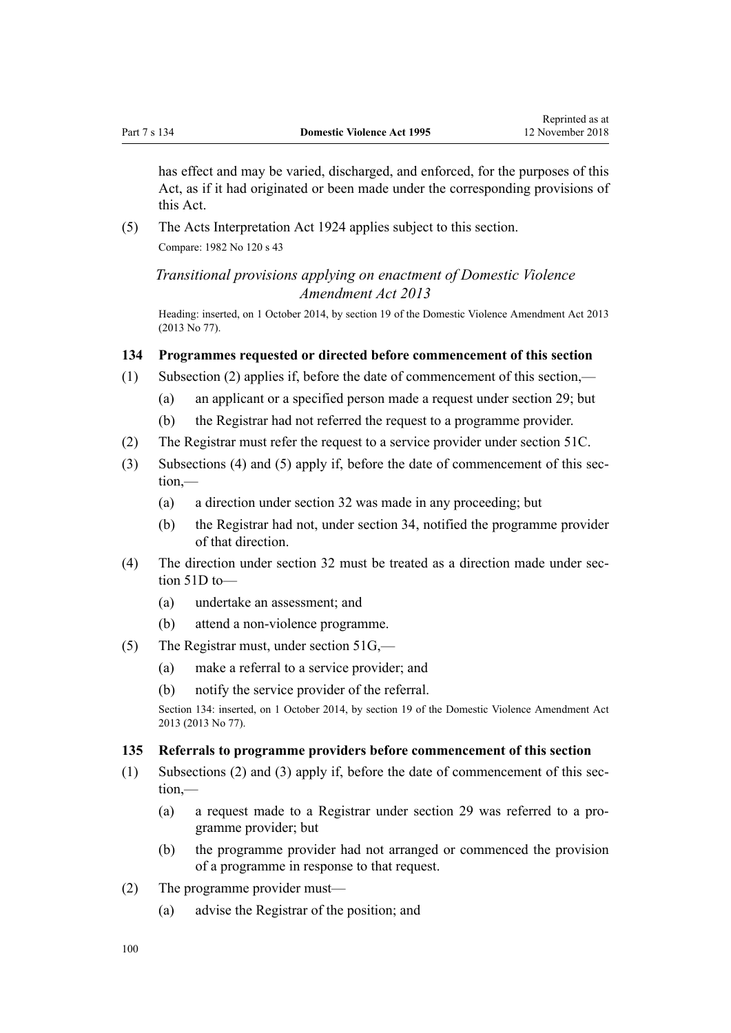has effect and may be varied, discharged, and enforced, for the purposes of this Act, as if it had originated or been made under the corresponding provisions of this Act.

(5) The Acts Interpretation Act 1924 applies subject to this section. Compare: 1982 No 120 s 43

*Transitional provisions applying on enactment of Domestic Violence Amendment Act 2013*

Heading: inserted, on 1 October 2014, by [section 19](http://prd-lgnz-nlb.prd.pco.net.nz/pdflink.aspx?id=DLM5616709) of the Domestic Violence Amendment Act 2013 (2013 No 77).

## **134 Programmes requested or directed before commencement of this section**

- (1) Subsection (2) applies if, before the date of commencement of this section,—
	- (a) an applicant or a specified person made a request under [section 29](#page-34-0); but
	- (b) the Registrar had not referred the request to a programme provider.
- (2) The Registrar must refer the request to a service provider under [section 51C.](#page-41-0)
- (3) Subsections (4) and (5) apply if, before the date of commencement of this section,—
	- (a) a direction under [section 32](#page-35-0) was made in any proceeding; but
	- (b) the Registrar had not, under [section 34,](#page-35-0) notified the programme provider of that direction.
- (4) The direction under [section 32](#page-35-0) must be treated as a direction made under [sec](#page-42-0)[tion 51D](#page-42-0) to—
	- (a) undertake an assessment; and
	- (b) attend a non-violence programme.
- (5) The Registrar must, under [section 51G](#page-43-0),—
	- (a) make a referral to a service provider; and
	- (b) notify the service provider of the referral.

Section 134: inserted, on 1 October 2014, by [section 19](http://prd-lgnz-nlb.prd.pco.net.nz/pdflink.aspx?id=DLM5616709) of the Domestic Violence Amendment Act 2013 (2013 No 77).

#### **135 Referrals to programme providers before commencement of this section**

- (1) Subsections (2) and (3) apply if, before the date of commencement of this section,—
	- (a) a request made to a Registrar under [section 29](#page-34-0) was referred to a programme provider; but
	- (b) the programme provider had not arranged or commenced the provision of a programme in response to that request.
- (2) The programme provider must—
	- (a) advise the Registrar of the position; and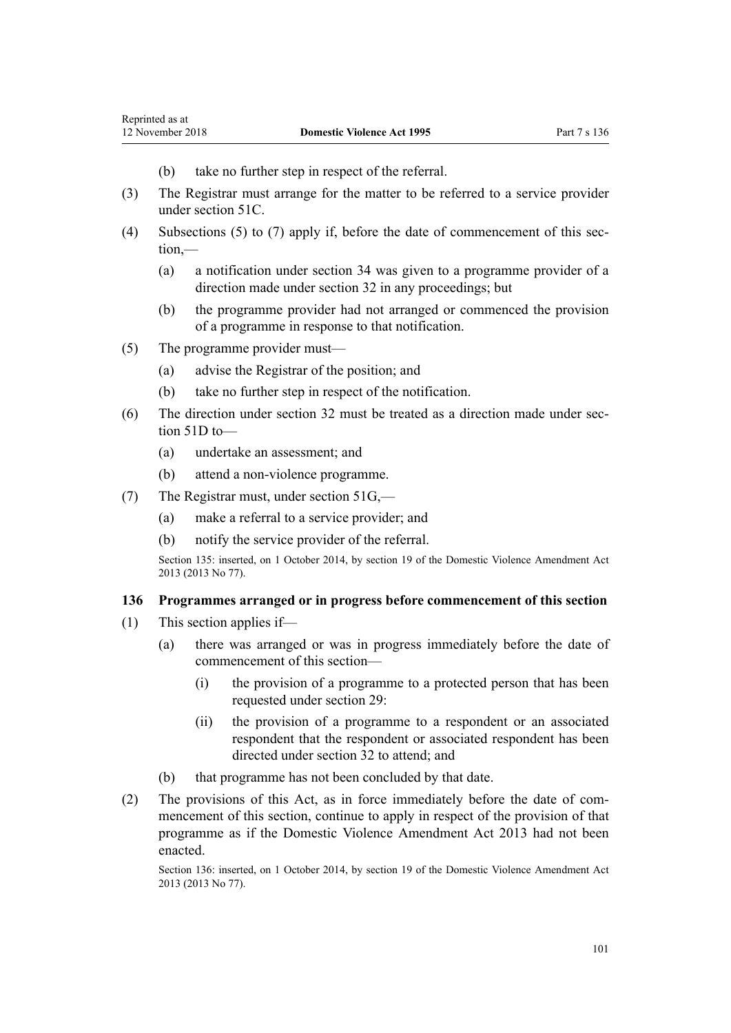- (b) take no further step in respect of the referral.
- (3) The Registrar must arrange for the matter to be referred to a service provider under [section 51C.](#page-41-0)
- (4) Subsections (5) to (7) apply if, before the date of commencement of this section,—
	- (a) a notification under [section 34](#page-35-0) was given to a programme provider of a direction made under [section 32](#page-35-0) in any proceedings; but
	- (b) the programme provider had not arranged or commenced the provision of a programme in response to that notification.
- (5) The programme provider must—
	- (a) advise the Registrar of the position; and
	- (b) take no further step in respect of the notification.
- (6) The direction under [section 32](#page-35-0) must be treated as a direction made under [sec](#page-42-0)[tion 51D](#page-42-0) to—
	- (a) undertake an assessment; and
	- (b) attend a non-violence programme.
- (7) The Registrar must, under [section 51G](#page-43-0),—
	- (a) make a referral to a service provider; and
	- (b) notify the service provider of the referral.

Section 135: inserted, on 1 October 2014, by [section 19](http://prd-lgnz-nlb.prd.pco.net.nz/pdflink.aspx?id=DLM5616709) of the Domestic Violence Amendment Act 2013 (2013 No 77).

### **136 Programmes arranged or in progress before commencement of this section**

- (1) This section applies if—
	- (a) there was arranged or was in progress immediately before the date of commencement of this section—
		- (i) the provision of a programme to a protected person that has been requested under [section 29](#page-34-0):
		- (ii) the provision of a programme to a respondent or an associated respondent that the respondent or associated respondent has been directed under [section 32](#page-35-0) to attend; and
	- (b) that programme has not been concluded by that date.
- (2) The provisions of this Act, as in force immediately before the date of commencement of this section, continue to apply in respect of the provision of that programme as if the [Domestic Violence Amendment Act 2013](http://prd-lgnz-nlb.prd.pco.net.nz/pdflink.aspx?id=DLM5615636) had not been enacted.

Section 136: inserted, on 1 October 2014, by [section 19](http://prd-lgnz-nlb.prd.pco.net.nz/pdflink.aspx?id=DLM5616709) of the Domestic Violence Amendment Act 2013 (2013 No 77).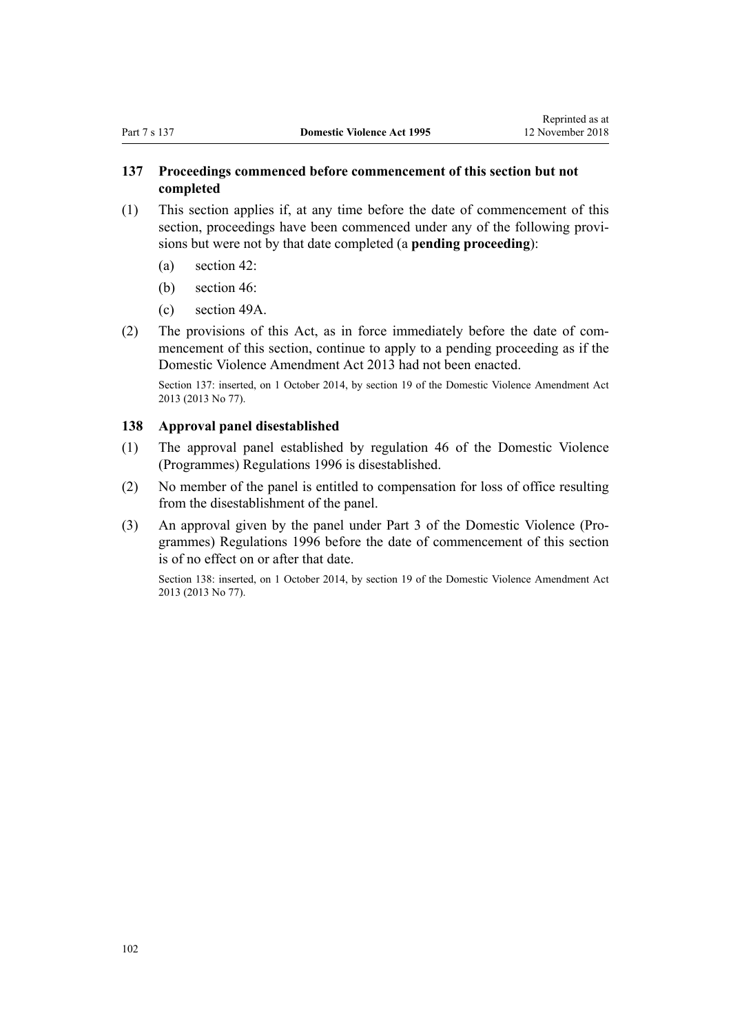# **137 Proceedings commenced before commencement of this section but not completed**

- (1) This section applies if, at any time before the date of commencement of this section, proceedings have been commenced under any of the following provisions but were not by that date completed (a **pending proceeding**):
	- (a) [section 42](#page-36-0):
	- (b) [section 46](#page-37-0):
	- (c) [section 49A](#page-39-0).
- (2) The provisions of this Act, as in force immediately before the date of commencement of this section, continue to apply to a pending proceeding as if the [Domestic Violence Amendment Act 2013](http://prd-lgnz-nlb.prd.pco.net.nz/pdflink.aspx?id=DLM5615636) had not been enacted.

Section 137: inserted, on 1 October 2014, by [section 19](http://prd-lgnz-nlb.prd.pco.net.nz/pdflink.aspx?id=DLM5616709) of the Domestic Violence Amendment Act 2013 (2013 No 77).

### **138 Approval panel disestablished**

- (1) The approval panel established by [regulation 46](http://prd-lgnz-nlb.prd.pco.net.nz/pdflink.aspx?id=DLM214897) of the Domestic Violence (Programmes) Regulations 1996 is disestablished.
- (2) No member of the panel is entitled to compensation for loss of office resulting from the disestablishment of the panel.
- (3) An approval given by the panel under [Part 3](http://prd-lgnz-nlb.prd.pco.net.nz/pdflink.aspx?id=DLM214806) of the Domestic Violence (Programmes) Regulations 1996 before the date of commencement of this section is of no effect on or after that date.

Section 138: inserted, on 1 October 2014, by [section 19](http://prd-lgnz-nlb.prd.pco.net.nz/pdflink.aspx?id=DLM5616709) of the Domestic Violence Amendment Act 2013 (2013 No 77).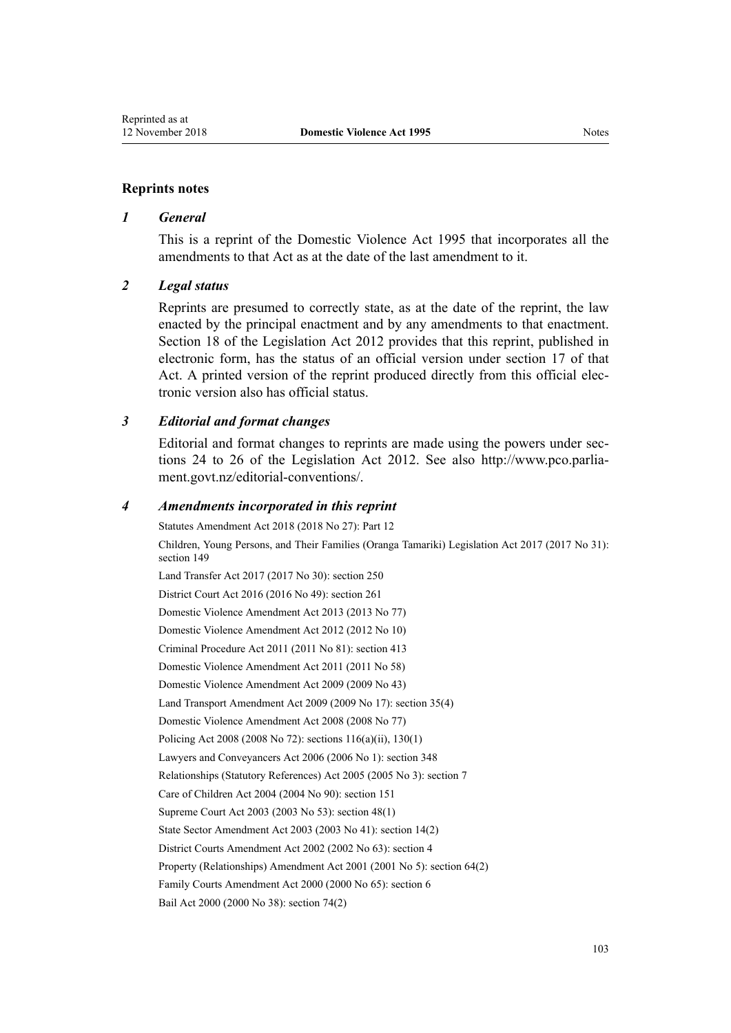#### **Reprints notes**

#### *1 General*

This is a reprint of the Domestic Violence Act 1995 that incorporates all the amendments to that Act as at the date of the last amendment to it.

#### *2 Legal status*

Reprints are presumed to correctly state, as at the date of the reprint, the law enacted by the principal enactment and by any amendments to that enactment. [Section 18](http://prd-lgnz-nlb.prd.pco.net.nz/pdflink.aspx?id=DLM2998516) of the Legislation Act 2012 provides that this reprint, published in electronic form, has the status of an official version under [section 17](http://prd-lgnz-nlb.prd.pco.net.nz/pdflink.aspx?id=DLM2998515) of that Act. A printed version of the reprint produced directly from this official electronic version also has official status.

#### *3 Editorial and format changes*

Editorial and format changes to reprints are made using the powers under [sec](http://prd-lgnz-nlb.prd.pco.net.nz/pdflink.aspx?id=DLM2998532)[tions 24 to 26](http://prd-lgnz-nlb.prd.pco.net.nz/pdflink.aspx?id=DLM2998532) of the Legislation Act 2012. See also [http://www.pco.parlia](http://www.pco.parliament.govt.nz/editorial-conventions/)[ment.govt.nz/editorial-conventions/](http://www.pco.parliament.govt.nz/editorial-conventions/).

#### *4 Amendments incorporated in this reprint*

Statutes Amendment Act 2018 (2018 No 27): [Part 12](http://prd-lgnz-nlb.prd.pco.net.nz/pdflink.aspx?id=DLM7227109) Children, Young Persons, and Their Families (Oranga Tamariki) Legislation Act 2017 (2017 No 31): [section 149](http://prd-lgnz-nlb.prd.pco.net.nz/pdflink.aspx?id=DLM7287401) Land Transfer Act 2017 (2017 No 30): [section 250](http://prd-lgnz-nlb.prd.pco.net.nz/pdflink.aspx?id=DLM6731493) District Court Act 2016 (2016 No 49): [section 261](http://prd-lgnz-nlb.prd.pco.net.nz/pdflink.aspx?id=DLM6942680) [Domestic Violence Amendment Act 2013](http://prd-lgnz-nlb.prd.pco.net.nz/pdflink.aspx?id=DLM5615636) (2013 No 77) [Domestic Violence Amendment Act 2012](http://prd-lgnz-nlb.prd.pco.net.nz/pdflink.aspx?id=DLM4014200) (2012 No 10) Criminal Procedure Act 2011 (2011 No 81): [section 413](http://prd-lgnz-nlb.prd.pco.net.nz/pdflink.aspx?id=DLM3360714) [Domestic Violence Amendment Act 2011](http://prd-lgnz-nlb.prd.pco.net.nz/pdflink.aspx?id=DLM2295900) (2011 No 58) [Domestic Violence Amendment Act 2009](http://prd-lgnz-nlb.prd.pco.net.nz/pdflink.aspx?id=DLM1774200) (2009 No 43) Land Transport Amendment Act 2009 (2009 No 17): [section 35\(4\)](http://prd-lgnz-nlb.prd.pco.net.nz/pdflink.aspx?id=DLM2015063) [Domestic Violence Amendment Act 2008](http://prd-lgnz-nlb.prd.pco.net.nz/pdflink.aspx?id=DLM1302102) (2008 No 77) Policing Act 2008 (2008 No 72): [sections 116\(a\)\(ii\),](http://prd-lgnz-nlb.prd.pco.net.nz/pdflink.aspx?id=DLM1102349) [130\(1\)](http://prd-lgnz-nlb.prd.pco.net.nz/pdflink.aspx?id=DLM1102383) Lawyers and Conveyancers Act 2006 (2006 No 1): [section 348](http://prd-lgnz-nlb.prd.pco.net.nz/pdflink.aspx?id=DLM367849) Relationships (Statutory References) Act 2005 (2005 No 3): [section 7](http://prd-lgnz-nlb.prd.pco.net.nz/pdflink.aspx?id=DLM333795) Care of Children Act 2004 (2004 No 90): [section 151](http://prd-lgnz-nlb.prd.pco.net.nz/pdflink.aspx?id=DLM317988) Supreme Court Act 2003 (2003 No 53): [section 48\(1\)](http://prd-lgnz-nlb.prd.pco.net.nz/pdflink.aspx?id=DLM214522) State Sector Amendment Act 2003 (2003 No 41): [section 14\(2\)](http://prd-lgnz-nlb.prd.pco.net.nz/pdflink.aspx?id=DLM201378) District Courts Amendment Act 2002 (2002 No 63): [section 4](http://prd-lgnz-nlb.prd.pco.net.nz/pdflink.aspx?id=DLM168713) Property (Relationships) Amendment Act 2001 (2001 No 5): [section 64\(2\)](http://prd-lgnz-nlb.prd.pco.net.nz/pdflink.aspx?id=DLM87570) Family Courts Amendment Act 2000 (2000 No 65): [section 6](http://prd-lgnz-nlb.prd.pco.net.nz/pdflink.aspx?id=DLM76831)